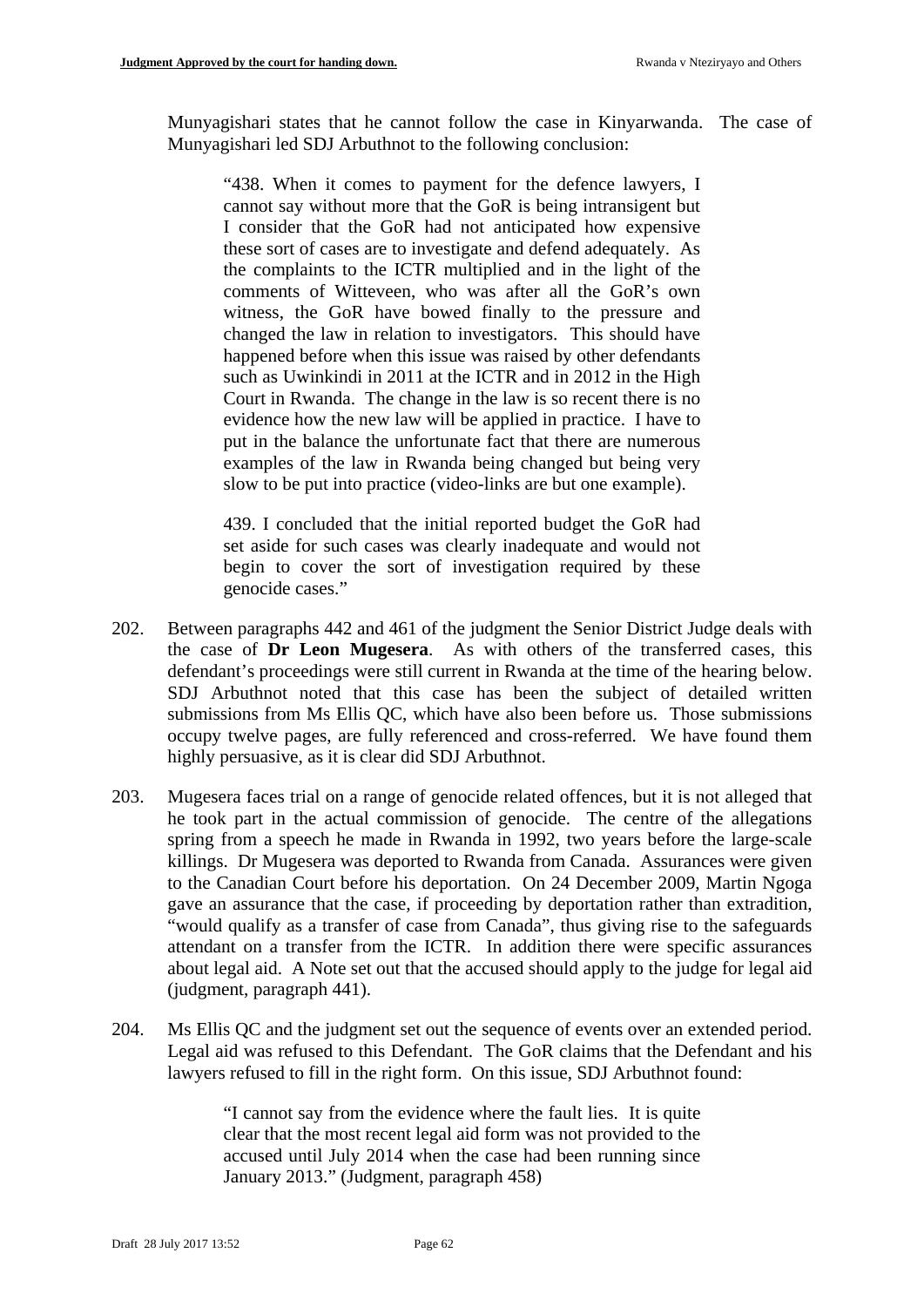Munyagishari states that he cannot follow the case in Kinyarwanda. The case of Munyagishari led SDJ Arbuthnot to the following conclusion:

"438. When it comes to payment for the defence lawyers, I cannot say without more that the GoR is being intransigent but I consider that the GoR had not anticipated how expensive these sort of cases are to investigate and defend adequately. As the complaints to the ICTR multiplied and in the light of the comments of Witteveen, who was after all the GoR's own witness, the GoR have bowed finally to the pressure and changed the law in relation to investigators. This should have happened before when this issue was raised by other defendants such as Uwinkindi in 2011 at the ICTR and in 2012 in the High Court in Rwanda. The change in the law is so recent there is no evidence how the new law will be applied in practice. I have to put in the balance the unfortunate fact that there are numerous examples of the law in Rwanda being changed but being very slow to be put into practice (video-links are but one example).

439. I concluded that the initial reported budget the GoR had set aside for such cases was clearly inadequate and would not begin to cover the sort of investigation required by these genocide cases."

- 202. Between paragraphs 442 and 461 of the judgment the Senior District Judge deals with the case of **Dr Leon Mugesera**. As with others of the transferred cases, this defendant's proceedings were still current in Rwanda at the time of the hearing below. SDJ Arbuthnot noted that this case has been the subject of detailed written submissions from Ms Ellis QC, which have also been before us. Those submissions occupy twelve pages, are fully referenced and cross-referred. We have found them highly persuasive, as it is clear did SDJ Arbuthnot.
- 203. Mugesera faces trial on a range of genocide related offences, but it is not alleged that he took part in the actual commission of genocide. The centre of the allegations spring from a speech he made in Rwanda in 1992, two years before the large-scale killings. Dr Mugesera was deported to Rwanda from Canada. Assurances were given to the Canadian Court before his deportation. On 24 December 2009, Martin Ngoga gave an assurance that the case, if proceeding by deportation rather than extradition, "would qualify as a transfer of case from Canada", thus giving rise to the safeguards attendant on a transfer from the ICTR. In addition there were specific assurances about legal aid. A Note set out that the accused should apply to the judge for legal aid (judgment, paragraph 441).
- 204. Ms Ellis QC and the judgment set out the sequence of events over an extended period. Legal aid was refused to this Defendant. The GoR claims that the Defendant and his lawyers refused to fill in the right form. On this issue, SDJ Arbuthnot found:

"I cannot say from the evidence where the fault lies. It is quite clear that the most recent legal aid form was not provided to the accused until July 2014 when the case had been running since January 2013." (Judgment, paragraph 458)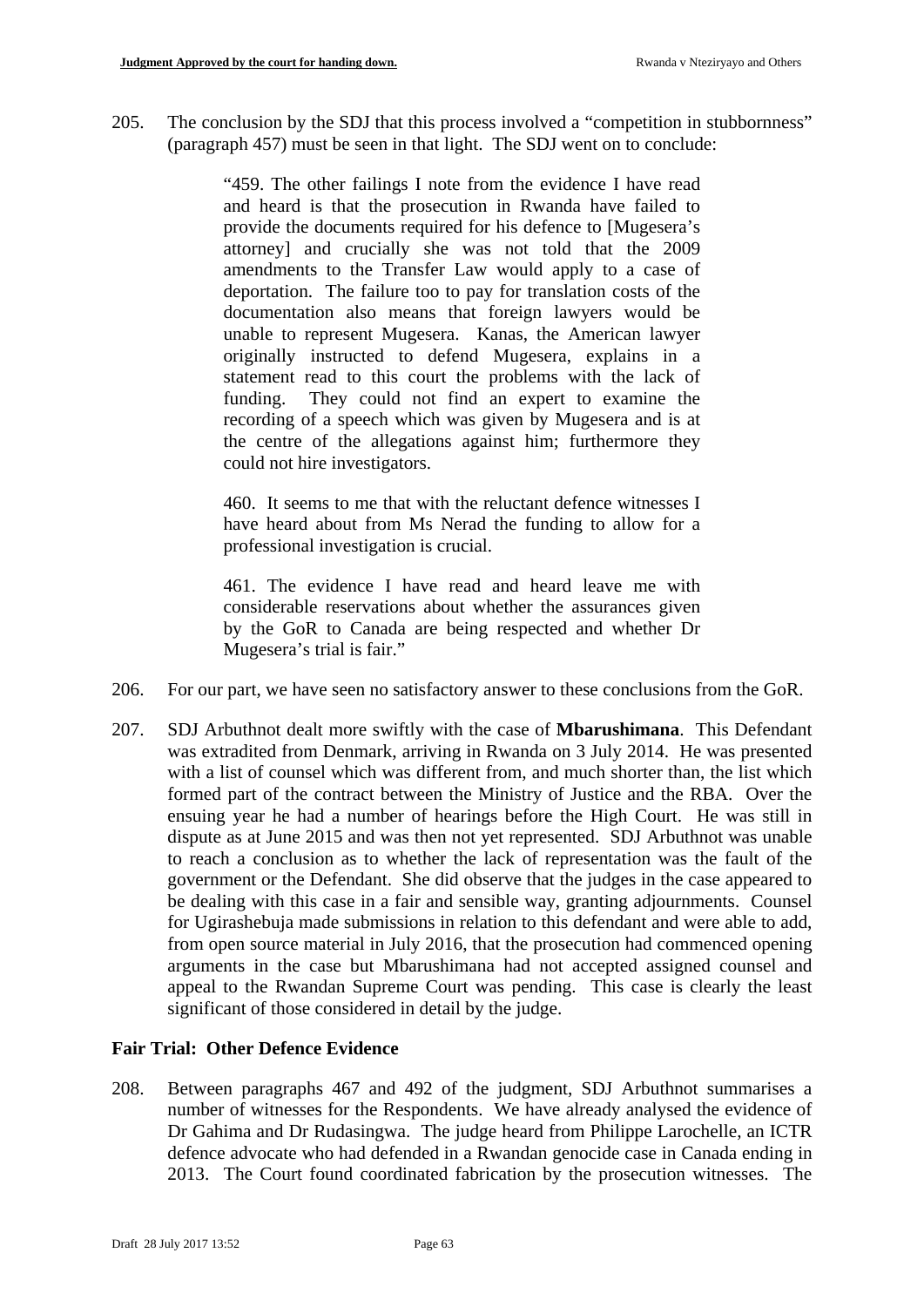205. The conclusion by the SDJ that this process involved a "competition in stubbornness" (paragraph 457) must be seen in that light. The SDJ went on to conclude:

> "459. The other failings I note from the evidence I have read and heard is that the prosecution in Rwanda have failed to provide the documents required for his defence to [Mugesera's attorney] and crucially she was not told that the 2009 amendments to the Transfer Law would apply to a case of deportation. The failure too to pay for translation costs of the documentation also means that foreign lawyers would be unable to represent Mugesera. Kanas, the American lawyer originally instructed to defend Mugesera, explains in a statement read to this court the problems with the lack of funding. They could not find an expert to examine the recording of a speech which was given by Mugesera and is at the centre of the allegations against him; furthermore they could not hire investigators.

> 460. It seems to me that with the reluctant defence witnesses I have heard about from Ms Nerad the funding to allow for a professional investigation is crucial.

> 461. The evidence I have read and heard leave me with considerable reservations about whether the assurances given by the GoR to Canada are being respected and whether Dr Mugesera's trial is fair."

- 206. For our part, we have seen no satisfactory answer to these conclusions from the GoR.
- 207. SDJ Arbuthnot dealt more swiftly with the case of **Mbarushimana**. This Defendant was extradited from Denmark, arriving in Rwanda on 3 July 2014. He was presented with a list of counsel which was different from, and much shorter than, the list which formed part of the contract between the Ministry of Justice and the RBA. Over the ensuing year he had a number of hearings before the High Court. He was still in dispute as at June 2015 and was then not yet represented. SDJ Arbuthnot was unable to reach a conclusion as to whether the lack of representation was the fault of the government or the Defendant. She did observe that the judges in the case appeared to be dealing with this case in a fair and sensible way, granting adjournments. Counsel for Ugirashebuja made submissions in relation to this defendant and were able to add, from open source material in July 2016, that the prosecution had commenced opening arguments in the case but Mbarushimana had not accepted assigned counsel and appeal to the Rwandan Supreme Court was pending. This case is clearly the least significant of those considered in detail by the judge.

## **Fair Trial: Other Defence Evidence**

208. Between paragraphs 467 and 492 of the judgment, SDJ Arbuthnot summarises a number of witnesses for the Respondents. We have already analysed the evidence of Dr Gahima and Dr Rudasingwa. The judge heard from Philippe Larochelle, an ICTR defence advocate who had defended in a Rwandan genocide case in Canada ending in 2013. The Court found coordinated fabrication by the prosecution witnesses. The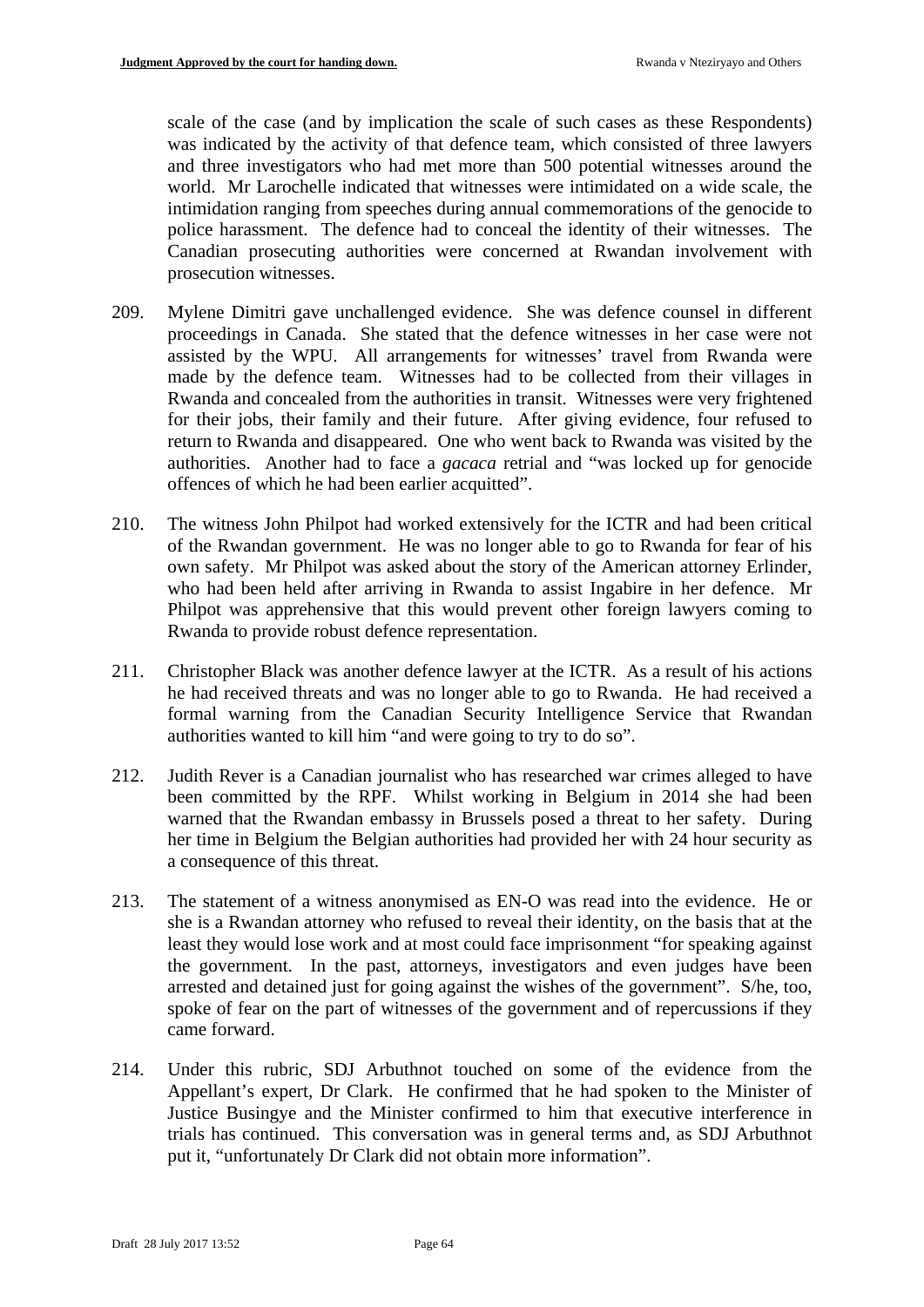scale of the case (and by implication the scale of such cases as these Respondents) was indicated by the activity of that defence team, which consisted of three lawyers and three investigators who had met more than 500 potential witnesses around the world. Mr Larochelle indicated that witnesses were intimidated on a wide scale, the intimidation ranging from speeches during annual commemorations of the genocide to police harassment. The defence had to conceal the identity of their witnesses. The Canadian prosecuting authorities were concerned at Rwandan involvement with prosecution witnesses.

- 209. Mylene Dimitri gave unchallenged evidence. She was defence counsel in different proceedings in Canada. She stated that the defence witnesses in her case were not assisted by the WPU. All arrangements for witnesses' travel from Rwanda were made by the defence team. Witnesses had to be collected from their villages in Rwanda and concealed from the authorities in transit. Witnesses were very frightened for their jobs, their family and their future. After giving evidence, four refused to return to Rwanda and disappeared. One who went back to Rwanda was visited by the authorities. Another had to face a *gacaca* retrial and "was locked up for genocide offences of which he had been earlier acquitted".
- 210. The witness John Philpot had worked extensively for the ICTR and had been critical of the Rwandan government. He was no longer able to go to Rwanda for fear of his own safety. Mr Philpot was asked about the story of the American attorney Erlinder, who had been held after arriving in Rwanda to assist Ingabire in her defence. Mr Philpot was apprehensive that this would prevent other foreign lawyers coming to Rwanda to provide robust defence representation.
- 211. Christopher Black was another defence lawyer at the ICTR. As a result of his actions he had received threats and was no longer able to go to Rwanda. He had received a formal warning from the Canadian Security Intelligence Service that Rwandan authorities wanted to kill him "and were going to try to do so".
- 212. Judith Rever is a Canadian journalist who has researched war crimes alleged to have been committed by the RPF. Whilst working in Belgium in 2014 she had been warned that the Rwandan embassy in Brussels posed a threat to her safety. During her time in Belgium the Belgian authorities had provided her with 24 hour security as a consequence of this threat.
- 213. The statement of a witness anonymised as EN-O was read into the evidence. He or she is a Rwandan attorney who refused to reveal their identity, on the basis that at the least they would lose work and at most could face imprisonment "for speaking against the government. In the past, attorneys, investigators and even judges have been arrested and detained just for going against the wishes of the government". S/he, too, spoke of fear on the part of witnesses of the government and of repercussions if they came forward.
- 214. Under this rubric, SDJ Arbuthnot touched on some of the evidence from the Appellant's expert, Dr Clark. He confirmed that he had spoken to the Minister of Justice Busingye and the Minister confirmed to him that executive interference in trials has continued. This conversation was in general terms and, as SDJ Arbuthnot put it, "unfortunately Dr Clark did not obtain more information".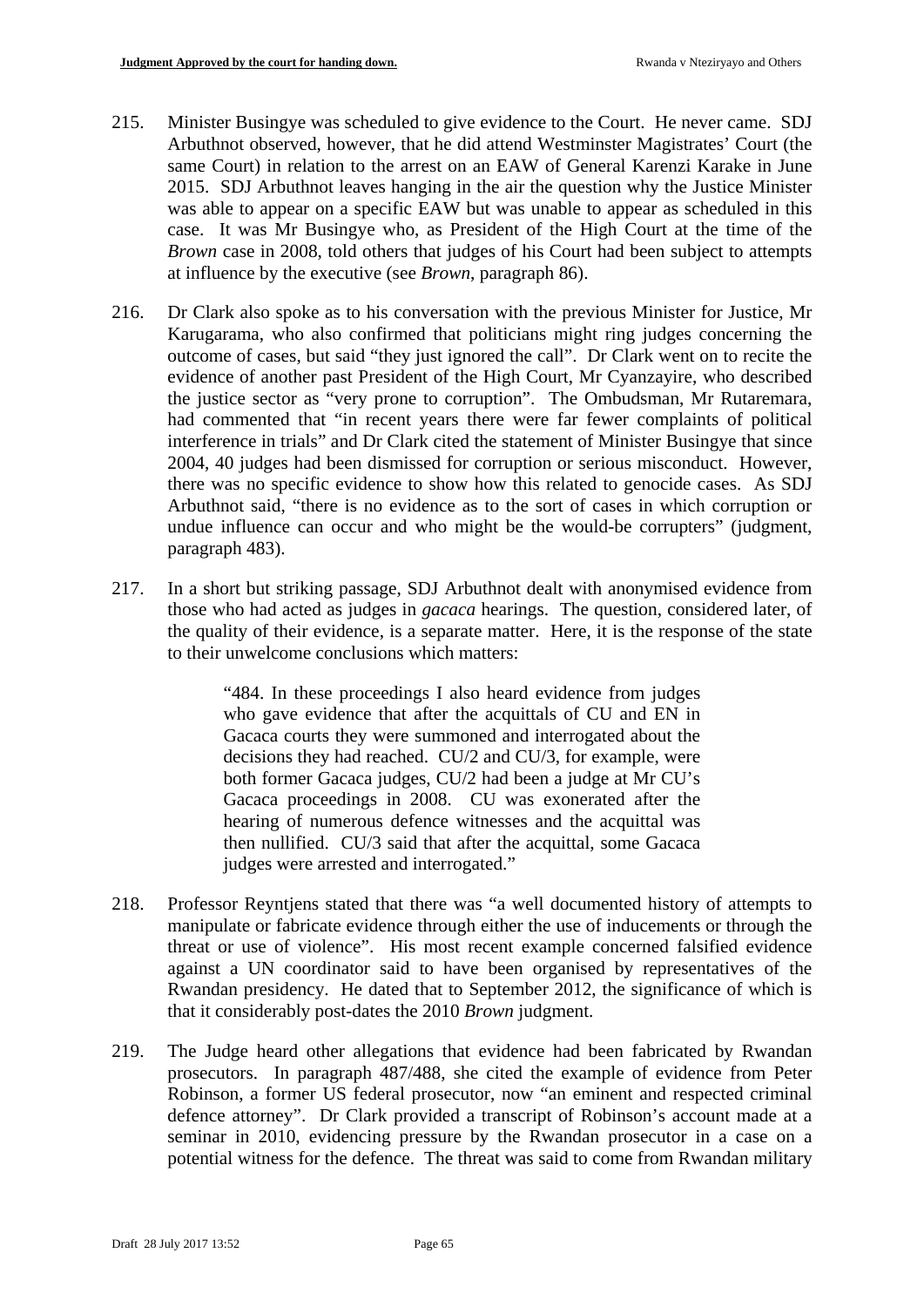- 215. Minister Busingye was scheduled to give evidence to the Court. He never came. SDJ Arbuthnot observed, however, that he did attend Westminster Magistrates' Court (the same Court) in relation to the arrest on an EAW of General Karenzi Karake in June 2015. SDJ Arbuthnot leaves hanging in the air the question why the Justice Minister was able to appear on a specific EAW but was unable to appear as scheduled in this case. It was Mr Busingye who, as President of the High Court at the time of the *Brown* case in 2008, told others that judges of his Court had been subject to attempts at influence by the executive (see *Brown*, paragraph 86).
- 216. Dr Clark also spoke as to his conversation with the previous Minister for Justice, Mr Karugarama, who also confirmed that politicians might ring judges concerning the outcome of cases, but said "they just ignored the call". Dr Clark went on to recite the evidence of another past President of the High Court, Mr Cyanzayire, who described the justice sector as "very prone to corruption". The Ombudsman, Mr Rutaremara, had commented that "in recent years there were far fewer complaints of political interference in trials" and Dr Clark cited the statement of Minister Busingye that since 2004, 40 judges had been dismissed for corruption or serious misconduct. However, there was no specific evidence to show how this related to genocide cases. As SDJ Arbuthnot said, "there is no evidence as to the sort of cases in which corruption or undue influence can occur and who might be the would-be corrupters" (judgment, paragraph 483).
- 217. In a short but striking passage, SDJ Arbuthnot dealt with anonymised evidence from those who had acted as judges in *gacaca* hearings. The question, considered later, of the quality of their evidence, is a separate matter. Here, it is the response of the state to their unwelcome conclusions which matters:

"484. In these proceedings I also heard evidence from judges who gave evidence that after the acquittals of CU and EN in Gacaca courts they were summoned and interrogated about the decisions they had reached. CU/2 and CU/3, for example, were both former Gacaca judges, CU/2 had been a judge at Mr CU's Gacaca proceedings in 2008. CU was exonerated after the hearing of numerous defence witnesses and the acquittal was then nullified. CU/3 said that after the acquittal, some Gacaca judges were arrested and interrogated."

- 218. Professor Reyntjens stated that there was "a well documented history of attempts to manipulate or fabricate evidence through either the use of inducements or through the threat or use of violence". His most recent example concerned falsified evidence against a UN coordinator said to have been organised by representatives of the Rwandan presidency. He dated that to September 2012, the significance of which is that it considerably post-dates the 2010 *Brown* judgment.
- 219. The Judge heard other allegations that evidence had been fabricated by Rwandan prosecutors. In paragraph 487/488, she cited the example of evidence from Peter Robinson, a former US federal prosecutor, now "an eminent and respected criminal defence attorney". Dr Clark provided a transcript of Robinson's account made at a seminar in 2010, evidencing pressure by the Rwandan prosecutor in a case on a potential witness for the defence. The threat was said to come from Rwandan military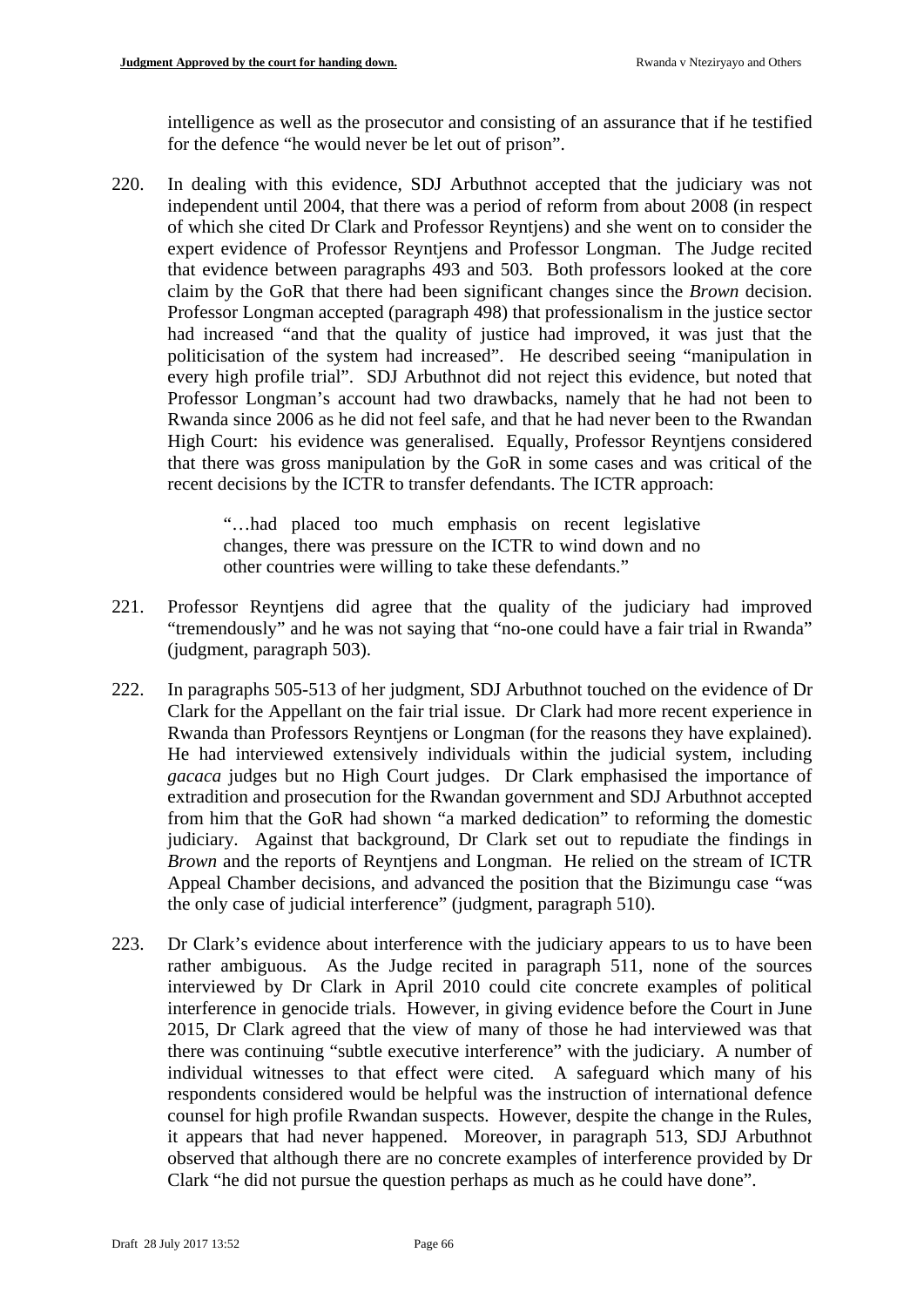intelligence as well as the prosecutor and consisting of an assurance that if he testified for the defence "he would never be let out of prison".

claim by the GoR that there had been significant changes since the *Brown* decision. 220. In dealing with this evidence, SDJ Arbuthnot accepted that the judiciary was not independent until 2004, that there was a period of reform from about 2008 (in respect of which she cited Dr Clark and Professor Reyntjens) and she went on to consider the expert evidence of Professor Reyntjens and Professor Longman. The Judge recited that evidence between paragraphs 493 and 503. Both professors looked at the core Professor Longman accepted (paragraph 498) that professionalism in the justice sector had increased "and that the quality of justice had improved, it was just that the politicisation of the system had increased". He described seeing "manipulation in every high profile trial". SDJ Arbuthnot did not reject this evidence, but noted that Professor Longman's account had two drawbacks, namely that he had not been to Rwanda since 2006 as he did not feel safe, and that he had never been to the Rwandan High Court: his evidence was generalised. Equally, Professor Reyntjens considered that there was gross manipulation by the GoR in some cases and was critical of the recent decisions by the ICTR to transfer defendants. The ICTR approach:

> "…had placed too much emphasis on recent legislative changes, there was pressure on the ICTR to wind down and no other countries were willing to take these defendants."

- 221. Professor Reyntjens did agree that the quality of the judiciary had improved "tremendously" and he was not saying that "no-one could have a fair trial in Rwanda" (judgment, paragraph 503).
- 222. In paragraphs 505-513 of her judgment, SDJ Arbuthnot touched on the evidence of Dr Clark for the Appellant on the fair trial issue. Dr Clark had more recent experience in Rwanda than Professors Reyntjens or Longman (for the reasons they have explained). He had interviewed extensively individuals within the judicial system, including *gacaca* judges but no High Court judges. Dr Clark emphasised the importance of extradition and prosecution for the Rwandan government and SDJ Arbuthnot accepted from him that the GoR had shown "a marked dedication" to reforming the domestic judiciary. Against that background, Dr Clark set out to repudiate the findings in *Brown* and the reports of Reyntiens and Longman. He relied on the stream of ICTR Appeal Chamber decisions, and advanced the position that the Bizimungu case "was the only case of judicial interference" (judgment, paragraph 510).
- 223. Dr Clark's evidence about interference with the judiciary appears to us to have been rather ambiguous. As the Judge recited in paragraph 511, none of the sources interviewed by Dr Clark in April 2010 could cite concrete examples of political interference in genocide trials. However, in giving evidence before the Court in June 2015, Dr Clark agreed that the view of many of those he had interviewed was that there was continuing "subtle executive interference" with the judiciary. A number of individual witnesses to that effect were cited. A safeguard which many of his respondents considered would be helpful was the instruction of international defence counsel for high profile Rwandan suspects. However, despite the change in the Rules, it appears that had never happened. Moreover, in paragraph 513, SDJ Arbuthnot observed that although there are no concrete examples of interference provided by Dr Clark "he did not pursue the question perhaps as much as he could have done".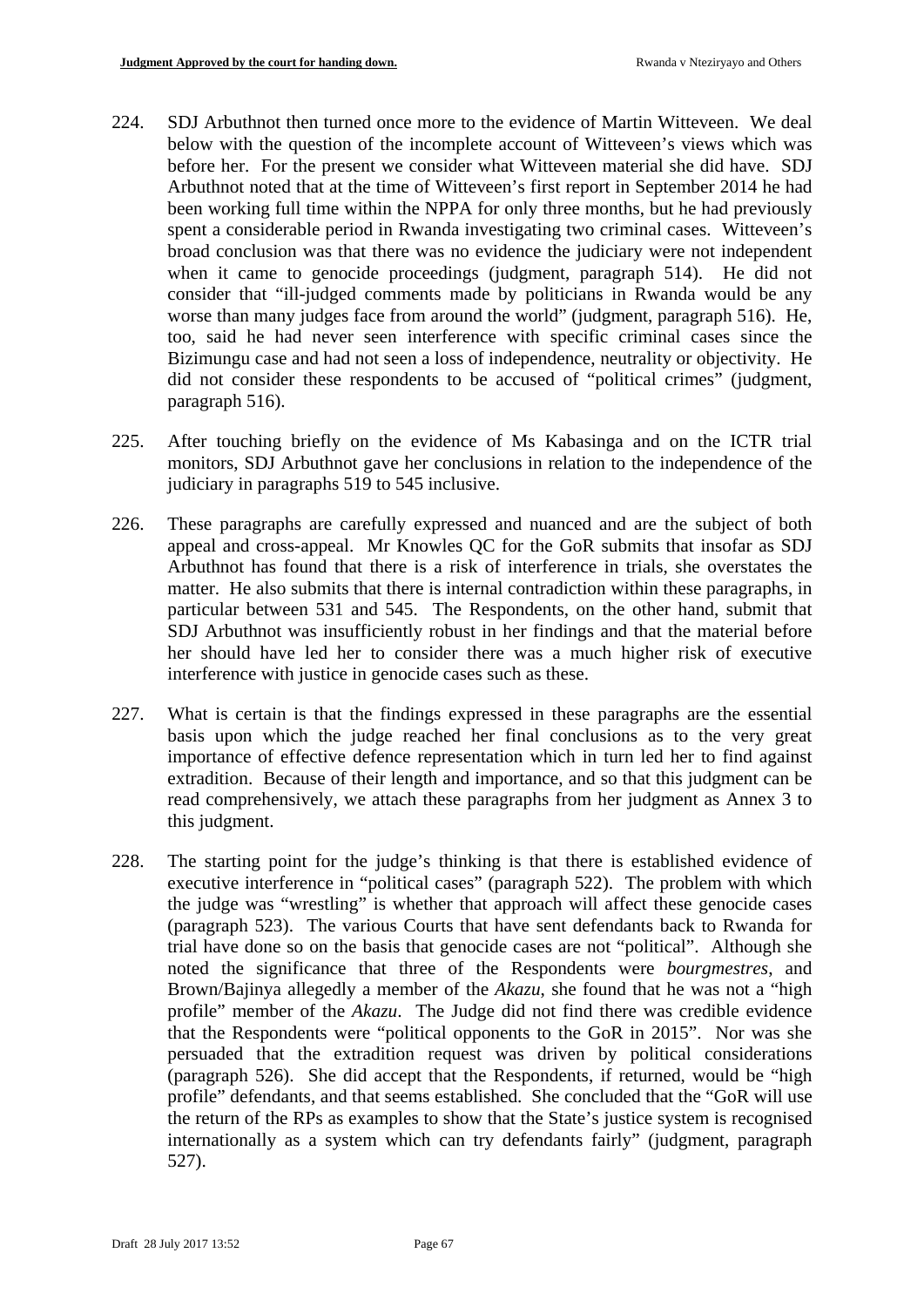- 224. SDJ Arbuthnot then turned once more to the evidence of Martin Witteveen. We deal below with the question of the incomplete account of Witteveen's views which was before her. For the present we consider what Witteveen material she did have. SDJ Arbuthnot noted that at the time of Witteveen's first report in September 2014 he had been working full time within the NPPA for only three months, but he had previously spent a considerable period in Rwanda investigating two criminal cases. Witteveen's broad conclusion was that there was no evidence the judiciary were not independent when it came to genocide proceedings (judgment, paragraph 514). He did not consider that "ill-judged comments made by politicians in Rwanda would be any worse than many judges face from around the world" (judgment, paragraph 516). He, too, said he had never seen interference with specific criminal cases since the Bizimungu case and had not seen a loss of independence, neutrality or objectivity. He did not consider these respondents to be accused of "political crimes" (judgment, paragraph 516).
- 225. After touching briefly on the evidence of Ms Kabasinga and on the ICTR trial monitors, SDJ Arbuthnot gave her conclusions in relation to the independence of the judiciary in paragraphs 519 to 545 inclusive.
- 226. These paragraphs are carefully expressed and nuanced and are the subject of both appeal and cross-appeal. Mr Knowles QC for the GoR submits that insofar as SDJ Arbuthnot has found that there is a risk of interference in trials, she overstates the matter. He also submits that there is internal contradiction within these paragraphs, in particular between 531 and 545. The Respondents, on the other hand, submit that SDJ Arbuthnot was insufficiently robust in her findings and that the material before her should have led her to consider there was a much higher risk of executive interference with justice in genocide cases such as these.
- 227. What is certain is that the findings expressed in these paragraphs are the essential basis upon which the judge reached her final conclusions as to the very great importance of effective defence representation which in turn led her to find against extradition. Because of their length and importance, and so that this judgment can be read comprehensively, we attach these paragraphs from her judgment as Annex 3 to this judgment.
- 228. The starting point for the judge's thinking is that there is established evidence of executive interference in "political cases" (paragraph 522). The problem with which the judge was "wrestling" is whether that approach will affect these genocide cases (paragraph 523). The various Courts that have sent defendants back to Rwanda for trial have done so on the basis that genocide cases are not "political". Although she noted the significance that three of the Respondents were *bourgmestres*, and Brown/Bajinya allegedly a member of the *Akazu*, she found that he was not a "high profile" member of the *Akazu*. The Judge did not find there was credible evidence that the Respondents were "political opponents to the GoR in 2015". Nor was she persuaded that the extradition request was driven by political considerations (paragraph 526). She did accept that the Respondents, if returned, would be "high profile" defendants, and that seems established. She concluded that the "GoR will use the return of the RPs as examples to show that the State's justice system is recognised internationally as a system which can try defendants fairly" (judgment, paragraph 527).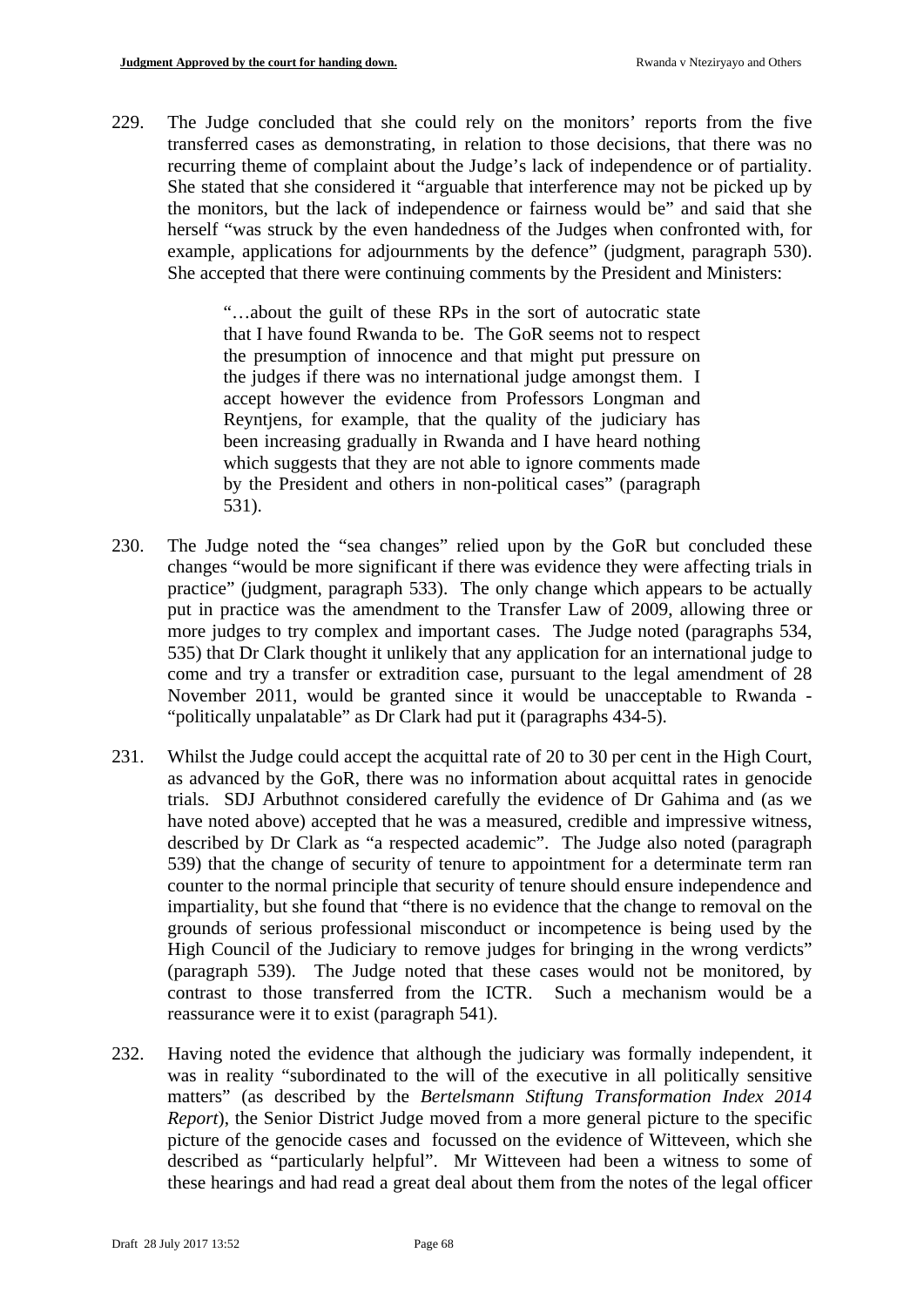example, applications for adjournments by the defence" (judgment, paragraph 530). She accepted that there were continuing comments by the President and Ministers: 229. The Judge concluded that she could rely on the monitors' reports from the five transferred cases as demonstrating, in relation to those decisions, that there was no recurring theme of complaint about the Judge's lack of independence or of partiality. She stated that she considered it "arguable that interference may not be picked up by the monitors, but the lack of independence or fairness would be" and said that she herself "was struck by the even handedness of the Judges when confronted with, for

> "…about the guilt of these RPs in the sort of autocratic state that I have found Rwanda to be. The GoR seems not to respect the presumption of innocence and that might put pressure on the judges if there was no international judge amongst them. I accept however the evidence from Professors Longman and Reyntjens, for example, that the quality of the judiciary has been increasing gradually in Rwanda and I have heard nothing which suggests that they are not able to ignore comments made by the President and others in non-political cases" (paragraph 531).

- 230. The Judge noted the "sea changes" relied upon by the GoR but concluded these changes "would be more significant if there was evidence they were affecting trials in practice" (judgment, paragraph 533). The only change which appears to be actually put in practice was the amendment to the Transfer Law of 2009, allowing three or more judges to try complex and important cases. The Judge noted (paragraphs 534, 535) that Dr Clark thought it unlikely that any application for an international judge to come and try a transfer or extradition case, pursuant to the legal amendment of 28 November 2011, would be granted since it would be unacceptable to Rwanda - "politically unpalatable" as Dr Clark had put it (paragraphs 434-5).
- 231. Whilst the Judge could accept the acquittal rate of 20 to 30 per cent in the High Court, as advanced by the GoR, there was no information about acquittal rates in genocide trials. SDJ Arbuthnot considered carefully the evidence of Dr Gahima and (as we have noted above) accepted that he was a measured, credible and impressive witness, described by Dr Clark as "a respected academic". The Judge also noted (paragraph 539) that the change of security of tenure to appointment for a determinate term ran counter to the normal principle that security of tenure should ensure independence and impartiality, but she found that "there is no evidence that the change to removal on the grounds of serious professional misconduct or incompetence is being used by the High Council of the Judiciary to remove judges for bringing in the wrong verdicts" (paragraph 539). The Judge noted that these cases would not be monitored, by contrast to those transferred from the ICTR. Such a mechanism would be a reassurance were it to exist (paragraph 541).
- 232. Having noted the evidence that although the judiciary was formally independent, it was in reality "subordinated to the will of the executive in all politically sensitive matters" (as described by the *Bertelsmann Stiftung Transformation Index 2014 Report*), the Senior District Judge moved from a more general picture to the specific picture of the genocide cases and focussed on the evidence of Witteveen, which she described as "particularly helpful". Mr Witteveen had been a witness to some of these hearings and had read a great deal about them from the notes of the legal officer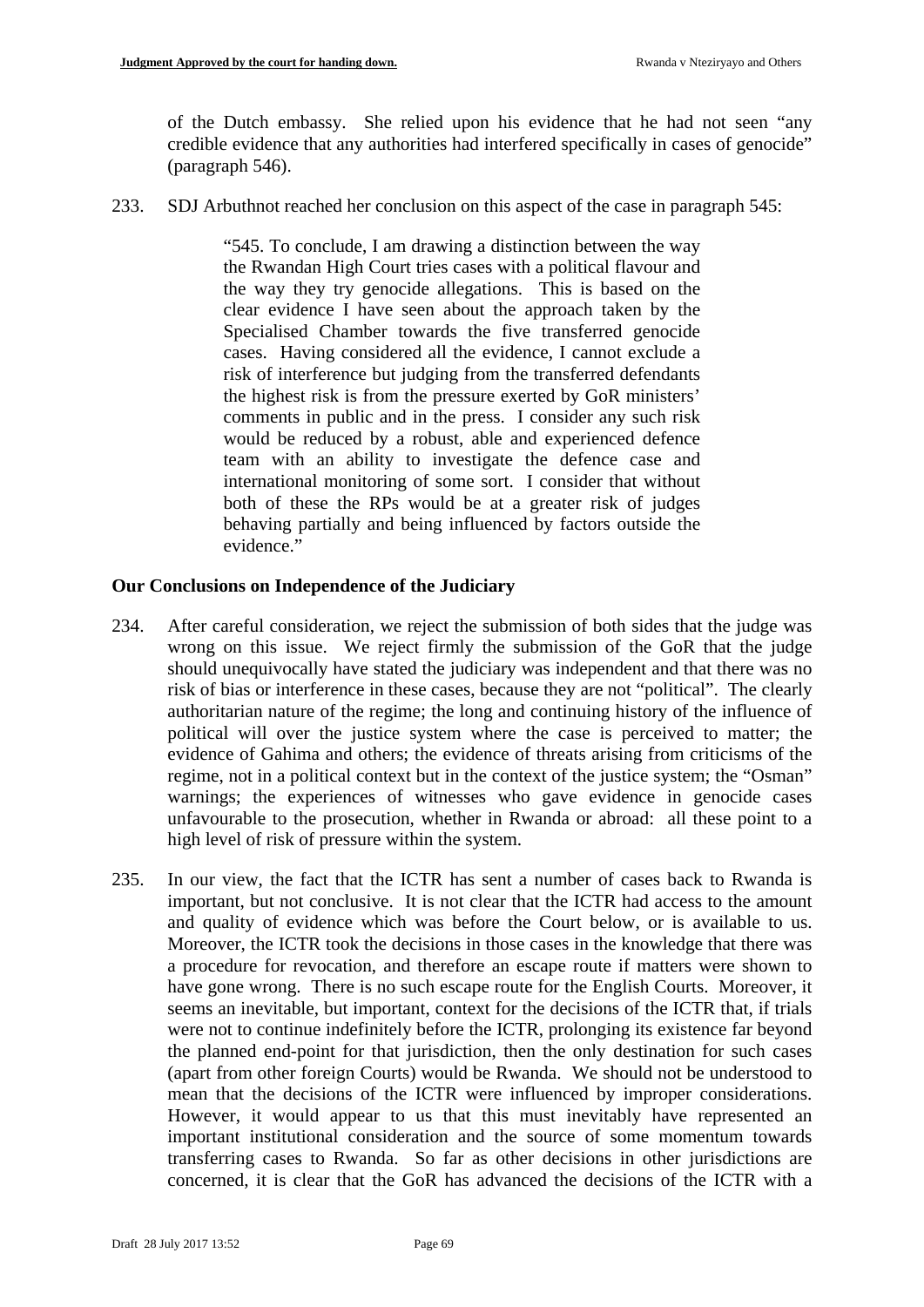of the Dutch embassy. She relied upon his evidence that he had not seen "any credible evidence that any authorities had interfered specifically in cases of genocide" (paragraph 546).

233. SDJ Arbuthnot reached her conclusion on this aspect of the case in paragraph 545:

"545. To conclude, I am drawing a distinction between the way the Rwandan High Court tries cases with a political flavour and the way they try genocide allegations. This is based on the clear evidence I have seen about the approach taken by the Specialised Chamber towards the five transferred genocide cases. Having considered all the evidence, I cannot exclude a risk of interference but judging from the transferred defendants the highest risk is from the pressure exerted by GoR ministers' comments in public and in the press. I consider any such risk would be reduced by a robust, able and experienced defence team with an ability to investigate the defence case and international monitoring of some sort. I consider that without both of these the RPs would be at a greater risk of judges behaving partially and being influenced by factors outside the evidence."

## **Our Conclusions on Independence of the Judiciary**

- 234. After careful consideration, we reject the submission of both sides that the judge was wrong on this issue. We reject firmly the submission of the GoR that the judge should unequivocally have stated the judiciary was independent and that there was no risk of bias or interference in these cases, because they are not "political". The clearly authoritarian nature of the regime; the long and continuing history of the influence of political will over the justice system where the case is perceived to matter; the evidence of Gahima and others; the evidence of threats arising from criticisms of the regime, not in a political context but in the context of the justice system; the "Osman" warnings; the experiences of witnesses who gave evidence in genocide cases unfavourable to the prosecution, whether in Rwanda or abroad: all these point to a high level of risk of pressure within the system.
- and quality of evidence which was before the Court below, or is available to us. 235. In our view, the fact that the ICTR has sent a number of cases back to Rwanda is important, but not conclusive. It is not clear that the ICTR had access to the amount Moreover, the ICTR took the decisions in those cases in the knowledge that there was. a procedure for revocation, and therefore an escape route if matters were shown to have gone wrong. There is no such escape route for the English Courts. Moreover, it seems an inevitable, but important, context for the decisions of the ICTR that, if trials were not to continue indefinitely before the ICTR, prolonging its existence far beyond the planned end-point for that jurisdiction, then the only destination for such cases (apart from other foreign Courts) would be Rwanda. We should not be understood to mean that the decisions of the ICTR were influenced by improper considerations. However, it would appear to us that this must inevitably have represented an important institutional consideration and the source of some momentum towards transferring cases to Rwanda. So far as other decisions in other jurisdictions are concerned, it is clear that the GoR has advanced the decisions of the ICTR with a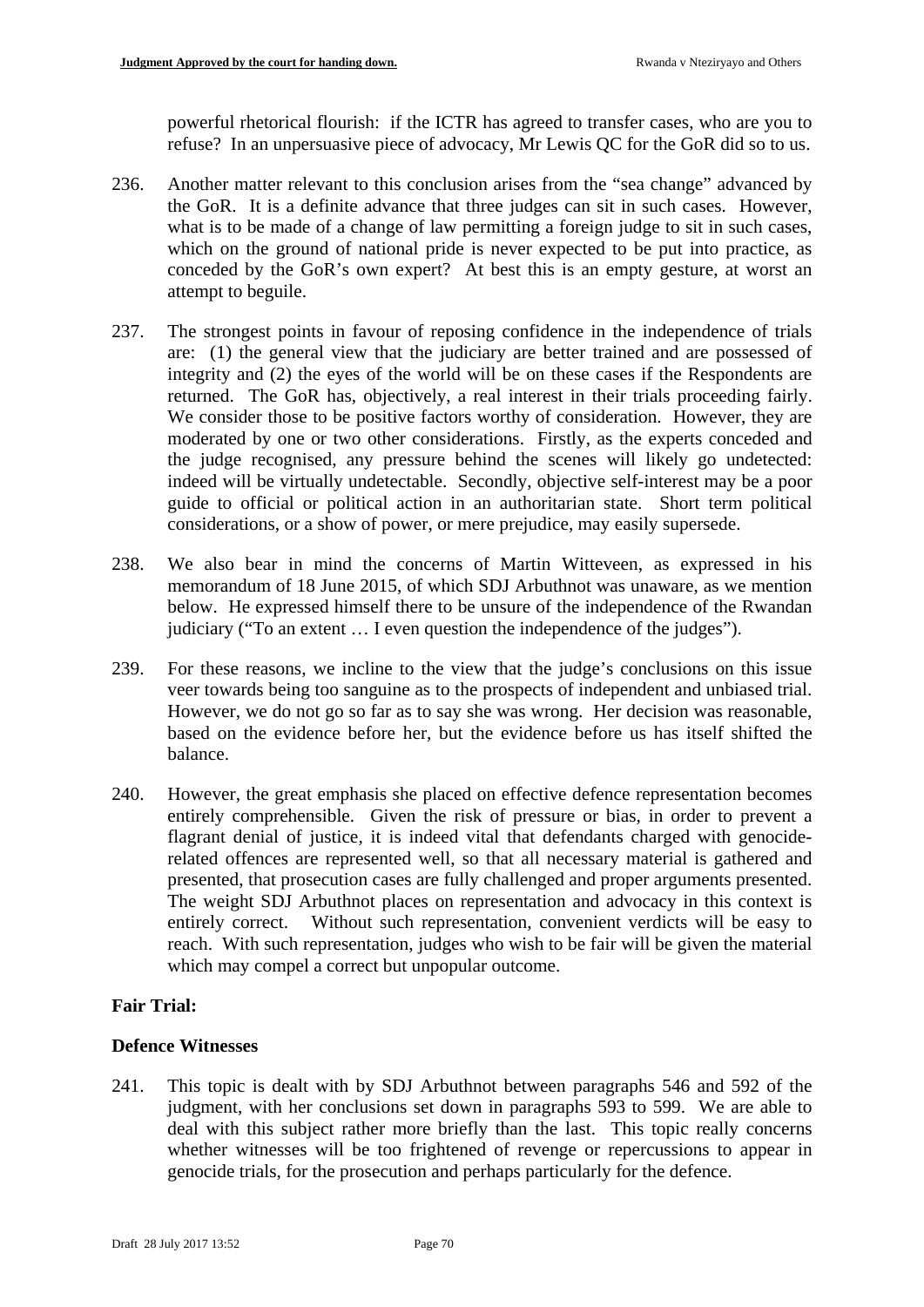powerful rhetorical flourish: if the ICTR has agreed to transfer cases, who are you to refuse? In an unpersuasive piece of advocacy, Mr Lewis QC for the GoR did so to us.

- 236. Another matter relevant to this conclusion arises from the "sea change" advanced by the GoR. It is a definite advance that three judges can sit in such cases. However, what is to be made of a change of law permitting a foreign judge to sit in such cases, which on the ground of national pride is never expected to be put into practice, as conceded by the GoR's own expert? At best this is an empty gesture, at worst an attempt to beguile.
- returned. The GoR has, objectively, a real interest in their trials proceeding fairly. 237. The strongest points in favour of reposing confidence in the independence of trials are: (1) the general view that the judiciary are better trained and are possessed of integrity and (2) the eyes of the world will be on these cases if the Respondents are We consider those to be positive factors worthy of consideration. However, they are moderated by one or two other considerations. Firstly, as the experts conceded and the judge recognised, any pressure behind the scenes will likely go undetected: indeed will be virtually undetectable. Secondly, objective self-interest may be a poor guide to official or political action in an authoritarian state. Short term political considerations, or a show of power, or mere prejudice, may easily supersede.
- 238. We also bear in mind the concerns of Martin Witteveen, as expressed in his memorandum of 18 June 2015, of which SDJ Arbuthnot was unaware, as we mention below. He expressed himself there to be unsure of the independence of the Rwandan judiciary ("To an extent … I even question the independence of the judges").
- 239. For these reasons, we incline to the view that the judge's conclusions on this issue veer towards being too sanguine as to the prospects of independent and unbiased trial. However, we do not go so far as to say she was wrong. Her decision was reasonable, based on the evidence before her, but the evidence before us has itself shifted the balance.
- 240. However, the great emphasis she placed on effective defence representation becomes entirely comprehensible. Given the risk of pressure or bias, in order to prevent a flagrant denial of justice, it is indeed vital that defendants charged with genociderelated offences are represented well, so that all necessary material is gathered and presented, that prosecution cases are fully challenged and proper arguments presented. The weight SDJ Arbuthnot places on representation and advocacy in this context is entirely correct. Without such representation, convenient verdicts will be easy to reach. With such representation, judges who wish to be fair will be given the material which may compel a correct but unpopular outcome.

## **Fair Trial:**

## **Defence Witnesses**

241. This topic is dealt with by SDJ Arbuthnot between paragraphs 546 and 592 of the judgment, with her conclusions set down in paragraphs 593 to 599. We are able to deal with this subject rather more briefly than the last. This topic really concerns whether witnesses will be too frightened of revenge or repercussions to appear in genocide trials, for the prosecution and perhaps particularly for the defence.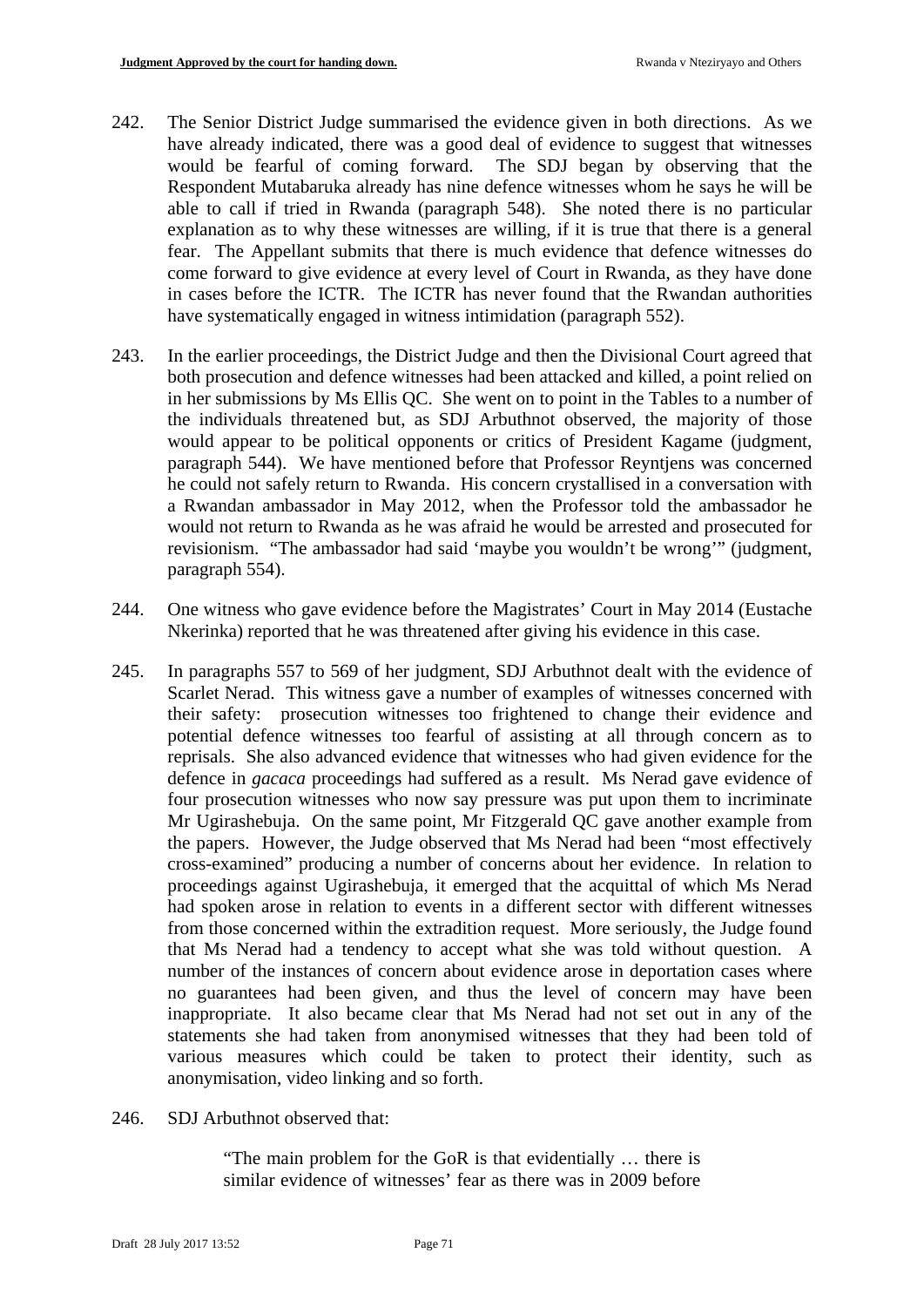- 242. The Senior District Judge summarised the evidence given in both directions. As we have already indicated, there was a good deal of evidence to suggest that witnesses would be fearful of coming forward. The SDJ began by observing that the Respondent Mutabaruka already has nine defence witnesses whom he says he will be able to call if tried in Rwanda (paragraph 548). She noted there is no particular explanation as to why these witnesses are willing, if it is true that there is a general fear. The Appellant submits that there is much evidence that defence witnesses do come forward to give evidence at every level of Court in Rwanda, as they have done in cases before the ICTR. The ICTR has never found that the Rwandan authorities have systematically engaged in witness intimidation (paragraph 552).
- 243. In the earlier proceedings, the District Judge and then the Divisional Court agreed that both prosecution and defence witnesses had been attacked and killed, a point relied on in her submissions by Ms Ellis QC. She went on to point in the Tables to a number of the individuals threatened but, as SDJ Arbuthnot observed, the majority of those would appear to be political opponents or critics of President Kagame (judgment, paragraph 544). We have mentioned before that Professor Reyntjens was concerned he could not safely return to Rwanda. His concern crystallised in a conversation with a Rwandan ambassador in May 2012, when the Professor told the ambassador he would not return to Rwanda as he was afraid he would be arrested and prosecuted for revisionism. "The ambassador had said 'maybe you wouldn't be wrong'" (judgment, paragraph 554).
- 244. One witness who gave evidence before the Magistrates' Court in May 2014 (Eustache Nkerinka) reported that he was threatened after giving his evidence in this case.
- 245. In paragraphs 557 to 569 of her judgment, SDJ Arbuthnot dealt with the evidence of Scarlet Nerad. This witness gave a number of examples of witnesses concerned with their safety: prosecution witnesses too frightened to change their evidence and potential defence witnesses too fearful of assisting at all through concern as to reprisals. She also advanced evidence that witnesses who had given evidence for the defence in *gacaca* proceedings had suffered as a result. Ms Nerad gave evidence of four prosecution witnesses who now say pressure was put upon them to incriminate Mr Ugirashebuja. On the same point, Mr Fitzgerald QC gave another example from the papers. However, the Judge observed that Ms Nerad had been "most effectively cross-examined" producing a number of concerns about her evidence. In relation to proceedings against Ugirashebuja, it emerged that the acquittal of which Ms Nerad had spoken arose in relation to events in a different sector with different witnesses from those concerned within the extradition request. More seriously, the Judge found that Ms Nerad had a tendency to accept what she was told without question. A number of the instances of concern about evidence arose in deportation cases where no guarantees had been given, and thus the level of concern may have been inappropriate. It also became clear that Ms Nerad had not set out in any of the statements she had taken from anonymised witnesses that they had been told of various measures which could be taken to protect their identity, such as anonymisation, video linking and so forth.
- 246. SDJ Arbuthnot observed that:

"The main problem for the GoR is that evidentially … there is similar evidence of witnesses' fear as there was in 2009 before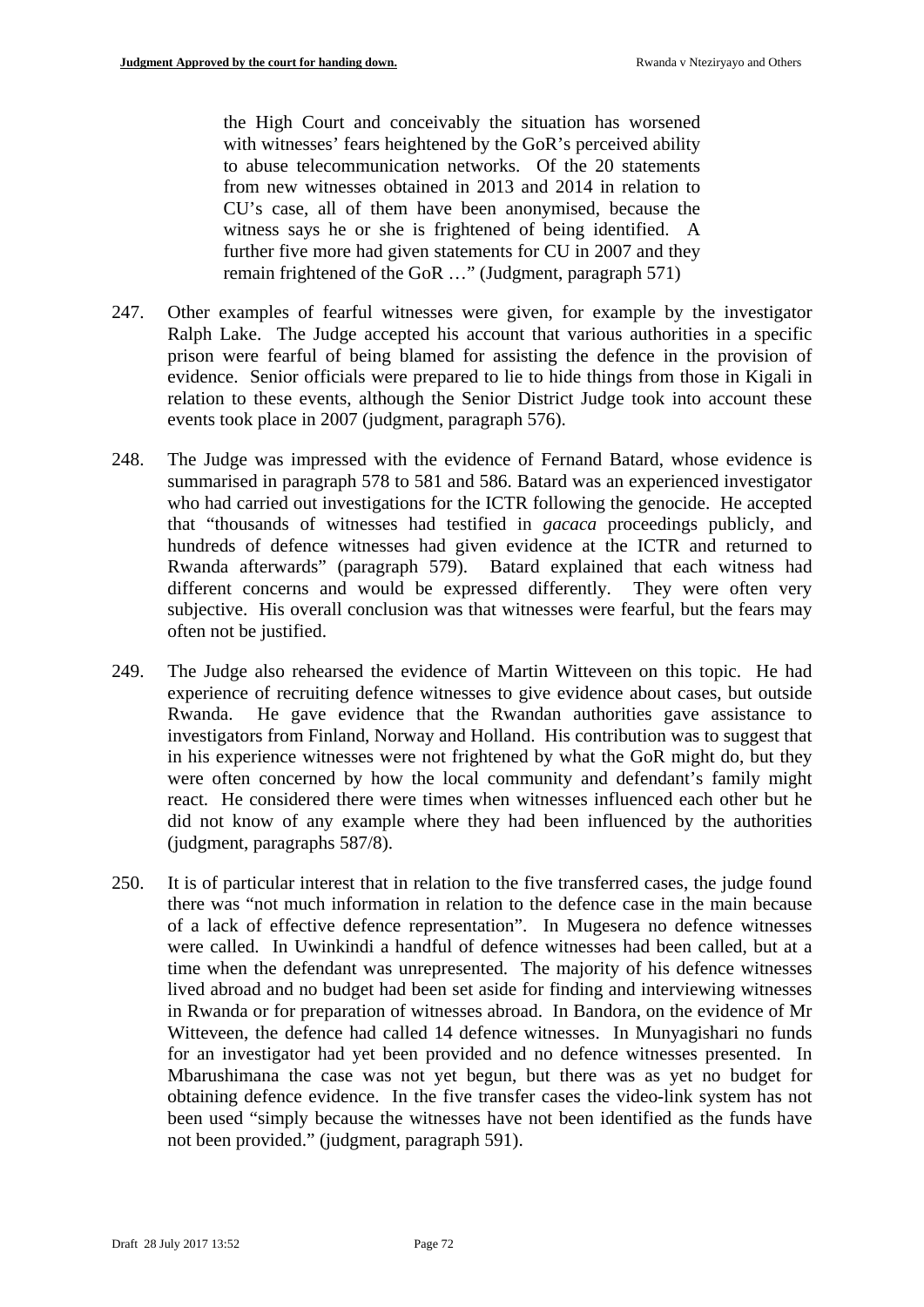the High Court and conceivably the situation has worsened with witnesses' fears heightened by the GoR's perceived ability to abuse telecommunication networks. Of the 20 statements from new witnesses obtained in 2013 and 2014 in relation to CU's case, all of them have been anonymised, because the witness says he or she is frightened of being identified. A further five more had given statements for CU in 2007 and they remain frightened of the GoR …" (Judgment, paragraph 571)

- 247. Other examples of fearful witnesses were given, for example by the investigator Ralph Lake. The Judge accepted his account that various authorities in a specific prison were fearful of being blamed for assisting the defence in the provision of evidence. Senior officials were prepared to lie to hide things from those in Kigali in relation to these events, although the Senior District Judge took into account these events took place in 2007 (judgment, paragraph 576).
- 248. The Judge was impressed with the evidence of Fernand Batard, whose evidence is summarised in paragraph 578 to 581 and 586. Batard was an experienced investigator who had carried out investigations for the ICTR following the genocide. He accepted that "thousands of witnesses had testified in *gacaca* proceedings publicly, and hundreds of defence witnesses had given evidence at the ICTR and returned to Rwanda afterwards" (paragraph 579). Batard explained that each witness had different concerns and would be expressed differently. They were often very subjective. His overall conclusion was that witnesses were fearful, but the fears may often not be justified.
- 249. The Judge also rehearsed the evidence of Martin Witteveen on this topic. He had experience of recruiting defence witnesses to give evidence about cases, but outside Rwanda. He gave evidence that the Rwandan authorities gave assistance to investigators from Finland, Norway and Holland. His contribution was to suggest that in his experience witnesses were not frightened by what the GoR might do, but they were often concerned by how the local community and defendant's family might react. He considered there were times when witnesses influenced each other but he did not know of any example where they had been influenced by the authorities (judgment, paragraphs 587/8).
- 250. It is of particular interest that in relation to the five transferred cases, the judge found there was "not much information in relation to the defence case in the main because of a lack of effective defence representation". In Mugesera no defence witnesses were called. In Uwinkindi a handful of defence witnesses had been called, but at a time when the defendant was unrepresented. The majority of his defence witnesses lived abroad and no budget had been set aside for finding and interviewing witnesses in Rwanda or for preparation of witnesses abroad. In Bandora, on the evidence of Mr Witteveen, the defence had called 14 defence witnesses. In Munyagishari no funds for an investigator had yet been provided and no defence witnesses presented. In Mbarushimana the case was not yet begun, but there was as yet no budget for obtaining defence evidence. In the five transfer cases the video-link system has not been used "simply because the witnesses have not been identified as the funds have not been provided." (judgment, paragraph 591).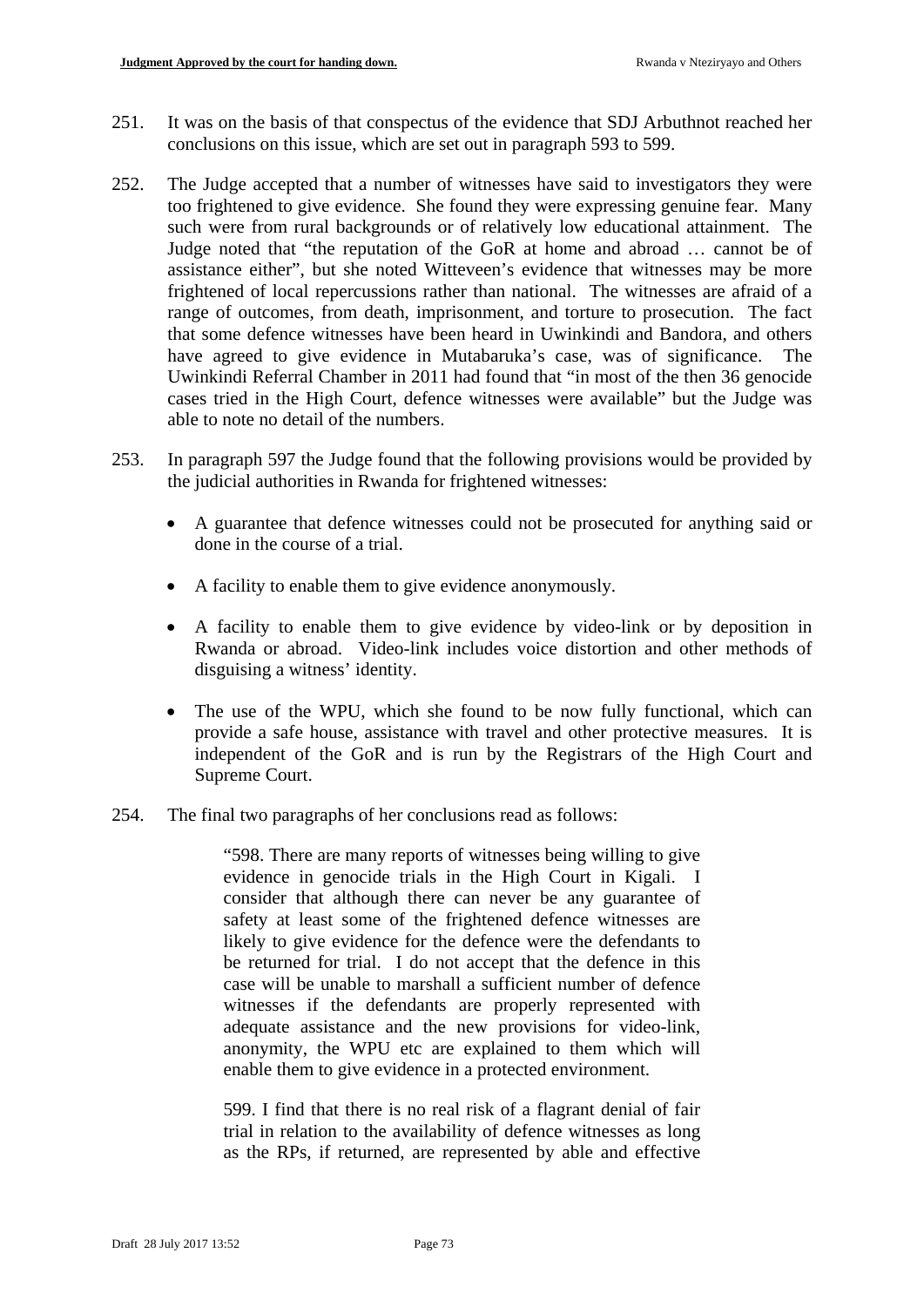- 251. It was on the basis of that conspectus of the evidence that SDJ Arbuthnot reached her conclusions on this issue, which are set out in paragraph 593 to 599.
- 252. The Judge accepted that a number of witnesses have said to investigators they were too frightened to give evidence. She found they were expressing genuine fear. Many such were from rural backgrounds or of relatively low educational attainment. The Judge noted that "the reputation of the GoR at home and abroad … cannot be of assistance either", but she noted Witteveen's evidence that witnesses may be more frightened of local repercussions rather than national. The witnesses are afraid of a range of outcomes, from death, imprisonment, and torture to prosecution. The fact that some defence witnesses have been heard in Uwinkindi and Bandora, and others have agreed to give evidence in Mutabaruka's case, was of significance. The Uwinkindi Referral Chamber in 2011 had found that "in most of the then 36 genocide cases tried in the High Court, defence witnesses were available" but the Judge was able to note no detail of the numbers.
- 253. In paragraph 597 the Judge found that the following provisions would be provided by the judicial authorities in Rwanda for frightened witnesses:
	- A guarantee that defence witnesses could not be prosecuted for anything said or done in the course of a trial.
	- A facility to enable them to give evidence anonymously.
	- A facility to enable them to give evidence by video-link or by deposition in Rwanda or abroad. Video-link includes voice distortion and other methods of disguising a witness' identity.
	- The use of the WPU, which she found to be now fully functional, which can provide a safe house, assistance with travel and other protective measures. It is independent of the GoR and is run by the Registrars of the High Court and Supreme Court.
- 254. The final two paragraphs of her conclusions read as follows:

"598. There are many reports of witnesses being willing to give evidence in genocide trials in the High Court in Kigali. I consider that although there can never be any guarantee of safety at least some of the frightened defence witnesses are likely to give evidence for the defence were the defendants to be returned for trial. I do not accept that the defence in this case will be unable to marshall a sufficient number of defence witnesses if the defendants are properly represented with adequate assistance and the new provisions for video-link, anonymity, the WPU etc are explained to them which will enable them to give evidence in a protected environment.

599. I find that there is no real risk of a flagrant denial of fair trial in relation to the availability of defence witnesses as long as the RPs, if returned, are represented by able and effective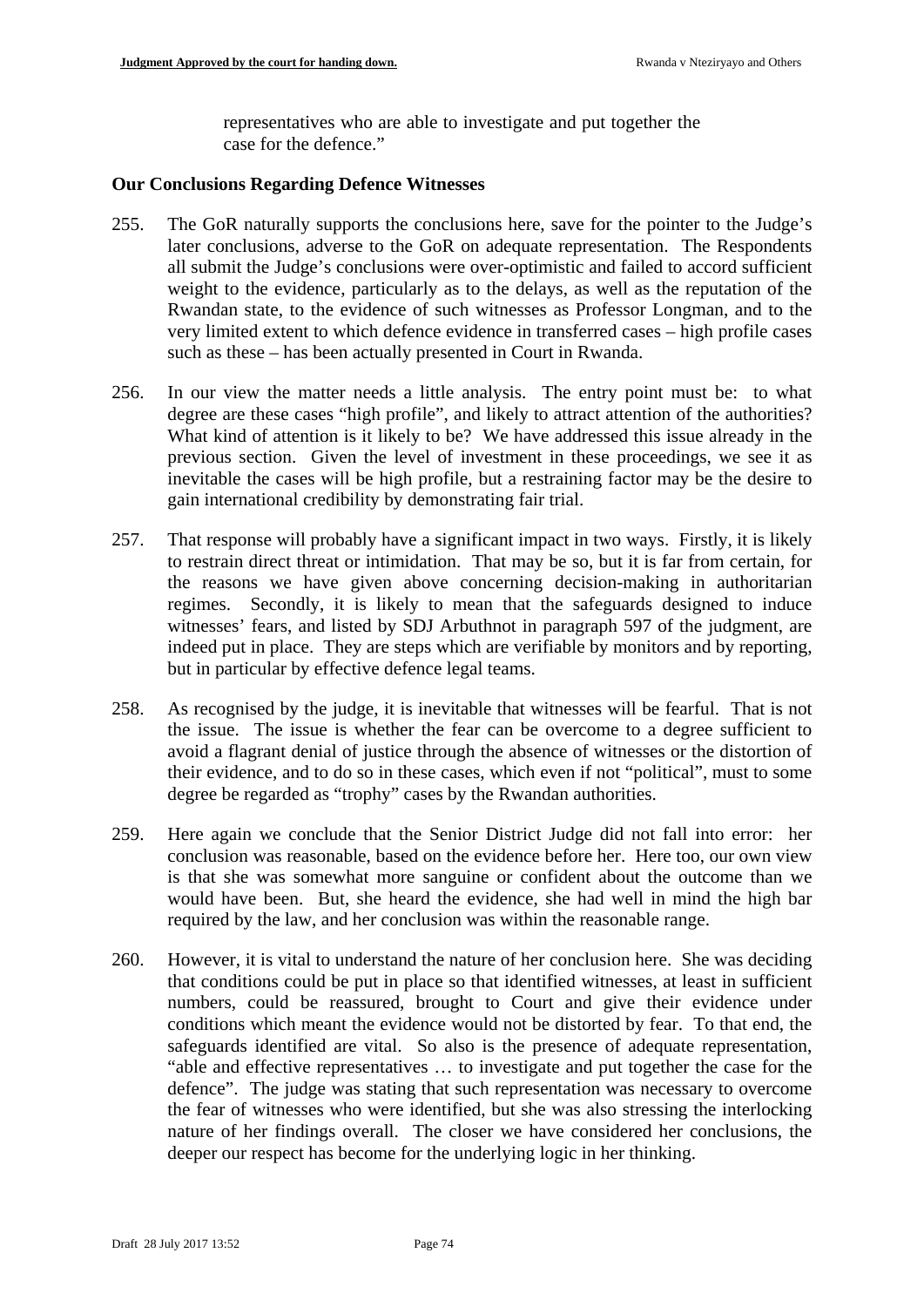representatives who are able to investigate and put together the case for the defence."

#### **Our Conclusions Regarding Defence Witnesses**

- 255. The GoR naturally supports the conclusions here, save for the pointer to the Judge's later conclusions, adverse to the GoR on adequate representation. The Respondents all submit the Judge's conclusions were over-optimistic and failed to accord sufficient weight to the evidence, particularly as to the delays, as well as the reputation of the Rwandan state, to the evidence of such witnesses as Professor Longman, and to the very limited extent to which defence evidence in transferred cases – high profile cases such as these – has been actually presented in Court in Rwanda.
- degree are these cases "high profile", and likely to attract attention of the authorities? 256. In our view the matter needs a little analysis. The entry point must be: to what What kind of attention is it likely to be? We have addressed this issue already in the previous section. Given the level of investment in these proceedings, we see it as inevitable the cases will be high profile, but a restraining factor may be the desire to gain international credibility by demonstrating fair trial.
- 257. That response will probably have a significant impact in two ways. Firstly, it is likely to restrain direct threat or intimidation. That may be so, but it is far from certain, for the reasons we have given above concerning decision-making in authoritarian regimes. Secondly, it is likely to mean that the safeguards designed to induce witnesses' fears, and listed by SDJ Arbuthnot in paragraph 597 of the judgment, are indeed put in place. They are steps which are verifiable by monitors and by reporting, but in particular by effective defence legal teams.
- 258. As recognised by the judge, it is inevitable that witnesses will be fearful. That is not the issue. The issue is whether the fear can be overcome to a degree sufficient to avoid a flagrant denial of justice through the absence of witnesses or the distortion of their evidence, and to do so in these cases, which even if not "political", must to some degree be regarded as "trophy" cases by the Rwandan authorities.
- 259. Here again we conclude that the Senior District Judge did not fall into error: her conclusion was reasonable, based on the evidence before her. Here too, our own view is that she was somewhat more sanguine or confident about the outcome than we would have been. But, she heard the evidence, she had well in mind the high bar required by the law, and her conclusion was within the reasonable range.
- 260. However, it is vital to understand the nature of her conclusion here. She was deciding that conditions could be put in place so that identified witnesses, at least in sufficient numbers, could be reassured, brought to Court and give their evidence under conditions which meant the evidence would not be distorted by fear. To that end, the safeguards identified are vital. So also is the presence of adequate representation, "able and effective representatives … to investigate and put together the case for the defence". The judge was stating that such representation was necessary to overcome the fear of witnesses who were identified, but she was also stressing the interlocking nature of her findings overall. The closer we have considered her conclusions, the deeper our respect has become for the underlying logic in her thinking.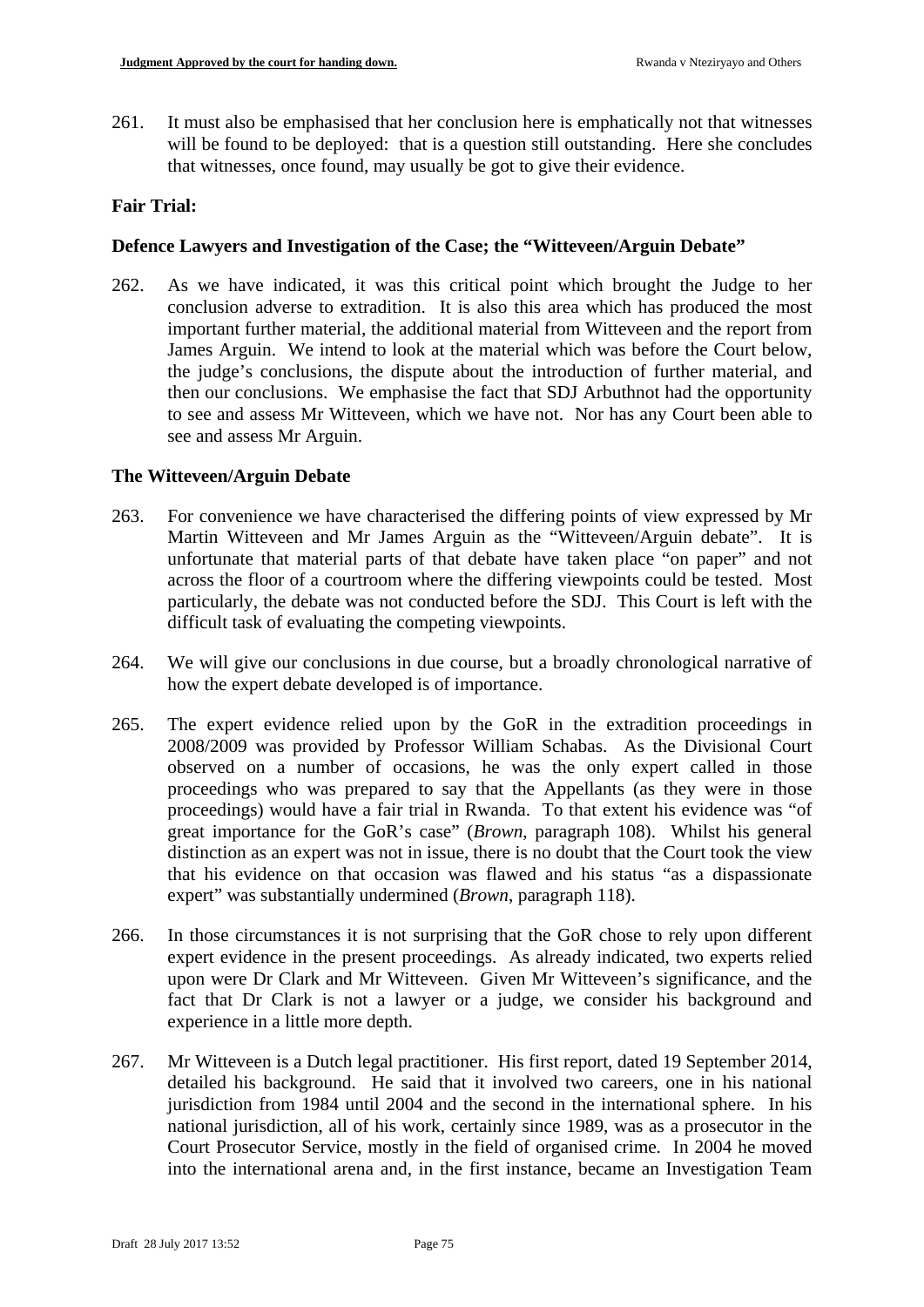261. It must also be emphasised that her conclusion here is emphatically not that witnesses will be found to be deployed: that is a question still outstanding. Here she concludes that witnesses, once found, may usually be got to give their evidence.

# **Fair Trial:**

### **Defence Lawyers and Investigation of the Case; the "Witteveen/Arguin Debate"**

262. As we have indicated, it was this critical point which brought the Judge to her conclusion adverse to extradition. It is also this area which has produced the most important further material, the additional material from Witteveen and the report from James Arguin. We intend to look at the material which was before the Court below, the judge's conclusions, the dispute about the introduction of further material, and then our conclusions. We emphasise the fact that SDJ Arbuthnot had the opportunity to see and assess Mr Witteveen, which we have not. Nor has any Court been able to see and assess Mr Arguin.

# **The Witteveen/Arguin Debate**

- 263. For convenience we have characterised the differing points of view expressed by Mr Martin Witteveen and Mr James Arguin as the "Witteveen/Arguin debate". It is unfortunate that material parts of that debate have taken place "on paper" and not across the floor of a courtroom where the differing viewpoints could be tested. Most particularly, the debate was not conducted before the SDJ. This Court is left with the difficult task of evaluating the competing viewpoints.
- 264. We will give our conclusions in due course, but a broadly chronological narrative of how the expert debate developed is of importance.
- 265. The expert evidence relied upon by the GoR in the extradition proceedings in 2008/2009 was provided by Professor William Schabas. As the Divisional Court observed on a number of occasions, he was the only expert called in those proceedings who was prepared to say that the Appellants (as they were in those proceedings) would have a fair trial in Rwanda. To that extent his evidence was "of great importance for the GoR's case" (*Brown*, paragraph 108). Whilst his general distinction as an expert was not in issue, there is no doubt that the Court took the view that his evidence on that occasion was flawed and his status "as a dispassionate expert" was substantially undermined (*Brown*, paragraph 118).
- 266. In those circumstances it is not surprising that the GoR chose to rely upon different expert evidence in the present proceedings. As already indicated, two experts relied upon were Dr Clark and Mr Witteveen. Given Mr Witteveen's significance, and the fact that Dr Clark is not a lawyer or a judge, we consider his background and experience in a little more depth.
- 267. Mr Witteveen is a Dutch legal practitioner. His first report, dated 19 September 2014, detailed his background. He said that it involved two careers, one in his national jurisdiction from 1984 until 2004 and the second in the international sphere. In his national jurisdiction, all of his work, certainly since 1989, was as a prosecutor in the Court Prosecutor Service, mostly in the field of organised crime. In 2004 he moved into the international arena and, in the first instance, became an Investigation Team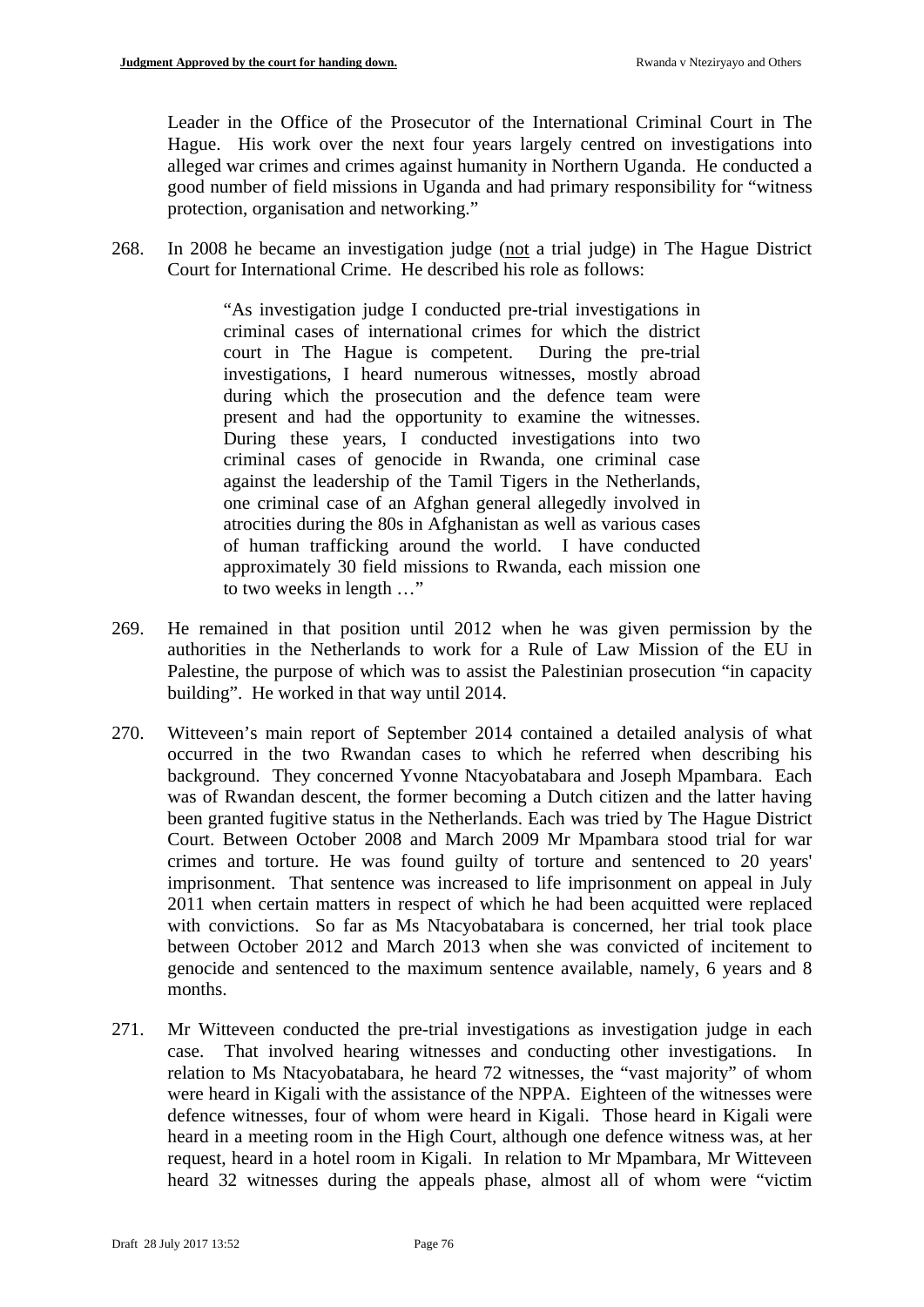Leader in the Office of the Prosecutor of the International Criminal Court in The Hague. His work over the next four years largely centred on investigations into alleged war crimes and crimes against humanity in Northern Uganda. He conducted a good number of field missions in Uganda and had primary responsibility for "witness protection, organisation and networking."

268. In 2008 he became an investigation judge (not a trial judge) in The Hague District Court for International Crime. He described his role as follows:

> "As investigation judge I conducted pre-trial investigations in criminal cases of international crimes for which the district court in The Hague is competent. During the pre-trial investigations, I heard numerous witnesses, mostly abroad during which the prosecution and the defence team were present and had the opportunity to examine the witnesses. During these years, I conducted investigations into two criminal cases of genocide in Rwanda, one criminal case against the leadership of the Tamil Tigers in the Netherlands, one criminal case of an Afghan general allegedly involved in atrocities during the 80s in Afghanistan as well as various cases of human trafficking around the world. I have conducted approximately 30 field missions to Rwanda, each mission one to two weeks in length …"

- 269. He remained in that position until 2012 when he was given permission by the authorities in the Netherlands to work for a Rule of Law Mission of the EU in Palestine, the purpose of which was to assist the Palestinian prosecution "in capacity building". He worked in that way until 2014.
- 270. Witteveen's main report of September 2014 contained a detailed analysis of what occurred in the two Rwandan cases to which he referred when describing his background. They concerned Yvonne Ntacyobatabara and Joseph Mpambara. Each was of Rwandan descent, the former becoming a Dutch citizen and the latter having been granted fugitive status in the Netherlands. Each was tried by The Hague District Court. Between October 2008 and March 2009 Mr Mpambara stood trial for war crimes and torture. He was found guilty of torture and sentenced to 20 years' imprisonment. That sentence was increased to life imprisonment on appeal in July 2011 when certain matters in respect of which he had been acquitted were replaced with convictions. So far as Ms Ntacyobatabara is concerned, her trial took place between October 2012 and March 2013 when she was convicted of incitement to genocide and sentenced to the maximum sentence available, namely, 6 years and 8 months.
- 271. Mr Witteveen conducted the pre-trial investigations as investigation judge in each case. That involved hearing witnesses and conducting other investigations. In relation to Ms Ntacyobatabara, he heard 72 witnesses, the "vast majority" of whom were heard in Kigali with the assistance of the NPPA. Eighteen of the witnesses were defence witnesses, four of whom were heard in Kigali. Those heard in Kigali were heard in a meeting room in the High Court, although one defence witness was, at her request, heard in a hotel room in Kigali. In relation to Mr Mpambara, Mr Witteveen heard 32 witnesses during the appeals phase, almost all of whom were "victim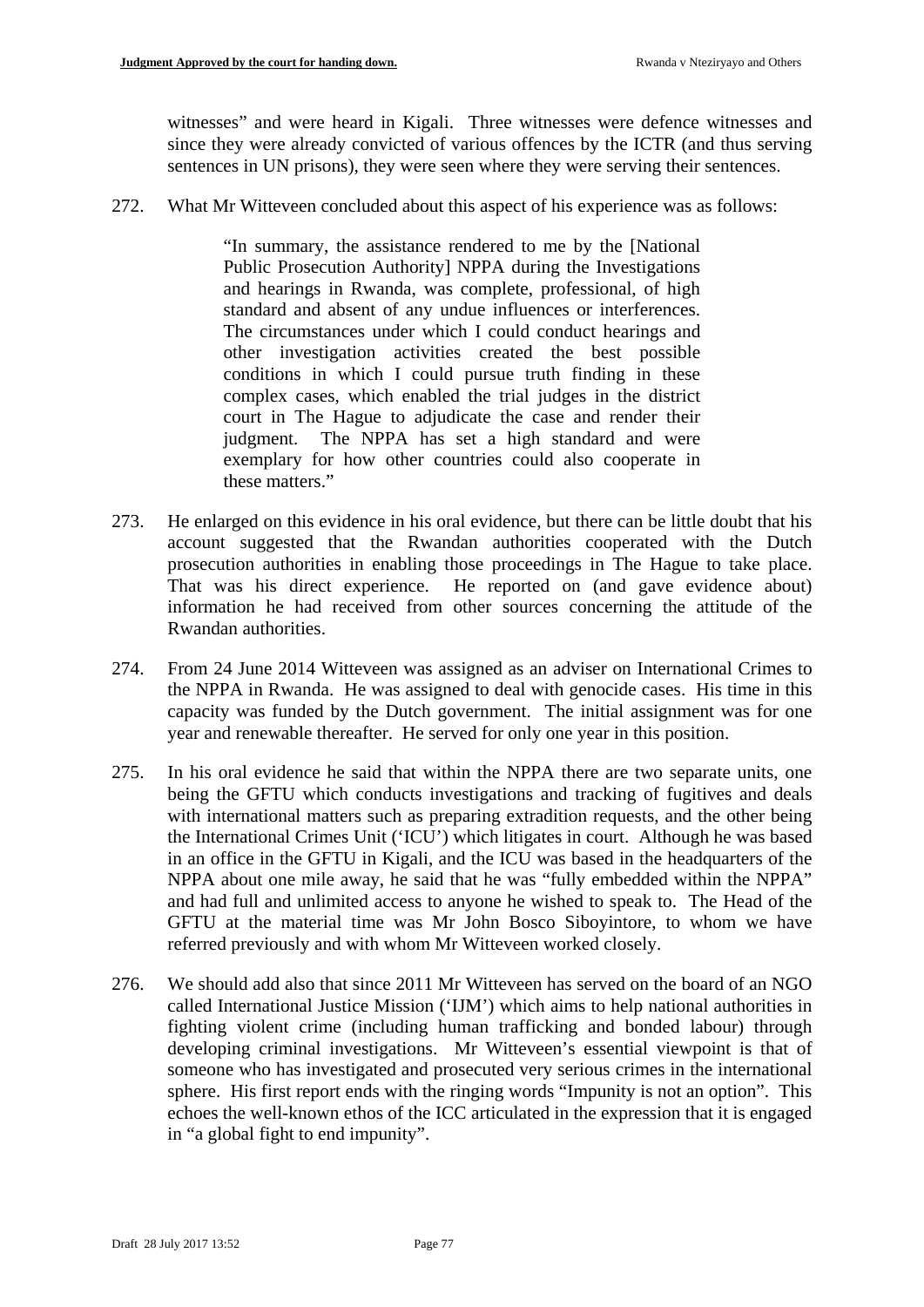witnesses" and were heard in Kigali. Three witnesses were defence witnesses and since they were already convicted of various offences by the ICTR (and thus serving sentences in UN prisons), they were seen where they were serving their sentences.

272. What Mr Witteveen concluded about this aspect of his experience was as follows:

"In summary, the assistance rendered to me by the [National Public Prosecution Authority] NPPA during the Investigations and hearings in Rwanda, was complete, professional, of high standard and absent of any undue influences or interferences. The circumstances under which I could conduct hearings and other investigation activities created the best possible conditions in which I could pursue truth finding in these complex cases, which enabled the trial judges in the district court in The Hague to adjudicate the case and render their judgment. The NPPA has set a high standard and were exemplary for how other countries could also cooperate in these matters."

- prosecution authorities in enabling those proceedings in The Hague to take place. 273. He enlarged on this evidence in his oral evidence, but there can be little doubt that his account suggested that the Rwandan authorities cooperated with the Dutch That was his direct experience. He reported on (and gave evidence about) information he had received from other sources concerning the attitude of the Rwandan authorities.
- 274. From 24 June 2014 Witteveen was assigned as an adviser on International Crimes to the NPPA in Rwanda. He was assigned to deal with genocide cases. His time in this capacity was funded by the Dutch government. The initial assignment was for one year and renewable thereafter. He served for only one year in this position.
- 275. In his oral evidence he said that within the NPPA there are two separate units, one being the GFTU which conducts investigations and tracking of fugitives and deals with international matters such as preparing extradition requests, and the other being the International Crimes Unit ('ICU') which litigates in court. Although he was based in an office in the GFTU in Kigali, and the ICU was based in the headquarters of the NPPA about one mile away, he said that he was "fully embedded within the NPPA" and had full and unlimited access to anyone he wished to speak to. The Head of the GFTU at the material time was Mr John Bosco Siboyintore, to whom we have referred previously and with whom Mr Witteveen worked closely.
- 276. We should add also that since 2011 Mr Witteveen has served on the board of an NGO called International Justice Mission ('IJM') which aims to help national authorities in fighting violent crime (including human trafficking and bonded labour) through developing criminal investigations. Mr Witteveen's essential viewpoint is that of someone who has investigated and prosecuted very serious crimes in the international sphere. His first report ends with the ringing words "Impunity is not an option". This echoes the well-known ethos of the ICC articulated in the expression that it is engaged in "a global fight to end impunity".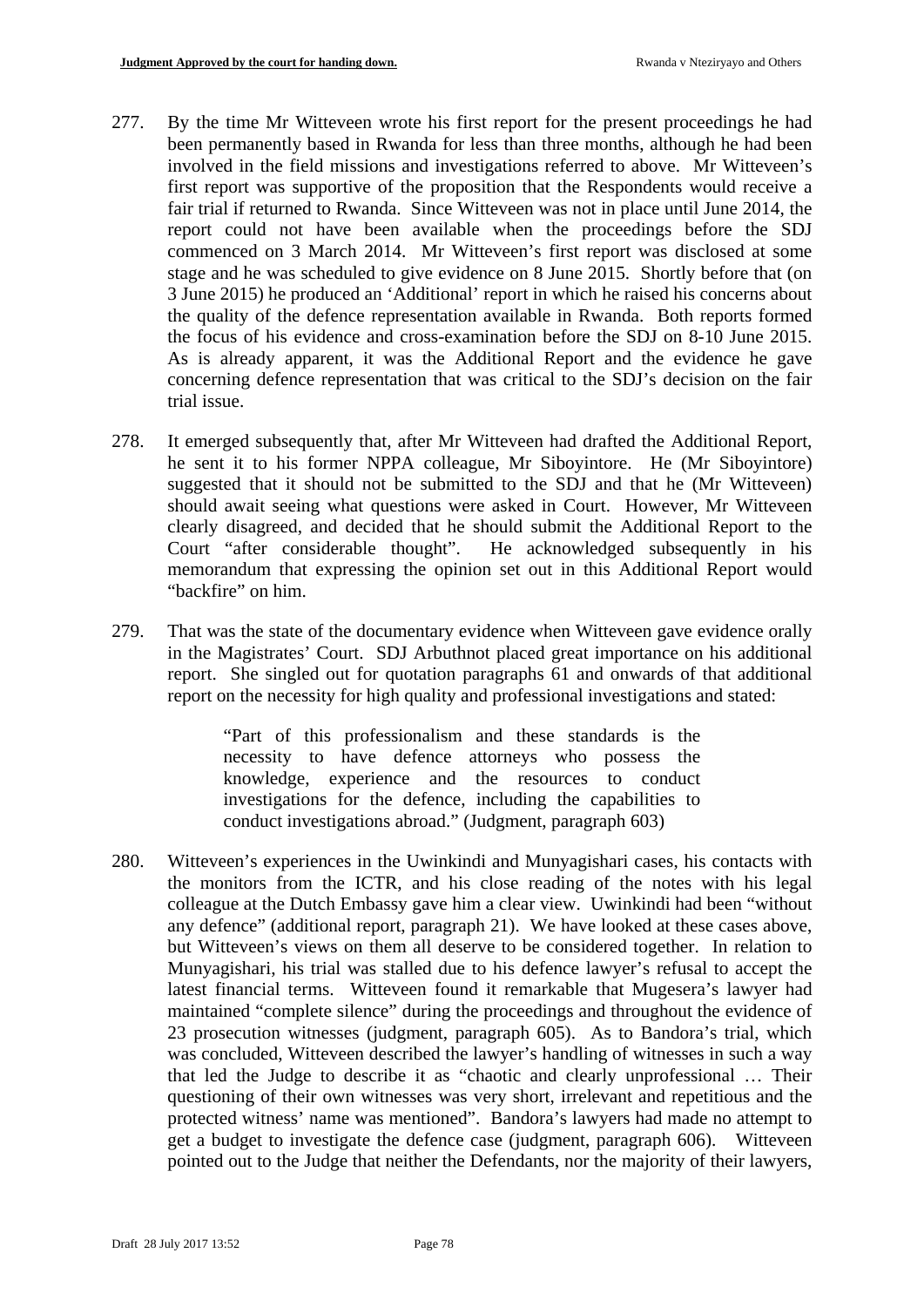- 277. By the time Mr Witteveen wrote his first report for the present proceedings he had been permanently based in Rwanda for less than three months, although he had been involved in the field missions and investigations referred to above. Mr Witteveen's first report was supportive of the proposition that the Respondents would receive a fair trial if returned to Rwanda. Since Witteveen was not in place until June 2014, the report could not have been available when the proceedings before the SDJ commenced on 3 March 2014. Mr Witteveen's first report was disclosed at some stage and he was scheduled to give evidence on 8 June 2015. Shortly before that (on 3 June 2015) he produced an 'Additional' report in which he raised his concerns about the quality of the defence representation available in Rwanda. Both reports formed the focus of his evidence and cross-examination before the SDJ on 8-10 June 2015. As is already apparent, it was the Additional Report and the evidence he gave concerning defence representation that was critical to the SDJ's decision on the fair trial issue.
- 278. It emerged subsequently that, after Mr Witteveen had drafted the Additional Report, he sent it to his former NPPA colleague, Mr Siboyintore. He (Mr Siboyintore) suggested that it should not be submitted to the SDJ and that he (Mr Witteveen) should await seeing what questions were asked in Court. However, Mr Witteveen clearly disagreed, and decided that he should submit the Additional Report to the Court "after considerable thought". He acknowledged subsequently in his memorandum that expressing the opinion set out in this Additional Report would "backfire" on him.
- 279. That was the state of the documentary evidence when Witteveen gave evidence orally in the Magistrates' Court. SDJ Arbuthnot placed great importance on his additional report. She singled out for quotation paragraphs 61 and onwards of that additional report on the necessity for high quality and professional investigations and stated:

"Part of this professionalism and these standards is the necessity to have defence attorneys who possess the knowledge, experience and the resources to conduct investigations for the defence, including the capabilities to conduct investigations abroad." (Judgment, paragraph 603)

280. Witteveen's experiences in the Uwinkindi and Munyagishari cases, his contacts with the monitors from the ICTR, and his close reading of the notes with his legal colleague at the Dutch Embassy gave him a clear view. Uwinkindi had been "without any defence" (additional report, paragraph 21). We have looked at these cases above, but Witteveen's views on them all deserve to be considered together. In relation to Munyagishari, his trial was stalled due to his defence lawyer's refusal to accept the latest financial terms. Witteveen found it remarkable that Mugesera's lawyer had maintained "complete silence" during the proceedings and throughout the evidence of 23 prosecution witnesses (judgment, paragraph 605). As to Bandora's trial, which was concluded, Witteveen described the lawyer's handling of witnesses in such a way that led the Judge to describe it as "chaotic and clearly unprofessional … Their questioning of their own witnesses was very short, irrelevant and repetitious and the protected witness' name was mentioned". Bandora's lawyers had made no attempt to get a budget to investigate the defence case (judgment, paragraph 606). Witteveen pointed out to the Judge that neither the Defendants, nor the majority of their lawyers,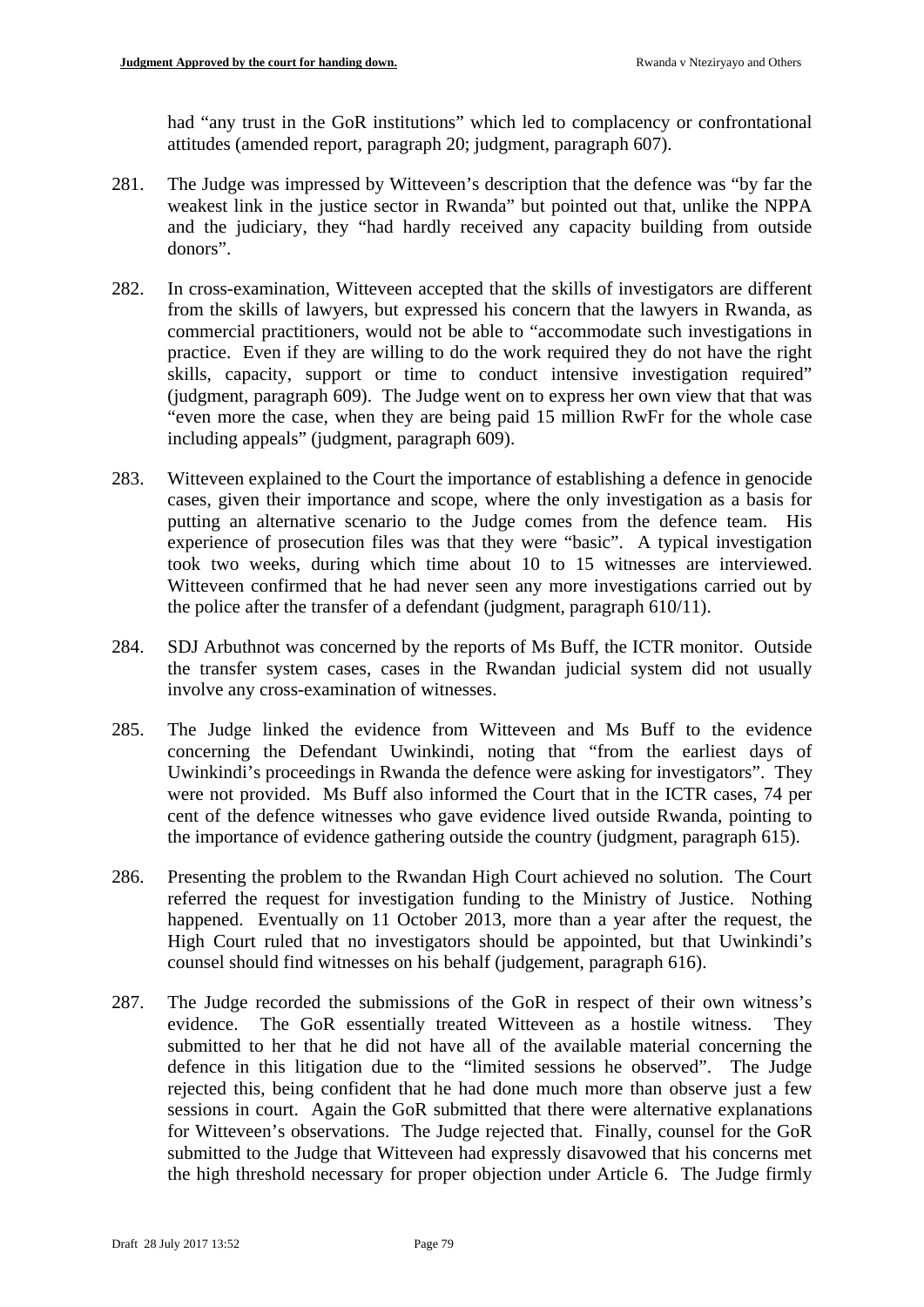had "any trust in the GoR institutions" which led to complacency or confrontational attitudes (amended report, paragraph 20; judgment, paragraph 607).

- 281. The Judge was impressed by Witteveen's description that the defence was "by far the weakest link in the justice sector in Rwanda" but pointed out that, unlike the NPPA and the judiciary, they "had hardly received any capacity building from outside donors".
- 282. In cross-examination, Witteveen accepted that the skills of investigators are different from the skills of lawyers, but expressed his concern that the lawyers in Rwanda, as commercial practitioners, would not be able to "accommodate such investigations in practice. Even if they are willing to do the work required they do not have the right skills, capacity, support or time to conduct intensive investigation required" (judgment, paragraph 609). The Judge went on to express her own view that that was "even more the case, when they are being paid 15 million RwFr for the whole case including appeals" (judgment, paragraph 609).
- 283. Witteveen explained to the Court the importance of establishing a defence in genocide cases, given their importance and scope, where the only investigation as a basis for putting an alternative scenario to the Judge comes from the defence team. His experience of prosecution files was that they were "basic". A typical investigation took two weeks, during which time about 10 to 15 witnesses are interviewed. Witteveen confirmed that he had never seen any more investigations carried out by the police after the transfer of a defendant (judgment, paragraph 610/11).
- 284. SDJ Arbuthnot was concerned by the reports of Ms Buff, the ICTR monitor. Outside the transfer system cases, cases in the Rwandan judicial system did not usually involve any cross-examination of witnesses.
- 285. The Judge linked the evidence from Witteveen and Ms Buff to the evidence concerning the Defendant Uwinkindi, noting that "from the earliest days of Uwinkindi's proceedings in Rwanda the defence were asking for investigators". They were not provided. Ms Buff also informed the Court that in the ICTR cases, 74 per cent of the defence witnesses who gave evidence lived outside Rwanda, pointing to the importance of evidence gathering outside the country (judgment, paragraph 615).
- 286. Presenting the problem to the Rwandan High Court achieved no solution. The Court referred the request for investigation funding to the Ministry of Justice. Nothing happened. Eventually on 11 October 2013, more than a year after the request, the High Court ruled that no investigators should be appointed, but that Uwinkindi's counsel should find witnesses on his behalf (judgement, paragraph 616).
- 287. The Judge recorded the submissions of the GoR in respect of their own witness's evidence. The GoR essentially treated Witteveen as a hostile witness. They submitted to her that he did not have all of the available material concerning the defence in this litigation due to the "limited sessions he observed". The Judge rejected this, being confident that he had done much more than observe just a few sessions in court. Again the GoR submitted that there were alternative explanations for Witteveen's observations. The Judge rejected that. Finally, counsel for the GoR submitted to the Judge that Witteveen had expressly disavowed that his concerns met the high threshold necessary for proper objection under Article 6. The Judge firmly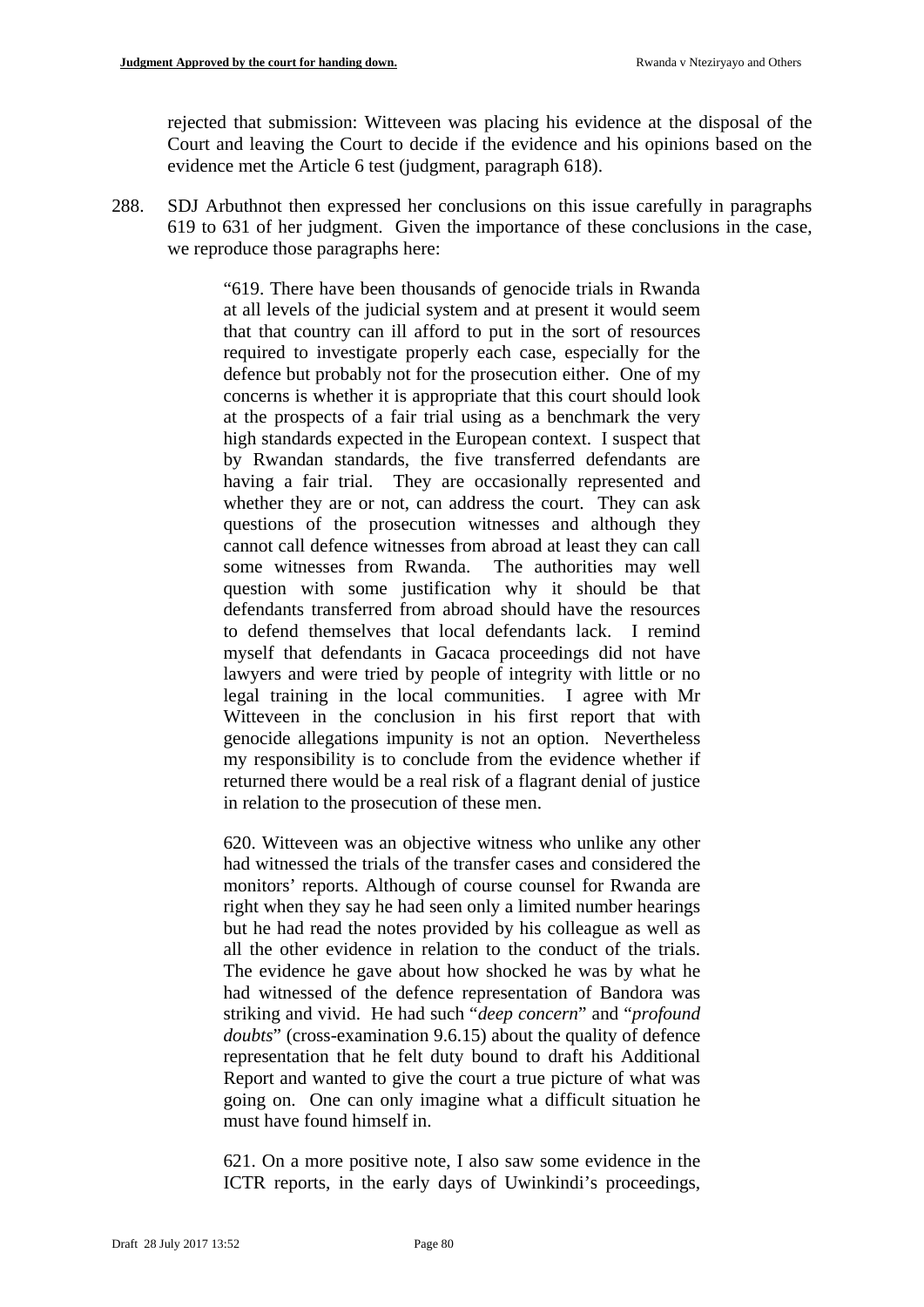rejected that submission: Witteveen was placing his evidence at the disposal of the Court and leaving the Court to decide if the evidence and his opinions based on the evidence met the Article 6 test (judgment, paragraph 618).

288. SDJ Arbuthnot then expressed her conclusions on this issue carefully in paragraphs 619 to 631 of her judgment. Given the importance of these conclusions in the case, we reproduce those paragraphs here:

> "619. There have been thousands of genocide trials in Rwanda at all levels of the judicial system and at present it would seem that that country can ill afford to put in the sort of resources required to investigate properly each case, especially for the defence but probably not for the prosecution either. One of my concerns is whether it is appropriate that this court should look at the prospects of a fair trial using as a benchmark the very high standards expected in the European context. I suspect that by Rwandan standards, the five transferred defendants are having a fair trial. They are occasionally represented and whether they are or not, can address the court. They can ask questions of the prosecution witnesses and although they cannot call defence witnesses from abroad at least they can call some witnesses from Rwanda. The authorities may well question with some justification why it should be that defendants transferred from abroad should have the resources to defend themselves that local defendants lack. I remind myself that defendants in Gacaca proceedings did not have lawyers and were tried by people of integrity with little or no legal training in the local communities. I agree with Mr Witteveen in the conclusion in his first report that with genocide allegations impunity is not an option. Nevertheless my responsibility is to conclude from the evidence whether if returned there would be a real risk of a flagrant denial of justice in relation to the prosecution of these men.

> 620. Witteveen was an objective witness who unlike any other had witnessed the trials of the transfer cases and considered the monitors' reports. Although of course counsel for Rwanda are right when they say he had seen only a limited number hearings but he had read the notes provided by his colleague as well as all the other evidence in relation to the conduct of the trials. The evidence he gave about how shocked he was by what he had witnessed of the defence representation of Bandora was striking and vivid. He had such "*deep concern*" and "*profound doubts*" (cross-examination 9.6.15) about the quality of defence representation that he felt duty bound to draft his Additional Report and wanted to give the court a true picture of what was going on. One can only imagine what a difficult situation he must have found himself in.

> 621. On a more positive note, I also saw some evidence in the ICTR reports, in the early days of Uwinkindi's proceedings,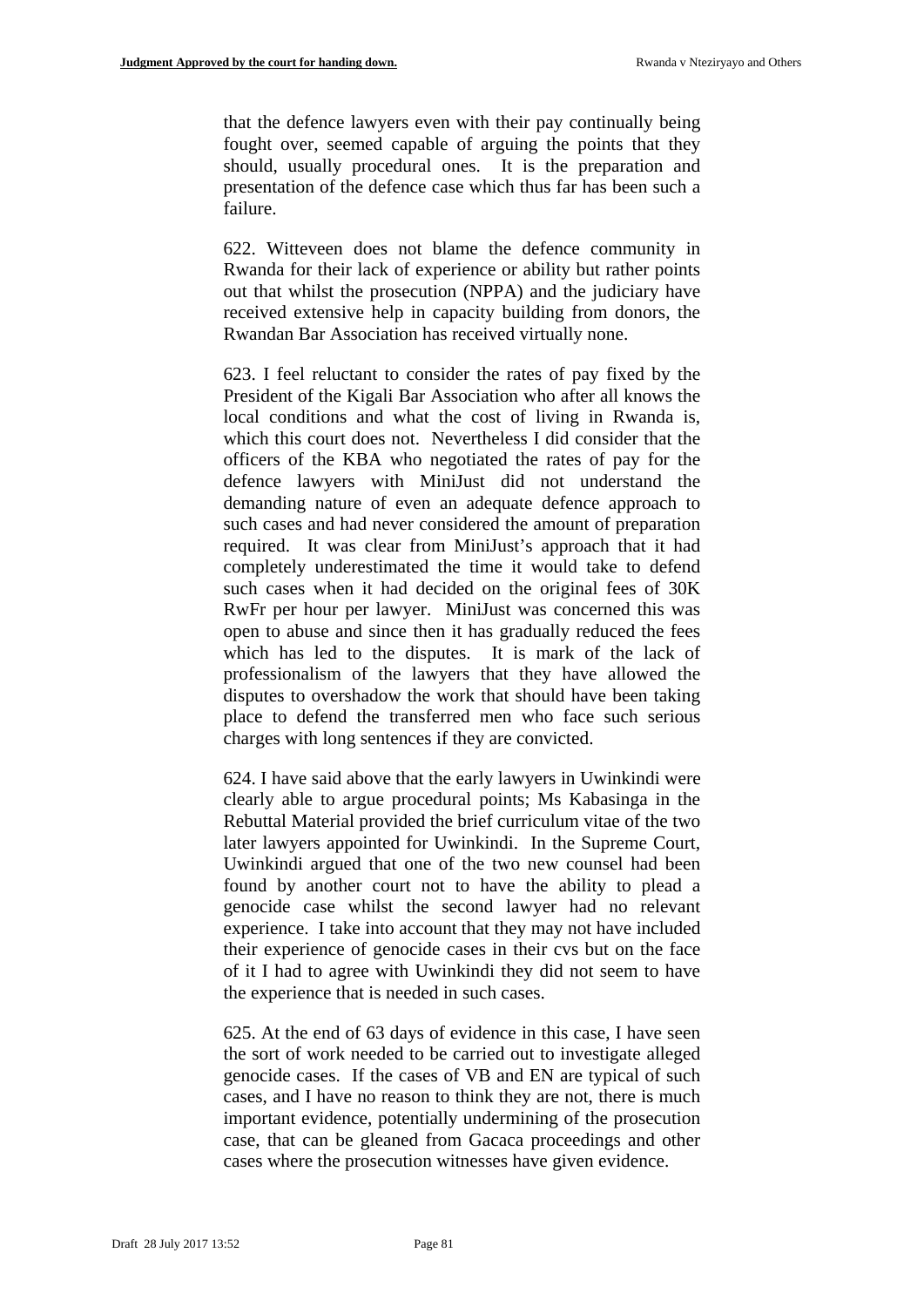that the defence lawyers even with their pay continually being fought over, seemed capable of arguing the points that they should, usually procedural ones. It is the preparation and presentation of the defence case which thus far has been such a failure.

622. Witteveen does not blame the defence community in Rwanda for their lack of experience or ability but rather points out that whilst the prosecution (NPPA) and the judiciary have received extensive help in capacity building from donors, the Rwandan Bar Association has received virtually none.

623. I feel reluctant to consider the rates of pay fixed by the President of the Kigali Bar Association who after all knows the local conditions and what the cost of living in Rwanda is, which this court does not. Nevertheless I did consider that the officers of the KBA who negotiated the rates of pay for the defence lawyers with MiniJust did not understand the demanding nature of even an adequate defence approach to such cases and had never considered the amount of preparation required. It was clear from MiniJust's approach that it had completely underestimated the time it would take to defend such cases when it had decided on the original fees of 30K RwFr per hour per lawyer. MiniJust was concerned this was open to abuse and since then it has gradually reduced the fees which has led to the disputes. It is mark of the lack of professionalism of the lawyers that they have allowed the disputes to overshadow the work that should have been taking place to defend the transferred men who face such serious charges with long sentences if they are convicted.

624. I have said above that the early lawyers in Uwinkindi were clearly able to argue procedural points; Ms Kabasinga in the Rebuttal Material provided the brief curriculum vitae of the two later lawyers appointed for Uwinkindi. In the Supreme Court, Uwinkindi argued that one of the two new counsel had been found by another court not to have the ability to plead a genocide case whilst the second lawyer had no relevant experience. I take into account that they may not have included their experience of genocide cases in their cvs but on the face of it I had to agree with Uwinkindi they did not seem to have the experience that is needed in such cases.

625. At the end of 63 days of evidence in this case, I have seen the sort of work needed to be carried out to investigate alleged genocide cases. If the cases of VB and EN are typical of such cases, and I have no reason to think they are not, there is much important evidence, potentially undermining of the prosecution case, that can be gleaned from Gacaca proceedings and other cases where the prosecution witnesses have given evidence.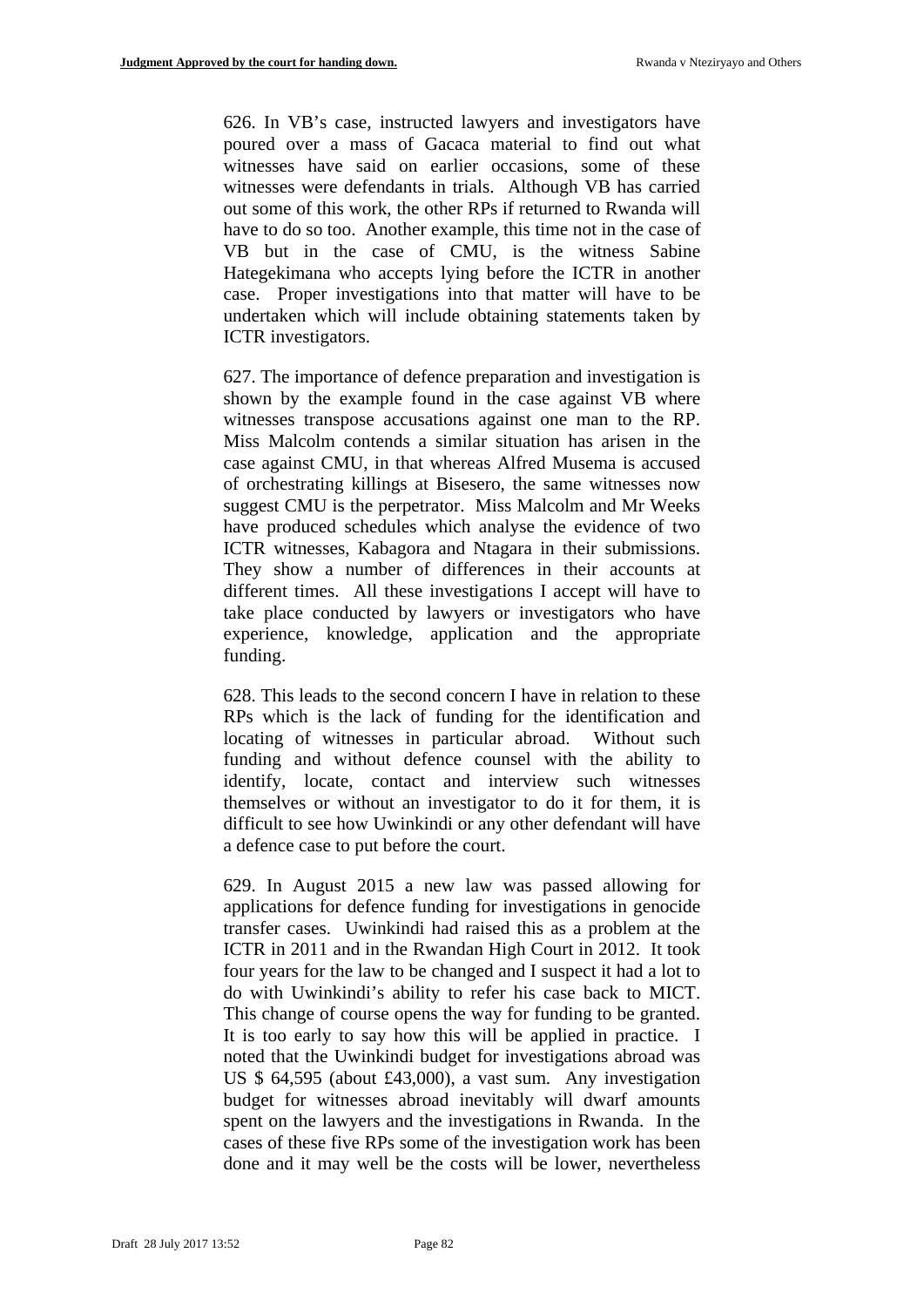626. In VB's case, instructed lawyers and investigators have poured over a mass of Gacaca material to find out what witnesses have said on earlier occasions, some of these witnesses were defendants in trials. Although VB has carried out some of this work, the other RPs if returned to Rwanda will have to do so too. Another example, this time not in the case of VB but in the case of CMU, is the witness Sabine Hategekimana who accepts lying before the ICTR in another case. Proper investigations into that matter will have to be undertaken which will include obtaining statements taken by ICTR investigators.

627. The importance of defence preparation and investigation is shown by the example found in the case against VB where witnesses transpose accusations against one man to the RP. Miss Malcolm contends a similar situation has arisen in the case against CMU, in that whereas Alfred Musema is accused of orchestrating killings at Bisesero, the same witnesses now suggest CMU is the perpetrator. Miss Malcolm and Mr Weeks have produced schedules which analyse the evidence of two ICTR witnesses, Kabagora and Ntagara in their submissions. They show a number of differences in their accounts at different times. All these investigations I accept will have to take place conducted by lawyers or investigators who have experience, knowledge, application and the appropriate funding.

628. This leads to the second concern I have in relation to these RPs which is the lack of funding for the identification and locating of witnesses in particular abroad. Without such funding and without defence counsel with the ability to identify, locate, contact and interview such witnesses themselves or without an investigator to do it for them, it is difficult to see how Uwinkindi or any other defendant will have a defence case to put before the court.

629. In August 2015 a new law was passed allowing for applications for defence funding for investigations in genocide transfer cases. Uwinkindi had raised this as a problem at the ICTR in 2011 and in the Rwandan High Court in 2012. It took four years for the law to be changed and I suspect it had a lot to do with Uwinkindi's ability to refer his case back to MICT. This change of course opens the way for funding to be granted. It is too early to say how this will be applied in practice. I noted that the Uwinkindi budget for investigations abroad was US \$ 64,595 (about £43,000), a vast sum. Any investigation budget for witnesses abroad inevitably will dwarf amounts spent on the lawyers and the investigations in Rwanda. In the cases of these five RPs some of the investigation work has been done and it may well be the costs will be lower, nevertheless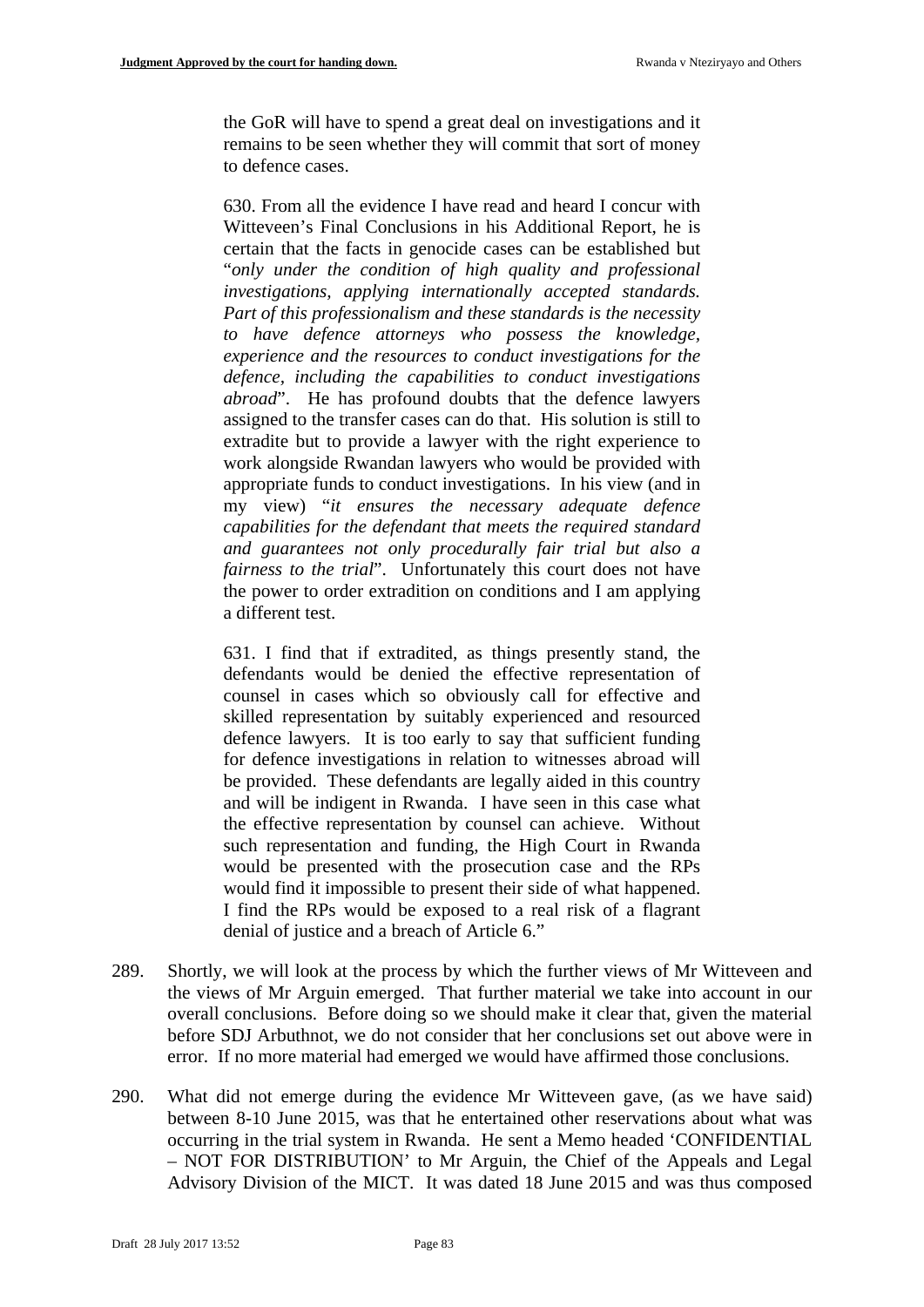the GoR will have to spend a great deal on investigations and it remains to be seen whether they will commit that sort of money to defence cases.

630. From all the evidence I have read and heard I concur with Witteveen's Final Conclusions in his Additional Report, he is certain that the facts in genocide cases can be established but "*only under the condition of high quality and professional investigations, applying internationally accepted standards. Part of this professionalism and these standards is the necessity to have defence attorneys who possess the knowledge, experience and the resources to conduct investigations for the defence, including the capabilities to conduct investigations abroad*". He has profound doubts that the defence lawyers assigned to the transfer cases can do that. His solution is still to extradite but to provide a lawyer with the right experience to work alongside Rwandan lawyers who would be provided with appropriate funds to conduct investigations. In his view (and in my view) "*it ensures the necessary adequate defence capabilities for the defendant that meets the required standard and guarantees not only procedurally fair trial but also a fairness to the trial*". Unfortunately this court does not have the power to order extradition on conditions and I am applying a different test.

631. I find that if extradited, as things presently stand, the defendants would be denied the effective representation of counsel in cases which so obviously call for effective and skilled representation by suitably experienced and resourced defence lawyers. It is too early to say that sufficient funding for defence investigations in relation to witnesses abroad will be provided. These defendants are legally aided in this country and will be indigent in Rwanda. I have seen in this case what the effective representation by counsel can achieve. Without such representation and funding, the High Court in Rwanda would be presented with the prosecution case and the RPs would find it impossible to present their side of what happened. I find the RPs would be exposed to a real risk of a flagrant denial of justice and a breach of Article 6."

- 289. Shortly, we will look at the process by which the further views of Mr Witteveen and the views of Mr Arguin emerged. That further material we take into account in our overall conclusions. Before doing so we should make it clear that, given the material before SDJ Arbuthnot, we do not consider that her conclusions set out above were in error. If no more material had emerged we would have affirmed those conclusions.
- 290. What did not emerge during the evidence Mr Witteveen gave, (as we have said) between 8-10 June 2015, was that he entertained other reservations about what was occurring in the trial system in Rwanda. He sent a Memo headed 'CONFIDENTIAL – NOT FOR DISTRIBUTION' to Mr Arguin, the Chief of the Appeals and Legal Advisory Division of the MICT. It was dated 18 June 2015 and was thus composed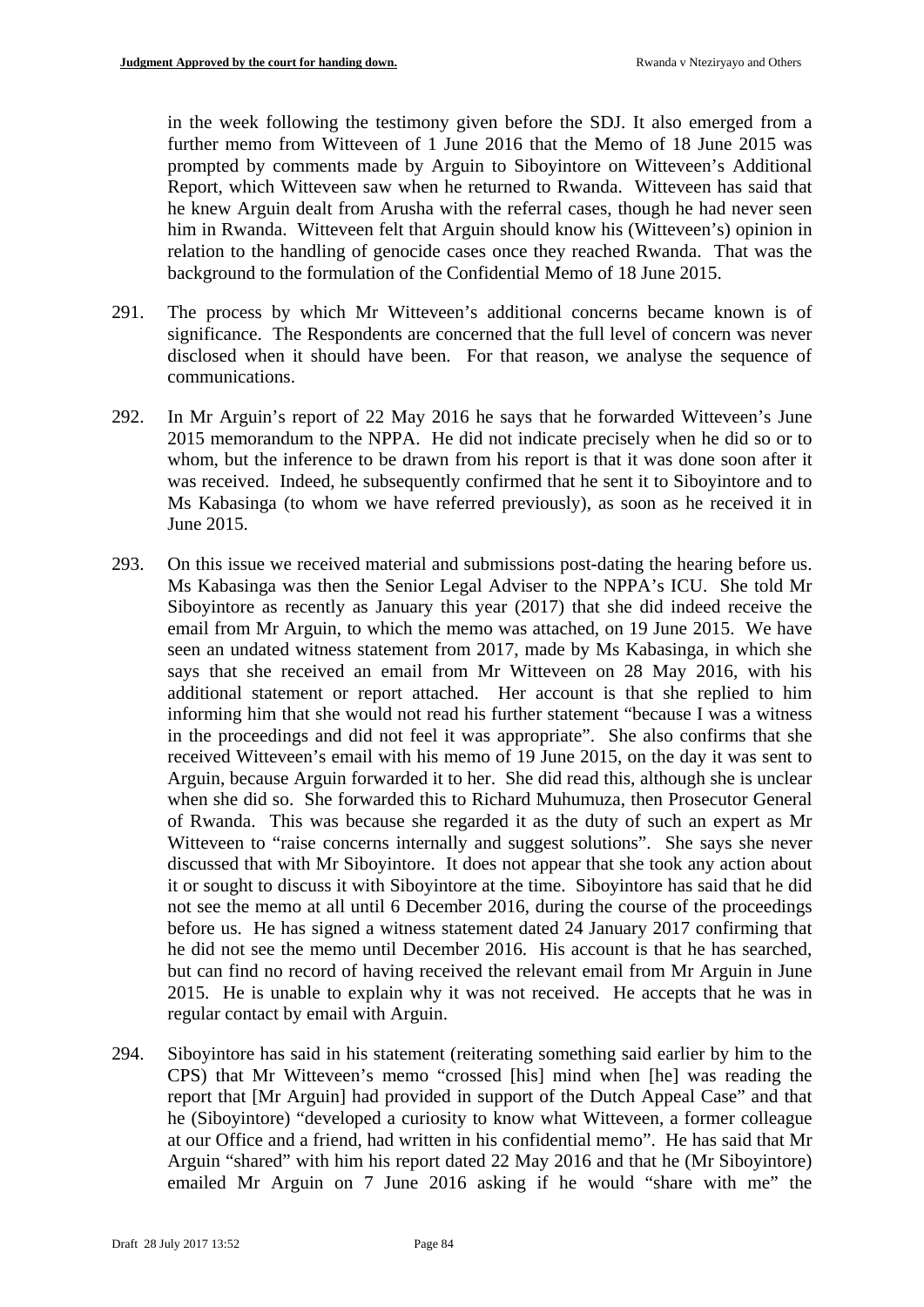in the week following the testimony given before the SDJ. It also emerged from a further memo from Witteveen of 1 June 2016 that the Memo of 18 June 2015 was prompted by comments made by Arguin to Siboyintore on Witteveen's Additional Report, which Witteveen saw when he returned to Rwanda. Witteveen has said that he knew Arguin dealt from Arusha with the referral cases, though he had never seen him in Rwanda. Witteveen felt that Arguin should know his (Witteveen's) opinion in relation to the handling of genocide cases once they reached Rwanda. That was the background to the formulation of the Confidential Memo of 18 June 2015.

- 291. The process by which Mr Witteveen's additional concerns became known is of significance. The Respondents are concerned that the full level of concern was never disclosed when it should have been. For that reason, we analyse the sequence of communications.
- 292. In Mr Arguin's report of 22 May 2016 he says that he forwarded Witteveen's June 2015 memorandum to the NPPA. He did not indicate precisely when he did so or to whom, but the inference to be drawn from his report is that it was done soon after it was received. Indeed, he subsequently confirmed that he sent it to Siboyintore and to Ms Kabasinga (to whom we have referred previously), as soon as he received it in June 2015.
- 293. On this issue we received material and submissions post-dating the hearing before us. Ms Kabasinga was then the Senior Legal Adviser to the NPPA's ICU. She told Mr Siboyintore as recently as January this year (2017) that she did indeed receive the email from Mr Arguin, to which the memo was attached, on 19 June 2015. We have seen an undated witness statement from 2017, made by Ms Kabasinga, in which she says that she received an email from Mr Witteveen on 28 May 2016, with his additional statement or report attached. Her account is that she replied to him informing him that she would not read his further statement "because I was a witness in the proceedings and did not feel it was appropriate". She also confirms that she received Witteveen's email with his memo of 19 June 2015, on the day it was sent to Arguin, because Arguin forwarded it to her. She did read this, although she is unclear when she did so. She forwarded this to Richard Muhumuza, then Prosecutor General of Rwanda. This was because she regarded it as the duty of such an expert as Mr Witteveen to "raise concerns internally and suggest solutions". She says she never discussed that with Mr Siboyintore. It does not appear that she took any action about it or sought to discuss it with Siboyintore at the time. Siboyintore has said that he did not see the memo at all until 6 December 2016, during the course of the proceedings before us. He has signed a witness statement dated 24 January 2017 confirming that he did not see the memo until December 2016. His account is that he has searched, but can find no record of having received the relevant email from Mr Arguin in June 2015. He is unable to explain why it was not received. He accepts that he was in regular contact by email with Arguin.
- 294. Siboyintore has said in his statement (reiterating something said earlier by him to the CPS) that Mr Witteveen's memo "crossed [his] mind when [he] was reading the report that [Mr Arguin] had provided in support of the Dutch Appeal Case" and that he (Siboyintore) "developed a curiosity to know what Witteveen, a former colleague at our Office and a friend, had written in his confidential memo". He has said that Mr Arguin "shared" with him his report dated 22 May 2016 and that he (Mr Siboyintore) emailed Mr Arguin on 7 June 2016 asking if he would "share with me" the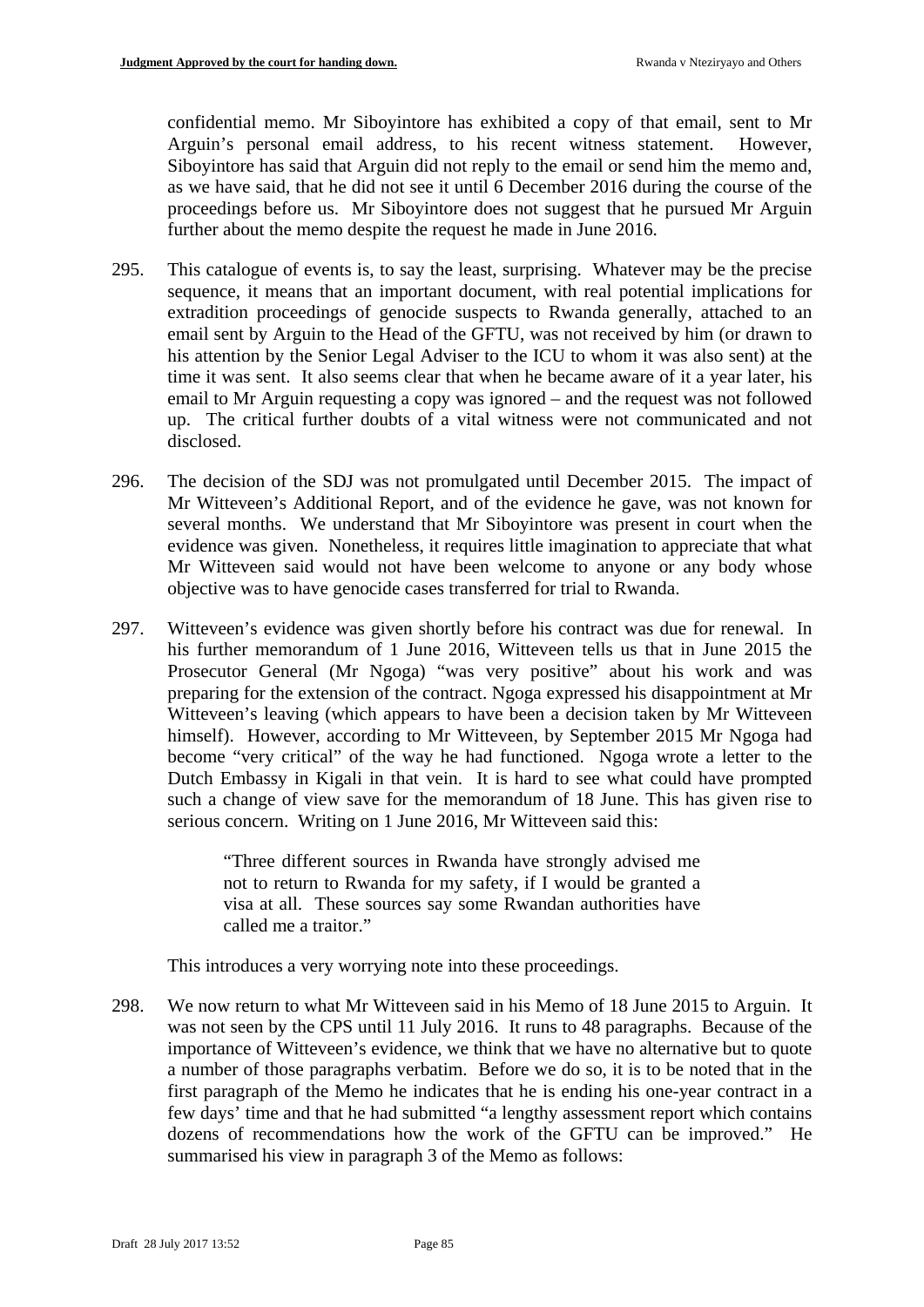confidential memo. Mr Siboyintore has exhibited a copy of that email, sent to Mr Arguin's personal email address, to his recent witness statement. However, Siboyintore has said that Arguin did not reply to the email or send him the memo and, as we have said, that he did not see it until 6 December 2016 during the course of the proceedings before us. Mr Siboyintore does not suggest that he pursued Mr Arguin further about the memo despite the request he made in June 2016.

- 295. This catalogue of events is, to say the least, surprising. Whatever may be the precise sequence, it means that an important document, with real potential implications for extradition proceedings of genocide suspects to Rwanda generally, attached to an email sent by Arguin to the Head of the GFTU, was not received by him (or drawn to his attention by the Senior Legal Adviser to the ICU to whom it was also sent) at the time it was sent. It also seems clear that when he became aware of it a year later, his email to Mr Arguin requesting a copy was ignored – and the request was not followed up. The critical further doubts of a vital witness were not communicated and not disclosed.
- 296. The decision of the SDJ was not promulgated until December 2015. The impact of Mr Witteveen's Additional Report, and of the evidence he gave, was not known for several months. We understand that Mr Siboyintore was present in court when the evidence was given. Nonetheless, it requires little imagination to appreciate that what Mr Witteveen said would not have been welcome to anyone or any body whose objective was to have genocide cases transferred for trial to Rwanda.
- 297. Witteveen's evidence was given shortly before his contract was due for renewal. In his further memorandum of 1 June 2016, Witteveen tells us that in June 2015 the Prosecutor General (Mr Ngoga) "was very positive" about his work and was preparing for the extension of the contract. Ngoga expressed his disappointment at Mr Witteveen's leaving (which appears to have been a decision taken by Mr Witteveen himself). However, according to Mr Witteveen, by September 2015 Mr Ngoga had become "very critical" of the way he had functioned. Ngoga wrote a letter to the Dutch Embassy in Kigali in that vein. It is hard to see what could have prompted such a change of view save for the memorandum of 18 June. This has given rise to serious concern. Writing on 1 June 2016, Mr Witteveen said this:

"Three different sources in Rwanda have strongly advised me not to return to Rwanda for my safety, if I would be granted a visa at all. These sources say some Rwandan authorities have called me a traitor."

This introduces a very worrying note into these proceedings.

298. We now return to what Mr Witteveen said in his Memo of 18 June 2015 to Arguin. It was not seen by the CPS until 11 July 2016. It runs to 48 paragraphs. Because of the importance of Witteveen's evidence, we think that we have no alternative but to quote a number of those paragraphs verbatim. Before we do so, it is to be noted that in the first paragraph of the Memo he indicates that he is ending his one-year contract in a few days' time and that he had submitted "a lengthy assessment report which contains dozens of recommendations how the work of the GFTU can be improved." He summarised his view in paragraph 3 of the Memo as follows: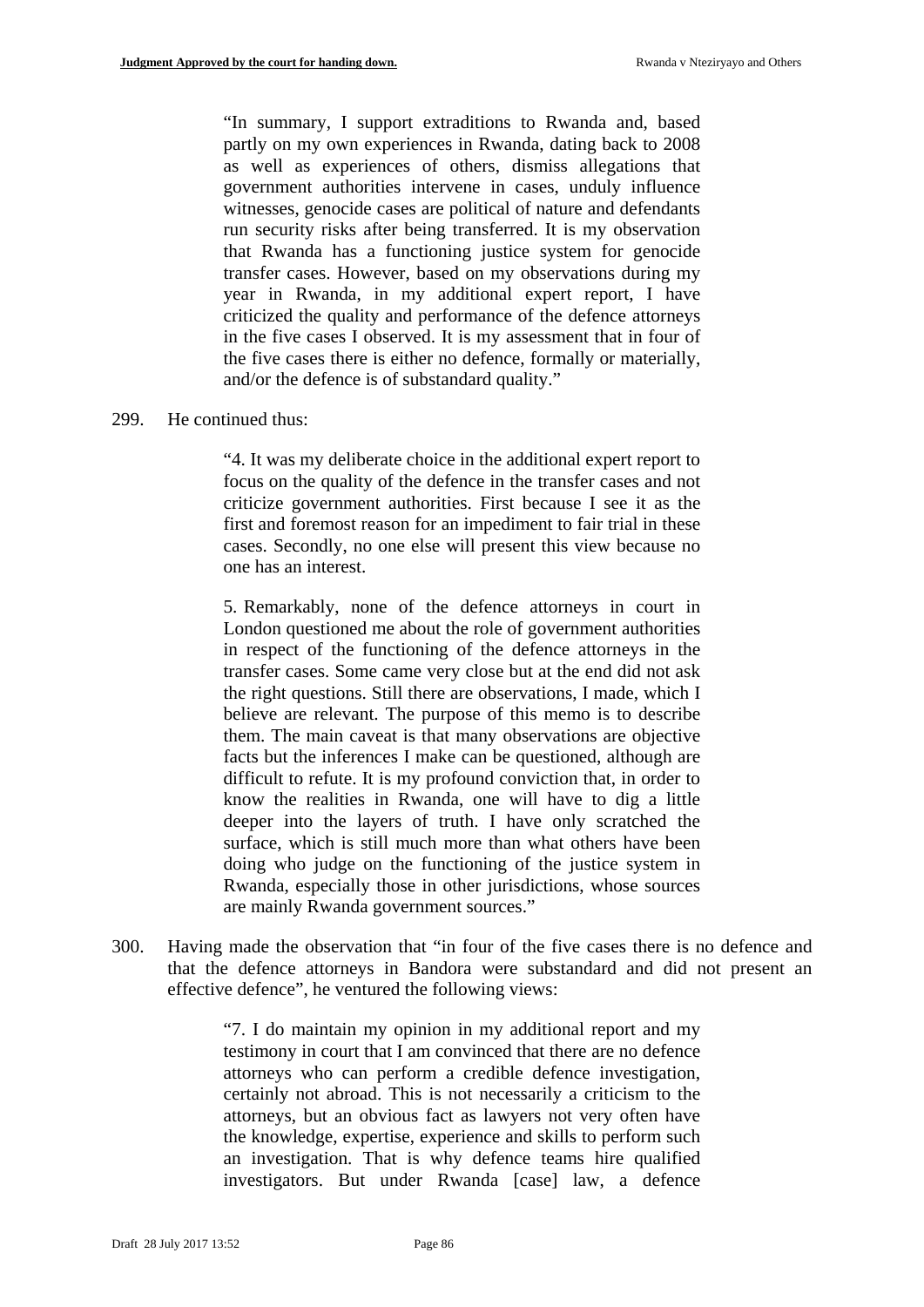"In summary, I support extraditions to Rwanda and, based partly on my own experiences in Rwanda, dating back to 2008 as well as experiences of others, dismiss allegations that government authorities intervene in cases, unduly influence witnesses, genocide cases are political of nature and defendants run security risks after being transferred. It is my observation that Rwanda has a functioning justice system for genocide transfer cases. However, based on my observations during my year in Rwanda, in my additional expert report, I have criticized the quality and performance of the defence attorneys in the five cases I observed. It is my assessment that in four of the five cases there is either no defence, formally or materially, and/or the defence is of substandard quality."

#### 299. He continued thus:

"4. It was my deliberate choice in the additional expert report to focus on the quality of the defence in the transfer cases and not criticize government authorities. First because I see it as the first and foremost reason for an impediment to fair trial in these cases. Secondly, no one else will present this view because no one has an interest.

5. Remarkably, none of the defence attorneys in court in London questioned me about the role of government authorities in respect of the functioning of the defence attorneys in the transfer cases. Some came very close but at the end did not ask the right questions. Still there are observations, I made, which I believe are relevant. The purpose of this memo is to describe them. The main caveat is that many observations are objective facts but the inferences I make can be questioned, although are difficult to refute. It is my profound conviction that, in order to know the realities in Rwanda, one will have to dig a little deeper into the layers of truth. I have only scratched the surface, which is still much more than what others have been doing who judge on the functioning of the justice system in Rwanda, especially those in other jurisdictions, whose sources are mainly Rwanda government sources."

300. Having made the observation that "in four of the five cases there is no defence and that the defence attorneys in Bandora were substandard and did not present an effective defence", he ventured the following views:

> "7. I do maintain my opinion in my additional report and my testimony in court that I am convinced that there are no defence attorneys who can perform a credible defence investigation, certainly not abroad. This is not necessarily a criticism to the attorneys, but an obvious fact as lawyers not very often have the knowledge, expertise, experience and skills to perform such an investigation. That is why defence teams hire qualified investigators. But under Rwanda [case] law, a defence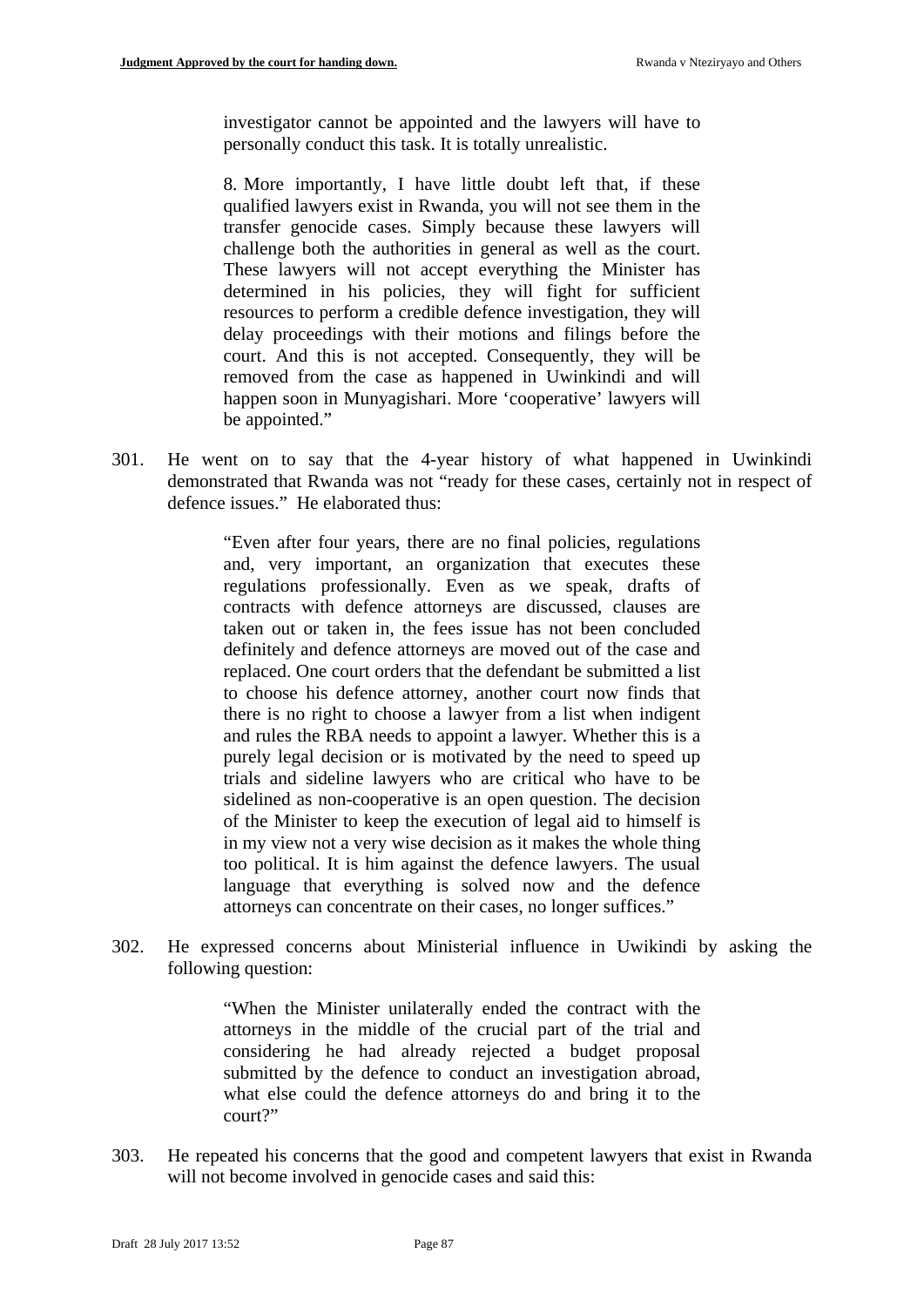investigator cannot be appointed and the lawyers will have to personally conduct this task. It is totally unrealistic.

8. More importantly, I have little doubt left that, if these qualified lawyers exist in Rwanda, you will not see them in the transfer genocide cases. Simply because these lawyers will challenge both the authorities in general as well as the court. These lawyers will not accept everything the Minister has determined in his policies, they will fight for sufficient resources to perform a credible defence investigation, they will delay proceedings with their motions and filings before the court. And this is not accepted. Consequently, they will be removed from the case as happened in Uwinkindi and will happen soon in Munyagishari. More 'cooperative' lawyers will be appointed."

301. He went on to say that the 4-year history of what happened in Uwinkindi demonstrated that Rwanda was not "ready for these cases, certainly not in respect of defence issues." He elaborated thus:

> "Even after four years, there are no final policies, regulations and, very important, an organization that executes these regulations professionally. Even as we speak, drafts of contracts with defence attorneys are discussed, clauses are taken out or taken in, the fees issue has not been concluded definitely and defence attorneys are moved out of the case and replaced. One court orders that the defendant be submitted a list to choose his defence attorney, another court now finds that there is no right to choose a lawyer from a list when indigent and rules the RBA needs to appoint a lawyer. Whether this is a purely legal decision or is motivated by the need to speed up trials and sideline lawyers who are critical who have to be sidelined as non-cooperative is an open question. The decision of the Minister to keep the execution of legal aid to himself is in my view not a very wise decision as it makes the whole thing too political. It is him against the defence lawyers. The usual language that everything is solved now and the defence attorneys can concentrate on their cases, no longer suffices."

302. He expressed concerns about Ministerial influence in Uwikindi by asking the following question:

> "When the Minister unilaterally ended the contract with the attorneys in the middle of the crucial part of the trial and considering he had already rejected a budget proposal submitted by the defence to conduct an investigation abroad, what else could the defence attorneys do and bring it to the court?"

303. He repeated his concerns that the good and competent lawyers that exist in Rwanda will not become involved in genocide cases and said this: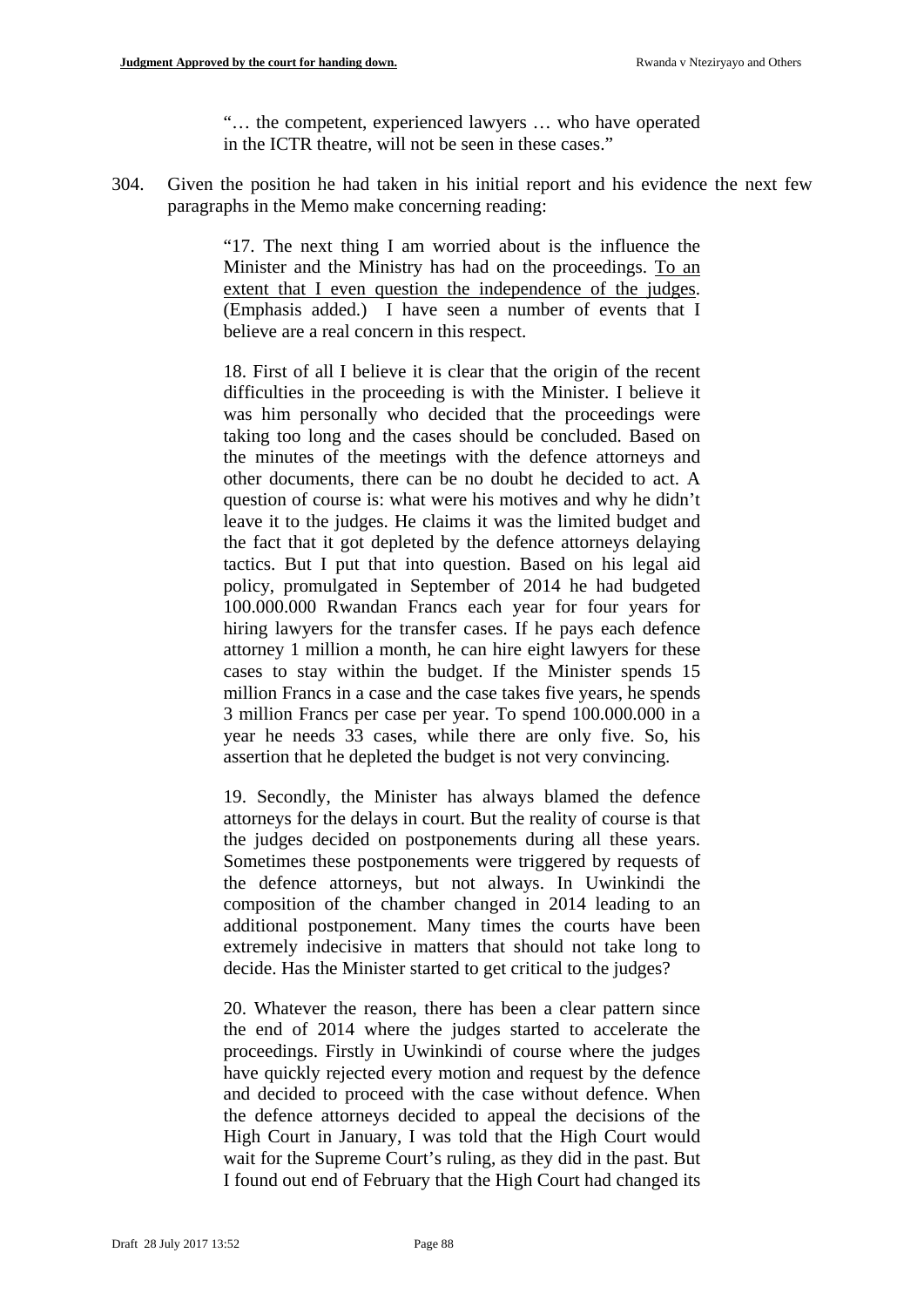"… the competent, experienced lawyers … who have operated in the ICTR theatre, will not be seen in these cases."

304. Given the position he had taken in his initial report and his evidence the next few paragraphs in the Memo make concerning reading:

> "17. The next thing I am worried about is the influence the Minister and the Ministry has had on the proceedings. To an extent that I even question the independence of the judges. (Emphasis added.) I have seen a number of events that I believe are a real concern in this respect.

> 18. First of all I believe it is clear that the origin of the recent difficulties in the proceeding is with the Minister. I believe it was him personally who decided that the proceedings were taking too long and the cases should be concluded. Based on the minutes of the meetings with the defence attorneys and other documents, there can be no doubt he decided to act. A question of course is: what were his motives and why he didn't leave it to the judges. He claims it was the limited budget and the fact that it got depleted by the defence attorneys delaying tactics. But I put that into question. Based on his legal aid policy, promulgated in September of 2014 he had budgeted 100.000.000 Rwandan Francs each year for four years for hiring lawyers for the transfer cases. If he pays each defence attorney 1 million a month, he can hire eight lawyers for these cases to stay within the budget. If the Minister spends 15 million Francs in a case and the case takes five years, he spends 3 million Francs per case per year. To spend 100.000.000 in a year he needs 33 cases, while there are only five. So, his assertion that he depleted the budget is not very convincing.

> 19. Secondly, the Minister has always blamed the defence attorneys for the delays in court. But the reality of course is that the judges decided on postponements during all these years. Sometimes these postponements were triggered by requests of the defence attorneys, but not always. In Uwinkindi the composition of the chamber changed in 2014 leading to an additional postponement. Many times the courts have been extremely indecisive in matters that should not take long to decide. Has the Minister started to get critical to the judges?

> 20. Whatever the reason, there has been a clear pattern since the end of 2014 where the judges started to accelerate the proceedings. Firstly in Uwinkindi of course where the judges have quickly rejected every motion and request by the defence and decided to proceed with the case without defence. When the defence attorneys decided to appeal the decisions of the High Court in January, I was told that the High Court would wait for the Supreme Court's ruling, as they did in the past. But I found out end of February that the High Court had changed its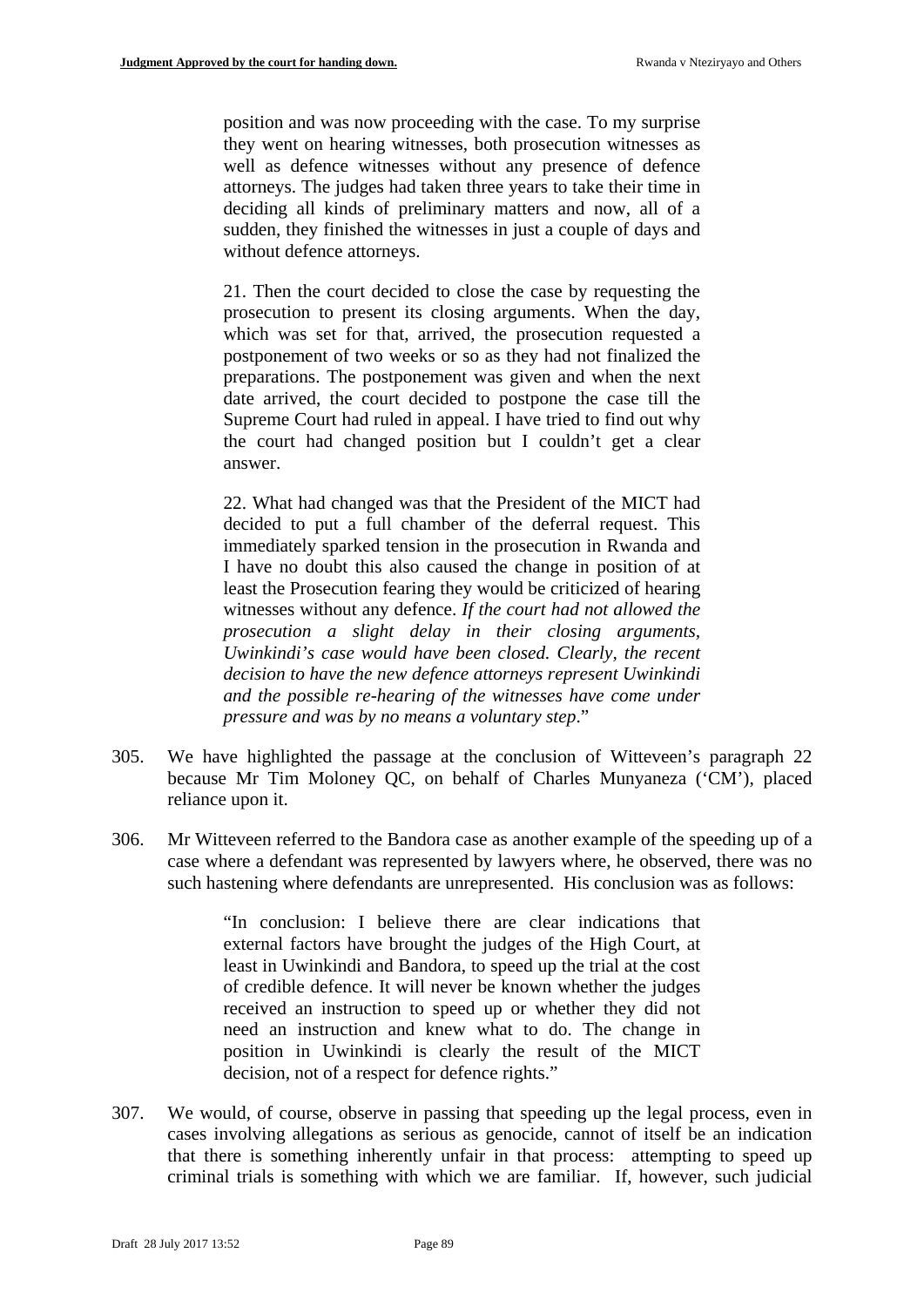position and was now proceeding with the case. To my surprise they went on hearing witnesses, both prosecution witnesses as well as defence witnesses without any presence of defence attorneys. The judges had taken three years to take their time in deciding all kinds of preliminary matters and now, all of a sudden, they finished the witnesses in just a couple of days and without defence attorneys.

21. Then the court decided to close the case by requesting the prosecution to present its closing arguments. When the day, which was set for that, arrived, the prosecution requested a postponement of two weeks or so as they had not finalized the preparations. The postponement was given and when the next date arrived, the court decided to postpone the case till the Supreme Court had ruled in appeal. I have tried to find out why the court had changed position but I couldn't get a clear answer.

pressure and was by no means a voluntary step." 22. What had changed was that the President of the MICT had decided to put a full chamber of the deferral request. This immediately sparked tension in the prosecution in Rwanda and I have no doubt this also caused the change in position of at least the Prosecution fearing they would be criticized of hearing witnesses without any defence. *If the court had not allowed the prosecution a slight delay in their closing arguments, Uwinkindi's case would have been closed. Clearly, the recent decision to have the new defence attorneys represent Uwinkindi and the possible re-hearing of the witnesses have come under* 

- *pressure and was by no means a voluntary step*." 305. We have highlighted the passage at the conclusion of Witteveen's paragraph 22 because Mr Tim Moloney QC, on behalf of Charles Munyaneza ('CM'), placed reliance upon it.
- 306. Mr Witteveen referred to the Bandora case as another example of the speeding up of a case where a defendant was represented by lawyers where, he observed, there was no such hastening where defendants are unrepresented. His conclusion was as follows:

"In conclusion: I believe there are clear indications that external factors have brought the judges of the High Court, at least in Uwinkindi and Bandora, to speed up the trial at the cost of credible defence. It will never be known whether the judges received an instruction to speed up or whether they did not need an instruction and knew what to do. The change in position in Uwinkindi is clearly the result of the MICT decision, not of a respect for defence rights."

307. We would, of course, observe in passing that speeding up the legal process, even in cases involving allegations as serious as genocide, cannot of itself be an indication that there is something inherently unfair in that process: attempting to speed up criminal trials is something with which we are familiar. If, however, such judicial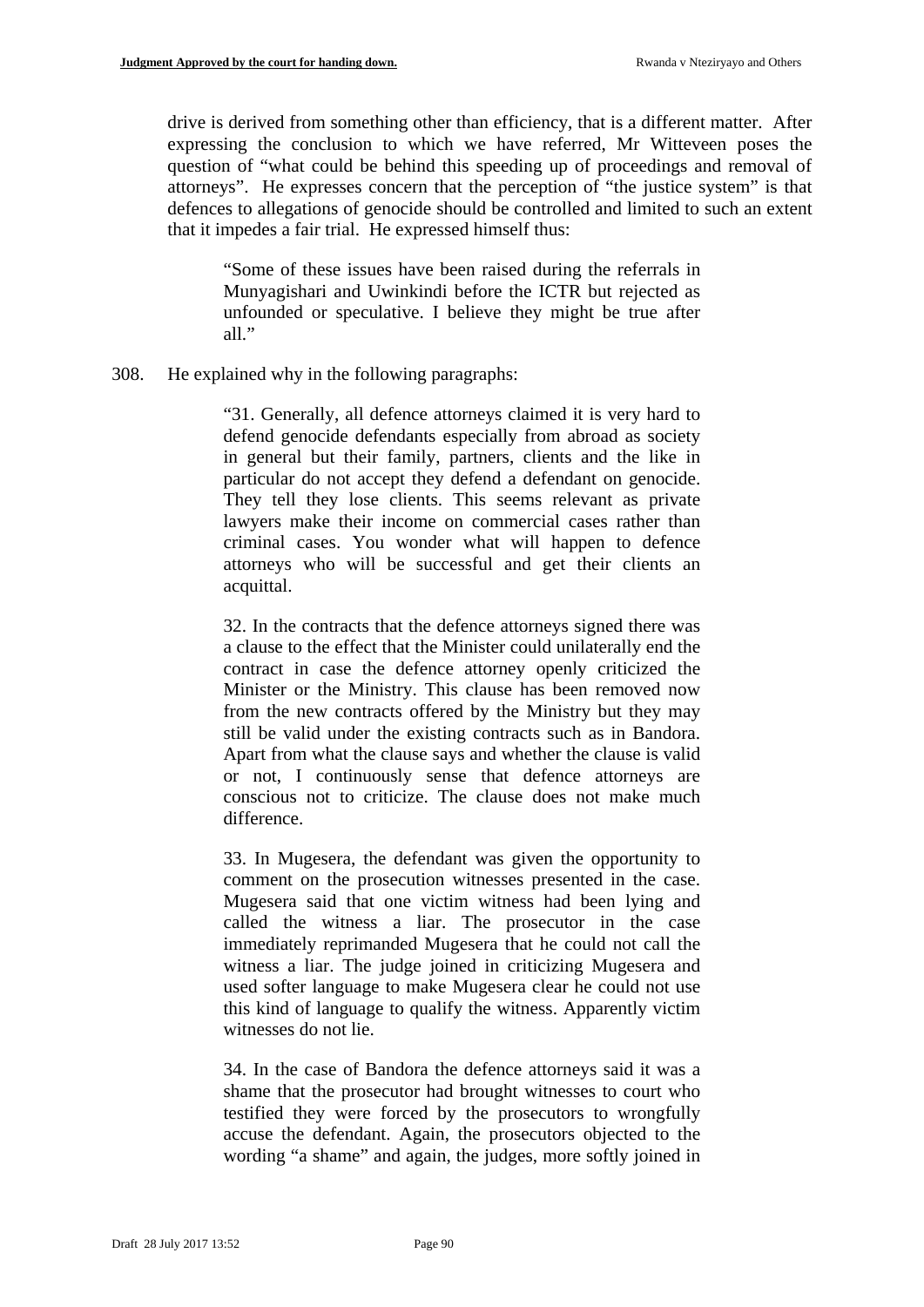drive is derived from something other than efficiency, that is a different matter. After expressing the conclusion to which we have referred, Mr Witteveen poses the question of "what could be behind this speeding up of proceedings and removal of attorneys". He expresses concern that the perception of "the justice system" is that defences to allegations of genocide should be controlled and limited to such an extent that it impedes a fair trial. He expressed himself thus:

"Some of these issues have been raised during the referrals in Munyagishari and Uwinkindi before the ICTR but rejected as unfounded or speculative. I believe they might be true after all $"$ 

308. He explained why in the following paragraphs:

"31. Generally, all defence attorneys claimed it is very hard to defend genocide defendants especially from abroad as society in general but their family, partners, clients and the like in particular do not accept they defend a defendant on genocide. They tell they lose clients. This seems relevant as private lawyers make their income on commercial cases rather than criminal cases. You wonder what will happen to defence attorneys who will be successful and get their clients an acquittal.

32. In the contracts that the defence attorneys signed there was a clause to the effect that the Minister could unilaterally end the contract in case the defence attorney openly criticized the Minister or the Ministry. This clause has been removed now from the new contracts offered by the Ministry but they may still be valid under the existing contracts such as in Bandora. Apart from what the clause says and whether the clause is valid or not, I continuously sense that defence attorneys are conscious not to criticize. The clause does not make much difference.

33. In Mugesera, the defendant was given the opportunity to comment on the prosecution witnesses presented in the case. Mugesera said that one victim witness had been lying and called the witness a liar. The prosecutor in the case immediately reprimanded Mugesera that he could not call the witness a liar. The judge joined in criticizing Mugesera and used softer language to make Mugesera clear he could not use this kind of language to qualify the witness. Apparently victim witnesses do not lie.

34. In the case of Bandora the defence attorneys said it was a shame that the prosecutor had brought witnesses to court who testified they were forced by the prosecutors to wrongfully accuse the defendant. Again, the prosecutors objected to the wording "a shame" and again, the judges, more softly joined in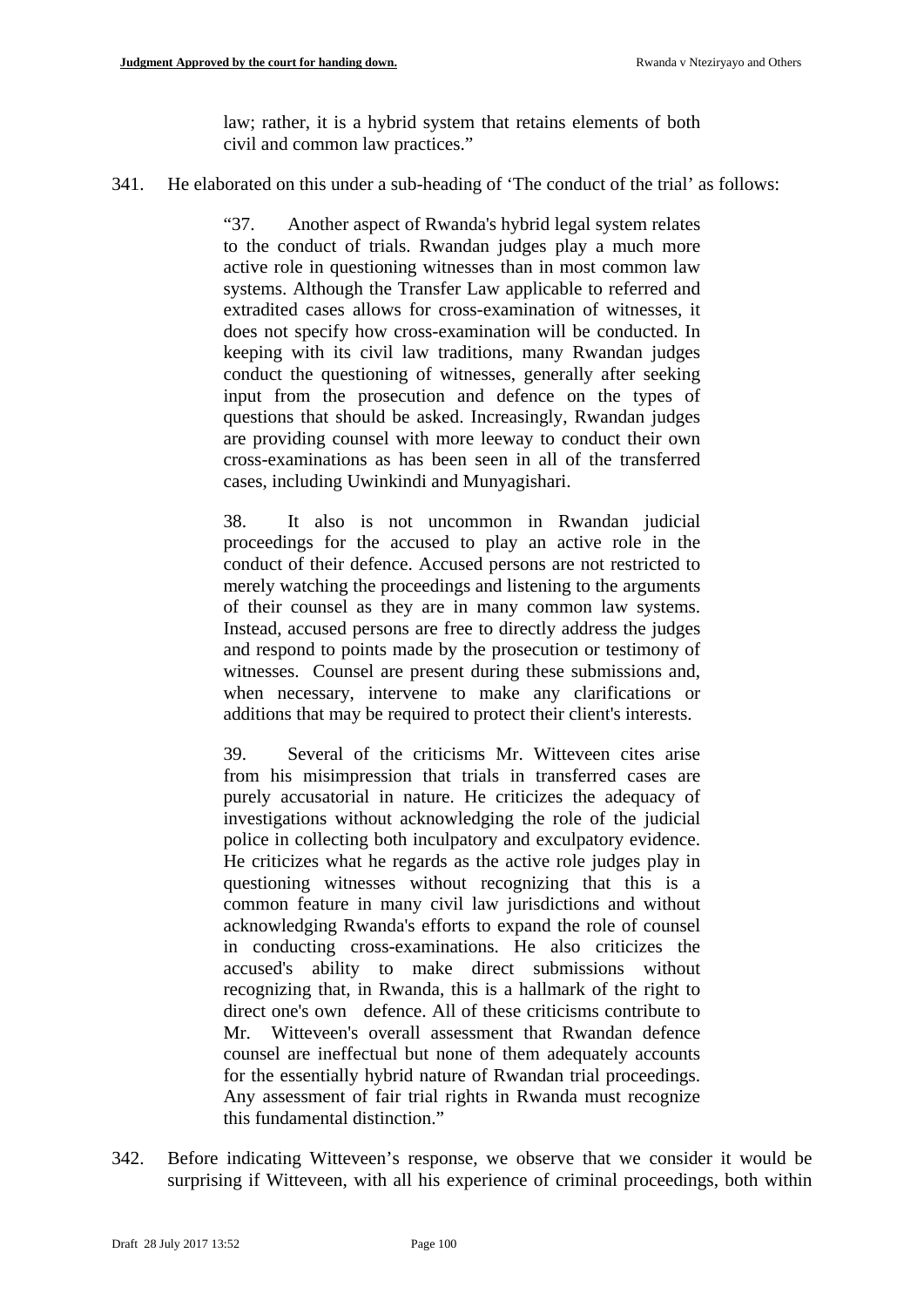law; rather, it is a hybrid system that retains elements of both civil and common law practices."

341. He elaborated on this under a sub-heading of 'The conduct of the trial' as follows:

"37. Another aspect of Rwanda's hybrid legal system relates to the conduct of trials. Rwandan judges play a much more active role in questioning witnesses than in most common law systems. Although the Transfer Law applicable to referred and extradited cases allows for cross-examination of witnesses, it does not specify how cross-examination will be conducted. In keeping with its civil law traditions, many Rwandan judges conduct the questioning of witnesses, generally after seeking input from the prosecution and defence on the types of questions that should be asked. Increasingly, Rwandan judges are providing counsel with more leeway to conduct their own cross-examinations as has been seen in all of the transferred cases, including Uwinkindi and Munyagishari.

38. It also is not uncommon in Rwandan judicial proceedings for the accused to play an active role in the conduct of their defence. Accused persons are not restricted to merely watching the proceedings and listening to the arguments of their counsel as they are in many common law systems. Instead, accused persons are free to directly address the judges and respond to points made by the prosecution or testimony of witnesses. Counsel are present during these submissions and, when necessary, intervene to make any clarifications or additions that may be required to protect their client's interests.

39. Several of the criticisms Mr. Witteveen cites arise from his misimpression that trials in transferred cases are purely accusatorial in nature. He criticizes the adequacy of investigations without acknowledging the role of the judicial police in collecting both inculpatory and exculpatory evidence. He criticizes what he regards as the active role judges play in questioning witnesses without recognizing that this is a common feature in many civil law jurisdictions and without acknowledging Rwanda's efforts to expand the role of counsel in conducting cross-examinations. He also criticizes the accused's ability to make direct submissions without recognizing that, in Rwanda, this is a hallmark of the right to direct one's own defence. All of these criticisms contribute to Mr. Witteveen's overall assessment that Rwandan defence counsel are ineffectual but none of them adequately accounts for the essentially hybrid nature of Rwandan trial proceedings. Any assessment of fair trial rights in Rwanda must recognize this fundamental distinction."

342. Before indicating Witteveen's response, we observe that we consider it would be surprising if Witteveen, with all his experience of criminal proceedings, both within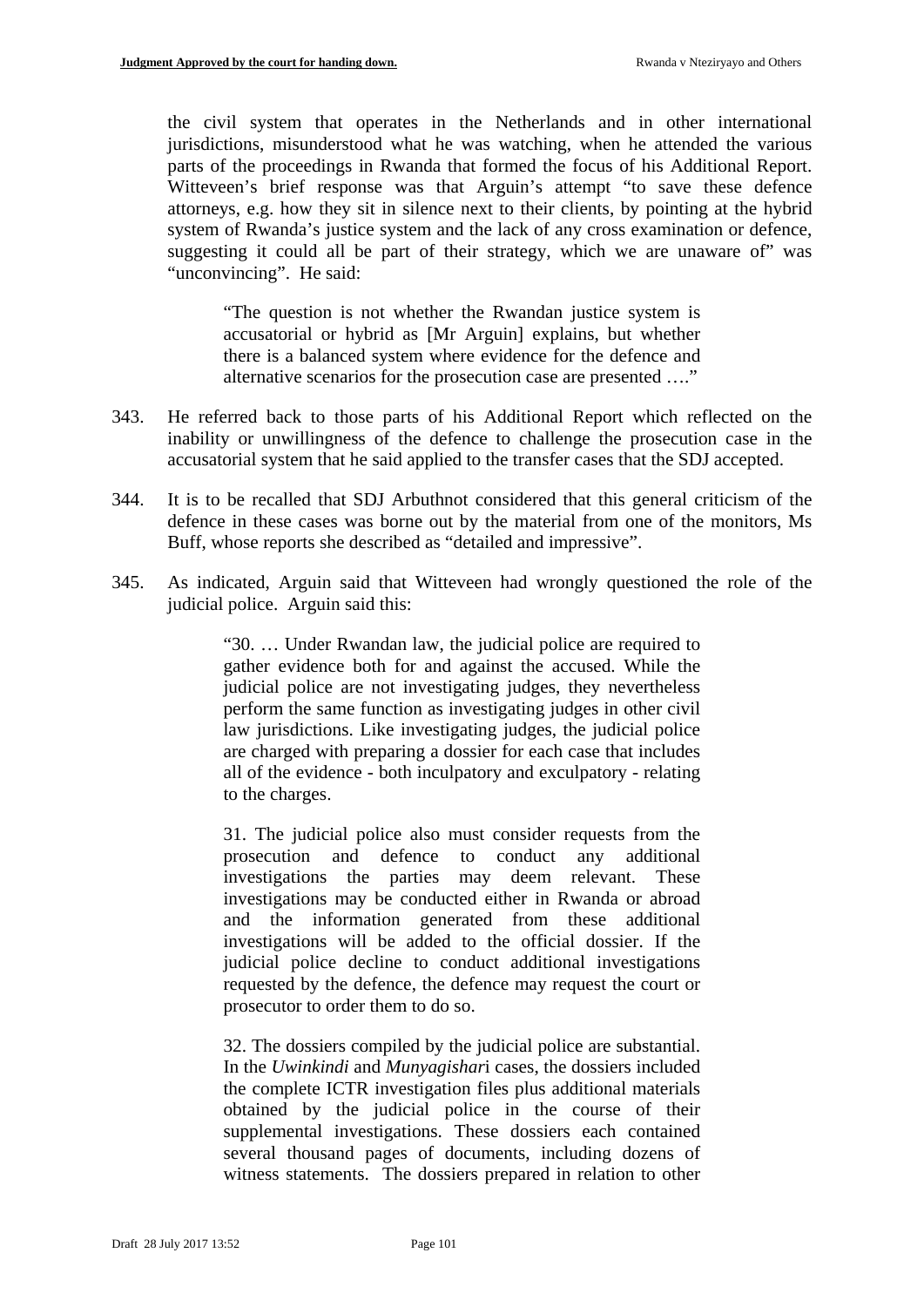the civil system that operates in the Netherlands and in other international jurisdictions, misunderstood what he was watching, when he attended the various parts of the proceedings in Rwanda that formed the focus of his Additional Report. Witteveen's brief response was that Arguin's attempt "to save these defence attorneys, e.g. how they sit in silence next to their clients, by pointing at the hybrid system of Rwanda's justice system and the lack of any cross examination or defence, suggesting it could all be part of their strategy, which we are unaware of" was "unconvincing". He said:

"The question is not whether the Rwandan justice system is accusatorial or hybrid as [Mr Arguin] explains, but whether there is a balanced system where evidence for the defence and alternative scenarios for the prosecution case are presented …."

- 343. He referred back to those parts of his Additional Report which reflected on the inability or unwillingness of the defence to challenge the prosecution case in the accusatorial system that he said applied to the transfer cases that the SDJ accepted.
- 344. It is to be recalled that SDJ Arbuthnot considered that this general criticism of the defence in these cases was borne out by the material from one of the monitors, Ms Buff, whose reports she described as "detailed and impressive".
- 345. As indicated, Arguin said that Witteveen had wrongly questioned the role of the judicial police. Arguin said this:

"30. … Under Rwandan law, the judicial police are required to gather evidence both for and against the accused. While the judicial police are not investigating judges, they nevertheless perform the same function as investigating judges in other civil law jurisdictions. Like investigating judges, the judicial police are charged with preparing a dossier for each case that includes all of the evidence - both inculpatory and exculpatory - relating to the charges.

31. The judicial police also must consider requests from the prosecution and defence to conduct any additional investigations the parties may deem relevant. These investigations may be conducted either in Rwanda or abroad and the information generated from these additional investigations will be added to the official dossier. If the judicial police decline to conduct additional investigations requested by the defence, the defence may request the court or prosecutor to order them to do so.

32. The dossiers compiled by the judicial police are substantial. In the *Uwinkindi* and *Munyagishar*i cases, the dossiers included the complete ICTR investigation files plus additional materials obtained by the judicial police in the course of their supplemental investigations. These dossiers each contained several thousand pages of documents, including dozens of witness statements. The dossiers prepared in relation to other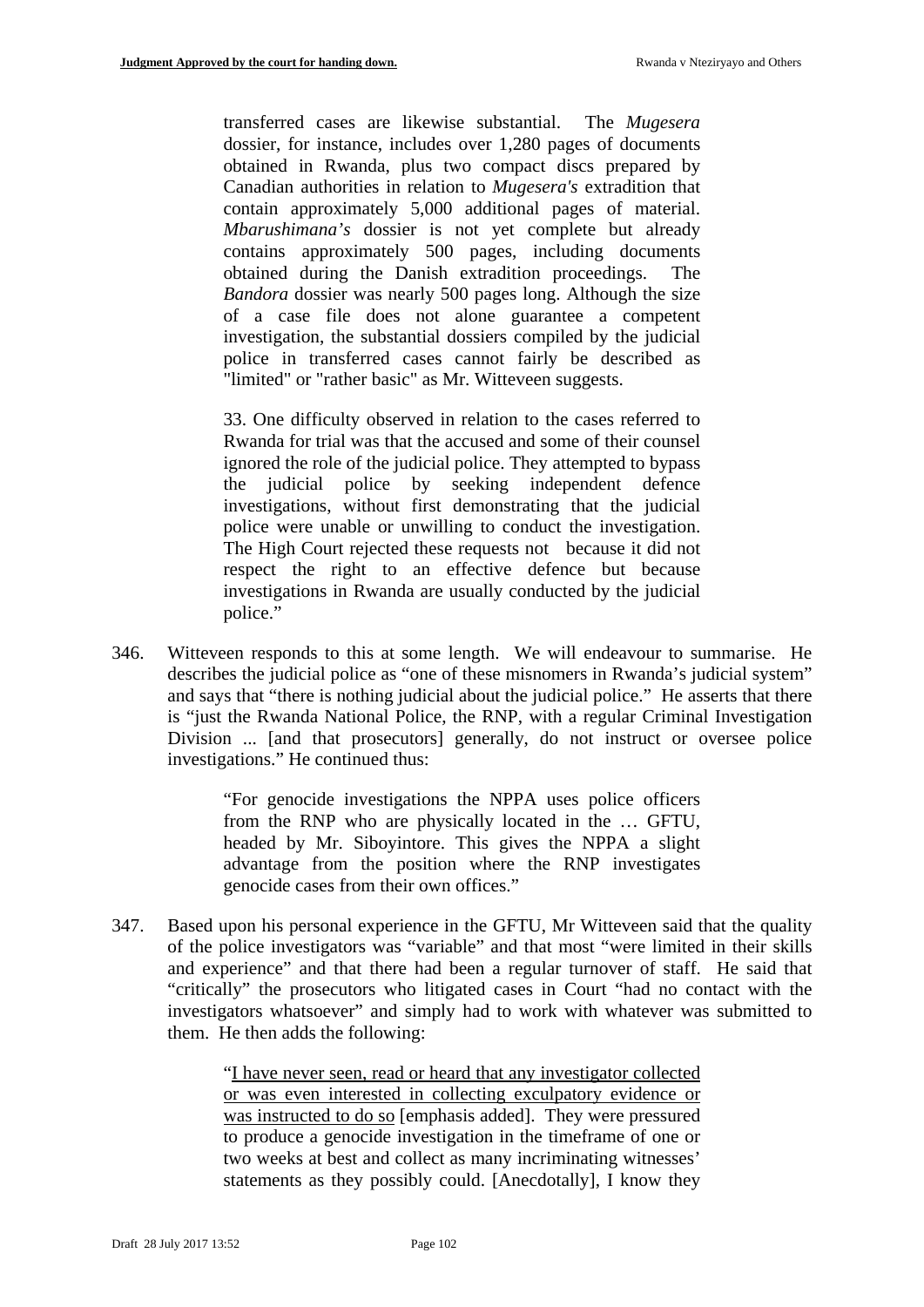transferred cases are likewise substantial. The *Mugesera*  dossier, for instance, includes over 1,280 pages of documents obtained in Rwanda, plus two compact discs prepared by Canadian authorities in relation to *Mugesera's* extradition that contain approximately 5,000 additional pages of material. *Mbarushimana's* dossier is not yet complete but already contains approximately 500 pages, including documents obtained during the Danish extradition proceedings. The *Bandora* dossier was nearly 500 pages long. Although the size of a case file does not alone guarantee a competent investigation, the substantial dossiers compiled by the judicial police in transferred cases cannot fairly be described as "limited" or "rather basic" as Mr. Witteveen suggests.

33. One difficulty observed in relation to the cases referred to Rwanda for trial was that the accused and some of their counsel ignored the role of the judicial police. They attempted to bypass the judicial police by seeking independent defence investigations, without first demonstrating that the judicial police were unable or unwilling to conduct the investigation. The High Court rejected these requests not because it did not respect the right to an effective defence but because investigations in Rwanda are usually conducted by the judicial police."

346. Witteveen responds to this at some length. We will endeavour to summarise. He describes the judicial police as "one of these misnomers in Rwanda's judicial system" and says that "there is nothing judicial about the judicial police." He asserts that there is "just the Rwanda National Police, the RNP, with a regular Criminal Investigation Division ... [and that prosecutors] generally, do not instruct or oversee police investigations." He continued thus:

> "For genocide investigations the NPPA uses police officers from the RNP who are physically located in the … GFTU, headed by Mr. Siboyintore. This gives the NPPA a slight advantage from the position where the RNP investigates genocide cases from their own offices."

347. Based upon his personal experience in the GFTU, Mr Witteveen said that the quality of the police investigators was "variable" and that most "were limited in their skills and experience" and that there had been a regular turnover of staff. He said that "critically" the prosecutors who litigated cases in Court "had no contact with the investigators whatsoever" and simply had to work with whatever was submitted to them. He then adds the following:

> "I have never seen, read or heard that any investigator collected or was even interested in collecting exculpatory evidence or was instructed to do so [emphasis added]. They were pressured to produce a genocide investigation in the timeframe of one or two weeks at best and collect as many incriminating witnesses' statements as they possibly could. [Anecdotally], I know they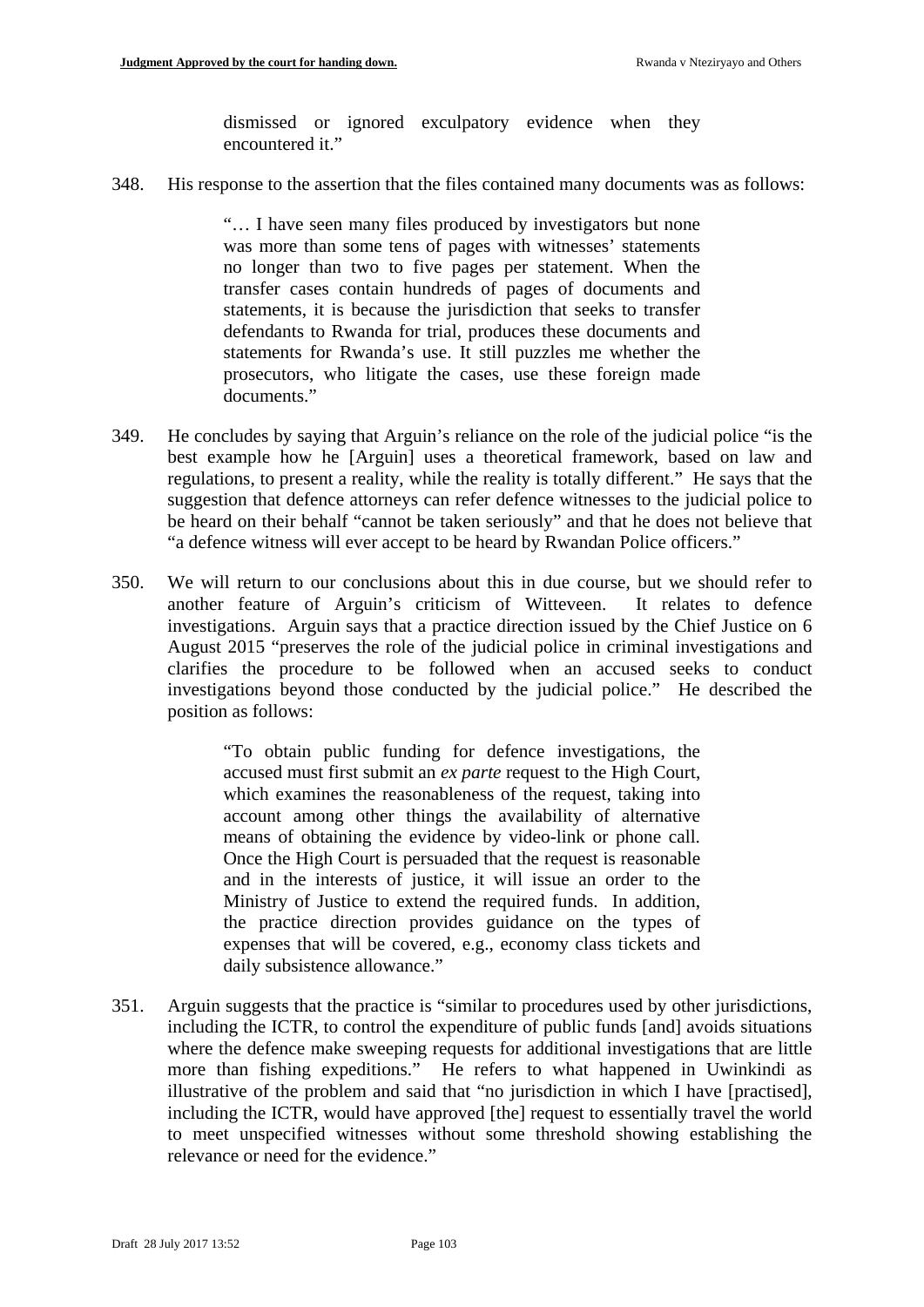dismissed or ignored exculpatory evidence when they encountered it."

348. His response to the assertion that the files contained many documents was as follows:

"… I have seen many files produced by investigators but none was more than some tens of pages with witnesses' statements no longer than two to five pages per statement. When the transfer cases contain hundreds of pages of documents and statements, it is because the jurisdiction that seeks to transfer defendants to Rwanda for trial, produces these documents and statements for Rwanda's use. It still puzzles me whether the prosecutors, who litigate the cases, use these foreign made documents."

- 349. He concludes by saying that Arguin's reliance on the role of the judicial police "is the best example how he [Arguin] uses a theoretical framework, based on law and regulations, to present a reality, while the reality is totally different." He says that the suggestion that defence attorneys can refer defence witnesses to the judicial police to be heard on their behalf "cannot be taken seriously" and that he does not believe that "a defence witness will ever accept to be heard by Rwandan Police officers."
- 350. We will return to our conclusions about this in due course, but we should refer to another feature of Arguin's criticism of Witteveen. It relates to defence investigations. Arguin says that a practice direction issued by the Chief Justice on 6 August 2015 "preserves the role of the judicial police in criminal investigations and clarifies the procedure to be followed when an accused seeks to conduct investigations beyond those conducted by the judicial police." He described the position as follows:

"To obtain public funding for defence investigations, the accused must first submit an *ex parte* request to the High Court, which examines the reasonableness of the request, taking into account among other things the availability of alternative means of obtaining the evidence by video-link or phone call. Once the High Court is persuaded that the request is reasonable and in the interests of justice, it will issue an order to the Ministry of Justice to extend the required funds. In addition, the practice direction provides guidance on the types of expenses that will be covered, e.g., economy class tickets and daily subsistence allowance."

351. Arguin suggests that the practice is "similar to procedures used by other jurisdictions, including the ICTR, to control the expenditure of public funds [and] avoids situations where the defence make sweeping requests for additional investigations that are little more than fishing expeditions." He refers to what happened in Uwinkindi as illustrative of the problem and said that "no jurisdiction in which I have [practised], including the ICTR, would have approved [the] request to essentially travel the world to meet unspecified witnesses without some threshold showing establishing the relevance or need for the evidence."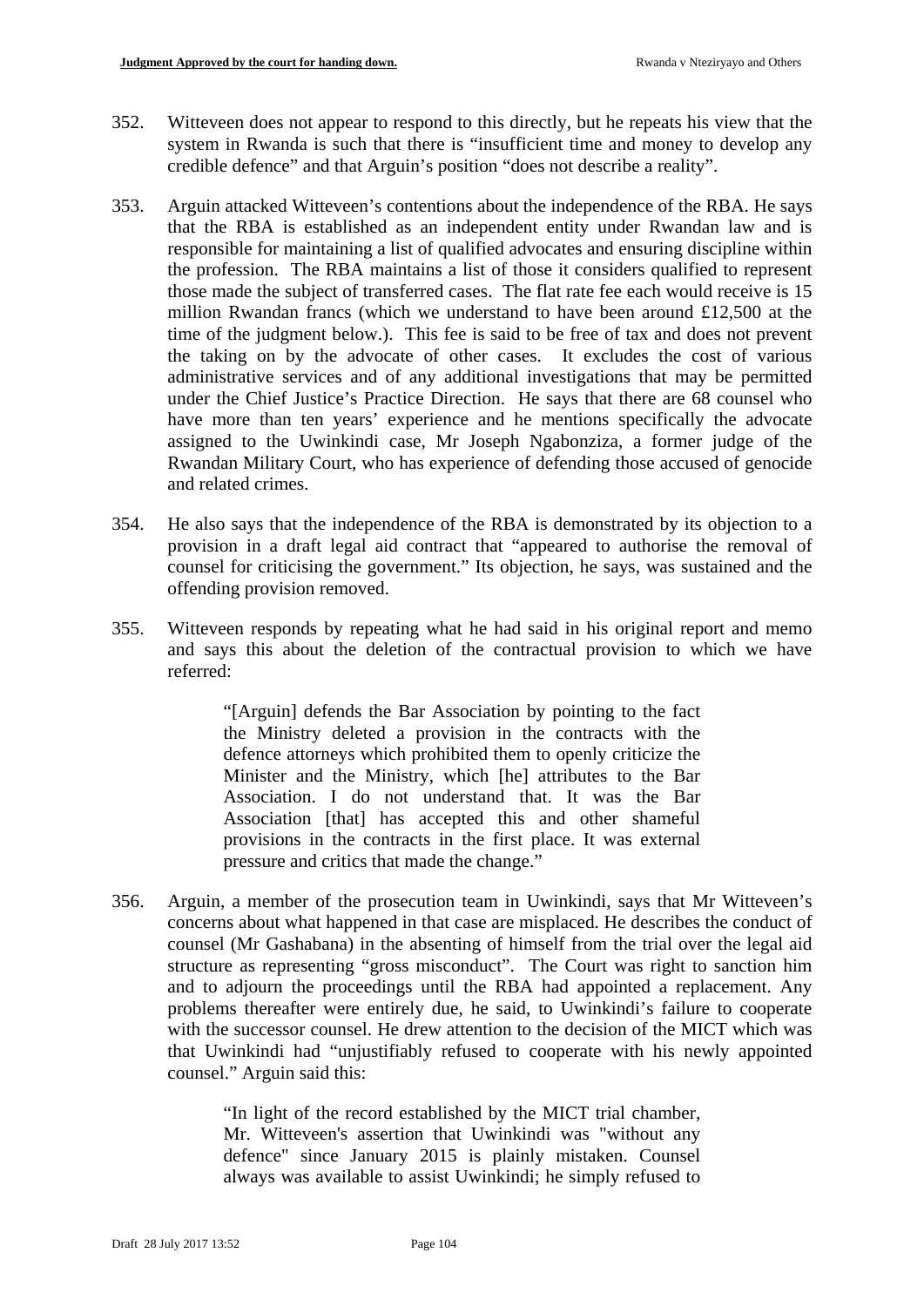- 352. Witteveen does not appear to respond to this directly, but he repeats his view that the system in Rwanda is such that there is "insufficient time and money to develop any credible defence" and that Arguin's position "does not describe a reality".
- 353. Arguin attacked Witteveen's contentions about the independence of the RBA. He says that the RBA is established as an independent entity under Rwandan law and is responsible for maintaining a list of qualified advocates and ensuring discipline within the profession. The RBA maintains a list of those it considers qualified to represent those made the subject of transferred cases. The flat rate fee each would receive is 15 million Rwandan francs (which we understand to have been around £12,500 at the time of the judgment below.). This fee is said to be free of tax and does not prevent the taking on by the advocate of other cases. It excludes the cost of various administrative services and of any additional investigations that may be permitted under the Chief Justice's Practice Direction. He says that there are 68 counsel who have more than ten years' experience and he mentions specifically the advocate assigned to the Uwinkindi case, Mr Joseph Ngabonziza, a former judge of the Rwandan Military Court, who has experience of defending those accused of genocide and related crimes.
- 354. He also says that the independence of the RBA is demonstrated by its objection to a provision in a draft legal aid contract that "appeared to authorise the removal of counsel for criticising the government." Its objection, he says, was sustained and the offending provision removed.
- 355. Witteveen responds by repeating what he had said in his original report and memo and says this about the deletion of the contractual provision to which we have referred:

"[Arguin] defends the Bar Association by pointing to the fact the Ministry deleted a provision in the contracts with the defence attorneys which prohibited them to openly criticize the Minister and the Ministry, which [he] attributes to the Bar Association. I do not understand that. It was the Bar Association [that] has accepted this and other shameful provisions in the contracts in the first place. It was external pressure and critics that made the change."

356. Arguin, a member of the prosecution team in Uwinkindi, says that Mr Witteveen's concerns about what happened in that case are misplaced. He describes the conduct of counsel (Mr Gashabana) in the absenting of himself from the trial over the legal aid structure as representing "gross misconduct". The Court was right to sanction him and to adjourn the proceedings until the RBA had appointed a replacement. Any problems thereafter were entirely due, he said, to Uwinkindi's failure to cooperate with the successor counsel. He drew attention to the decision of the MICT which was that Uwinkindi had "unjustifiably refused to cooperate with his newly appointed counsel." Arguin said this:

> "In light of the record established by the MICT trial chamber, Mr. Witteveen's assertion that Uwinkindi was "without any defence" since January 2015 is plainly mistaken. Counsel always was available to assist Uwinkindi; he simply refused to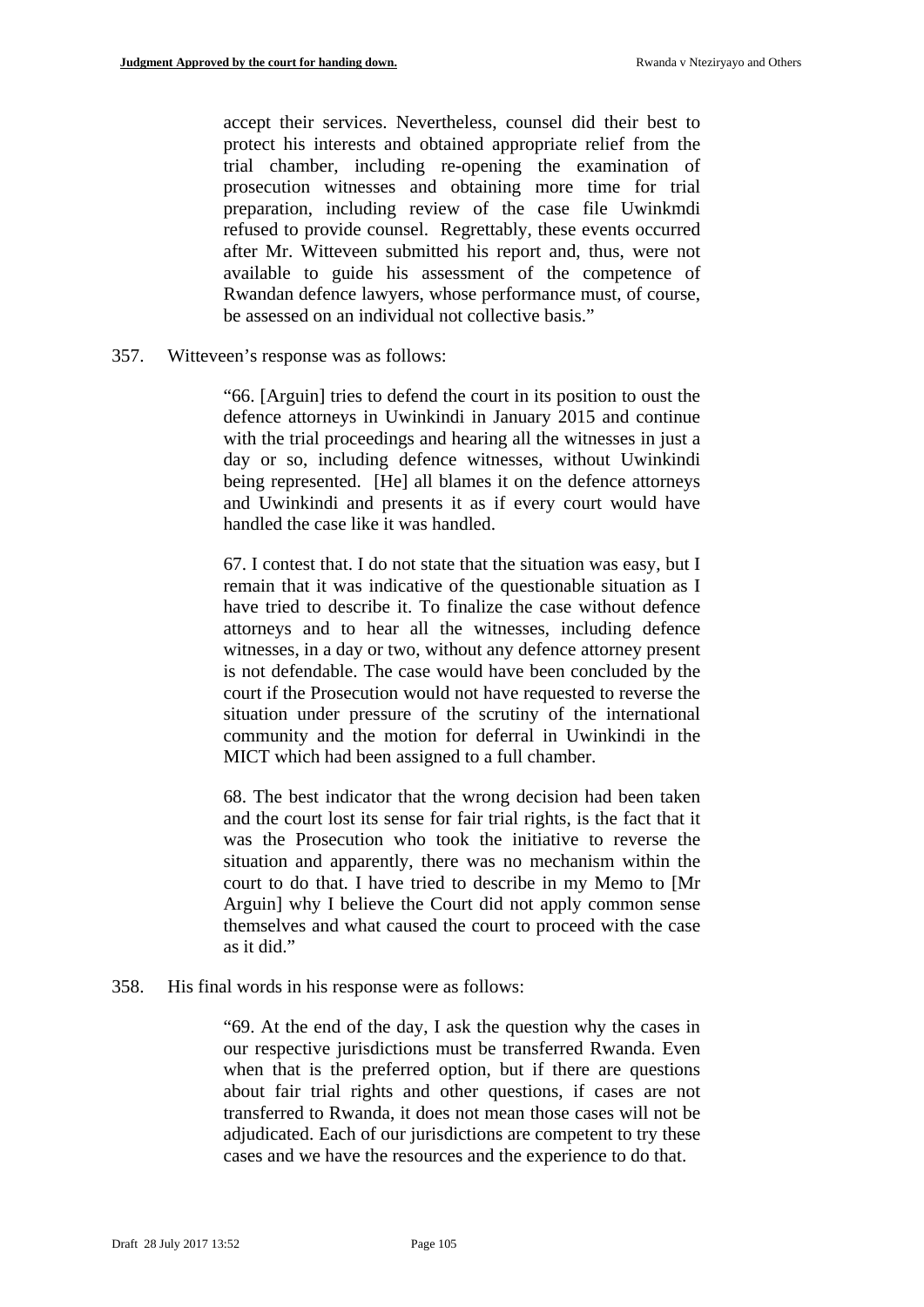accept their services. Nevertheless, counsel did their best to protect his interests and obtained appropriate relief from the trial chamber, including re-opening the examination of prosecution witnesses and obtaining more time for trial preparation, including review of the case file Uwinkmdi refused to provide counsel. Regrettably, these events occurred after Mr. Witteveen submitted his report and, thus, were not available to guide his assessment of the competence of Rwandan defence lawyers, whose performance must, of course, be assessed on an individual not collective basis."

357. Witteveen's response was as follows:

"66. [Arguin] tries to defend the court in its position to oust the defence attorneys in Uwinkindi in January 2015 and continue with the trial proceedings and hearing all the witnesses in just a day or so, including defence witnesses, without Uwinkindi being represented. [He] all blames it on the defence attorneys and Uwinkindi and presents it as if every court would have handled the case like it was handled.

67. I contest that. I do not state that the situation was easy, but I remain that it was indicative of the questionable situation as I have tried to describe it. To finalize the case without defence attorneys and to hear all the witnesses, including defence witnesses, in a day or two, without any defence attorney present is not defendable. The case would have been concluded by the court if the Prosecution would not have requested to reverse the situation under pressure of the scrutiny of the international community and the motion for deferral in Uwinkindi in the MICT which had been assigned to a full chamber.

68. The best indicator that the wrong decision had been taken and the court lost its sense for fair trial rights, is the fact that it was the Prosecution who took the initiative to reverse the situation and apparently, there was no mechanism within the court to do that. I have tried to describe in my Memo to [Mr Arguin] why I believe the Court did not apply common sense themselves and what caused the court to proceed with the case as it did."

358. His final words in his response were as follows:

"69. At the end of the day, I ask the question why the cases in our respective jurisdictions must be transferred Rwanda. Even when that is the preferred option, but if there are questions about fair trial rights and other questions, if cases are not transferred to Rwanda, it does not mean those cases will not be adjudicated. Each of our jurisdictions are competent to try these cases and we have the resources and the experience to do that.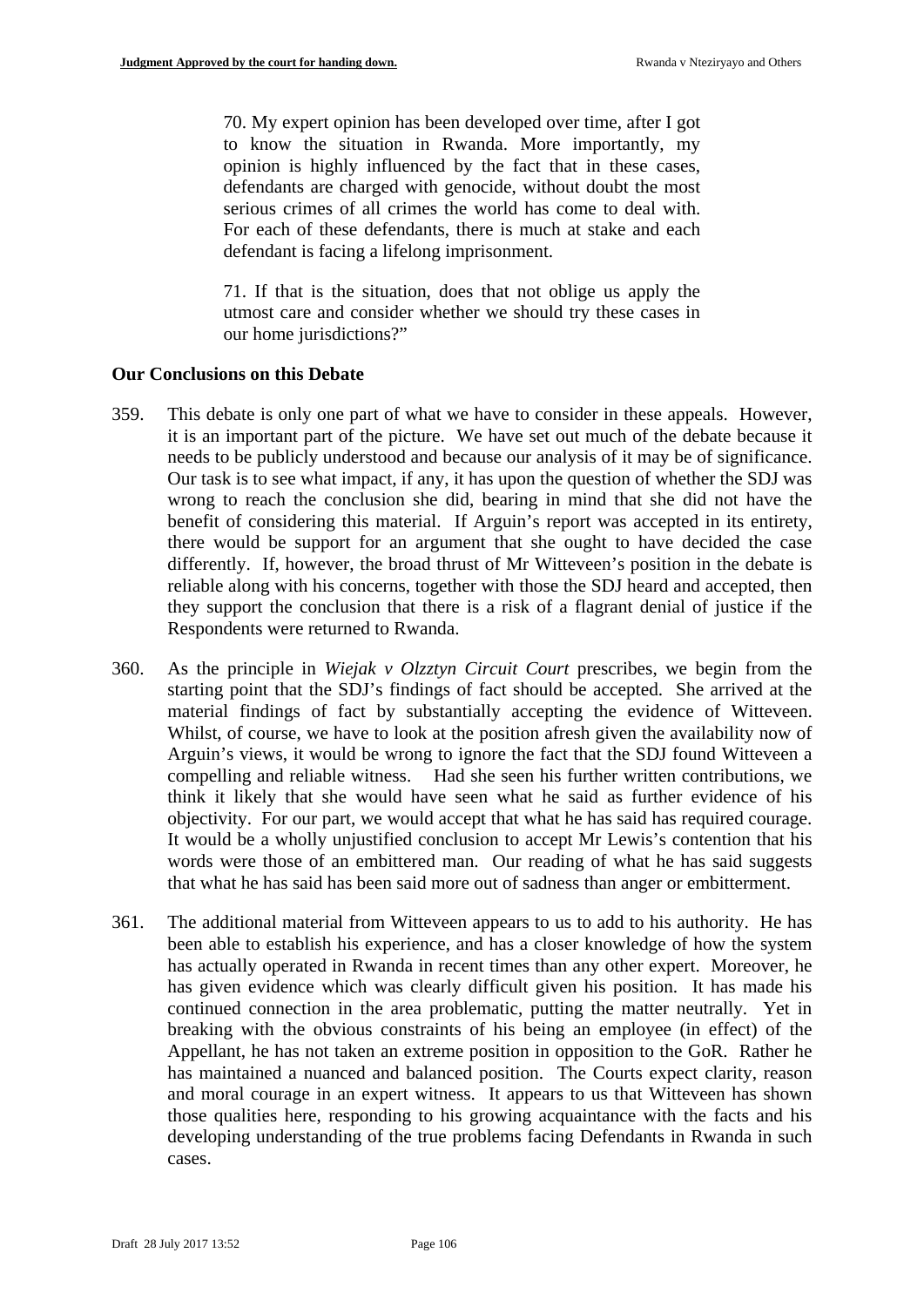70. My expert opinion has been developed over time, after I got to know the situation in Rwanda. More importantly, my opinion is highly influenced by the fact that in these cases, defendants are charged with genocide, without doubt the most serious crimes of all crimes the world has come to deal with. For each of these defendants, there is much at stake and each defendant is facing a lifelong imprisonment.

71. If that is the situation, does that not oblige us apply the utmost care and consider whether we should try these cases in our home jurisdictions?"

#### **Our Conclusions on this Debate**

- 359. This debate is only one part of what we have to consider in these appeals. However, it is an important part of the picture. We have set out much of the debate because it needs to be publicly understood and because our analysis of it may be of significance. Our task is to see what impact, if any, it has upon the question of whether the SDJ was wrong to reach the conclusion she did, bearing in mind that she did not have the benefit of considering this material. If Arguin's report was accepted in its entirety, there would be support for an argument that she ought to have decided the case differently. If, however, the broad thrust of Mr Witteveen's position in the debate is reliable along with his concerns, together with those the SDJ heard and accepted, then they support the conclusion that there is a risk of a flagrant denial of justice if the Respondents were returned to Rwanda.
- compelling and reliable witness. material findings of fact by substantially accepting the evidence of Witteveen. 360. As the principle in *Wiejak v Olzztyn Circuit Court* prescribes, we begin from the starting point that the SDJ's findings of fact should be accepted. She arrived at the Whilst, of course, we have to look at the position afresh given the availability now of Arguin's views, it would be wrong to ignore the fact that the SDJ found Witteveen a Had she seen his further written contributions, we think it likely that she would have seen what he said as further evidence of his objectivity. For our part, we would accept that what he has said has required courage. It would be a wholly unjustified conclusion to accept Mr Lewis's contention that his words were those of an embittered man. Our reading of what he has said suggests that what he has said has been said more out of sadness than anger or embitterment.
- 361. The additional material from Witteveen appears to us to add to his authority. He has been able to establish his experience, and has a closer knowledge of how the system has actually operated in Rwanda in recent times than any other expert. Moreover, he has given evidence which was clearly difficult given his position. It has made his continued connection in the area problematic, putting the matter neutrally. Yet in breaking with the obvious constraints of his being an employee (in effect) of the Appellant, he has not taken an extreme position in opposition to the GoR. Rather he has maintained a nuanced and balanced position. The Courts expect clarity, reason and moral courage in an expert witness. It appears to us that Witteveen has shown those qualities here, responding to his growing acquaintance with the facts and his developing understanding of the true problems facing Defendants in Rwanda in such cases.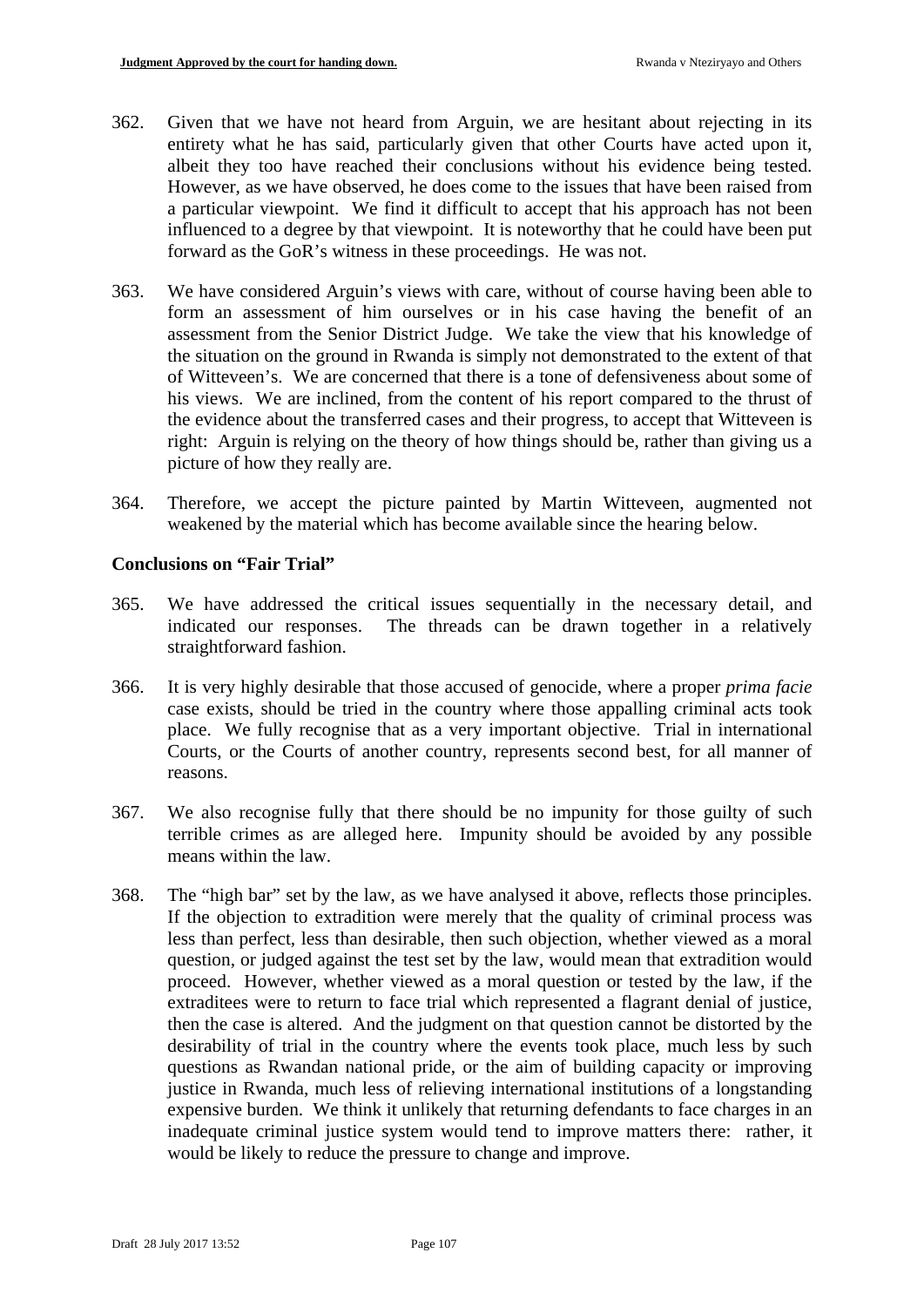- 362. Given that we have not heard from Arguin, we are hesitant about rejecting in its entirety what he has said, particularly given that other Courts have acted upon it, albeit they too have reached their conclusions without his evidence being tested. However, as we have observed, he does come to the issues that have been raised from a particular viewpoint. We find it difficult to accept that his approach has not been influenced to a degree by that viewpoint. It is noteworthy that he could have been put forward as the GoR's witness in these proceedings. He was not.
- 363. We have considered Arguin's views with care, without of course having been able to form an assessment of him ourselves or in his case having the benefit of an assessment from the Senior District Judge. We take the view that his knowledge of the situation on the ground in Rwanda is simply not demonstrated to the extent of that of Witteveen's. We are concerned that there is a tone of defensiveness about some of his views. We are inclined, from the content of his report compared to the thrust of the evidence about the transferred cases and their progress, to accept that Witteveen is right: Arguin is relying on the theory of how things should be, rather than giving us a picture of how they really are.
- 364. Therefore, we accept the picture painted by Martin Witteveen, augmented not weakened by the material which has become available since the hearing below.

# **Conclusions on "Fair Trial"**

- 365. We have addressed the critical issues sequentially in the necessary detail, and indicated our responses. The threads can be drawn together in a relatively straightforward fashion.
- 366. It is very highly desirable that those accused of genocide, where a proper *prima facie*  case exists, should be tried in the country where those appalling criminal acts took place. We fully recognise that as a very important objective. Trial in international Courts, or the Courts of another country, represents second best, for all manner of reasons.
- 367. We also recognise fully that there should be no impunity for those guilty of such terrible crimes as are alleged here. Impunity should be avoided by any possible means within the law.
- 368. The "high bar" set by the law, as we have analysed it above, reflects those principles. If the objection to extradition were merely that the quality of criminal process was less than perfect, less than desirable, then such objection, whether viewed as a moral question, or judged against the test set by the law, would mean that extradition would proceed. However, whether viewed as a moral question or tested by the law, if the extraditees were to return to face trial which represented a flagrant denial of justice, then the case is altered. And the judgment on that question cannot be distorted by the desirability of trial in the country where the events took place, much less by such questions as Rwandan national pride, or the aim of building capacity or improving justice in Rwanda, much less of relieving international institutions of a longstanding expensive burden. We think it unlikely that returning defendants to face charges in an inadequate criminal justice system would tend to improve matters there: rather, it would be likely to reduce the pressure to change and improve.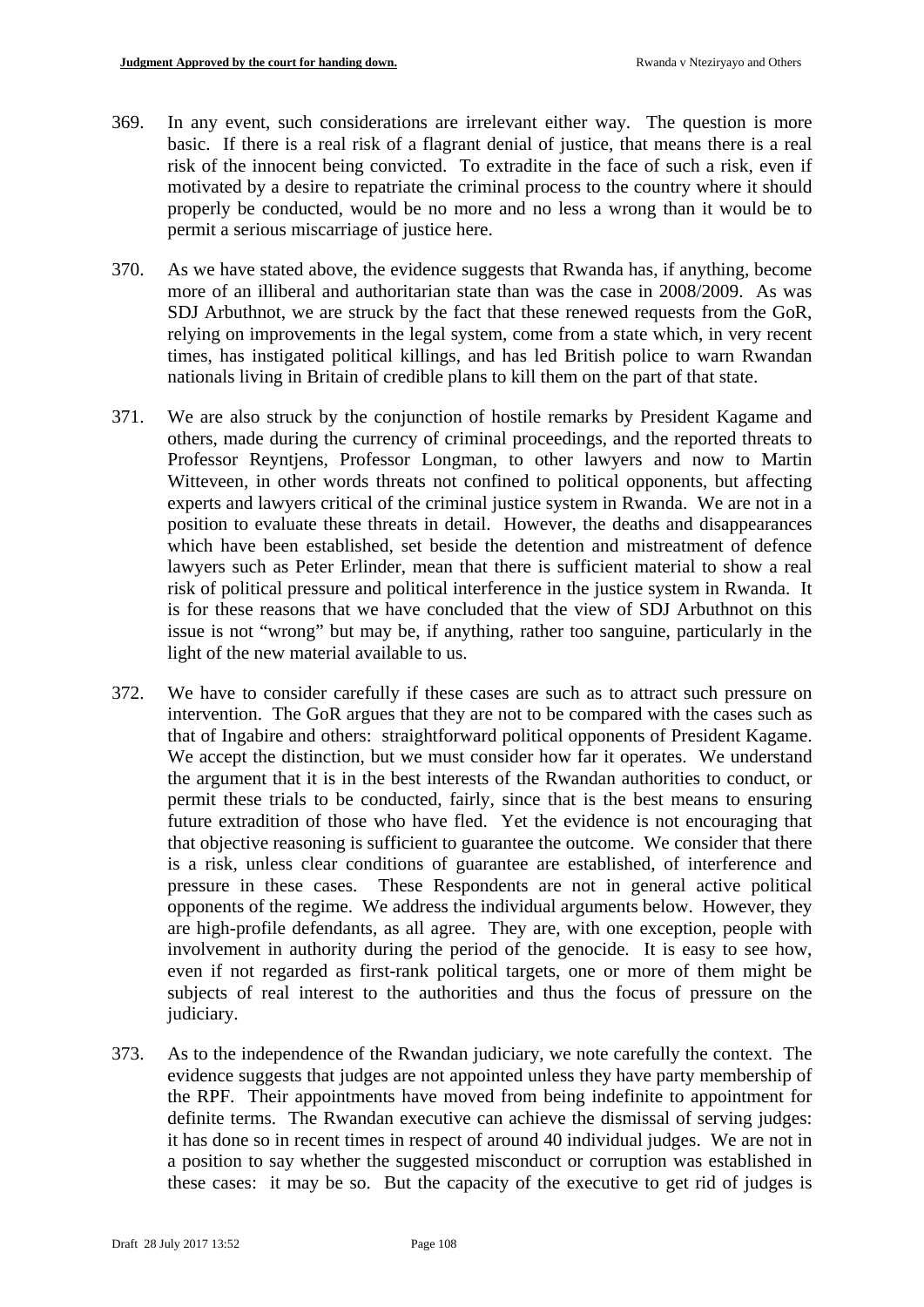- 369. In any event, such considerations are irrelevant either way. The question is more basic. If there is a real risk of a flagrant denial of justice, that means there is a real risk of the innocent being convicted. To extradite in the face of such a risk, even if motivated by a desire to repatriate the criminal process to the country where it should properly be conducted, would be no more and no less a wrong than it would be to permit a serious miscarriage of justice here.
- 370. As we have stated above, the evidence suggests that Rwanda has, if anything, become more of an illiberal and authoritarian state than was the case in 2008/2009. As was SDJ Arbuthnot, we are struck by the fact that these renewed requests from the GoR, relying on improvements in the legal system, come from a state which, in very recent times, has instigated political killings, and has led British police to warn Rwandan nationals living in Britain of credible plans to kill them on the part of that state.
- 371. We are also struck by the conjunction of hostile remarks by President Kagame and others, made during the currency of criminal proceedings, and the reported threats to Professor Reyntjens, Professor Longman, to other lawyers and now to Martin Witteveen, in other words threats not confined to political opponents, but affecting experts and lawyers critical of the criminal justice system in Rwanda. We are not in a position to evaluate these threats in detail. However, the deaths and disappearances which have been established, set beside the detention and mistreatment of defence lawyers such as Peter Erlinder, mean that there is sufficient material to show a real risk of political pressure and political interference in the justice system in Rwanda. It is for these reasons that we have concluded that the view of SDJ Arbuthnot on this issue is not "wrong" but may be, if anything, rather too sanguine, particularly in the light of the new material available to us.
- 372. We have to consider carefully if these cases are such as to attract such pressure on intervention. The GoR argues that they are not to be compared with the cases such as that of Ingabire and others: straightforward political opponents of President Kagame. We accept the distinction, but we must consider how far it operates. We understand the argument that it is in the best interests of the Rwandan authorities to conduct, or permit these trials to be conducted, fairly, since that is the best means to ensuring future extradition of those who have fled. Yet the evidence is not encouraging that that objective reasoning is sufficient to guarantee the outcome. We consider that there is a risk, unless clear conditions of guarantee are established, of interference and pressure in these cases. These Respondents are not in general active political opponents of the regime. We address the individual arguments below. However, they are high-profile defendants, as all agree. They are, with one exception, people with involvement in authority during the period of the genocide. It is easy to see how, even if not regarded as first-rank political targets, one or more of them might be subjects of real interest to the authorities and thus the focus of pressure on the judiciary.
- 373. As to the independence of the Rwandan judiciary, we note carefully the context. The evidence suggests that judges are not appointed unless they have party membership of the RPF. Their appointments have moved from being indefinite to appointment for definite terms. The Rwandan executive can achieve the dismissal of serving judges: it has done so in recent times in respect of around 40 individual judges. We are not in a position to say whether the suggested misconduct or corruption was established in these cases: it may be so. But the capacity of the executive to get rid of judges is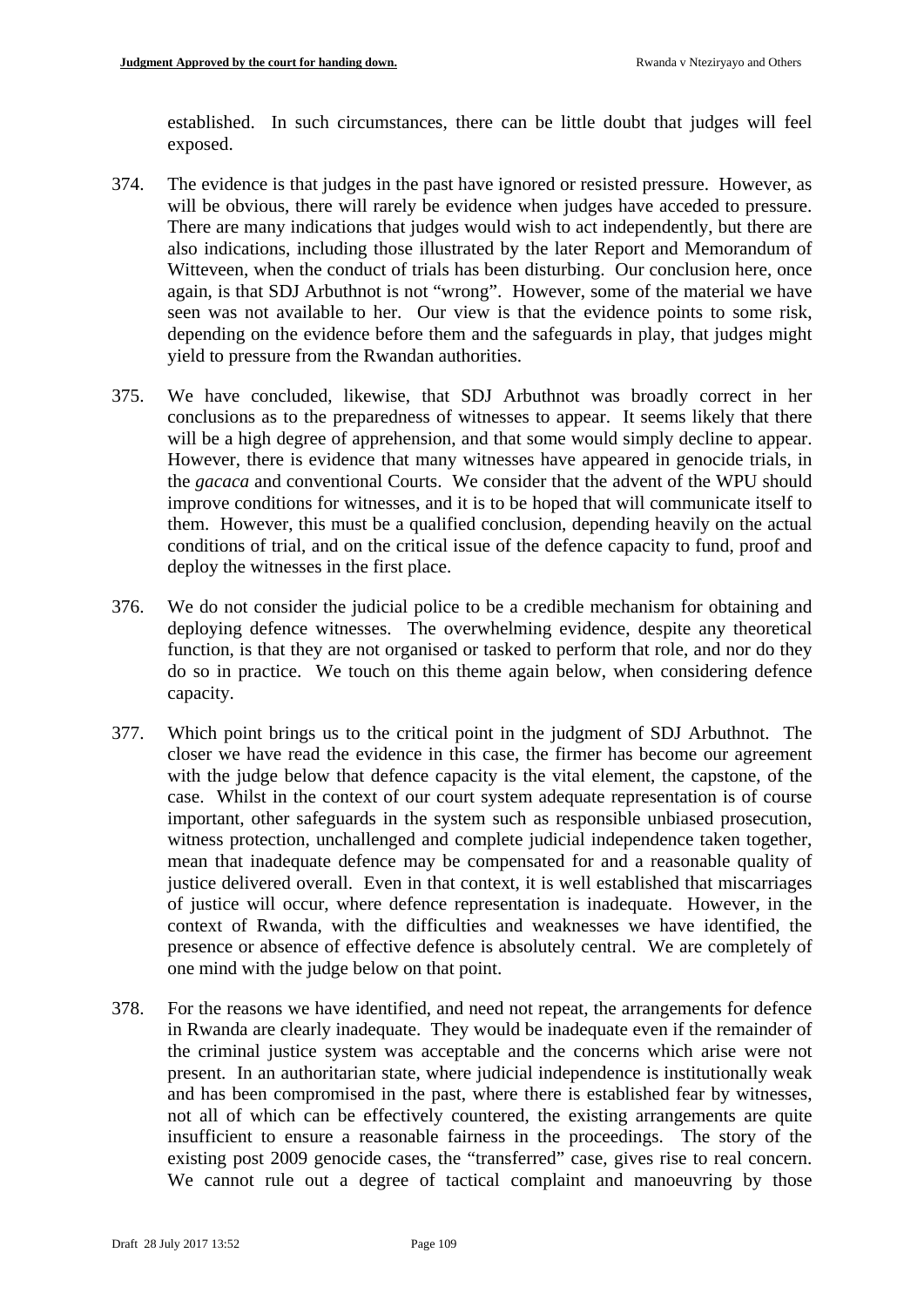established. In such circumstances, there can be little doubt that judges will feel exposed.

- 374. The evidence is that judges in the past have ignored or resisted pressure. However, as will be obvious, there will rarely be evidence when judges have acceded to pressure. There are many indications that judges would wish to act independently, but there are also indications, including those illustrated by the later Report and Memorandum of Witteveen, when the conduct of trials has been disturbing. Our conclusion here, once again, is that SDJ Arbuthnot is not "wrong". However, some of the material we have seen was not available to her. Our view is that the evidence points to some risk, depending on the evidence before them and the safeguards in play, that judges might yield to pressure from the Rwandan authorities.
- 375. We have concluded, likewise, that SDJ Arbuthnot was broadly correct in her conclusions as to the preparedness of witnesses to appear. It seems likely that there will be a high degree of apprehension, and that some would simply decline to appear. However, there is evidence that many witnesses have appeared in genocide trials, in the *gacaca* and conventional Courts. We consider that the advent of the WPU should improve conditions for witnesses, and it is to be hoped that will communicate itself to them. However, this must be a qualified conclusion, depending heavily on the actual conditions of trial, and on the critical issue of the defence capacity to fund, proof and deploy the witnesses in the first place.
- 376. We do not consider the judicial police to be a credible mechanism for obtaining and deploying defence witnesses. The overwhelming evidence, despite any theoretical function, is that they are not organised or tasked to perform that role, and nor do they do so in practice. We touch on this theme again below, when considering defence capacity.
- 377. Which point brings us to the critical point in the judgment of SDJ Arbuthnot. The closer we have read the evidence in this case, the firmer has become our agreement with the judge below that defence capacity is the vital element, the capstone, of the case. Whilst in the context of our court system adequate representation is of course important, other safeguards in the system such as responsible unbiased prosecution, witness protection, unchallenged and complete judicial independence taken together, mean that inadequate defence may be compensated for and a reasonable quality of justice delivered overall. Even in that context, it is well established that miscarriages of justice will occur, where defence representation is inadequate. However, in the context of Rwanda, with the difficulties and weaknesses we have identified, the presence or absence of effective defence is absolutely central. We are completely of one mind with the judge below on that point.
- 378. For the reasons we have identified, and need not repeat, the arrangements for defence in Rwanda are clearly inadequate. They would be inadequate even if the remainder of the criminal justice system was acceptable and the concerns which arise were not present. In an authoritarian state, where judicial independence is institutionally weak and has been compromised in the past, where there is established fear by witnesses, not all of which can be effectively countered, the existing arrangements are quite insufficient to ensure a reasonable fairness in the proceedings. The story of the existing post 2009 genocide cases, the "transferred" case, gives rise to real concern. We cannot rule out a degree of tactical complaint and manoeuvring by those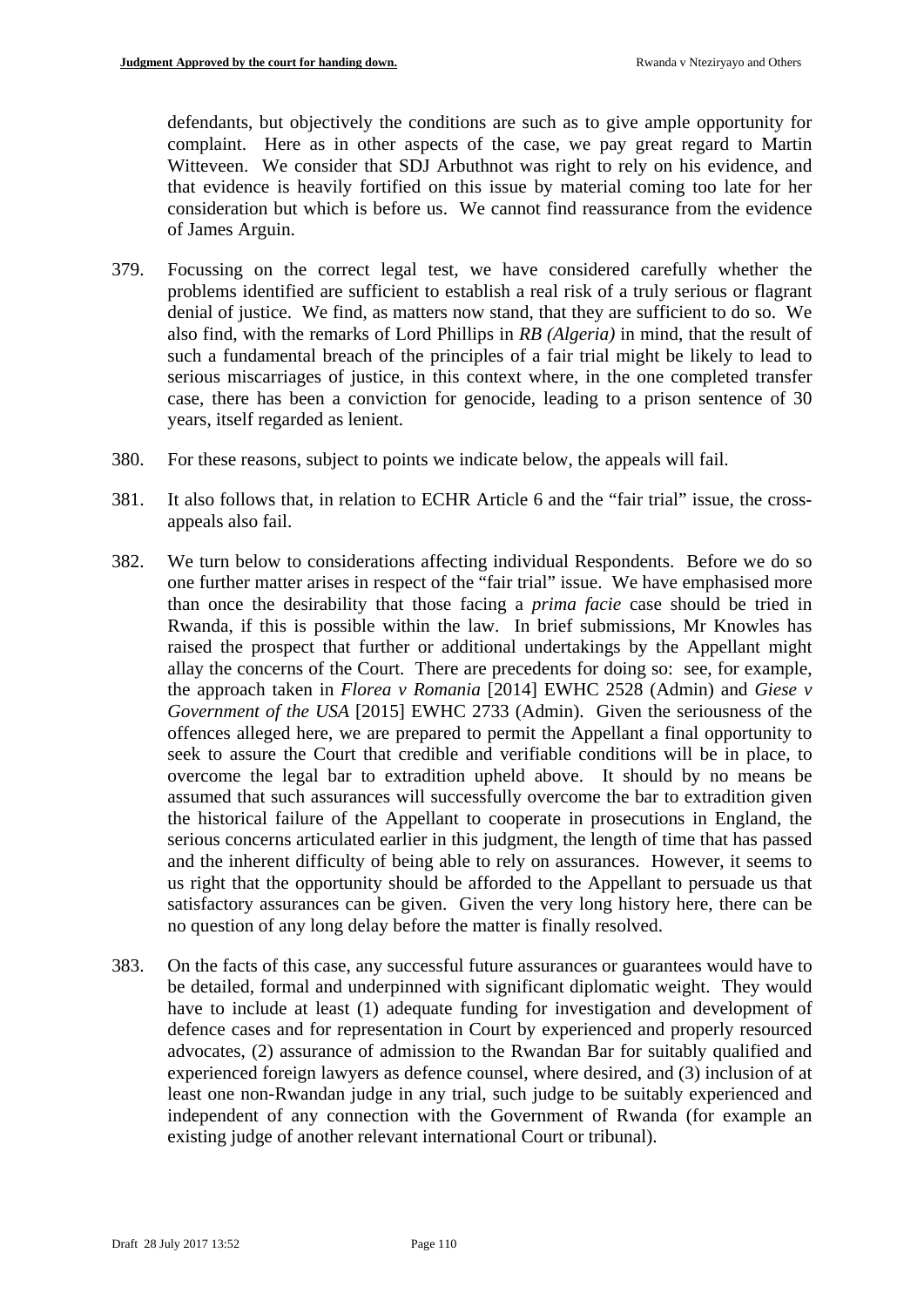defendants, but objectively the conditions are such as to give ample opportunity for complaint. Here as in other aspects of the case, we pay great regard to Martin Witteveen. We consider that SDJ Arbuthnot was right to rely on his evidence, and that evidence is heavily fortified on this issue by material coming too late for her consideration but which is before us. We cannot find reassurance from the evidence of James Arguin.

- 379. Focussing on the correct legal test, we have considered carefully whether the problems identified are sufficient to establish a real risk of a truly serious or flagrant denial of justice. We find, as matters now stand, that they are sufficient to do so. We also find, with the remarks of Lord Phillips in *RB (Algeria)* in mind, that the result of such a fundamental breach of the principles of a fair trial might be likely to lead to serious miscarriages of justice, in this context where, in the one completed transfer case, there has been a conviction for genocide, leading to a prison sentence of 30 years, itself regarded as lenient.
- 380. For these reasons, subject to points we indicate below, the appeals will fail.
- 381. It also follows that, in relation to ECHR Article 6 and the "fair trial" issue, the crossappeals also fail.
- 382. We turn below to considerations affecting individual Respondents. Before we do so one further matter arises in respect of the "fair trial" issue. We have emphasised more than once the desirability that those facing a *prima facie* case should be tried in Rwanda, if this is possible within the law. In brief submissions, Mr Knowles has raised the prospect that further or additional undertakings by the Appellant might allay the concerns of the Court. There are precedents for doing so: see, for example, the approach taken in *Florea v Romania* [2014] EWHC 2528 (Admin) and *Giese v Government of the USA* [2015] EWHC 2733 (Admin). Given the seriousness of the offences alleged here, we are prepared to permit the Appellant a final opportunity to seek to assure the Court that credible and verifiable conditions will be in place, to overcome the legal bar to extradition upheld above. It should by no means be assumed that such assurances will successfully overcome the bar to extradition given the historical failure of the Appellant to cooperate in prosecutions in England, the serious concerns articulated earlier in this judgment, the length of time that has passed and the inherent difficulty of being able to rely on assurances. However, it seems to us right that the opportunity should be afforded to the Appellant to persuade us that satisfactory assurances can be given. Given the very long history here, there can be no question of any long delay before the matter is finally resolved.
- 383. On the facts of this case, any successful future assurances or guarantees would have to be detailed, formal and underpinned with significant diplomatic weight. They would have to include at least (1) adequate funding for investigation and development of defence cases and for representation in Court by experienced and properly resourced advocates, (2) assurance of admission to the Rwandan Bar for suitably qualified and experienced foreign lawyers as defence counsel, where desired, and (3) inclusion of at least one non-Rwandan judge in any trial, such judge to be suitably experienced and independent of any connection with the Government of Rwanda (for example an existing judge of another relevant international Court or tribunal).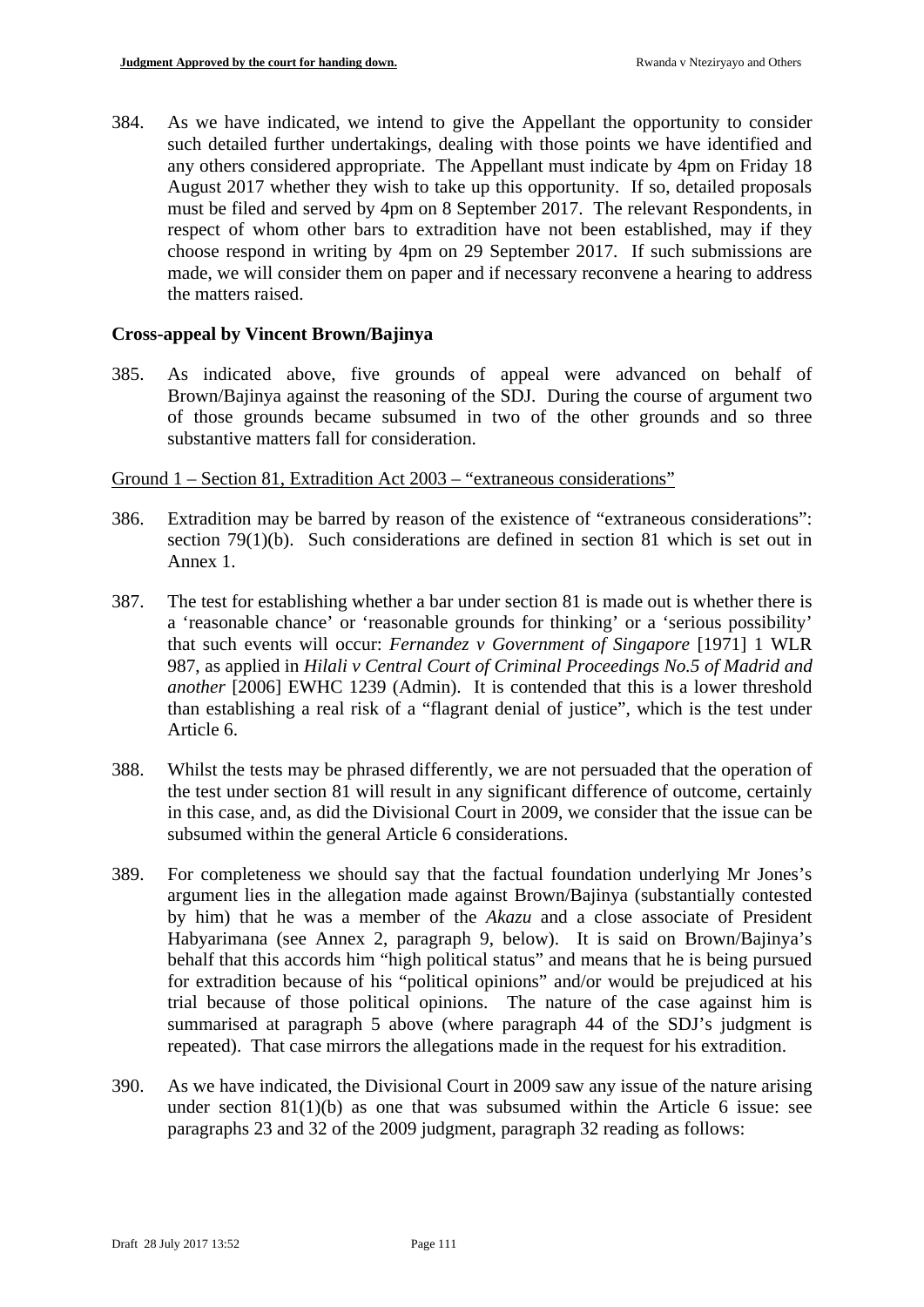384. As we have indicated, we intend to give the Appellant the opportunity to consider such detailed further undertakings, dealing with those points we have identified and any others considered appropriate. The Appellant must indicate by 4pm on Friday 18 August 2017 whether they wish to take up this opportunity. If so, detailed proposals must be filed and served by 4pm on 8 September 2017. The relevant Respondents, in respect of whom other bars to extradition have not been established, may if they choose respond in writing by 4pm on 29 September 2017. If such submissions are made, we will consider them on paper and if necessary reconvene a hearing to address the matters raised.

# **Cross-appeal by Vincent Brown/Bajinya**

385. As indicated above, five grounds of appeal were advanced on behalf of Brown/Bajinya against the reasoning of the SDJ. During the course of argument two of those grounds became subsumed in two of the other grounds and so three substantive matters fall for consideration.

### Ground 1 – Section 81, Extradition Act 2003 – "extraneous considerations"

- 386. Extradition may be barred by reason of the existence of "extraneous considerations": section 79(1)(b). Such considerations are defined in section 81 which is set out in Annex 1.
- 387. The test for establishing whether a bar under section 81 is made out is whether there is a 'reasonable chance' or 'reasonable grounds for thinking' or a 'serious possibility' that such events will occur: *Fernandez v Government of Singapore* [1971] 1 WLR 987, as applied in *Hilali v Central Court of Criminal Proceedings No.5 of Madrid and another* [2006] EWHC 1239 (Admin). It is contended that this is a lower threshold than establishing a real risk of a "flagrant denial of justice", which is the test under Article 6.
- 388. Whilst the tests may be phrased differently, we are not persuaded that the operation of the test under section 81 will result in any significant difference of outcome, certainly in this case, and, as did the Divisional Court in 2009, we consider that the issue can be subsumed within the general Article 6 considerations.
- 389. For completeness we should say that the factual foundation underlying Mr Jones's argument lies in the allegation made against Brown/Bajinya (substantially contested by him) that he was a member of the *Akazu* and a close associate of President Habyarimana (see Annex 2, paragraph 9, below). It is said on Brown/Bajinya's behalf that this accords him "high political status" and means that he is being pursued for extradition because of his "political opinions" and/or would be prejudiced at his trial because of those political opinions. The nature of the case against him is summarised at paragraph 5 above (where paragraph 44 of the SDJ's judgment is repeated). That case mirrors the allegations made in the request for his extradition.
- 390. As we have indicated, the Divisional Court in 2009 saw any issue of the nature arising under section  $81(1)(b)$  as one that was subsumed within the Article 6 issue: see paragraphs 23 and 32 of the 2009 judgment, paragraph 32 reading as follows: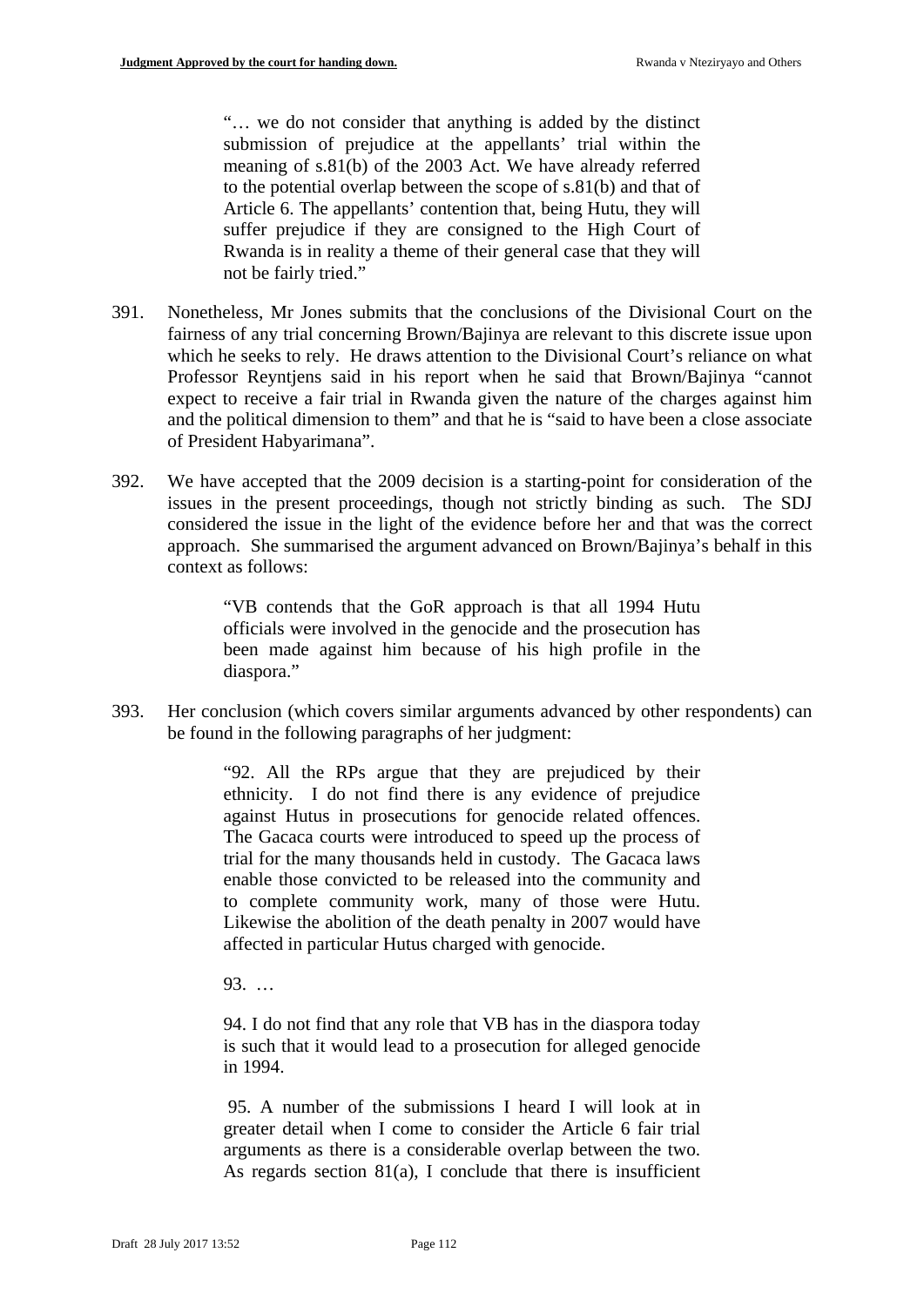"… we do not consider that anything is added by the distinct submission of prejudice at the appellants' trial within the meaning of s.81(b) of the 2003 Act. We have already referred to the potential overlap between the scope of s.81(b) and that of Article 6. The appellants' contention that, being Hutu, they will suffer prejudice if they are consigned to the High Court of Rwanda is in reality a theme of their general case that they will not be fairly tried."

- 391. Nonetheless, Mr Jones submits that the conclusions of the Divisional Court on the fairness of any trial concerning Brown/Bajinya are relevant to this discrete issue upon which he seeks to rely. He draws attention to the Divisional Court's reliance on what Professor Reyntjens said in his report when he said that Brown/Bajinya "cannot expect to receive a fair trial in Rwanda given the nature of the charges against him and the political dimension to them" and that he is "said to have been a close associate of President Habyarimana".
- 392. We have accepted that the 2009 decision is a starting-point for consideration of the issues in the present proceedings, though not strictly binding as such. The SDJ considered the issue in the light of the evidence before her and that was the correct approach. She summarised the argument advanced on Brown/Bajinya's behalf in this context as follows:

"VB contends that the GoR approach is that all 1994 Hutu officials were involved in the genocide and the prosecution has been made against him because of his high profile in the diaspora."

393. Her conclusion (which covers similar arguments advanced by other respondents) can be found in the following paragraphs of her judgment:

> "92. All the RPs argue that they are prejudiced by their ethnicity. I do not find there is any evidence of prejudice against Hutus in prosecutions for genocide related offences. The Gacaca courts were introduced to speed up the process of trial for the many thousands held in custody. The Gacaca laws enable those convicted to be released into the community and to complete community work, many of those were Hutu. Likewise the abolition of the death penalty in 2007 would have affected in particular Hutus charged with genocide.

93. …

94. I do not find that any role that VB has in the diaspora today is such that it would lead to a prosecution for alleged genocide in 1994.

95. A number of the submissions I heard I will look at in greater detail when I come to consider the Article 6 fair trial arguments as there is a considerable overlap between the two. As regards section  $81(a)$ , I conclude that there is insufficient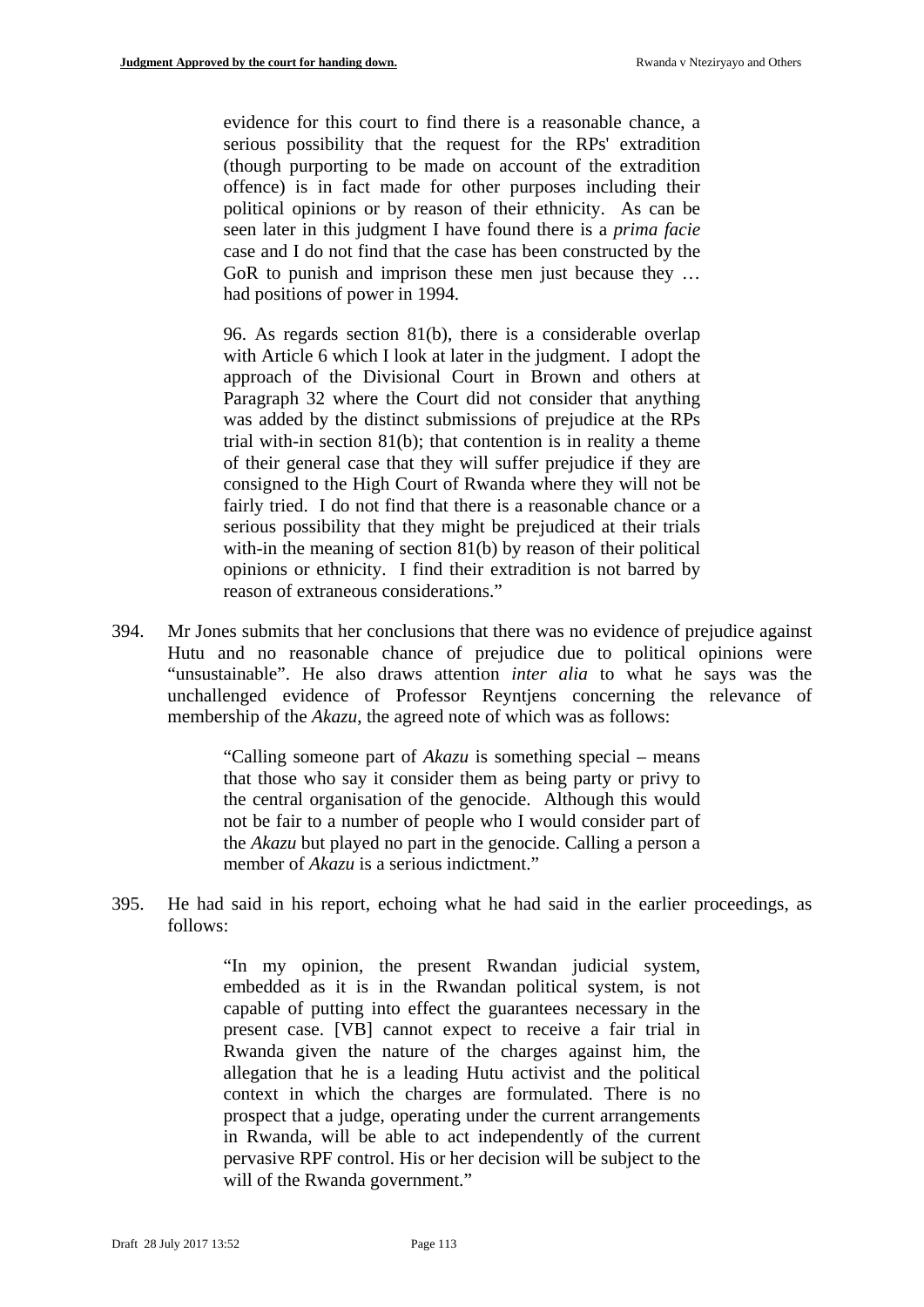evidence for this court to find there is a reasonable chance, a serious possibility that the request for the RPs' extradition (though purporting to be made on account of the extradition offence) is in fact made for other purposes including their political opinions or by reason of their ethnicity. As can be seen later in this judgment I have found there is a *prima facie*  case and I do not find that the case has been constructed by the GoR to punish and imprison these men just because they ... had positions of power in 1994.

96. As regards section 81(b), there is a considerable overlap with Article 6 which I look at later in the judgment. I adopt the approach of the Divisional Court in Brown and others at Paragraph 32 where the Court did not consider that anything was added by the distinct submissions of prejudice at the RPs trial with-in section 81(b); that contention is in reality a theme of their general case that they will suffer prejudice if they are consigned to the High Court of Rwanda where they will not be fairly tried. I do not find that there is a reasonable chance or a serious possibility that they might be prejudiced at their trials with-in the meaning of section 81(b) by reason of their political opinions or ethnicity. I find their extradition is not barred by reason of extraneous considerations."

394. Mr Jones submits that her conclusions that there was no evidence of prejudice against Hutu and no reasonable chance of prejudice due to political opinions were "unsustainable". He also draws attention *inter alia* to what he says was the unchallenged evidence of Professor Reyntjens concerning the relevance of membership of the *Akazu*, the agreed note of which was as follows:

> "Calling someone part of *Akazu* is something special – means that those who say it consider them as being party or privy to the central organisation of the genocide. Although this would not be fair to a number of people who I would consider part of the *Akazu* but played no part in the genocide. Calling a person a member of *Akazu* is a serious indictment."

395. He had said in his report, echoing what he had said in the earlier proceedings, as follows:

> "In my opinion, the present Rwandan judicial system, embedded as it is in the Rwandan political system, is not capable of putting into effect the guarantees necessary in the present case. [VB] cannot expect to receive a fair trial in Rwanda given the nature of the charges against him, the allegation that he is a leading Hutu activist and the political context in which the charges are formulated. There is no prospect that a judge, operating under the current arrangements in Rwanda, will be able to act independently of the current pervasive RPF control. His or her decision will be subject to the will of the Rwanda government."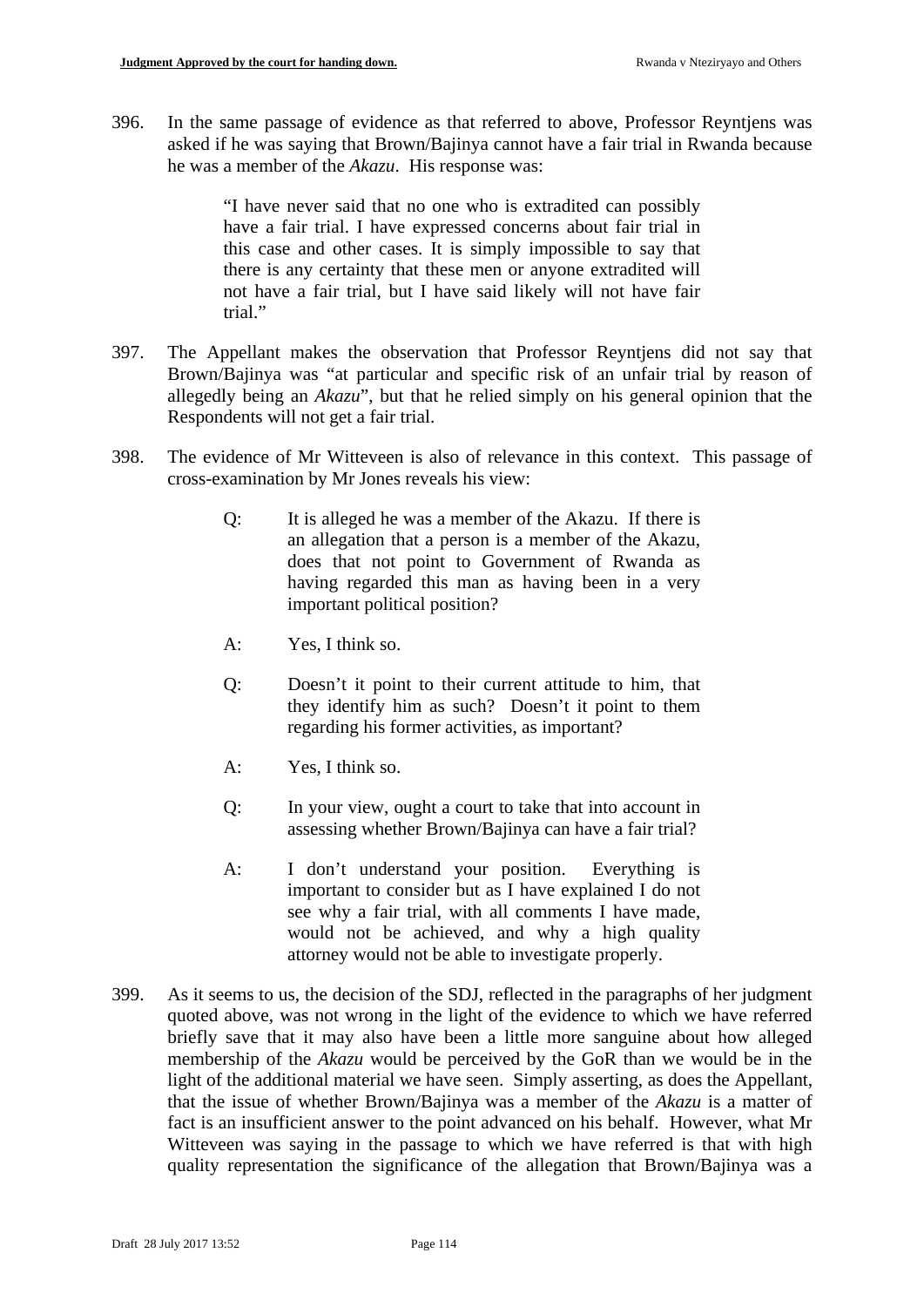396. In the same passage of evidence as that referred to above, Professor Reyntjens was asked if he was saying that Brown/Bajinya cannot have a fair trial in Rwanda because he was a member of the *Akazu*. His response was:

> "I have never said that no one who is extradited can possibly have a fair trial. I have expressed concerns about fair trial in this case and other cases. It is simply impossible to say that there is any certainty that these men or anyone extradited will not have a fair trial, but I have said likely will not have fair trial."

- 397. The Appellant makes the observation that Professor Reyntjens did not say that Brown/Bajinya was "at particular and specific risk of an unfair trial by reason of allegedly being an *Akazu*", but that he relied simply on his general opinion that the Respondents will not get a fair trial.
- 398. The evidence of Mr Witteveen is also of relevance in this context. This passage of cross-examination by Mr Jones reveals his view:
	- Q: It is alleged he was a member of the Akazu. If there is an allegation that a person is a member of the Akazu, does that not point to Government of Rwanda as having regarded this man as having been in a very important political position?
	- A: Yes, I think so.
	- Q: Doesn't it point to their current attitude to him, that they identify him as such? Doesn't it point to them regarding his former activities, as important?
	- A: Yes, I think so.
	- Q: In your view, ought a court to take that into account in assessing whether Brown/Bajinya can have a fair trial?
	- A: I don't understand your position. Everything is important to consider but as I have explained I do not see why a fair trial, with all comments I have made, would not be achieved, and why a high quality attorney would not be able to investigate properly.
- 399. As it seems to us, the decision of the SDJ, reflected in the paragraphs of her judgment quoted above, was not wrong in the light of the evidence to which we have referred briefly save that it may also have been a little more sanguine about how alleged membership of the *Akazu* would be perceived by the GoR than we would be in the light of the additional material we have seen. Simply asserting, as does the Appellant, that the issue of whether Brown/Bajinya was a member of the *Akazu* is a matter of fact is an insufficient answer to the point advanced on his behalf. However, what Mr Witteveen was saying in the passage to which we have referred is that with high quality representation the significance of the allegation that Brown/Bajinya was a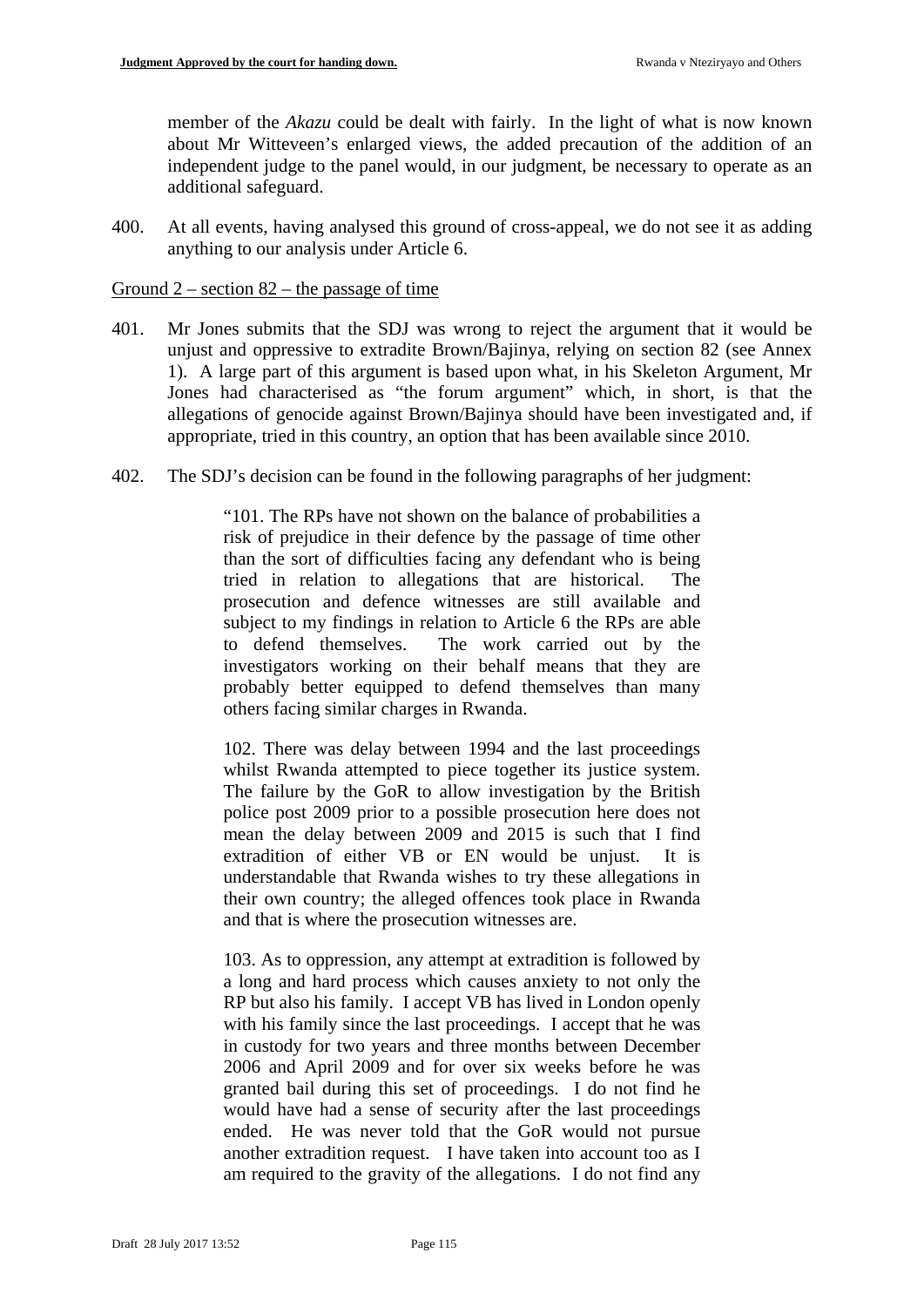member of the *Akazu* could be dealt with fairly. In the light of what is now known about Mr Witteveen's enlarged views, the added precaution of the addition of an independent judge to the panel would, in our judgment, be necessary to operate as an additional safeguard.

400. At all events, having analysed this ground of cross-appeal, we do not see it as adding anything to our analysis under Article 6.

Ground  $2$  – section  $82$  – the passage of time

- 401. Mr Jones submits that the SDJ was wrong to reject the argument that it would be unjust and oppressive to extradite Brown/Bajinya, relying on section 82 (see Annex 1). A large part of this argument is based upon what, in his Skeleton Argument, Mr Jones had characterised as "the forum argument" which, in short, is that the allegations of genocide against Brown/Bajinya should have been investigated and, if appropriate, tried in this country, an option that has been available since 2010.
- 402. The SDJ's decision can be found in the following paragraphs of her judgment:

"101. The RPs have not shown on the balance of probabilities a risk of prejudice in their defence by the passage of time other than the sort of difficulties facing any defendant who is being tried in relation to allegations that are historical. The prosecution and defence witnesses are still available and subject to my findings in relation to Article 6 the RPs are able to defend themselves. The work carried out by the investigators working on their behalf means that they are probably better equipped to defend themselves than many others facing similar charges in Rwanda.

102. There was delay between 1994 and the last proceedings whilst Rwanda attempted to piece together its justice system. The failure by the GoR to allow investigation by the British police post 2009 prior to a possible prosecution here does not mean the delay between 2009 and 2015 is such that I find extradition of either VB or EN would be unjust. It is understandable that Rwanda wishes to try these allegations in their own country; the alleged offences took place in Rwanda and that is where the prosecution witnesses are.

103. As to oppression, any attempt at extradition is followed by a long and hard process which causes anxiety to not only the RP but also his family. I accept VB has lived in London openly with his family since the last proceedings. I accept that he was in custody for two years and three months between December 2006 and April 2009 and for over six weeks before he was granted bail during this set of proceedings. I do not find he would have had a sense of security after the last proceedings ended. He was never told that the GoR would not pursue another extradition request. I have taken into account too as I am required to the gravity of the allegations. I do not find any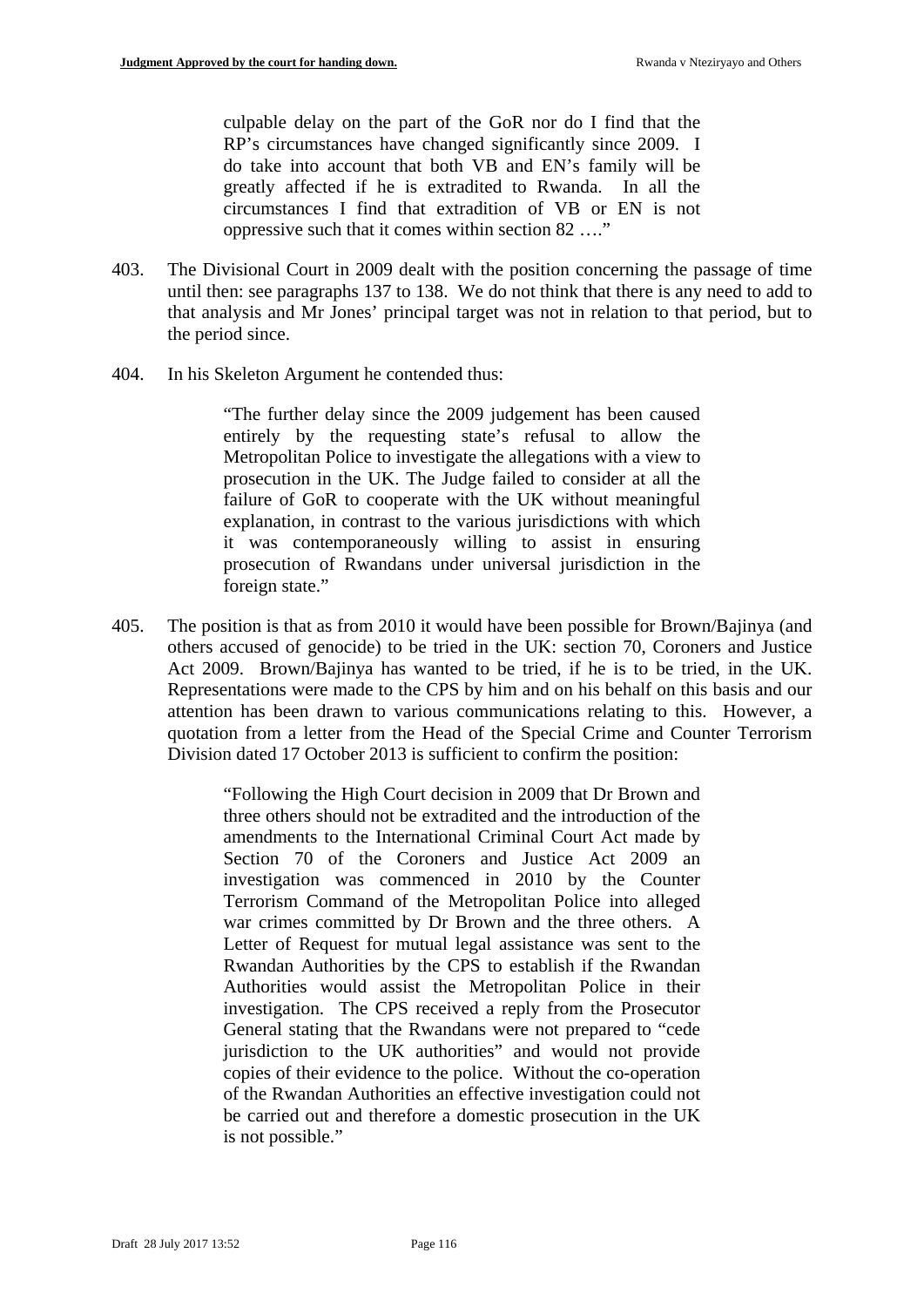culpable delay on the part of the GoR nor do I find that the RP's circumstances have changed significantly since 2009. I do take into account that both VB and EN's family will be greatly affected if he is extradited to Rwanda. In all the circumstances I find that extradition of VB or EN is not oppressive such that it comes within section 82 …."

- 403. The Divisional Court in 2009 dealt with the position concerning the passage of time until then: see paragraphs 137 to 138. We do not think that there is any need to add to that analysis and Mr Jones' principal target was not in relation to that period, but to the period since.
- 404. In his Skeleton Argument he contended thus:

"The further delay since the 2009 judgement has been caused entirely by the requesting state's refusal to allow the Metropolitan Police to investigate the allegations with a view to prosecution in the UK. The Judge failed to consider at all the failure of GoR to cooperate with the UK without meaningful explanation, in contrast to the various jurisdictions with which it was contemporaneously willing to assist in ensuring prosecution of Rwandans under universal jurisdiction in the foreign state."

405. The position is that as from 2010 it would have been possible for Brown/Bajinya (and others accused of genocide) to be tried in the UK: section 70, Coroners and Justice Act 2009. Brown/Bajinya has wanted to be tried, if he is to be tried, in the UK. Representations were made to the CPS by him and on his behalf on this basis and our attention has been drawn to various communications relating to this. However, a quotation from a letter from the Head of the Special Crime and Counter Terrorism Division dated 17 October 2013 is sufficient to confirm the position:

> "Following the High Court decision in 2009 that Dr Brown and three others should not be extradited and the introduction of the amendments to the International Criminal Court Act made by Section 70 of the Coroners and Justice Act 2009 an investigation was commenced in 2010 by the Counter Terrorism Command of the Metropolitan Police into alleged war crimes committed by Dr Brown and the three others. A Letter of Request for mutual legal assistance was sent to the Rwandan Authorities by the CPS to establish if the Rwandan Authorities would assist the Metropolitan Police in their investigation. The CPS received a reply from the Prosecutor General stating that the Rwandans were not prepared to "cede jurisdiction to the UK authorities" and would not provide copies of their evidence to the police. Without the co-operation of the Rwandan Authorities an effective investigation could not be carried out and therefore a domestic prosecution in the UK is not possible."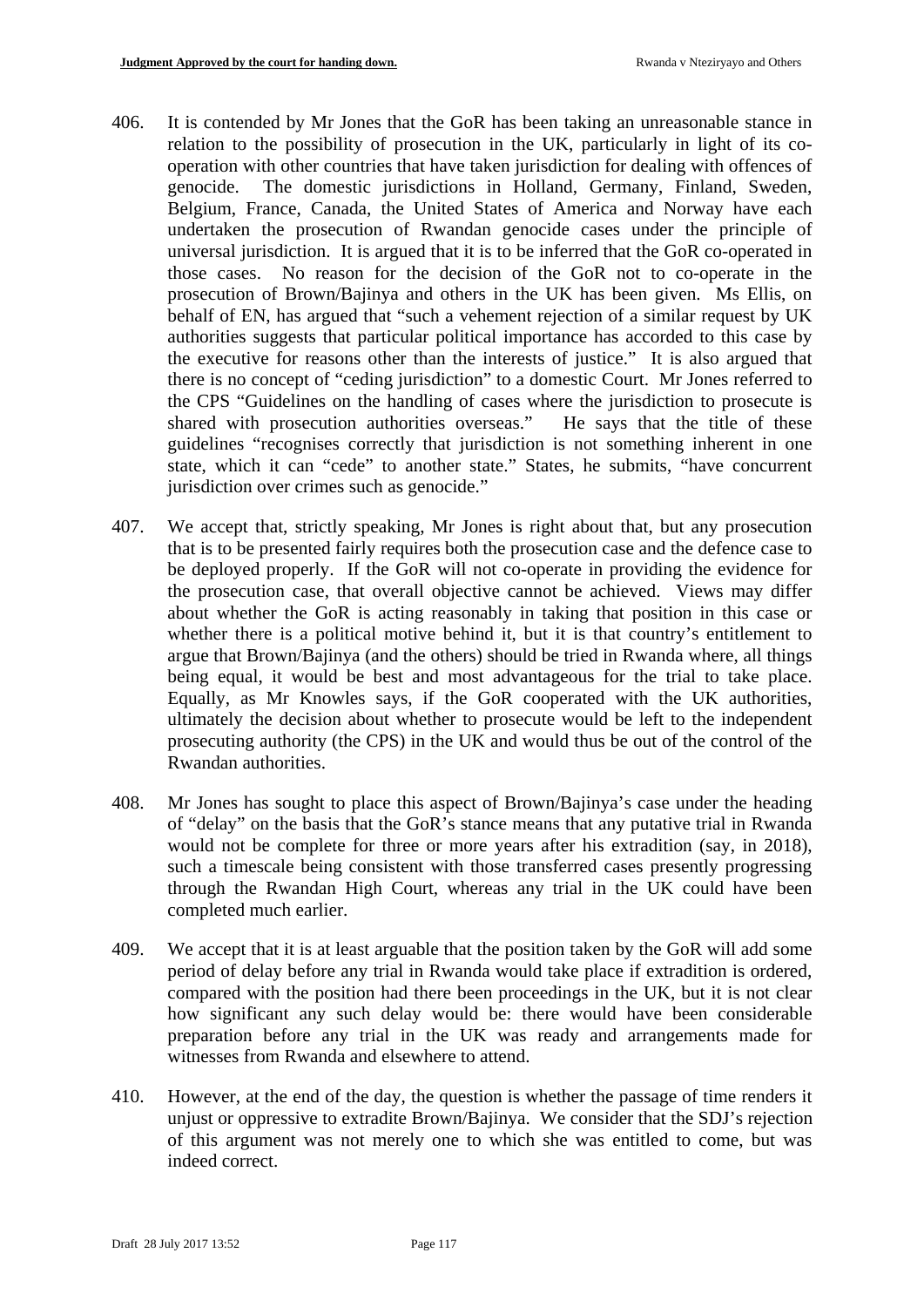- 406. It is contended by Mr Jones that the GoR has been taking an unreasonable stance in relation to the possibility of prosecution in the UK, particularly in light of its cooperation with other countries that have taken jurisdiction for dealing with offences of genocide. The domestic jurisdictions in Holland, Germany, Finland, Sweden, Belgium, France, Canada, the United States of America and Norway have each undertaken the prosecution of Rwandan genocide cases under the principle of universal jurisdiction. It is argued that it is to be inferred that the GoR co-operated in those cases. No reason for the decision of the GoR not to co-operate in the prosecution of Brown/Bajinya and others in the UK has been given. Ms Ellis, on behalf of EN, has argued that "such a vehement rejection of a similar request by UK authorities suggests that particular political importance has accorded to this case by the executive for reasons other than the interests of justice." It is also argued that there is no concept of "ceding jurisdiction" to a domestic Court. Mr Jones referred to the CPS "Guidelines on the handling of cases where the jurisdiction to prosecute is shared with prosecution authorities overseas." He says that the title of these guidelines "recognises correctly that jurisdiction is not something inherent in one state, which it can "cede" to another state." States, he submits, "have concurrent jurisdiction over crimes such as genocide."
- 407. We accept that, strictly speaking, Mr Jones is right about that, but any prosecution that is to be presented fairly requires both the prosecution case and the defence case to be deployed properly. If the GoR will not co-operate in providing the evidence for the prosecution case, that overall objective cannot be achieved. Views may differ about whether the GoR is acting reasonably in taking that position in this case or whether there is a political motive behind it, but it is that country's entitlement to argue that Brown/Bajinya (and the others) should be tried in Rwanda where, all things being equal, it would be best and most advantageous for the trial to take place. Equally, as Mr Knowles says, if the GoR cooperated with the UK authorities, ultimately the decision about whether to prosecute would be left to the independent prosecuting authority (the CPS) in the UK and would thus be out of the control of the Rwandan authorities.
- 408. Mr Jones has sought to place this aspect of Brown/Bajinya's case under the heading of "delay" on the basis that the GoR's stance means that any putative trial in Rwanda would not be complete for three or more years after his extradition (say, in 2018), such a timescale being consistent with those transferred cases presently progressing through the Rwandan High Court, whereas any trial in the UK could have been completed much earlier.
- 409. We accept that it is at least arguable that the position taken by the GoR will add some period of delay before any trial in Rwanda would take place if extradition is ordered, compared with the position had there been proceedings in the UK, but it is not clear how significant any such delay would be: there would have been considerable preparation before any trial in the UK was ready and arrangements made for witnesses from Rwanda and elsewhere to attend.
- 410. However, at the end of the day, the question is whether the passage of time renders it unjust or oppressive to extradite Brown/Bajinya. We consider that the SDJ's rejection of this argument was not merely one to which she was entitled to come, but was indeed correct.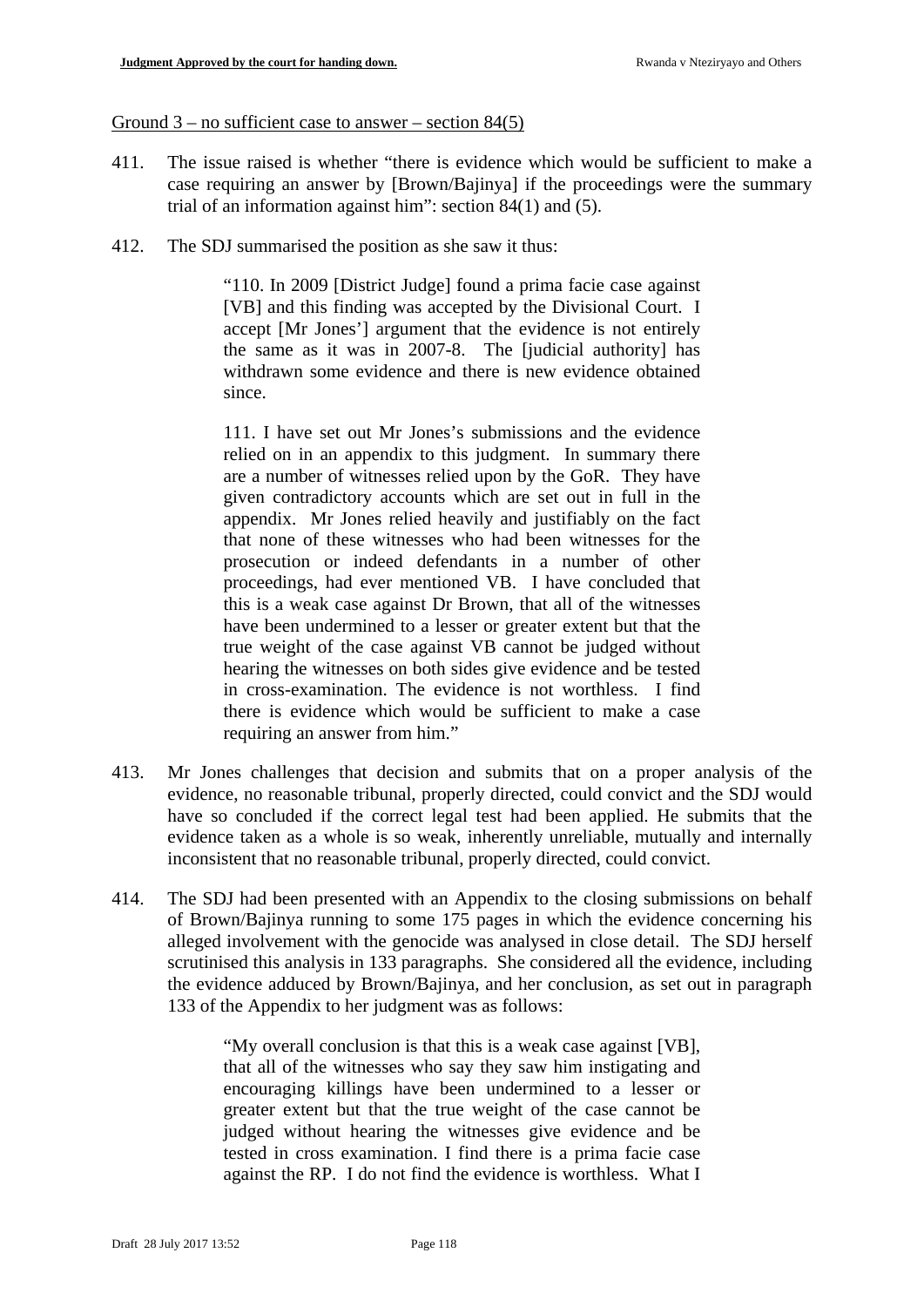#### Ground  $3 -$  no sufficient case to answer – section  $84(5)$

- 411. The issue raised is whether "there is evidence which would be sufficient to make a case requiring an answer by [Brown/Bajinya] if the proceedings were the summary trial of an information against him": section 84(1) and (5).
- 412. The SDJ summarised the position as she saw it thus:

"110. In 2009 [District Judge] found a prima facie case against [VB] and this finding was accepted by the Divisional Court. I accept [Mr Jones'] argument that the evidence is not entirely the same as it was in 2007-8. The [judicial authority] has withdrawn some evidence and there is new evidence obtained since.

111. I have set out Mr Jones's submissions and the evidence relied on in an appendix to this judgment. In summary there are a number of witnesses relied upon by the GoR. They have given contradictory accounts which are set out in full in the appendix. Mr Jones relied heavily and justifiably on the fact that none of these witnesses who had been witnesses for the prosecution or indeed defendants in a number of other proceedings, had ever mentioned VB. I have concluded that this is a weak case against Dr Brown, that all of the witnesses have been undermined to a lesser or greater extent but that the true weight of the case against VB cannot be judged without hearing the witnesses on both sides give evidence and be tested in cross-examination. The evidence is not worthless. I find there is evidence which would be sufficient to make a case requiring an answer from him."

- 413. Mr Jones challenges that decision and submits that on a proper analysis of the evidence, no reasonable tribunal, properly directed, could convict and the SDJ would have so concluded if the correct legal test had been applied. He submits that the evidence taken as a whole is so weak, inherently unreliable, mutually and internally inconsistent that no reasonable tribunal, properly directed, could convict.
- 414. The SDJ had been presented with an Appendix to the closing submissions on behalf of Brown/Bajinya running to some 175 pages in which the evidence concerning his alleged involvement with the genocide was analysed in close detail. The SDJ herself scrutinised this analysis in 133 paragraphs. She considered all the evidence, including the evidence adduced by Brown/Bajinya, and her conclusion, as set out in paragraph 133 of the Appendix to her judgment was as follows:

"My overall conclusion is that this is a weak case against [VB], that all of the witnesses who say they saw him instigating and encouraging killings have been undermined to a lesser or greater extent but that the true weight of the case cannot be judged without hearing the witnesses give evidence and be tested in cross examination. I find there is a prima facie case against the RP. I do not find the evidence is worthless. What I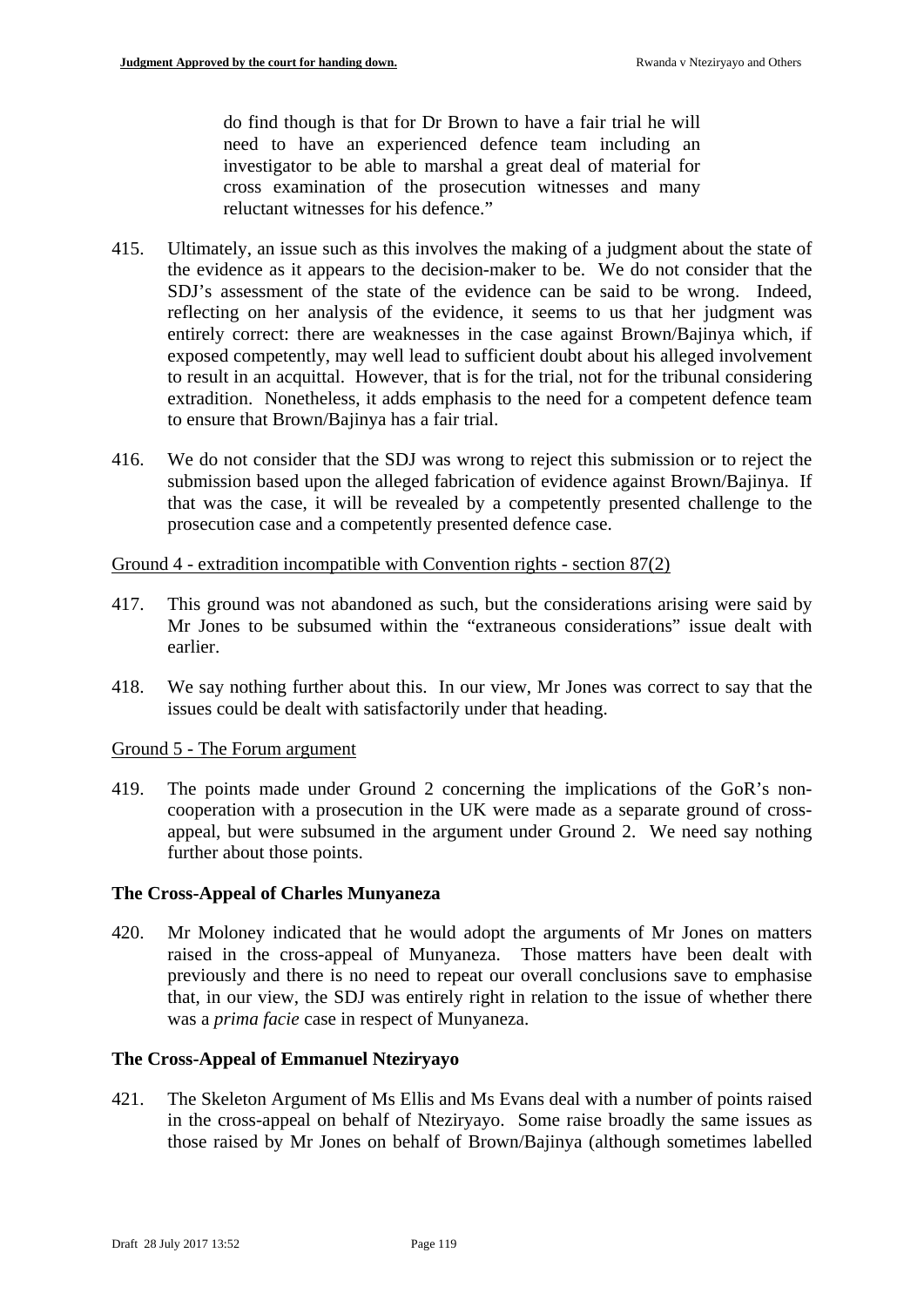do find though is that for Dr Brown to have a fair trial he will need to have an experienced defence team including an investigator to be able to marshal a great deal of material for cross examination of the prosecution witnesses and many reluctant witnesses for his defence."

- 415. Ultimately, an issue such as this involves the making of a judgment about the state of the evidence as it appears to the decision-maker to be. We do not consider that the SDJ's assessment of the state of the evidence can be said to be wrong. Indeed, reflecting on her analysis of the evidence, it seems to us that her judgment was entirely correct: there are weaknesses in the case against Brown/Bajinya which, if exposed competently, may well lead to sufficient doubt about his alleged involvement to result in an acquittal. However, that is for the trial, not for the tribunal considering extradition. Nonetheless, it adds emphasis to the need for a competent defence team to ensure that Brown/Bajinya has a fair trial.
- 416. We do not consider that the SDJ was wrong to reject this submission or to reject the submission based upon the alleged fabrication of evidence against Brown/Bajinya. If that was the case, it will be revealed by a competently presented challenge to the prosecution case and a competently presented defence case.

#### Ground 4 - extradition incompatible with Convention rights - section 87(2)

- 417. This ground was not abandoned as such, but the considerations arising were said by Mr Jones to be subsumed within the "extraneous considerations" issue dealt with earlier.
- 418. We say nothing further about this. In our view, Mr Jones was correct to say that the issues could be dealt with satisfactorily under that heading.

### Ground 5 - The Forum argument

419. The points made under Ground 2 concerning the implications of the GoR's noncooperation with a prosecution in the UK were made as a separate ground of crossappeal, but were subsumed in the argument under Ground 2. We need say nothing further about those points.

### **The Cross-Appeal of Charles Munyaneza**

420. Mr Moloney indicated that he would adopt the arguments of Mr Jones on matters raised in the cross-appeal of Munyaneza. Those matters have been dealt with previously and there is no need to repeat our overall conclusions save to emphasise that, in our view, the SDJ was entirely right in relation to the issue of whether there was a *prima facie* case in respect of Munyaneza.

### **The Cross-Appeal of Emmanuel Nteziryayo**

421. The Skeleton Argument of Ms Ellis and Ms Evans deal with a number of points raised in the cross-appeal on behalf of Nteziryayo. Some raise broadly the same issues as those raised by Mr Jones on behalf of Brown/Bajinya (although sometimes labelled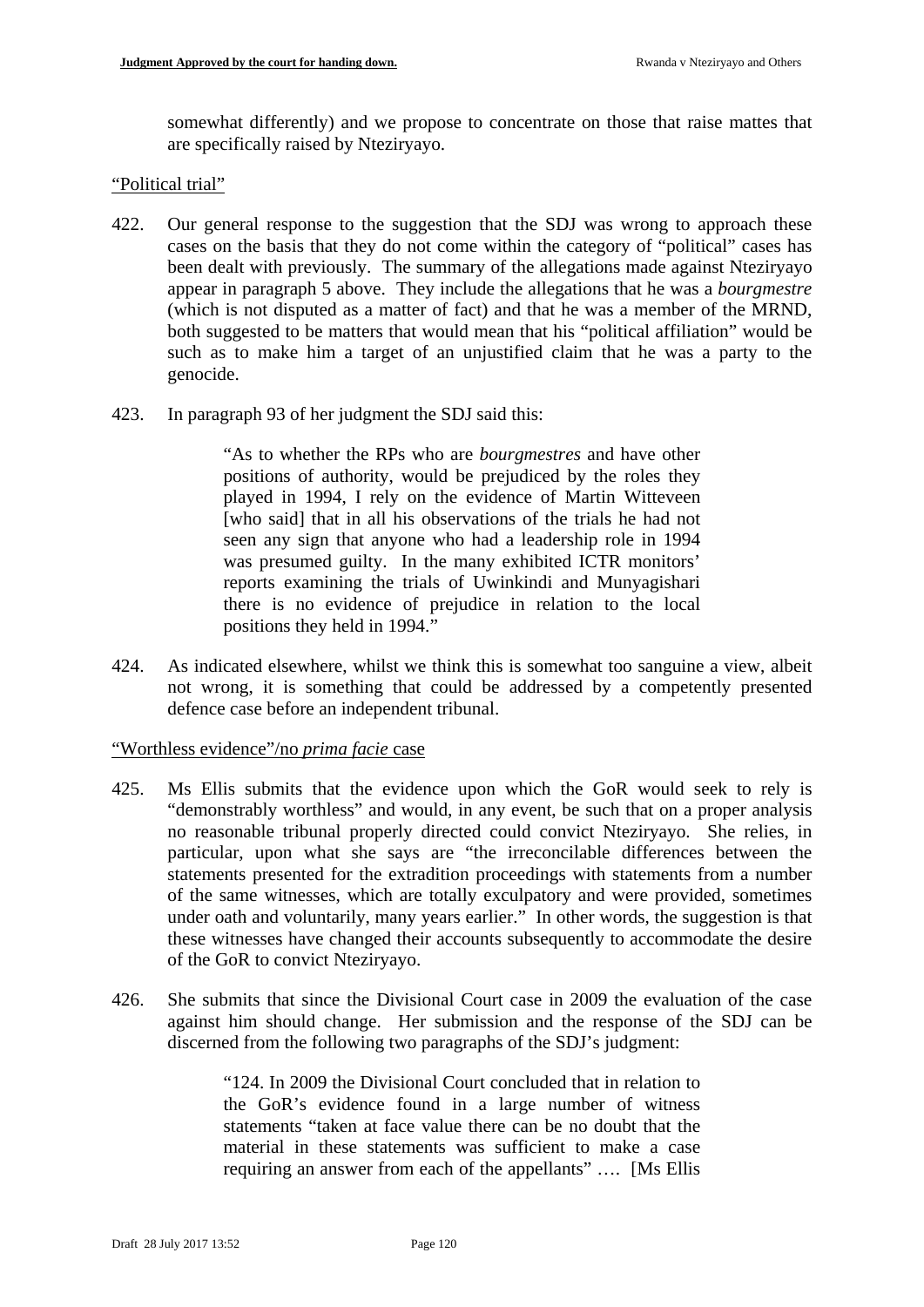somewhat differently) and we propose to concentrate on those that raise mattes that are specifically raised by Nteziryayo.

#### "Political trial"

- 422. Our general response to the suggestion that the SDJ was wrong to approach these cases on the basis that they do not come within the category of "political" cases has been dealt with previously. The summary of the allegations made against Nteziryayo appear in paragraph 5 above. They include the allegations that he was a *bourgmestre*  (which is not disputed as a matter of fact) and that he was a member of the MRND, both suggested to be matters that would mean that his "political affiliation" would be such as to make him a target of an unjustified claim that he was a party to the genocide.
- 423. In paragraph 93 of her judgment the SDJ said this:

"As to whether the RPs who are *bourgmestres* and have other positions of authority, would be prejudiced by the roles they played in 1994, I rely on the evidence of Martin Witteveen [who said] that in all his observations of the trials he had not seen any sign that anyone who had a leadership role in 1994 was presumed guilty. In the many exhibited ICTR monitors' reports examining the trials of Uwinkindi and Munyagishari there is no evidence of prejudice in relation to the local positions they held in 1994."

424. As indicated elsewhere, whilst we think this is somewhat too sanguine a view, albeit not wrong, it is something that could be addressed by a competently presented defence case before an independent tribunal.

"Worthless evidence"/no *prima facie* case

- 425. Ms Ellis submits that the evidence upon which the GoR would seek to rely is "demonstrably worthless" and would, in any event, be such that on a proper analysis no reasonable tribunal properly directed could convict Nteziryayo. She relies, in particular, upon what she says are "the irreconcilable differences between the statements presented for the extradition proceedings with statements from a number of the same witnesses, which are totally exculpatory and were provided, sometimes under oath and voluntarily, many years earlier." In other words, the suggestion is that these witnesses have changed their accounts subsequently to accommodate the desire of the GoR to convict Nteziryayo.
- 426. She submits that since the Divisional Court case in 2009 the evaluation of the case against him should change. Her submission and the response of the SDJ can be discerned from the following two paragraphs of the SDJ's judgment:

"124. In 2009 the Divisional Court concluded that in relation to the GoR's evidence found in a large number of witness statements "taken at face value there can be no doubt that the material in these statements was sufficient to make a case requiring an answer from each of the appellants" …. [Ms Ellis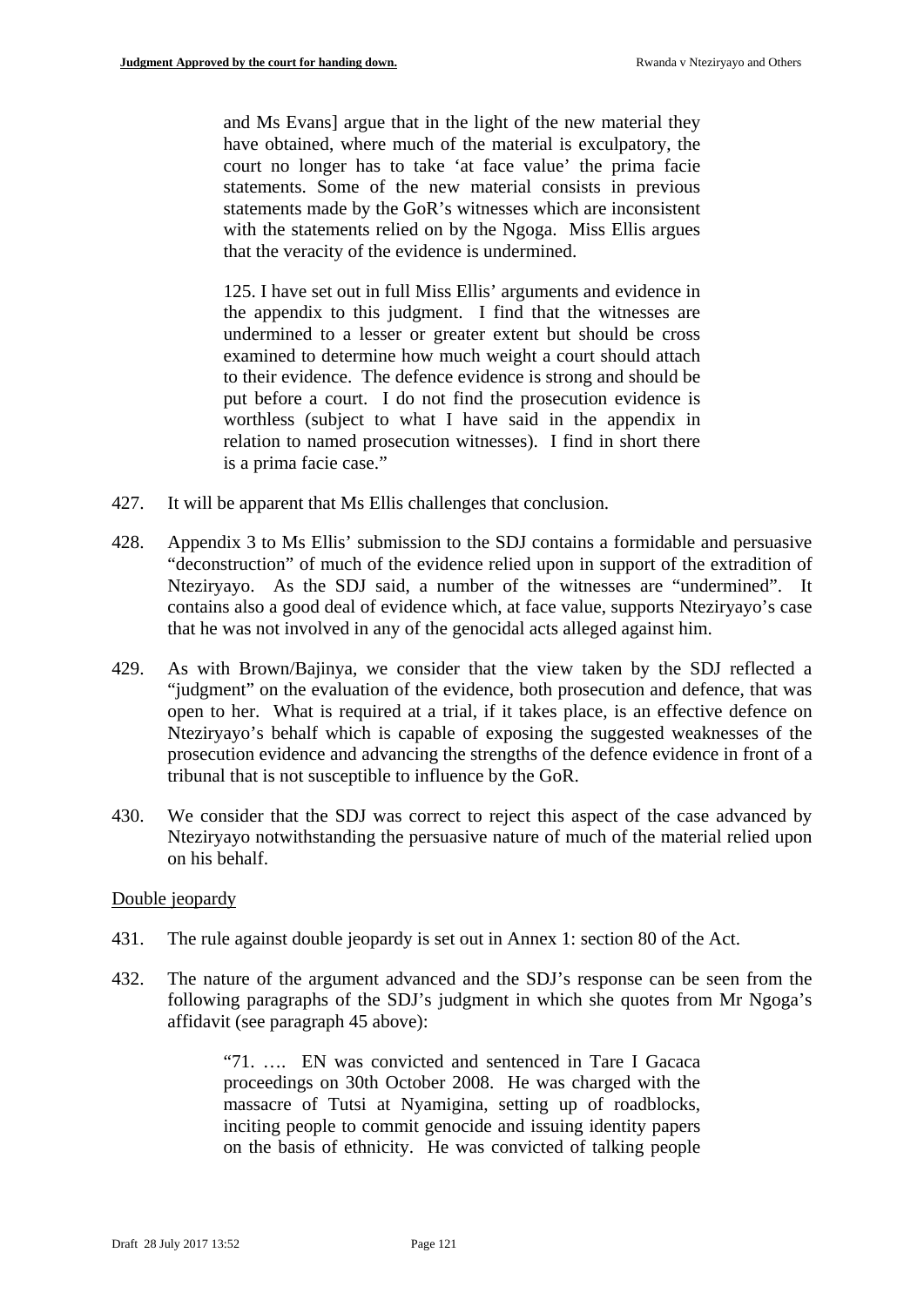and Ms Evans] argue that in the light of the new material they have obtained, where much of the material is exculpatory, the court no longer has to take 'at face value' the prima facie statements. Some of the new material consists in previous statements made by the GoR's witnesses which are inconsistent with the statements relied on by the Ngoga. Miss Ellis argues that the veracity of the evidence is undermined.

125. I have set out in full Miss Ellis' arguments and evidence in the appendix to this judgment. I find that the witnesses are undermined to a lesser or greater extent but should be cross examined to determine how much weight a court should attach to their evidence. The defence evidence is strong and should be put before a court. I do not find the prosecution evidence is worthless (subject to what I have said in the appendix in relation to named prosecution witnesses). I find in short there is a prima facie case."

- 427. It will be apparent that Ms Ellis challenges that conclusion.
- 428. Appendix 3 to Ms Ellis' submission to the SDJ contains a formidable and persuasive "deconstruction" of much of the evidence relied upon in support of the extradition of Nteziryayo. As the SDJ said, a number of the witnesses are "undermined". It contains also a good deal of evidence which, at face value, supports Nteziryayo's case that he was not involved in any of the genocidal acts alleged against him.
- 429. As with Brown/Bajinya, we consider that the view taken by the SDJ reflected a "judgment" on the evaluation of the evidence, both prosecution and defence, that was open to her. What is required at a trial, if it takes place, is an effective defence on Nteziryayo's behalf which is capable of exposing the suggested weaknesses of the prosecution evidence and advancing the strengths of the defence evidence in front of a tribunal that is not susceptible to influence by the GoR.
- 430. We consider that the SDJ was correct to reject this aspect of the case advanced by Nteziryayo notwithstanding the persuasive nature of much of the material relied upon on his behalf.

#### Double jeopardy

- 431. The rule against double jeopardy is set out in Annex 1: section 80 of the Act.
- 432. The nature of the argument advanced and the SDJ's response can be seen from the following paragraphs of the SDJ's judgment in which she quotes from Mr Ngoga's affidavit (see paragraph 45 above):

"71. …. EN was convicted and sentenced in Tare I Gacaca proceedings on 30th October 2008. He was charged with the massacre of Tutsi at Nyamigina, setting up of roadblocks, inciting people to commit genocide and issuing identity papers on the basis of ethnicity. He was convicted of talking people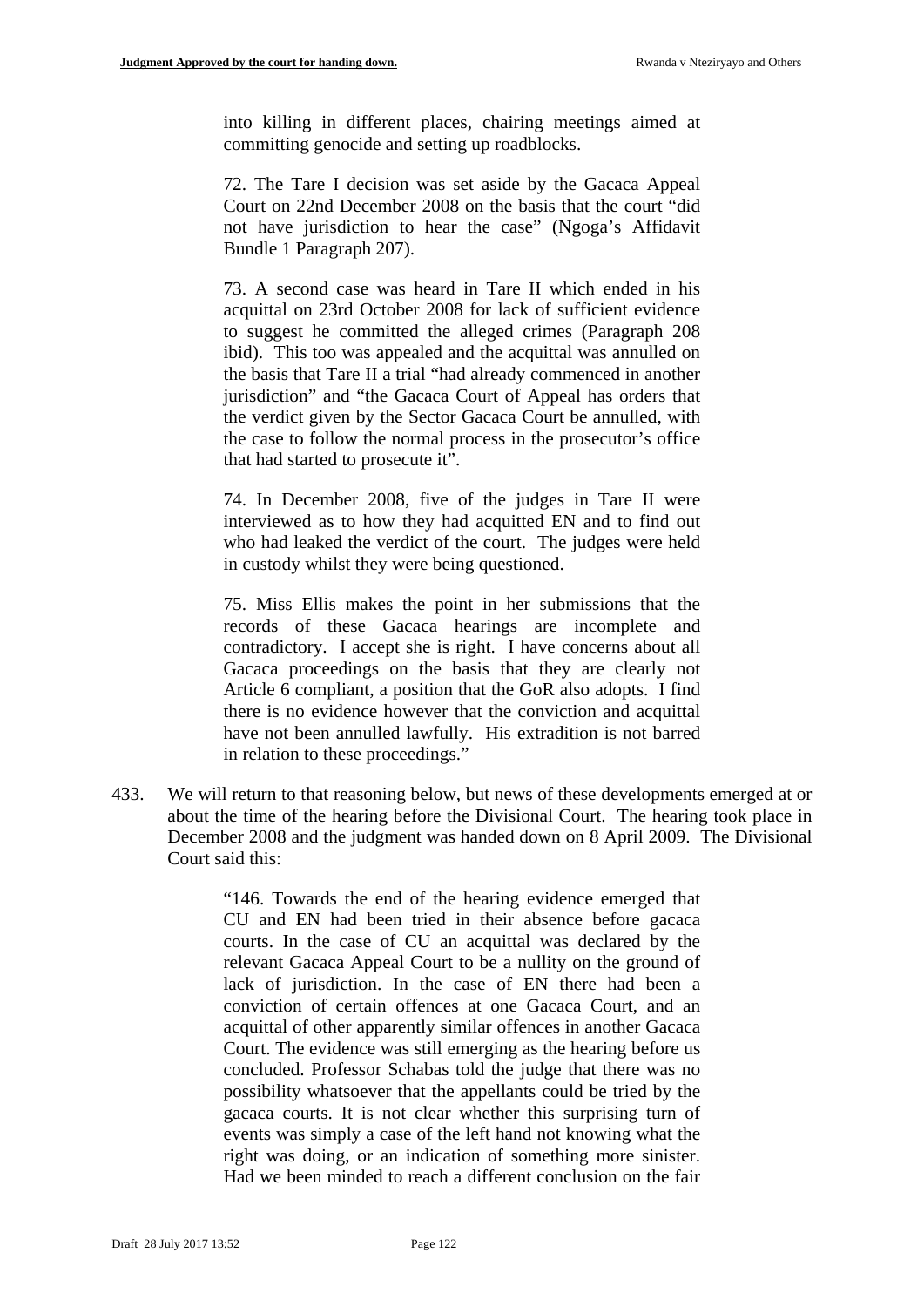into killing in different places, chairing meetings aimed at committing genocide and setting up roadblocks.

72. The Tare I decision was set aside by the Gacaca Appeal Court on 22nd December 2008 on the basis that the court "did not have jurisdiction to hear the case" (Ngoga's Affidavit Bundle 1 Paragraph 207).

73. A second case was heard in Tare II which ended in his acquittal on 23rd October 2008 for lack of sufficient evidence to suggest he committed the alleged crimes (Paragraph 208 ibid). This too was appealed and the acquittal was annulled on the basis that Tare II a trial "had already commenced in another jurisdiction" and "the Gacaca Court of Appeal has orders that the verdict given by the Sector Gacaca Court be annulled, with the case to follow the normal process in the prosecutor's office that had started to prosecute it".

74. In December 2008, five of the judges in Tare II were interviewed as to how they had acquitted EN and to find out who had leaked the verdict of the court. The judges were held in custody whilst they were being questioned.

75. Miss Ellis makes the point in her submissions that the records of these Gacaca hearings are incomplete and contradictory. I accept she is right. I have concerns about all Gacaca proceedings on the basis that they are clearly not Article 6 compliant, a position that the GoR also adopts. I find there is no evidence however that the conviction and acquittal have not been annulled lawfully. His extradition is not barred in relation to these proceedings."

433. We will return to that reasoning below, but news of these developments emerged at or about the time of the hearing before the Divisional Court. The hearing took place in December 2008 and the judgment was handed down on 8 April 2009. The Divisional Court said this:

> "146. Towards the end of the hearing evidence emerged that CU and EN had been tried in their absence before gacaca courts. In the case of CU an acquittal was declared by the relevant Gacaca Appeal Court to be a nullity on the ground of lack of jurisdiction. In the case of EN there had been a conviction of certain offences at one Gacaca Court, and an acquittal of other apparently similar offences in another Gacaca Court. The evidence was still emerging as the hearing before us concluded. Professor Schabas told the judge that there was no possibility whatsoever that the appellants could be tried by the gacaca courts. It is not clear whether this surprising turn of events was simply a case of the left hand not knowing what the right was doing, or an indication of something more sinister. Had we been minded to reach a different conclusion on the fair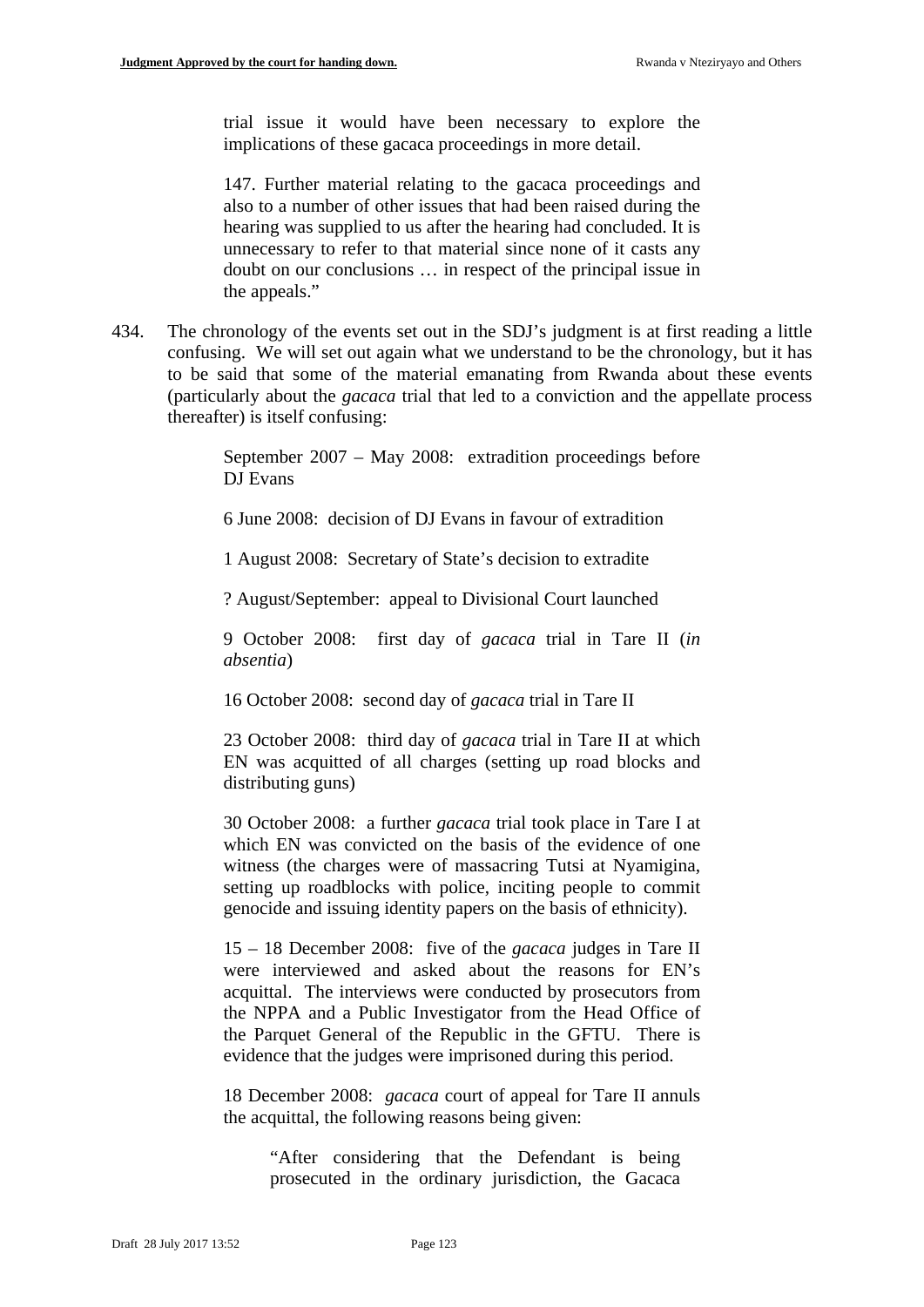trial issue it would have been necessary to explore the implications of these gacaca proceedings in more detail.

147. Further material relating to the gacaca proceedings and also to a number of other issues that had been raised during the hearing was supplied to us after the hearing had concluded. It is unnecessary to refer to that material since none of it casts any doubt on our conclusions … in respect of the principal issue in the appeals."

434. The chronology of the events set out in the SDJ's judgment is at first reading a little confusing. We will set out again what we understand to be the chronology, but it has to be said that some of the material emanating from Rwanda about these events (particularly about the *gacaca* trial that led to a conviction and the appellate process thereafter) is itself confusing:

> September 2007 – May 2008: extradition proceedings before DJ Evans

6 June 2008: decision of DJ Evans in favour of extradition

1 August 2008: Secretary of State's decision to extradite

? August/September: appeal to Divisional Court launched

9 October 2008: first day of *gacaca* trial in Tare II (*in absentia*)

16 October 2008: second day of *gacaca* trial in Tare II

23 October 2008: third day of *gacaca* trial in Tare II at which EN was acquitted of all charges (setting up road blocks and distributing guns)

30 October 2008: a further *gacaca* trial took place in Tare I at which EN was convicted on the basis of the evidence of one witness (the charges were of massacring Tutsi at Nyamigina, setting up roadblocks with police, inciting people to commit genocide and issuing identity papers on the basis of ethnicity).

15 – 18 December 2008: five of the *gacaca* judges in Tare II were interviewed and asked about the reasons for EN's acquittal. The interviews were conducted by prosecutors from the NPPA and a Public Investigator from the Head Office of the Parquet General of the Republic in the GFTU. There is evidence that the judges were imprisoned during this period.

18 December 2008: *gacaca* court of appeal for Tare II annuls the acquittal, the following reasons being given:

"After considering that the Defendant is being prosecuted in the ordinary jurisdiction, the Gacaca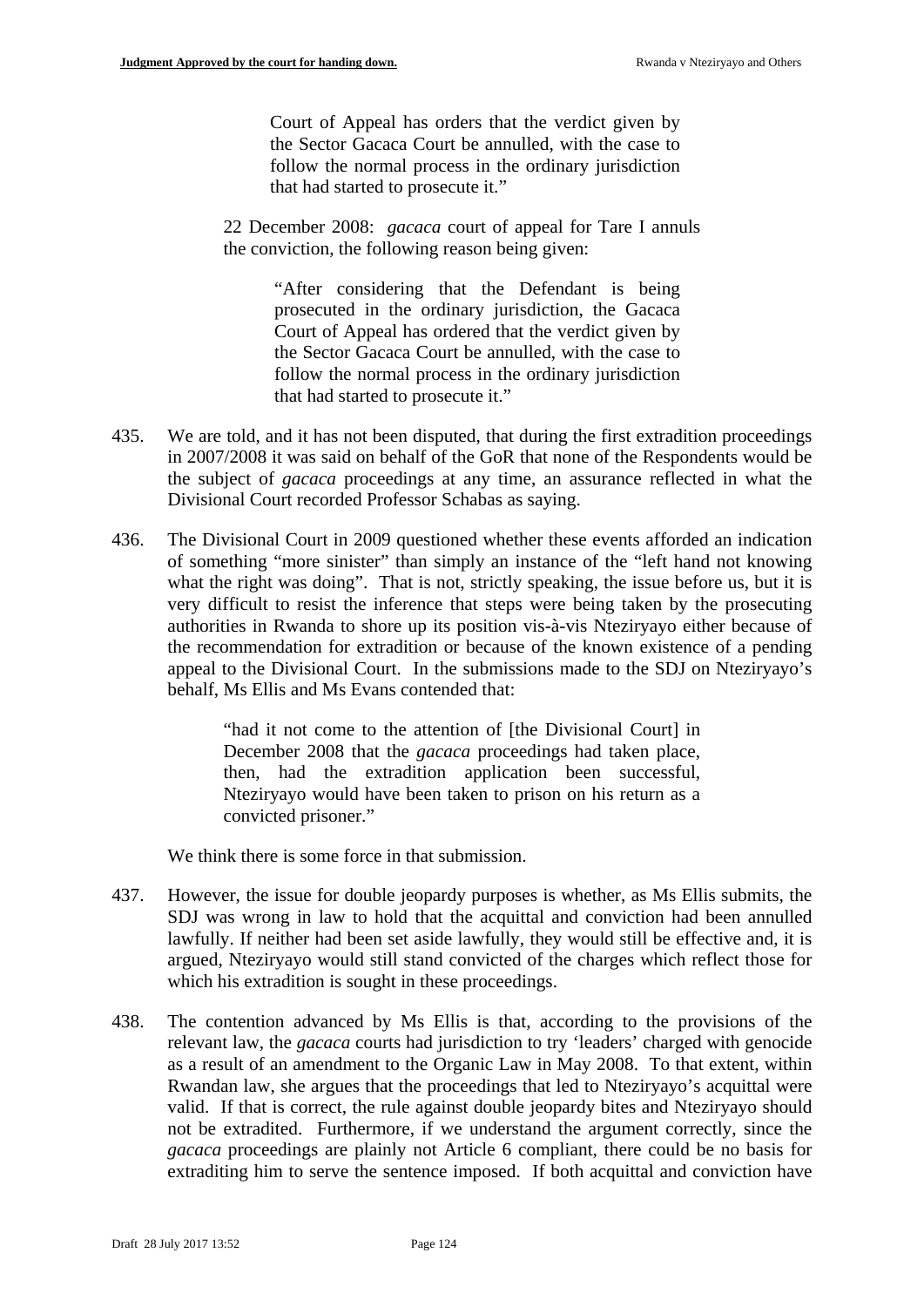Court of Appeal has orders that the verdict given by the Sector Gacaca Court be annulled, with the case to follow the normal process in the ordinary jurisdiction that had started to prosecute it."

22 December 2008: *gacaca* court of appeal for Tare I annuls the conviction, the following reason being given:

> "After considering that the Defendant is being prosecuted in the ordinary jurisdiction, the Gacaca Court of Appeal has ordered that the verdict given by the Sector Gacaca Court be annulled, with the case to follow the normal process in the ordinary jurisdiction that had started to prosecute it."

- 435. We are told, and it has not been disputed, that during the first extradition proceedings in 2007/2008 it was said on behalf of the GoR that none of the Respondents would be the subject of *gacaca* proceedings at any time, an assurance reflected in what the Divisional Court recorded Professor Schabas as saying.
- 436. The Divisional Court in 2009 questioned whether these events afforded an indication of something "more sinister" than simply an instance of the "left hand not knowing what the right was doing". That is not, strictly speaking, the issue before us, but it is very difficult to resist the inference that steps were being taken by the prosecuting authorities in Rwanda to shore up its position vis-à-vis Nteziryayo either because of the recommendation for extradition or because of the known existence of a pending appeal to the Divisional Court. In the submissions made to the SDJ on Nteziryayo's behalf, Ms Ellis and Ms Evans contended that:

"had it not come to the attention of [the Divisional Court] in December 2008 that the *gacaca* proceedings had taken place, then, had the extradition application been successful, Nteziryayo would have been taken to prison on his return as a convicted prisoner."

We think there is some force in that submission.

- 437. However, the issue for double jeopardy purposes is whether, as Ms Ellis submits, the SDJ was wrong in law to hold that the acquittal and conviction had been annulled lawfully. If neither had been set aside lawfully, they would still be effective and, it is argued, Nteziryayo would still stand convicted of the charges which reflect those for which his extradition is sought in these proceedings.
- 438. The contention advanced by Ms Ellis is that, according to the provisions of the relevant law, the *gacaca* courts had jurisdiction to try 'leaders' charged with genocide as a result of an amendment to the Organic Law in May 2008. To that extent, within Rwandan law, she argues that the proceedings that led to Nteziryayo's acquittal were valid. If that is correct, the rule against double jeopardy bites and Nteziryayo should not be extradited. Furthermore, if we understand the argument correctly, since the *gacaca* proceedings are plainly not Article 6 compliant, there could be no basis for extraditing him to serve the sentence imposed. If both acquittal and conviction have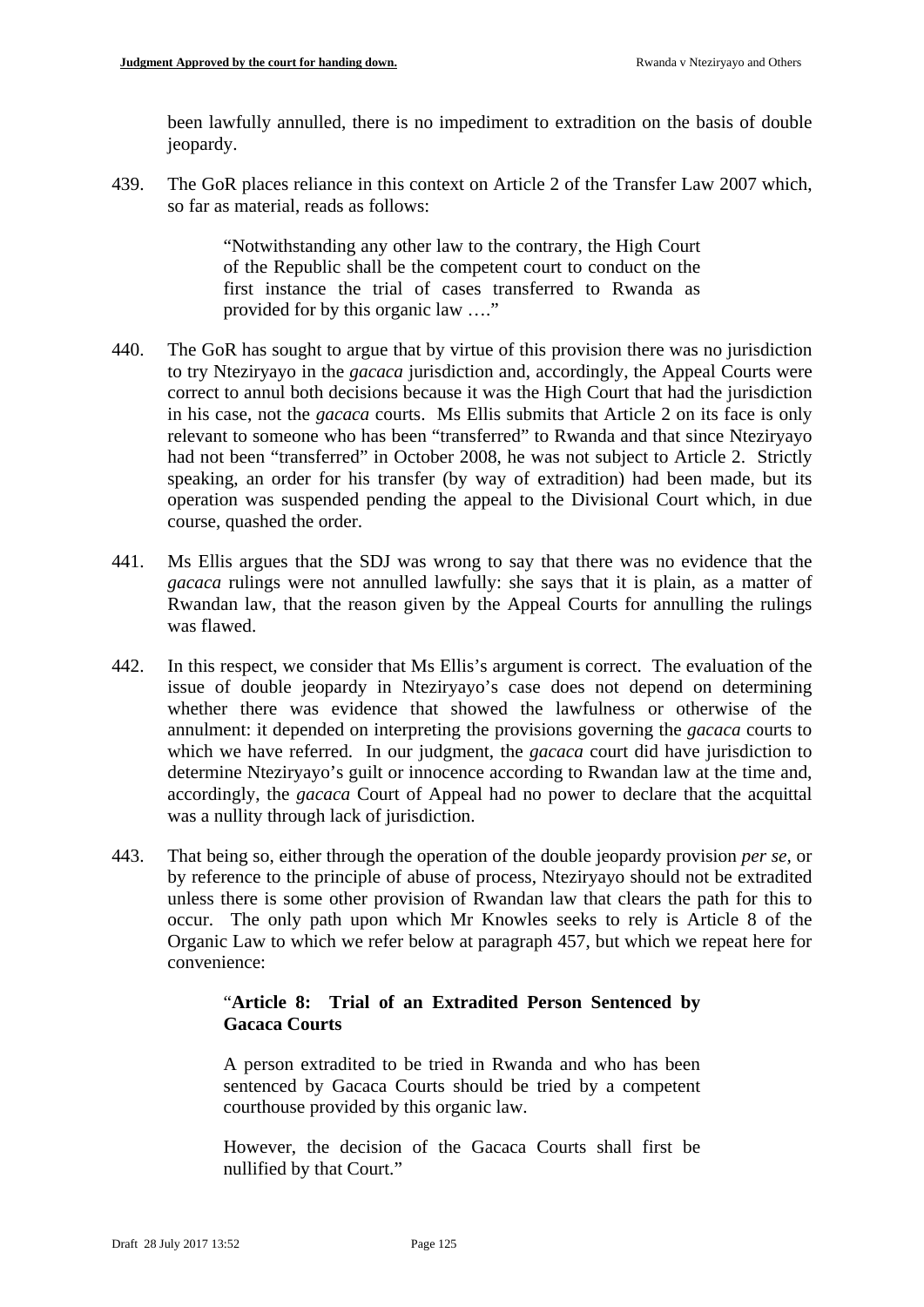been lawfully annulled, there is no impediment to extradition on the basis of double jeopardy.

439. The GoR places reliance in this context on Article 2 of the Transfer Law 2007 which, so far as material, reads as follows:

> "Notwithstanding any other law to the contrary, the High Court of the Republic shall be the competent court to conduct on the first instance the trial of cases transferred to Rwanda as provided for by this organic law …."

- 440. The GoR has sought to argue that by virtue of this provision there was no jurisdiction to try Nteziryayo in the *gacaca* jurisdiction and, accordingly, the Appeal Courts were correct to annul both decisions because it was the High Court that had the jurisdiction in his case, not the *gacaca* courts. Ms Ellis submits that Article 2 on its face is only relevant to someone who has been "transferred" to Rwanda and that since Nteziryayo had not been "transferred" in October 2008, he was not subject to Article 2. Strictly speaking, an order for his transfer (by way of extradition) had been made, but its operation was suspended pending the appeal to the Divisional Court which, in due course, quashed the order.
- 441. Ms Ellis argues that the SDJ was wrong to say that there was no evidence that the *gacaca* rulings were not annulled lawfully: she says that it is plain, as a matter of Rwandan law, that the reason given by the Appeal Courts for annulling the rulings was flawed.
- 442. In this respect, we consider that Ms Ellis's argument is correct. The evaluation of the issue of double jeopardy in Nteziryayo's case does not depend on determining whether there was evidence that showed the lawfulness or otherwise of the annulment: it depended on interpreting the provisions governing the *gacaca* courts to which we have referred. In our judgment, the *gacaca* court did have jurisdiction to determine Nteziryayo's guilt or innocence according to Rwandan law at the time and, accordingly, the *gacaca* Court of Appeal had no power to declare that the acquittal was a nullity through lack of jurisdiction.
- 443. That being so, either through the operation of the double jeopardy provision *per se,* or by reference to the principle of abuse of process, Nteziryayo should not be extradited unless there is some other provision of Rwandan law that clears the path for this to occur. The only path upon which Mr Knowles seeks to rely is Article 8 of the Organic Law to which we refer below at paragraph 457, but which we repeat here for convenience:

# "**Article 8: Trial of an Extradited Person Sentenced by Gacaca Courts**

A person extradited to be tried in Rwanda and who has been sentenced by Gacaca Courts should be tried by a competent courthouse provided by this organic law.

However, the decision of the Gacaca Courts shall first be nullified by that Court."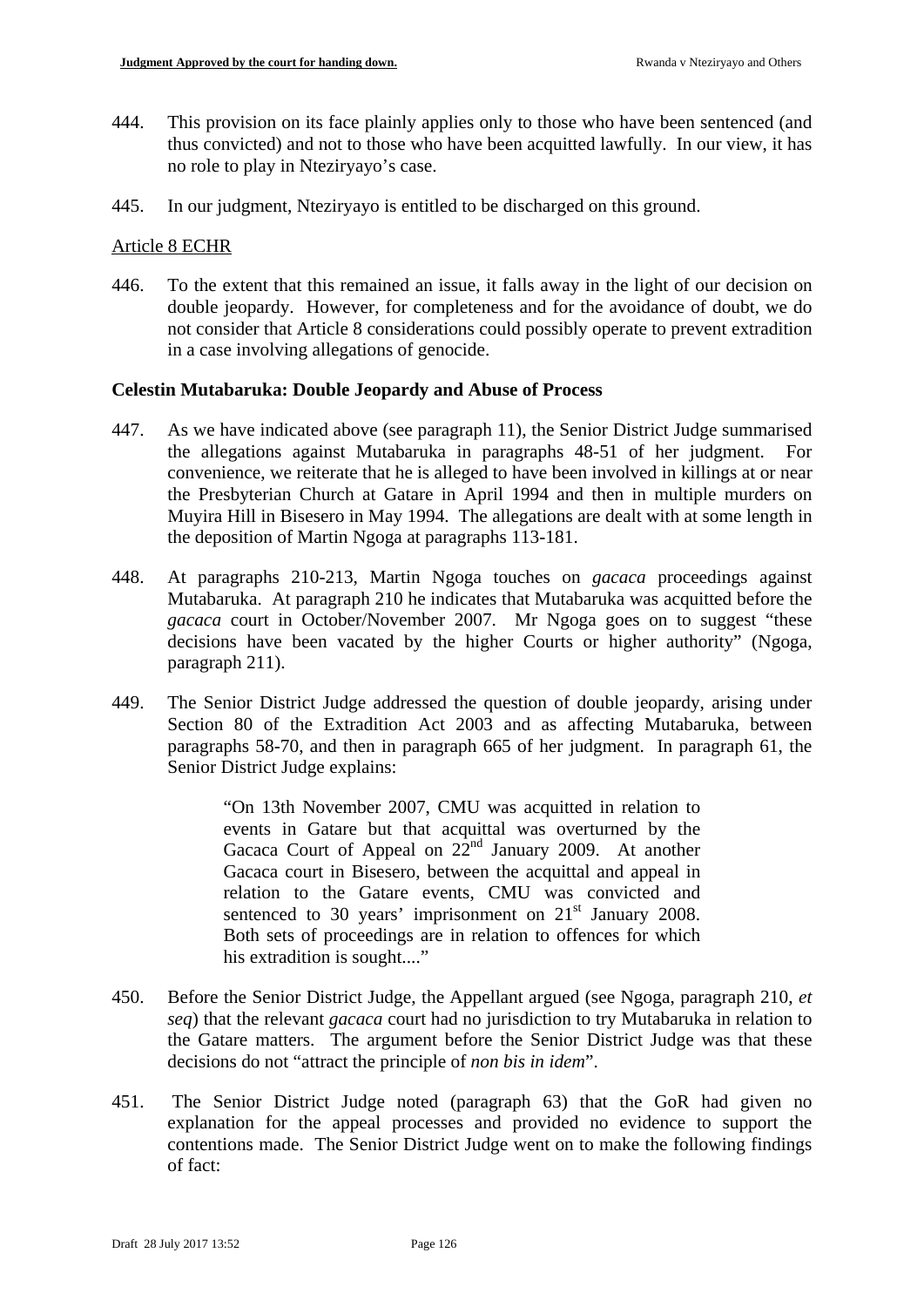- 444. This provision on its face plainly applies only to those who have been sentenced (and thus convicted) and not to those who have been acquitted lawfully. In our view, it has no role to play in Nteziryayo's case.
- 445. In our judgment, Nteziryayo is entitled to be discharged on this ground.

## Article 8 ECHR

446. To the extent that this remained an issue, it falls away in the light of our decision on double jeopardy. However, for completeness and for the avoidance of doubt, we do not consider that Article 8 considerations could possibly operate to prevent extradition in a case involving allegations of genocide.

### **Celestin Mutabaruka: Double Jeopardy and Abuse of Process**

- 447. As we have indicated above (see paragraph 11), the Senior District Judge summarised the allegations against Mutabaruka in paragraphs 48-51 of her judgment. For convenience, we reiterate that he is alleged to have been involved in killings at or near the Presbyterian Church at Gatare in April 1994 and then in multiple murders on Muyira Hill in Bisesero in May 1994. The allegations are dealt with at some length in the deposition of Martin Ngoga at paragraphs 113-181.
- 448. At paragraphs 210-213, Martin Ngoga touches on *gacaca* proceedings against Mutabaruka. At paragraph 210 he indicates that Mutabaruka was acquitted before the *gacaca* court in October/November 2007. Mr Ngoga goes on to suggest "these decisions have been vacated by the higher Courts or higher authority" (Ngoga, paragraph 211).
- 449. The Senior District Judge addressed the question of double jeopardy, arising under Section 80 of the Extradition Act 2003 and as affecting Mutabaruka, between paragraphs 58-70, and then in paragraph 665 of her judgment. In paragraph 61, the Senior District Judge explains:

"On 13th November 2007, CMU was acquitted in relation to events in Gatare but that acquittal was overturned by the Gacaca Court of Appeal on 22nd January 2009. At another Gacaca court in Bisesero, between the acquittal and appeal in relation to the Gatare events, CMU was convicted and sentenced to 30 years' imprisonment on 21<sup>st</sup> January 2008. Both sets of proceedings are in relation to offences for which his extradition is sought...."

- 450. Before the Senior District Judge, the Appellant argued (see Ngoga, paragraph 210, *et seq*) that the relevant *gacaca* court had no jurisdiction to try Mutabaruka in relation to the Gatare matters. The argument before the Senior District Judge was that these decisions do not "attract the principle of *non bis in idem*".
- 451. The Senior District Judge noted (paragraph 63) that the GoR had given no explanation for the appeal processes and provided no evidence to support the contentions made. The Senior District Judge went on to make the following findings of fact: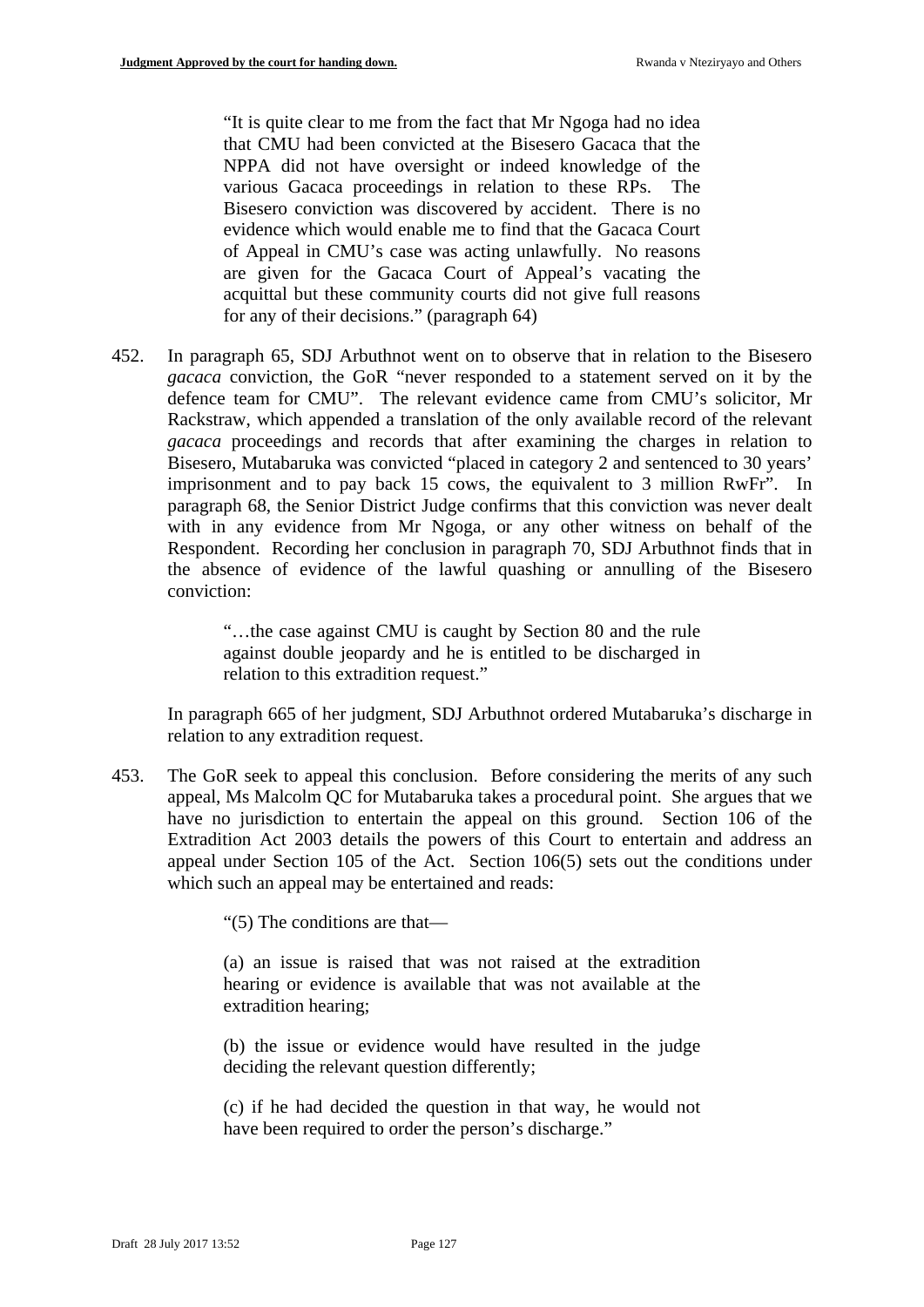"It is quite clear to me from the fact that Mr Ngoga had no idea that CMU had been convicted at the Bisesero Gacaca that the NPPA did not have oversight or indeed knowledge of the various Gacaca proceedings in relation to these RPs. The Bisesero conviction was discovered by accident. There is no evidence which would enable me to find that the Gacaca Court of Appeal in CMU's case was acting unlawfully. No reasons are given for the Gacaca Court of Appeal's vacating the acquittal but these community courts did not give full reasons for any of their decisions." (paragraph 64)

452. In paragraph 65, SDJ Arbuthnot went on to observe that in relation to the Bisesero *gacaca* conviction, the GoR "never responded to a statement served on it by the defence team for CMU". The relevant evidence came from CMU's solicitor, Mr Rackstraw, which appended a translation of the only available record of the relevant *gacaca* proceedings and records that after examining the charges in relation to Bisesero, Mutabaruka was convicted "placed in category 2 and sentenced to 30 years' imprisonment and to pay back 15 cows, the equivalent to 3 million RwFr". In paragraph 68, the Senior District Judge confirms that this conviction was never dealt with in any evidence from Mr Ngoga, or any other witness on behalf of the Respondent. Recording her conclusion in paragraph 70, SDJ Arbuthnot finds that in the absence of evidence of the lawful quashing or annulling of the Bisesero conviction:

> "…the case against CMU is caught by Section 80 and the rule against double jeopardy and he is entitled to be discharged in relation to this extradition request."

In paragraph 665 of her judgment, SDJ Arbuthnot ordered Mutabaruka's discharge in relation to any extradition request.

453. The GoR seek to appeal this conclusion. Before considering the merits of any such appeal, Ms Malcolm QC for Mutabaruka takes a procedural point. She argues that we have no jurisdiction to entertain the appeal on this ground. Section 106 of the Extradition Act 2003 details the powers of this Court to entertain and address an appeal under Section 105 of the Act. Section 106(5) sets out the conditions under which such an appeal may be entertained and reads:

"(5) The conditions are that—

(a) an issue is raised that was not raised at the extradition hearing or evidence is available that was not available at the extradition hearing;

(b) the issue or evidence would have resulted in the judge deciding the relevant question differently;

(c) if he had decided the question in that way, he would not have been required to order the person's discharge."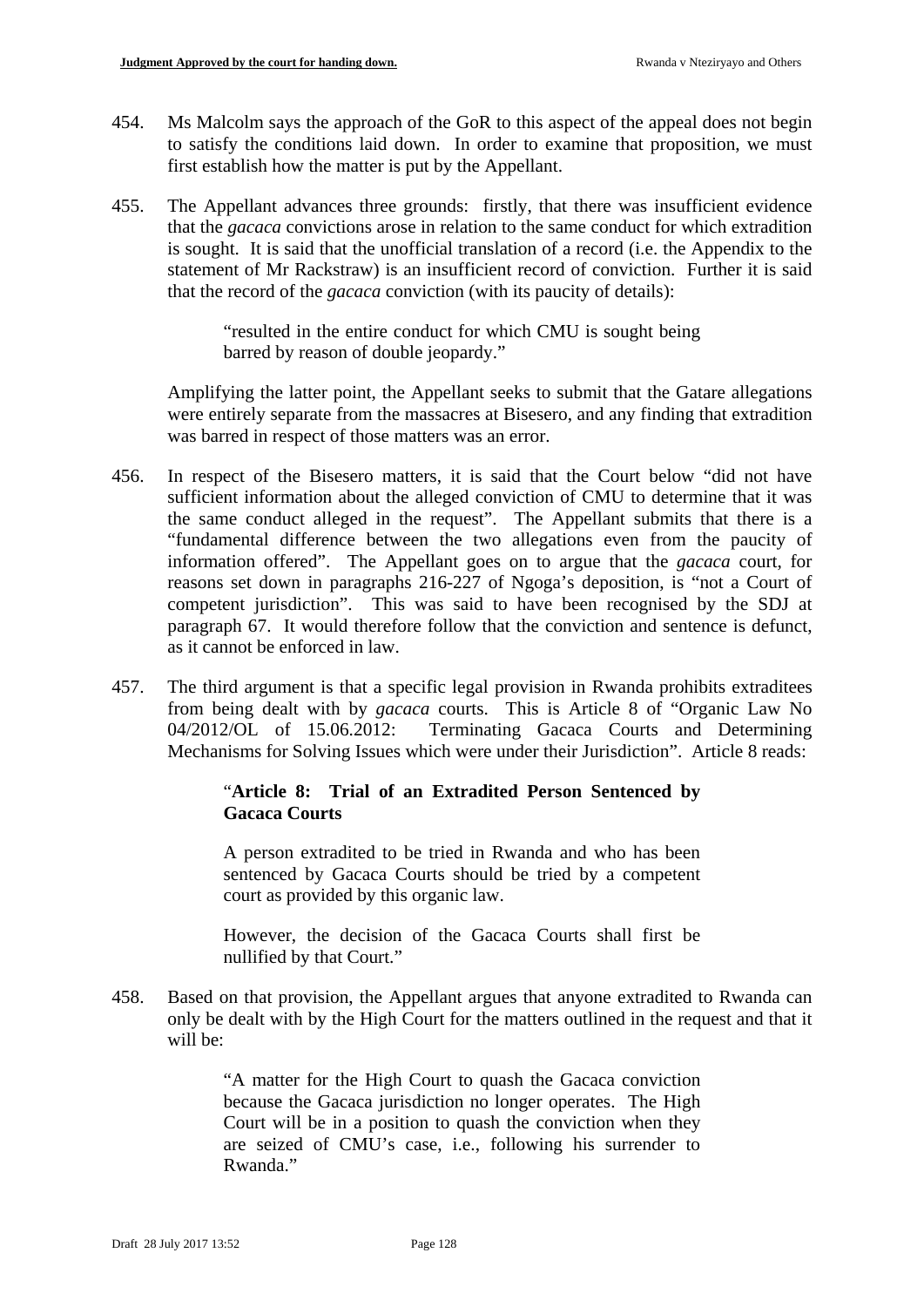- 454. Ms Malcolm says the approach of the GoR to this aspect of the appeal does not begin to satisfy the conditions laid down. In order to examine that proposition, we must first establish how the matter is put by the Appellant.
- 455. The Appellant advances three grounds: firstly, that there was insufficient evidence that the *gacaca* convictions arose in relation to the same conduct for which extradition is sought. It is said that the unofficial translation of a record (i.e. the Appendix to the statement of Mr Rackstraw) is an insufficient record of conviction. Further it is said that the record of the *gacaca* conviction (with its paucity of details):

"resulted in the entire conduct for which CMU is sought being barred by reason of double jeopardy."

Amplifying the latter point, the Appellant seeks to submit that the Gatare allegations were entirely separate from the massacres at Bisesero, and any finding that extradition was barred in respect of those matters was an error.

- 456. In respect of the Bisesero matters, it is said that the Court below "did not have sufficient information about the alleged conviction of CMU to determine that it was the same conduct alleged in the request". The Appellant submits that there is a "fundamental difference between the two allegations even from the paucity of information offered". The Appellant goes on to argue that the *gacaca* court, for reasons set down in paragraphs 216-227 of Ngoga's deposition, is "not a Court of competent jurisdiction". This was said to have been recognised by the SDJ at paragraph 67. It would therefore follow that the conviction and sentence is defunct, as it cannot be enforced in law.
- 457. The third argument is that a specific legal provision in Rwanda prohibits extraditees from being dealt with by *gacaca* courts. This is Article 8 of "Organic Law No 04/2012/OL of 15.06.2012: Terminating Gacaca Courts and Determining Mechanisms for Solving Issues which were under their Jurisdiction". Article 8 reads:

# "**Article 8: Trial of an Extradited Person Sentenced by Gacaca Courts**

A person extradited to be tried in Rwanda and who has been sentenced by Gacaca Courts should be tried by a competent court as provided by this organic law.

However, the decision of the Gacaca Courts shall first be nullified by that Court."

458. Based on that provision, the Appellant argues that anyone extradited to Rwanda can only be dealt with by the High Court for the matters outlined in the request and that it will be:

> "A matter for the High Court to quash the Gacaca conviction because the Gacaca jurisdiction no longer operates. The High Court will be in a position to quash the conviction when they are seized of CMU's case, i.e., following his surrender to Rwanda."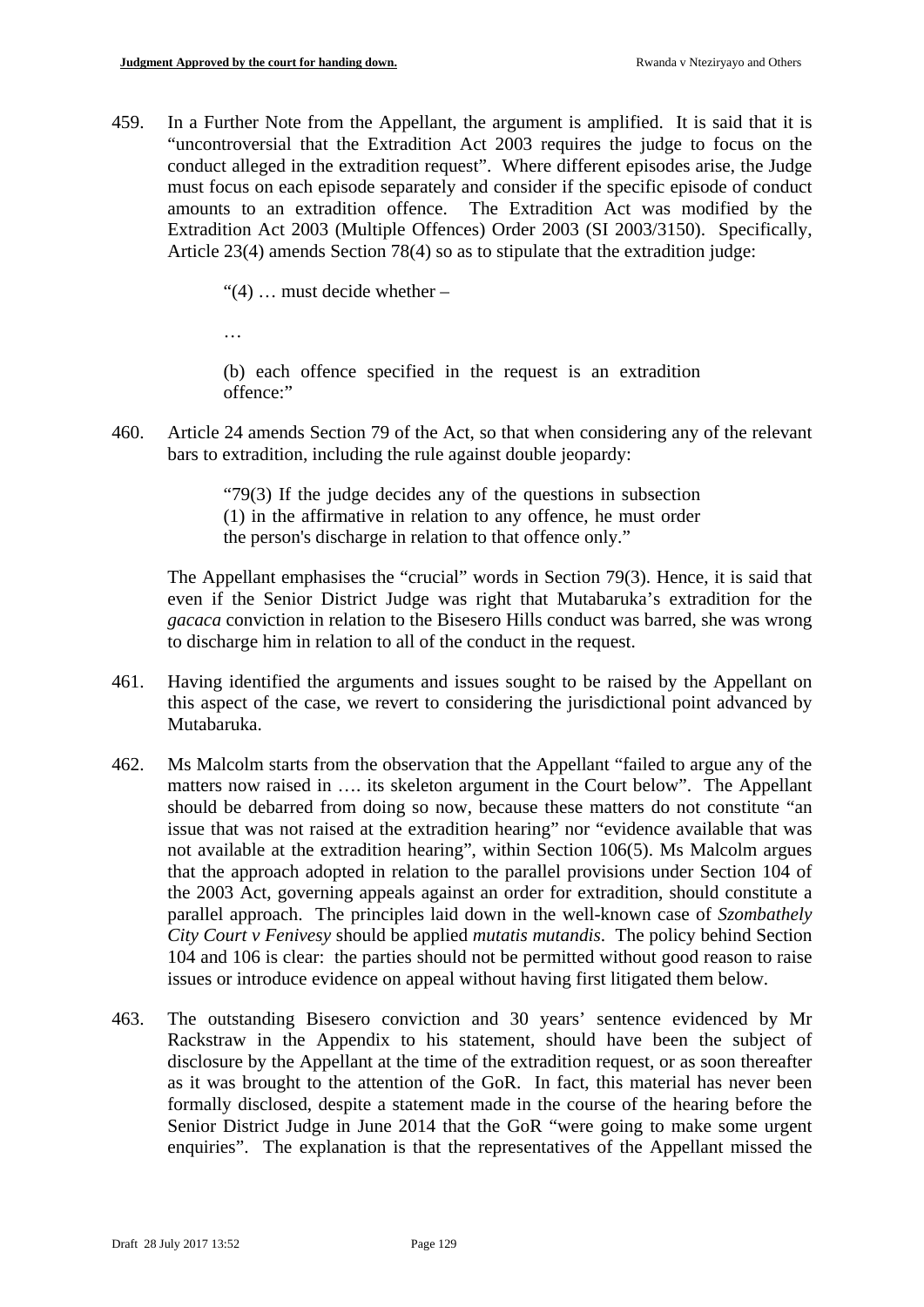459. In a Further Note from the Appellant, the argument is amplified. It is said that it is "uncontroversial that the Extradition Act 2003 requires the judge to focus on the conduct alleged in the extradition request". Where different episodes arise, the Judge must focus on each episode separately and consider if the specific episode of conduct amounts to an extradition offence. The Extradition Act was modified by the Extradition Act 2003 (Multiple Offences) Order 2003 (SI 2003/3150). Specifically, Article 23(4) amends Section 78(4) so as to stipulate that the extradition judge:

 $\lq(4)$  ... must decide whether –

…

(b) each offence specified in the request is an extradition offence:"

460. Article 24 amends Section 79 of the Act, so that when considering any of the relevant bars to extradition, including the rule against double jeopardy:

> "79(3) If the judge decides any of the questions in subsection (1) in the affirmative in relation to any offence, he must order the person's discharge in relation to that offence only."

The Appellant emphasises the "crucial" words in Section 79(3). Hence, it is said that even if the Senior District Judge was right that Mutabaruka's extradition for the *gacaca* conviction in relation to the Bisesero Hills conduct was barred, she was wrong to discharge him in relation to all of the conduct in the request.

- 461. Having identified the arguments and issues sought to be raised by the Appellant on this aspect of the case, we revert to considering the jurisdictional point advanced by Mutabaruka.
- 462. Ms Malcolm starts from the observation that the Appellant "failed to argue any of the matters now raised in …. its skeleton argument in the Court below". The Appellant should be debarred from doing so now, because these matters do not constitute "an issue that was not raised at the extradition hearing" nor "evidence available that was not available at the extradition hearing", within Section 106(5). Ms Malcolm argues that the approach adopted in relation to the parallel provisions under Section 104 of the 2003 Act, governing appeals against an order for extradition, should constitute a parallel approach. The principles laid down in the well-known case of *Szombathely City Court v Fenivesy* should be applied *mutatis mutandis*. The policy behind Section 104 and 106 is clear: the parties should not be permitted without good reason to raise issues or introduce evidence on appeal without having first litigated them below.
- 463. The outstanding Bisesero conviction and 30 years' sentence evidenced by Mr Rackstraw in the Appendix to his statement, should have been the subject of disclosure by the Appellant at the time of the extradition request, or as soon thereafter as it was brought to the attention of the GoR. In fact, this material has never been formally disclosed, despite a statement made in the course of the hearing before the Senior District Judge in June 2014 that the GoR "were going to make some urgent enquiries". The explanation is that the representatives of the Appellant missed the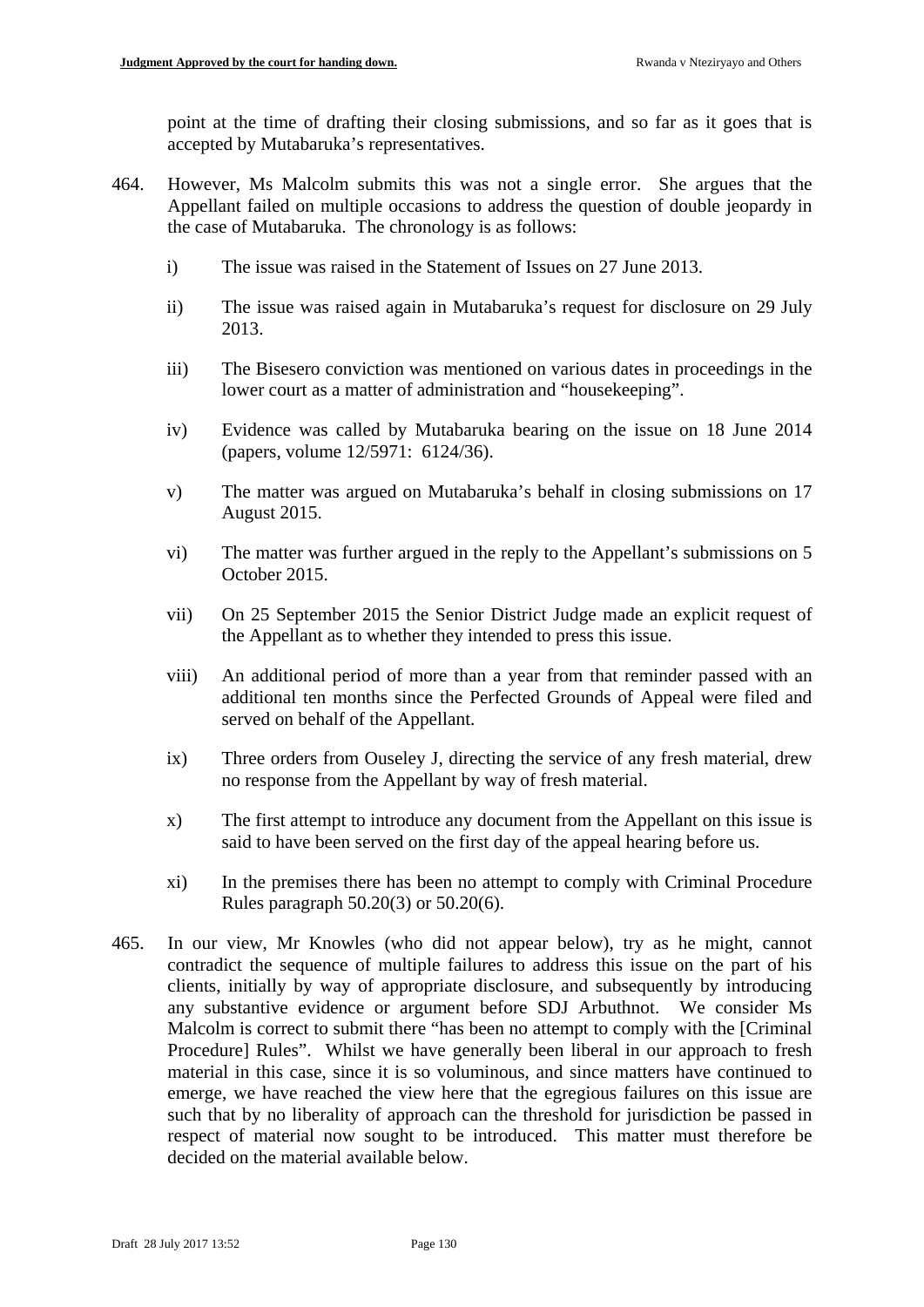point at the time of drafting their closing submissions, and so far as it goes that is accepted by Mutabaruka's representatives.

- 464. However, Ms Malcolm submits this was not a single error. She argues that the Appellant failed on multiple occasions to address the question of double jeopardy in the case of Mutabaruka. The chronology is as follows:
	- i) The issue was raised in the Statement of Issues on 27 June 2013.
	- ii) The issue was raised again in Mutabaruka's request for disclosure on 29 July 2013.
	- iii) The Bisesero conviction was mentioned on various dates in proceedings in the lower court as a matter of administration and "housekeeping".
	- iv) Evidence was called by Mutabaruka bearing on the issue on 18 June 2014 (papers, volume 12/5971: 6124/36).
	- v) The matter was argued on Mutabaruka's behalf in closing submissions on 17 August 2015.
	- vi) The matter was further argued in the reply to the Appellant's submissions on 5 October 2015.
	- vii) On 25 September 2015 the Senior District Judge made an explicit request of the Appellant as to whether they intended to press this issue.
	- viii) An additional period of more than a year from that reminder passed with an additional ten months since the Perfected Grounds of Appeal were filed and served on behalf of the Appellant.
	- ix) Three orders from Ouseley J, directing the service of any fresh material, drew no response from the Appellant by way of fresh material.
	- x) The first attempt to introduce any document from the Appellant on this issue is said to have been served on the first day of the appeal hearing before us.
	- xi) In the premises there has been no attempt to comply with Criminal Procedure Rules paragraph 50.20(3) or 50.20(6).
- 465. In our view, Mr Knowles (who did not appear below), try as he might, cannot contradict the sequence of multiple failures to address this issue on the part of his clients, initially by way of appropriate disclosure, and subsequently by introducing any substantive evidence or argument before SDJ Arbuthnot. We consider Ms Malcolm is correct to submit there "has been no attempt to comply with the [Criminal Procedure] Rules". Whilst we have generally been liberal in our approach to fresh material in this case, since it is so voluminous, and since matters have continued to emerge, we have reached the view here that the egregious failures on this issue are such that by no liberality of approach can the threshold for jurisdiction be passed in respect of material now sought to be introduced. This matter must therefore be decided on the material available below.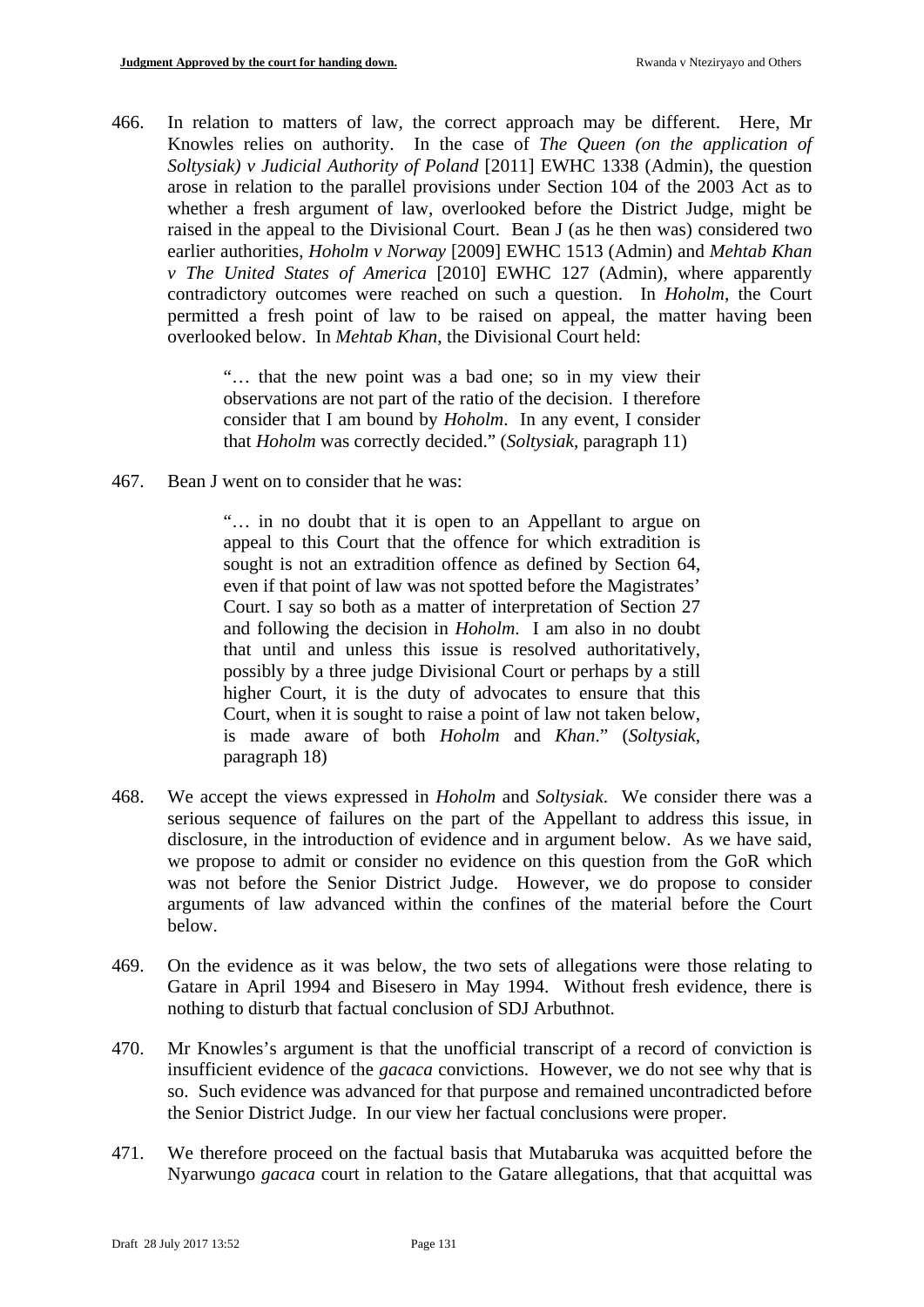466. In relation to matters of law, the correct approach may be different. Here, Mr Knowles relies on authority. In the case of *The Queen (on the application of Soltysiak) v Judicial Authority of Poland* [2011] EWHC 1338 (Admin), the question arose in relation to the parallel provisions under Section 104 of the 2003 Act as to whether a fresh argument of law, overlooked before the District Judge, might be raised in the appeal to the Divisional Court. Bean J (as he then was) considered two earlier authorities, *Hoholm v Norway* [2009] EWHC 1513 (Admin) and *Mehtab Khan v The United States of America* [2010] EWHC 127 (Admin), where apparently contradictory outcomes were reached on such a question. In *Hoholm*, the Court permitted a fresh point of law to be raised on appeal, the matter having been overlooked below. In *Mehtab Khan*, the Divisional Court held:

> "… that the new point was a bad one; so in my view their observations are not part of the ratio of the decision. I therefore consider that I am bound by *Hoholm*. In any event, I consider that *Hoholm* was correctly decided." (*Soltysiak*, paragraph 11)

467. Bean J went on to consider that he was:

"… in no doubt that it is open to an Appellant to argue on appeal to this Court that the offence for which extradition is sought is not an extradition offence as defined by Section 64, even if that point of law was not spotted before the Magistrates' Court. I say so both as a matter of interpretation of Section 27 and following the decision in *Hoholm*. I am also in no doubt that until and unless this issue is resolved authoritatively, possibly by a three judge Divisional Court or perhaps by a still higher Court, it is the duty of advocates to ensure that this Court, when it is sought to raise a point of law not taken below, is made aware of both *Hoholm* and *Khan*." (*Soltysiak*, paragraph 18)

- 468. We accept the views expressed in *Hoholm* and *Soltysiak*. We consider there was a serious sequence of failures on the part of the Appellant to address this issue, in disclosure, in the introduction of evidence and in argument below. As we have said, we propose to admit or consider no evidence on this question from the GoR which was not before the Senior District Judge. However, we do propose to consider arguments of law advanced within the confines of the material before the Court below.
- 469. On the evidence as it was below, the two sets of allegations were those relating to Gatare in April 1994 and Bisesero in May 1994. Without fresh evidence, there is nothing to disturb that factual conclusion of SDJ Arbuthnot.
- 470. Mr Knowles's argument is that the unofficial transcript of a record of conviction is insufficient evidence of the *gacaca* convictions. However, we do not see why that is so. Such evidence was advanced for that purpose and remained uncontradicted before the Senior District Judge. In our view her factual conclusions were proper.
- 471. We therefore proceed on the factual basis that Mutabaruka was acquitted before the Nyarwungo *gacaca* court in relation to the Gatare allegations, that that acquittal was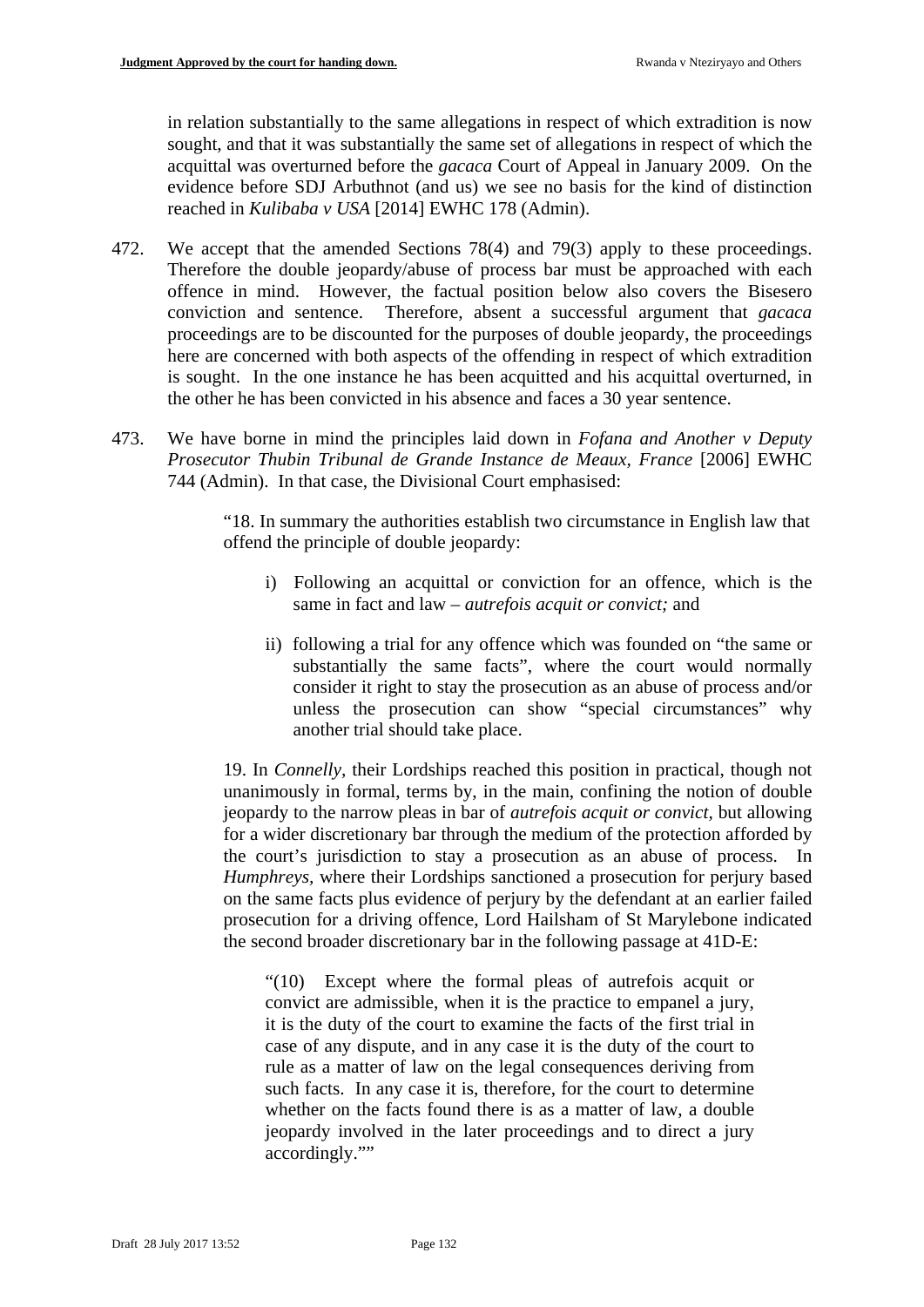in relation substantially to the same allegations in respect of which extradition is now sought, and that it was substantially the same set of allegations in respect of which the acquittal was overturned before the *gacaca* Court of Appeal in January 2009. On the evidence before SDJ Arbuthnot (and us) we see no basis for the kind of distinction reached in *Kulibaba v USA* [2014] EWHC 178 (Admin).

- 472. We accept that the amended Sections 78(4) and 79(3) apply to these proceedings. Therefore the double jeopardy/abuse of process bar must be approached with each offence in mind. However, the factual position below also covers the Bisesero conviction and sentence. Therefore, absent a successful argument that *gacaca*  proceedings are to be discounted for the purposes of double jeopardy, the proceedings here are concerned with both aspects of the offending in respect of which extradition is sought. In the one instance he has been acquitted and his acquittal overturned, in the other he has been convicted in his absence and faces a 30 year sentence.
- 473. We have borne in mind the principles laid down in *Fofana and Another v Deputy Prosecutor Thubin Tribunal de Grande Instance de Meaux, France* [2006] EWHC 744 (Admin). In that case, the Divisional Court emphasised:

"18. In summary the authorities establish two circumstance in English law that offend the principle of double jeopardy:

- i) Following an acquittal or conviction for an offence, which is the same in fact and law – *autrefois acquit or convict;* and
- ii) following a trial for any offence which was founded on "the same or substantially the same facts", where the court would normally consider it right to stay the prosecution as an abuse of process and/or unless the prosecution can show "special circumstances" why another trial should take place.

19. In *Connelly,* their Lordships reached this position in practical, though not unanimously in formal, terms by, in the main, confining the notion of double jeopardy to the narrow pleas in bar of *autrefois acquit or convict,* but allowing for a wider discretionary bar through the medium of the protection afforded by the court's jurisdiction to stay a prosecution as an abuse of process. In *Humphreys,* where their Lordships sanctioned a prosecution for perjury based on the same facts plus evidence of perjury by the defendant at an earlier failed prosecution for a driving offence, Lord Hailsham of St Marylebone indicated the second broader discretionary bar in the following passage at 41D-E:

"(10) Except where the formal pleas of autrefois acquit or convict are admissible, when it is the practice to empanel a jury, it is the duty of the court to examine the facts of the first trial in case of any dispute, and in any case it is the duty of the court to rule as a matter of law on the legal consequences deriving from such facts. In any case it is, therefore, for the court to determine whether on the facts found there is as a matter of law, a double jeopardy involved in the later proceedings and to direct a jury accordingly.""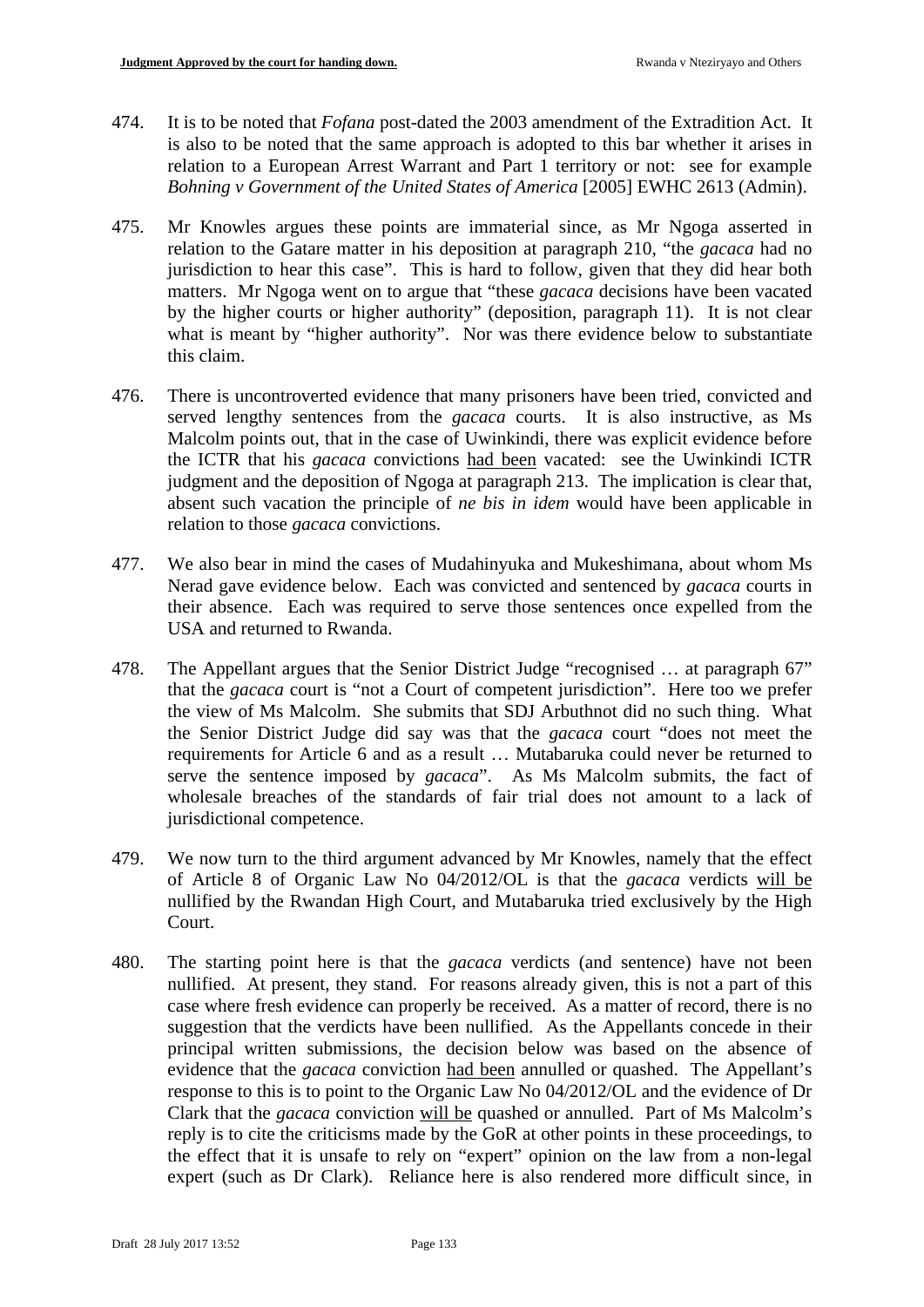- 474. It is to be noted that *Fofana* post-dated the 2003 amendment of the Extradition Act. It is also to be noted that the same approach is adopted to this bar whether it arises in relation to a European Arrest Warrant and Part 1 territory or not: see for example *Bohning v Government of the United States of America* [2005] EWHC 2613 (Admin).
- 475. Mr Knowles argues these points are immaterial since, as Mr Ngoga asserted in relation to the Gatare matter in his deposition at paragraph 210, "the *gacaca* had no jurisdiction to hear this case". This is hard to follow, given that they did hear both matters. Mr Ngoga went on to argue that "these *gacaca* decisions have been vacated by the higher courts or higher authority" (deposition, paragraph 11). It is not clear what is meant by "higher authority". Nor was there evidence below to substantiate this claim.
- 476. There is uncontroverted evidence that many prisoners have been tried, convicted and served lengthy sentences from the *gacaca* courts. It is also instructive, as Ms Malcolm points out, that in the case of Uwinkindi, there was explicit evidence before the ICTR that his *gacaca* convictions had been vacated: see the Uwinkindi ICTR judgment and the deposition of Ngoga at paragraph 213. The implication is clear that, absent such vacation the principle of *ne bis in idem* would have been applicable in relation to those *gacaca* convictions.
- 477. We also bear in mind the cases of Mudahinyuka and Mukeshimana, about whom Ms Nerad gave evidence below. Each was convicted and sentenced by *gacaca* courts in their absence. Each was required to serve those sentences once expelled from the USA and returned to Rwanda.
- 478. The Appellant argues that the Senior District Judge "recognised ... at paragraph 67" that the *gacaca* court is "not a Court of competent jurisdiction". Here too we prefer the view of Ms Malcolm. She submits that SDJ Arbuthnot did no such thing. What the Senior District Judge did say was that the *gacaca* court "does not meet the requirements for Article 6 and as a result … Mutabaruka could never be returned to serve the sentence imposed by *gacaca*". As Ms Malcolm submits, the fact of wholesale breaches of the standards of fair trial does not amount to a lack of jurisdictional competence.
- 479. We now turn to the third argument advanced by Mr Knowles, namely that the effect of Article 8 of Organic Law No 04/2012/OL is that the *gacaca* verdicts will be nullified by the Rwandan High Court, and Mutabaruka tried exclusively by the High Court.
- 480. The starting point here is that the *gacaca* verdicts (and sentence) have not been nullified. At present, they stand. For reasons already given, this is not a part of this case where fresh evidence can properly be received. As a matter of record, there is no suggestion that the verdicts have been nullified. As the Appellants concede in their principal written submissions, the decision below was based on the absence of evidence that the *gacaca* conviction had been annulled or quashed. The Appellant's response to this is to point to the Organic Law No 04/2012/OL and the evidence of Dr Clark that the *gacaca* conviction will be quashed or annulled. Part of Ms Malcolm's reply is to cite the criticisms made by the GoR at other points in these proceedings, to the effect that it is unsafe to rely on "expert" opinion on the law from a non-legal expert (such as Dr Clark). Reliance here is also rendered more difficult since, in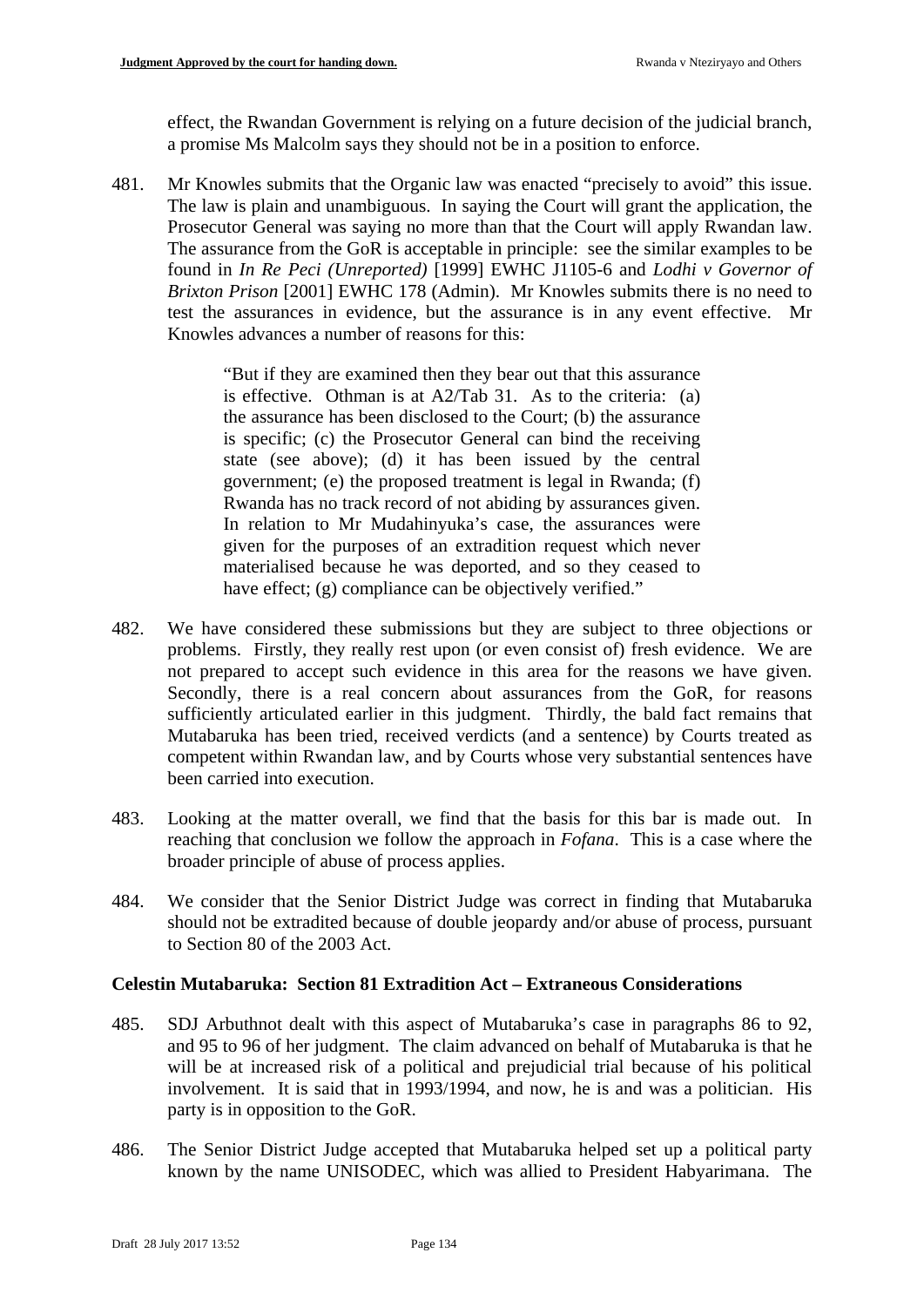effect, the Rwandan Government is relying on a future decision of the judicial branch, a promise Ms Malcolm says they should not be in a position to enforce.

Mr Knowles submits that the Organic law was enacted "precisely to avoid" this issue. 481. Mr Knowles submits that the Organic law was enacted "precisely to avoid" this issue. The law is plain and unambiguous. In saying the Court will grant the application, the Prosecutor General was saying no more than that the Court will apply Rwandan law. The assurance from the GoR is acceptable in principle: see the similar examples to be found in *In Re Peci (Unreported)* [1999] EWHC J1105-6 and *Lodhi v Governor of Brixton Prison* [2001] EWHC 178 (Admin). Mr Knowles submits there is no need to test the assurances in evidence, but the assurance is in any event effective. Mr Knowles advances a number of reasons for this:

> "But if they are examined then they bear out that this assurance is effective. Othman is at A2/Tab 31. As to the criteria: (a) the assurance has been disclosed to the Court; (b) the assurance is specific; (c) the Prosecutor General can bind the receiving state (see above); (d) it has been issued by the central government; (e) the proposed treatment is legal in Rwanda; (f) Rwanda has no track record of not abiding by assurances given. In relation to Mr Mudahinyuka's case, the assurances were given for the purposes of an extradition request which never materialised because he was deported, and so they ceased to have effect; (g) compliance can be objectively verified."

- 482. We have considered these submissions but they are subject to three objections or problems. Firstly, they really rest upon (or even consist of) fresh evidence. We are not prepared to accept such evidence in this area for the reasons we have given. Secondly, there is a real concern about assurances from the GoR, for reasons sufficiently articulated earlier in this judgment. Thirdly, the bald fact remains that Mutabaruka has been tried, received verdicts (and a sentence) by Courts treated as competent within Rwandan law, and by Courts whose very substantial sentences have been carried into execution.
- 483. Looking at the matter overall, we find that the basis for this bar is made out. In reaching that conclusion we follow the approach in *Fofana*. This is a case where the broader principle of abuse of process applies.
- 484. We consider that the Senior District Judge was correct in finding that Mutabaruka should not be extradited because of double jeopardy and/or abuse of process, pursuant to Section 80 of the 2003 Act.

### **Celestin Mutabaruka: Section 81 Extradition Act – Extraneous Considerations**

- 485. SDJ Arbuthnot dealt with this aspect of Mutabaruka's case in paragraphs 86 to 92, and 95 to 96 of her judgment. The claim advanced on behalf of Mutabaruka is that he will be at increased risk of a political and prejudicial trial because of his political involvement. It is said that in 1993/1994, and now, he is and was a politician. His party is in opposition to the GoR.
- 486. The Senior District Judge accepted that Mutabaruka helped set up a political party known by the name UNISODEC, which was allied to President Habyarimana. The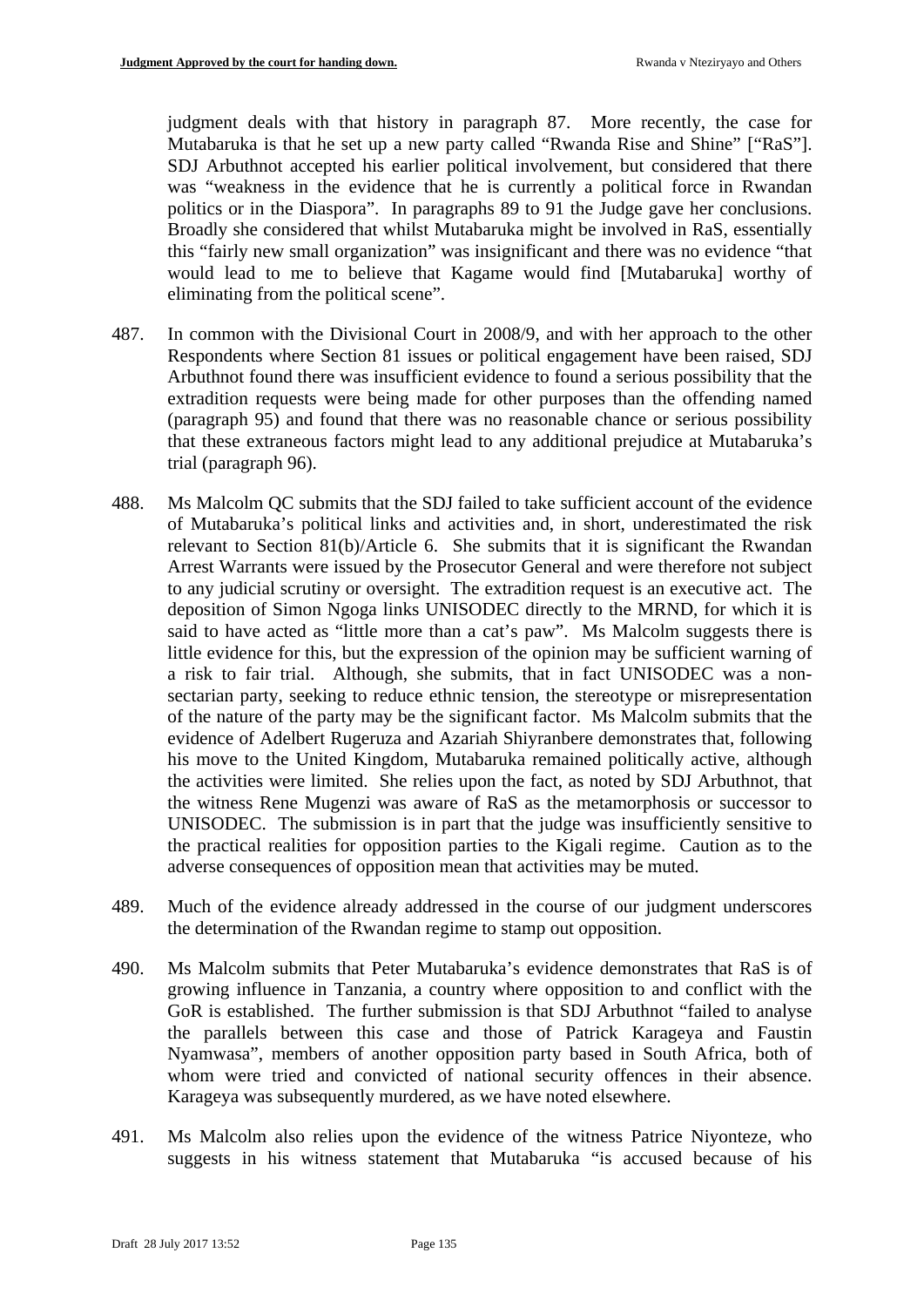judgment deals with that history in paragraph 87. More recently, the case for Mutabaruka is that he set up a new party called "Rwanda Rise and Shine" ["RaS"]. SDJ Arbuthnot accepted his earlier political involvement, but considered that there was "weakness in the evidence that he is currently a political force in Rwandan politics or in the Diaspora". In paragraphs 89 to 91 the Judge gave her conclusions. Broadly she considered that whilst Mutabaruka might be involved in RaS, essentially this "fairly new small organization" was insignificant and there was no evidence "that would lead to me to believe that Kagame would find [Mutabaruka] worthy of eliminating from the political scene".

- 487. In common with the Divisional Court in 2008/9, and with her approach to the other Respondents where Section 81 issues or political engagement have been raised, SDJ Arbuthnot found there was insufficient evidence to found a serious possibility that the extradition requests were being made for other purposes than the offending named (paragraph 95) and found that there was no reasonable chance or serious possibility that these extraneous factors might lead to any additional prejudice at Mutabaruka's trial (paragraph 96).
- 488. Ms Malcolm QC submits that the SDJ failed to take sufficient account of the evidence of Mutabaruka's political links and activities and, in short, underestimated the risk relevant to Section 81(b)/Article 6. She submits that it is significant the Rwandan Arrest Warrants were issued by the Prosecutor General and were therefore not subject to any judicial scrutiny or oversight. The extradition request is an executive act. The deposition of Simon Ngoga links UNISODEC directly to the MRND, for which it is said to have acted as "little more than a cat's paw". Ms Malcolm suggests there is little evidence for this, but the expression of the opinion may be sufficient warning of a risk to fair trial. Although, she submits, that in fact UNISODEC was a nonsectarian party, seeking to reduce ethnic tension, the stereotype or misrepresentation of the nature of the party may be the significant factor. Ms Malcolm submits that the evidence of Adelbert Rugeruza and Azariah Shiyranbere demonstrates that, following his move to the United Kingdom, Mutabaruka remained politically active, although the activities were limited. She relies upon the fact, as noted by SDJ Arbuthnot, that the witness Rene Mugenzi was aware of RaS as the metamorphosis or successor to UNISODEC. The submission is in part that the judge was insufficiently sensitive to the practical realities for opposition parties to the Kigali regime. Caution as to the adverse consequences of opposition mean that activities may be muted.
- 489. Much of the evidence already addressed in the course of our judgment underscores the determination of the Rwandan regime to stamp out opposition.
- 490. Ms Malcolm submits that Peter Mutabaruka's evidence demonstrates that RaS is of growing influence in Tanzania, a country where opposition to and conflict with the GoR is established. The further submission is that SDJ Arbuthnot "failed to analyse the parallels between this case and those of Patrick Karageya and Faustin Nyamwasa", members of another opposition party based in South Africa, both of whom were tried and convicted of national security offences in their absence. Karageya was subsequently murdered, as we have noted elsewhere.
- 491. Ms Malcolm also relies upon the evidence of the witness Patrice Niyonteze, who suggests in his witness statement that Mutabaruka "is accused because of his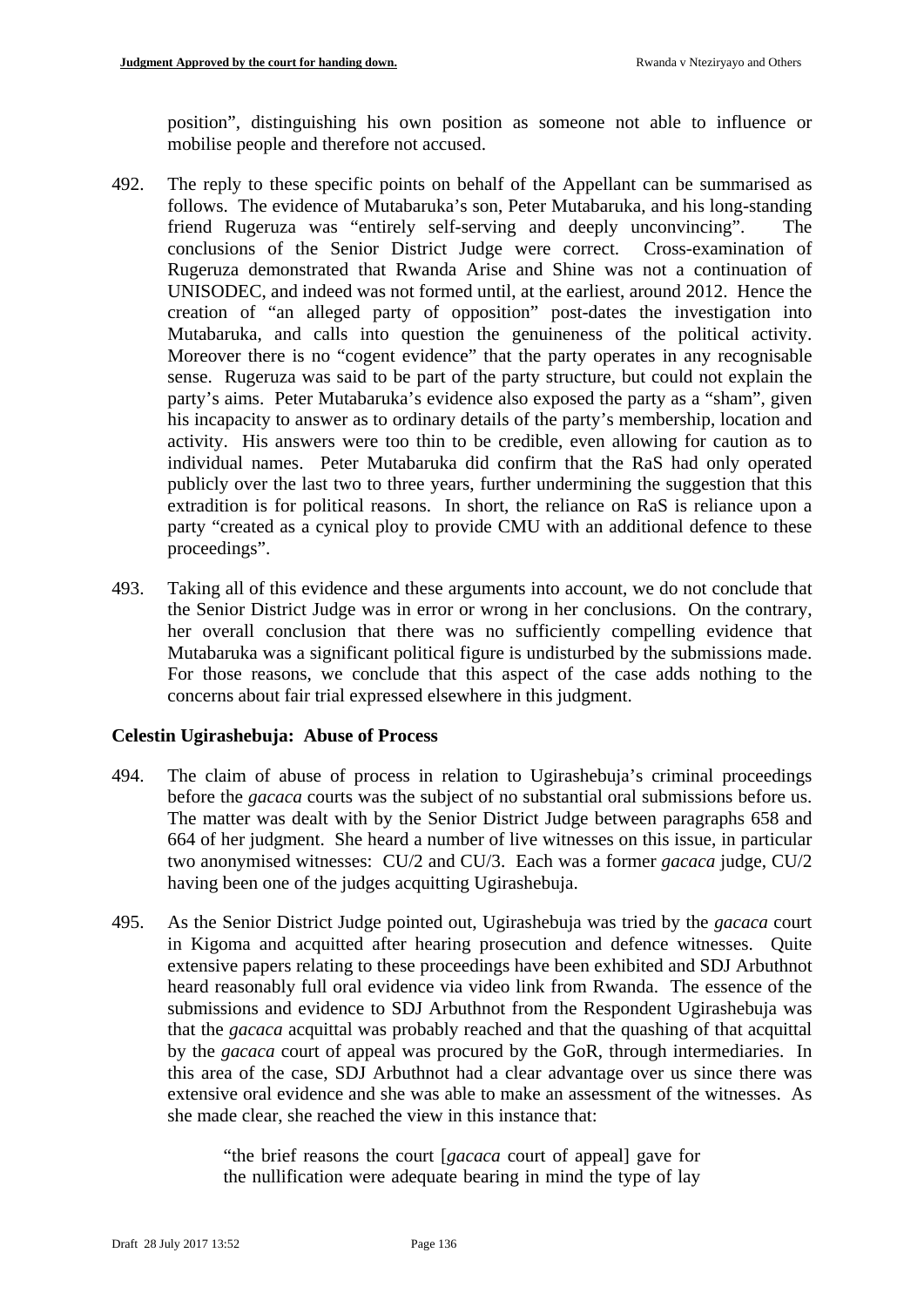position", distinguishing his own position as someone not able to influence or mobilise people and therefore not accused.

- 492. The reply to these specific points on behalf of the Appellant can be summarised as follows. The evidence of Mutabaruka's son, Peter Mutabaruka, and his long-standing friend Rugeruza was "entirely self-serving and deeply unconvincing". The conclusions of the Senior District Judge were correct. Cross-examination of Rugeruza demonstrated that Rwanda Arise and Shine was not a continuation of UNISODEC, and indeed was not formed until, at the earliest, around 2012. Hence the creation of "an alleged party of opposition" post-dates the investigation into Mutabaruka, and calls into question the genuineness of the political activity. Moreover there is no "cogent evidence" that the party operates in any recognisable sense. Rugeruza was said to be part of the party structure, but could not explain the party's aims. Peter Mutabaruka's evidence also exposed the party as a "sham", given his incapacity to answer as to ordinary details of the party's membership, location and activity. His answers were too thin to be credible, even allowing for caution as to individual names. Peter Mutabaruka did confirm that the RaS had only operated publicly over the last two to three years, further undermining the suggestion that this extradition is for political reasons. In short, the reliance on RaS is reliance upon a party "created as a cynical ploy to provide CMU with an additional defence to these proceedings".
- 493. Taking all of this evidence and these arguments into account, we do not conclude that the Senior District Judge was in error or wrong in her conclusions. On the contrary, her overall conclusion that there was no sufficiently compelling evidence that Mutabaruka was a significant political figure is undisturbed by the submissions made. For those reasons, we conclude that this aspect of the case adds nothing to the concerns about fair trial expressed elsewhere in this judgment.

### **Celestin Ugirashebuja: Abuse of Process**

- 494. The claim of abuse of process in relation to Ugirashebuja's criminal proceedings before the *gacaca* courts was the subject of no substantial oral submissions before us. The matter was dealt with by the Senior District Judge between paragraphs 658 and 664 of her judgment. She heard a number of live witnesses on this issue, in particular two anonymised witnesses: CU/2 and CU/3. Each was a former *gacaca* judge, CU/2 having been one of the judges acquitting Ugirashebuja.
- 495. As the Senior District Judge pointed out, Ugirashebuja was tried by the *gacaca* court in Kigoma and acquitted after hearing prosecution and defence witnesses. Quite extensive papers relating to these proceedings have been exhibited and SDJ Arbuthnot heard reasonably full oral evidence via video link from Rwanda. The essence of the submissions and evidence to SDJ Arbuthnot from the Respondent Ugirashebuja was that the *gacaca* acquittal was probably reached and that the quashing of that acquittal by the *gacaca* court of appeal was procured by the GoR, through intermediaries. In this area of the case, SDJ Arbuthnot had a clear advantage over us since there was extensive oral evidence and she was able to make an assessment of the witnesses. As she made clear, she reached the view in this instance that:

"the brief reasons the court [*gacaca* court of appeal] gave for the nullification were adequate bearing in mind the type of lay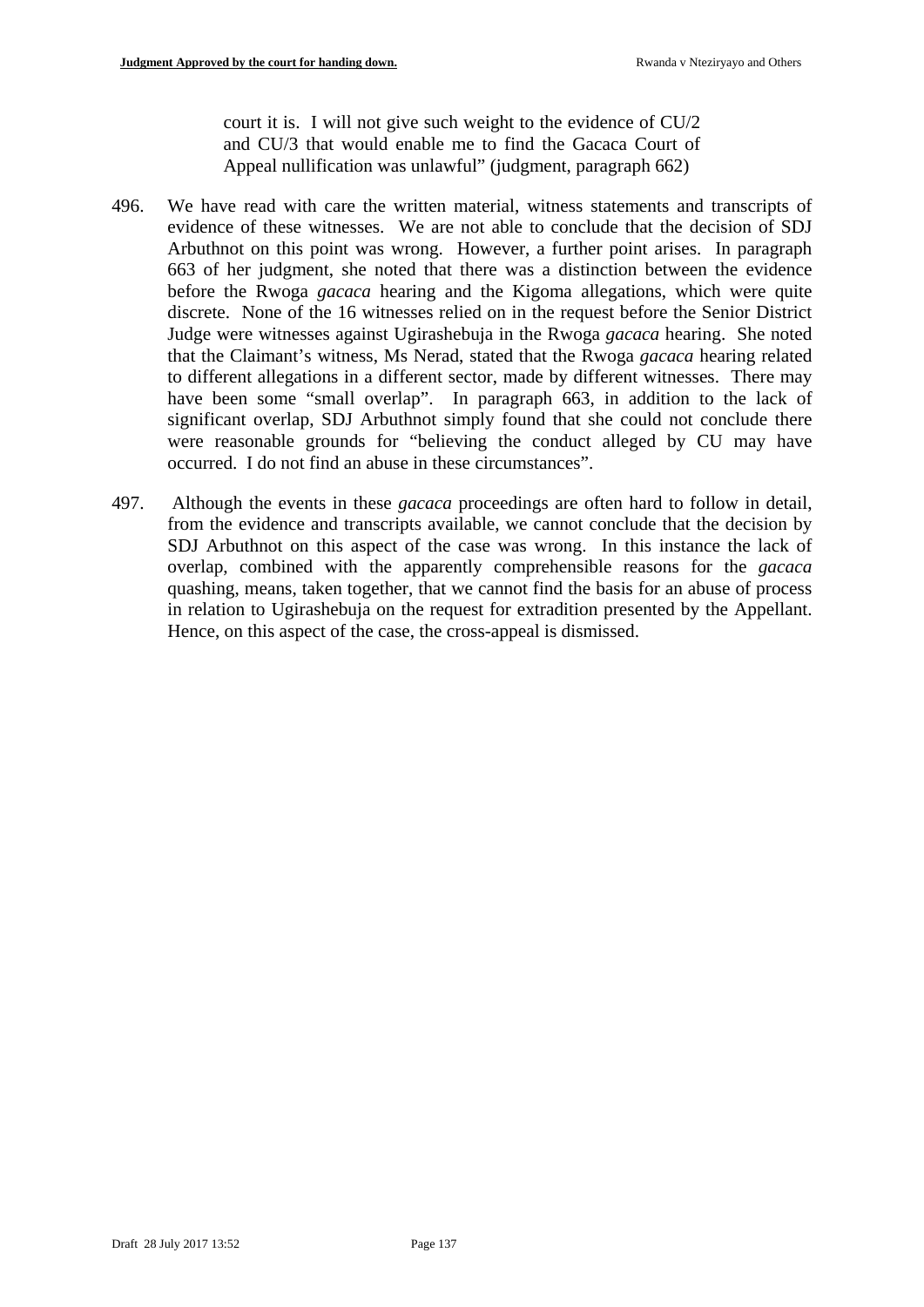court it is. I will not give such weight to the evidence of CU/2 and CU/3 that would enable me to find the Gacaca Court of Appeal nullification was unlawful" (judgment, paragraph 662)

- 496. We have read with care the written material, witness statements and transcripts of evidence of these witnesses. We are not able to conclude that the decision of SDJ Arbuthnot on this point was wrong. However, a further point arises. In paragraph 663 of her judgment, she noted that there was a distinction between the evidence before the Rwoga *gacaca* hearing and the Kigoma allegations, which were quite discrete. None of the 16 witnesses relied on in the request before the Senior District Judge were witnesses against Ugirashebuja in the Rwoga *gacaca* hearing. She noted that the Claimant's witness, Ms Nerad, stated that the Rwoga *gacaca* hearing related to different allegations in a different sector, made by different witnesses. There may have been some "small overlap". In paragraph 663, in addition to the lack of significant overlap, SDJ Arbuthnot simply found that she could not conclude there were reasonable grounds for "believing the conduct alleged by CU may have occurred. I do not find an abuse in these circumstances".
- in relation to Ugirashebuja on the request for extradition presented by the Appellant. Hence, on this aspect of the case, the cross-appeal is dismissed. 497. Although the events in these *gacaca* proceedings are often hard to follow in detail, from the evidence and transcripts available, we cannot conclude that the decision by SDJ Arbuthnot on this aspect of the case was wrong. In this instance the lack of overlap, combined with the apparently comprehensible reasons for the *gacaca*  quashing, means, taken together, that we cannot find the basis for an abuse of process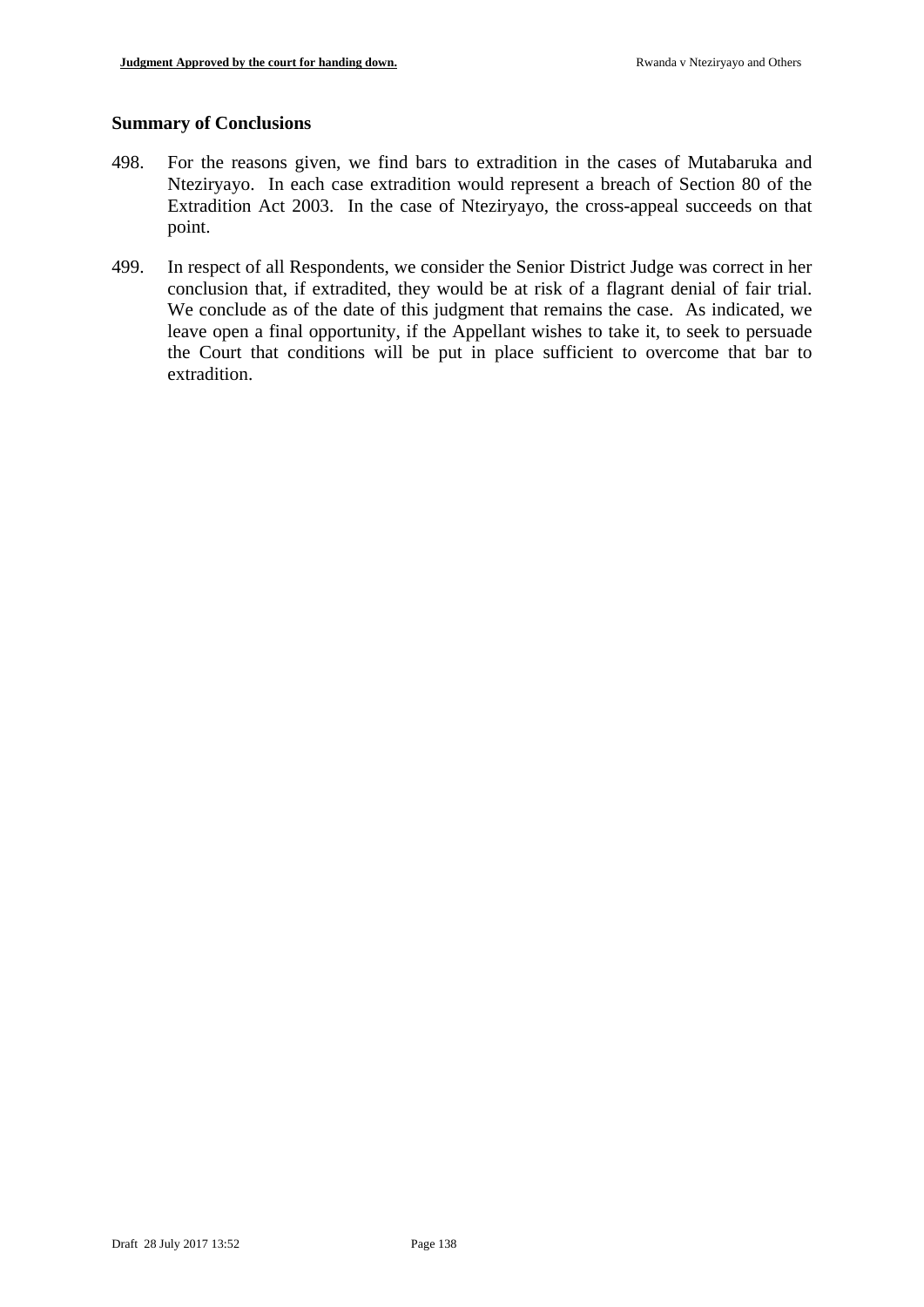#### **Summary of Conclusions**

- 498. For the reasons given, we find bars to extradition in the cases of Mutabaruka and Nteziryayo. In each case extradition would represent a breach of Section 80 of the Extradition Act 2003. In the case of Nteziryayo, the cross-appeal succeeds on that point.
- 499. In respect of all Respondents, we consider the Senior District Judge was correct in her conclusion that, if extradited, they would be at risk of a flagrant denial of fair trial. We conclude as of the date of this judgment that remains the case. As indicated, we leave open a final opportunity, if the Appellant wishes to take it, to seek to persuade the Court that conditions will be put in place sufficient to overcome that bar to extradition.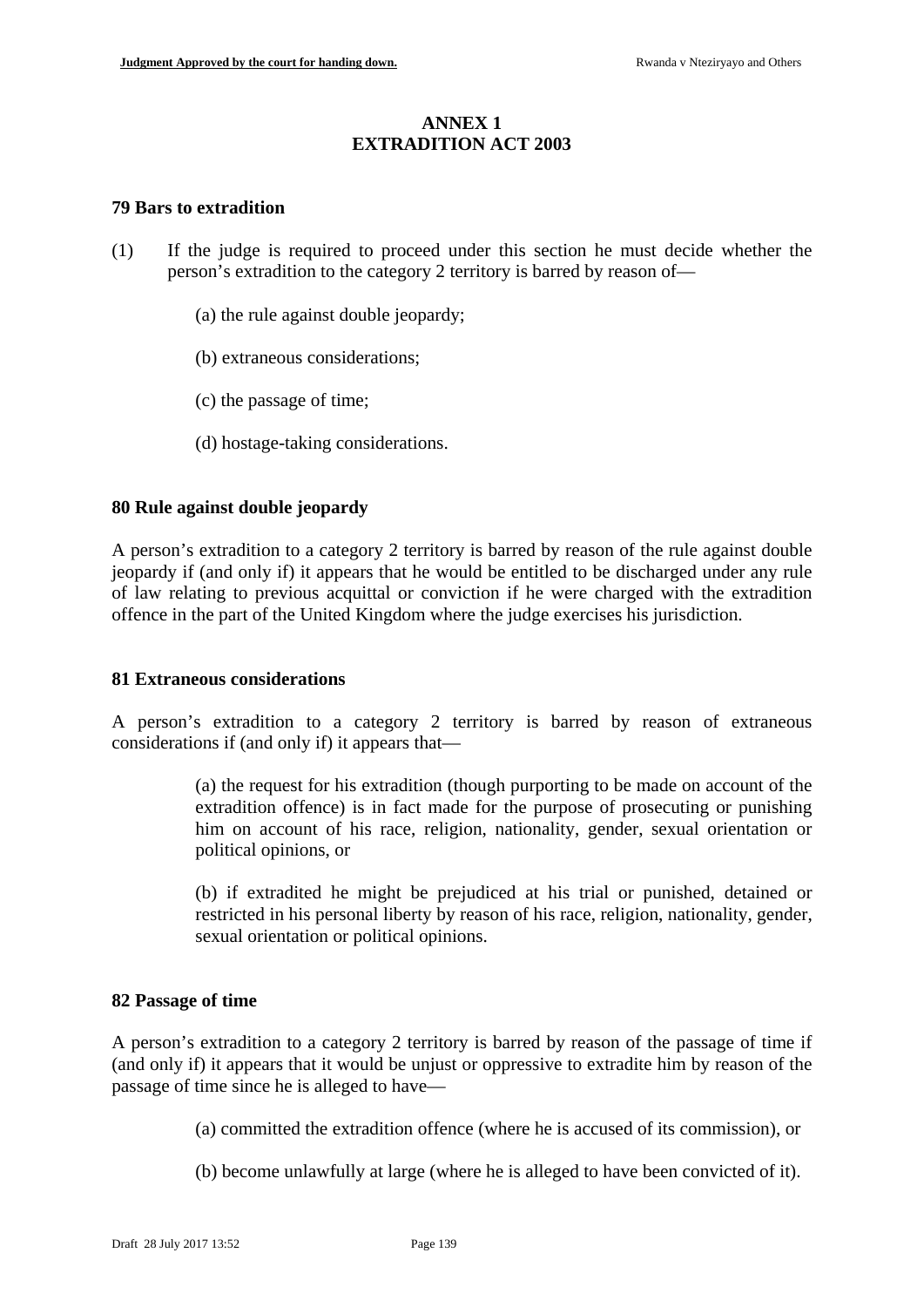### **ANNEX 1 EXTRADITION ACT 2003**

#### **79 Bars to extradition**

- (1) If the judge is required to proceed under this section he must decide whether the person's extradition to the category 2 territory is barred by reason of—
	- (a) the rule against double jeopardy;
	- (b) extraneous considerations;
	- (c) the passage of time;
	- (d) hostage-taking considerations.

### **80 Rule against double jeopardy**

A person's extradition to a category 2 territory is barred by reason of the rule against double jeopardy if (and only if) it appears that he would be entitled to be discharged under any rule of law relating to previous acquittal or conviction if he were charged with the extradition offence in the part of the United Kingdom where the judge exercises his jurisdiction.

### **81 Extraneous considerations**

A person's extradition to a category 2 territory is barred by reason of extraneous considerations if (and only if) it appears that—

> (a) the request for his extradition (though purporting to be made on account of the extradition offence) is in fact made for the purpose of prosecuting or punishing him on account of his race, religion, nationality, gender, sexual orientation or political opinions, or

> (b) if extradited he might be prejudiced at his trial or punished, detained or restricted in his personal liberty by reason of his race, religion, nationality, gender, sexual orientation or political opinions.

### **82 Passage of time**

A person's extradition to a category 2 territory is barred by reason of the passage of time if (and only if) it appears that it would be unjust or oppressive to extradite him by reason of the passage of time since he is alleged to have—

(a) committed the extradition offence (where he is accused of its commission), or

(b) become unlawfully at large (where he is alleged to have been convicted of it).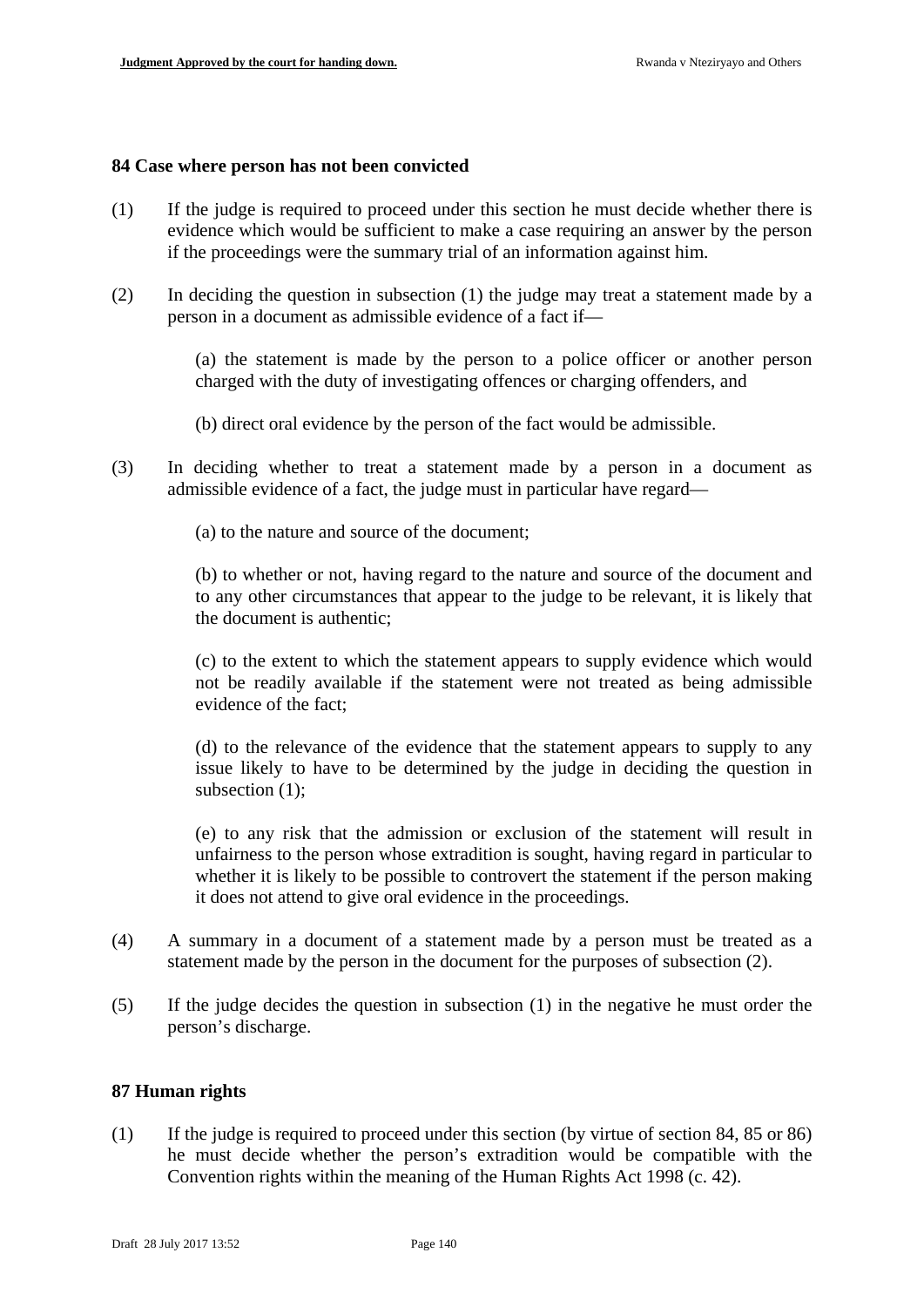#### **84 Case where person has not been convicted**

- (1) If the judge is required to proceed under this section he must decide whether there is evidence which would be sufficient to make a case requiring an answer by the person if the proceedings were the summary trial of an information against him.
- (2) In deciding the question in subsection (1) the judge may treat a statement made by a person in a document as admissible evidence of a fact if—

(a) the statement is made by the person to a police officer or another person charged with the duty of investigating offences or charging offenders, and

(b) direct oral evidence by the person of the fact would be admissible.

- (3) In deciding whether to treat a statement made by a person in a document as admissible evidence of a fact, the judge must in particular have regard—
	- (a) to the nature and source of the document;

(b) to whether or not, having regard to the nature and source of the document and to any other circumstances that appear to the judge to be relevant, it is likely that the document is authentic;

(c) to the extent to which the statement appears to supply evidence which would not be readily available if the statement were not treated as being admissible evidence of the fact;

(d) to the relevance of the evidence that the statement appears to supply to any issue likely to have to be determined by the judge in deciding the question in subsection (1);

(e) to any risk that the admission or exclusion of the statement will result in unfairness to the person whose extradition is sought, having regard in particular to whether it is likely to be possible to controvert the statement if the person making it does not attend to give oral evidence in the proceedings.

- (4) A summary in a document of a statement made by a person must be treated as a statement made by the person in the document for the purposes of subsection (2).
- (5) If the judge decides the question in subsection (1) in the negative he must order the person's discharge.

### **87 Human rights**

(1) If the judge is required to proceed under this section (by virtue of section 84, 85 or 86) he must decide whether the person's extradition would be compatible with the Convention rights within the meaning of the Human Rights Act 1998 (c. 42).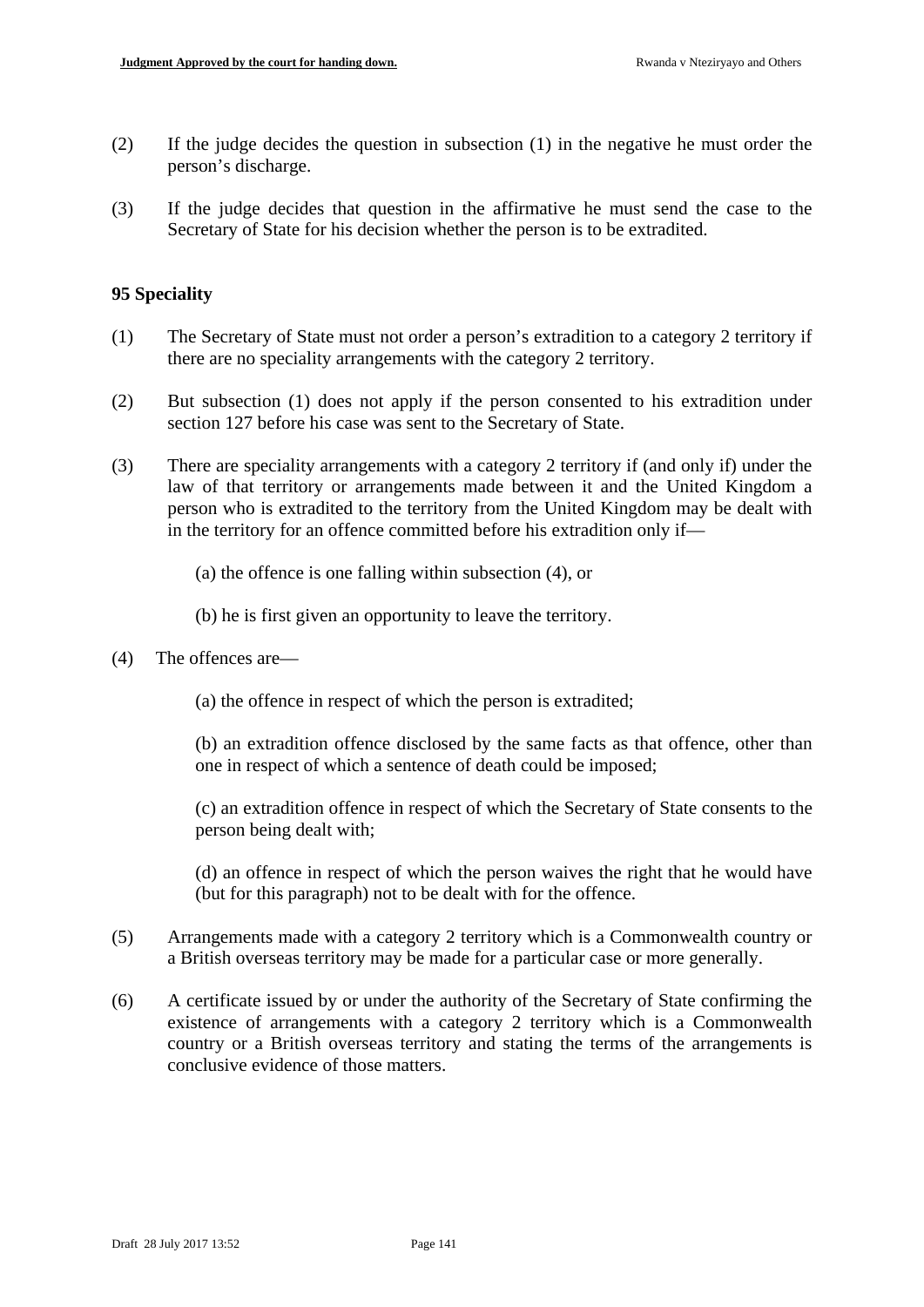- (2) If the judge decides the question in subsection (1) in the negative he must order the person's discharge.
- (3) If the judge decides that question in the affirmative he must send the case to the Secretary of State for his decision whether the person is to be extradited.

#### **95 Speciality**

- (1) The Secretary of State must not order a person's extradition to a category 2 territory if there are no speciality arrangements with the category 2 territory.
- (2) But subsection (1) does not apply if the person consented to his extradition under section 127 before his case was sent to the Secretary of State.
- (3) There are speciality arrangements with a category 2 territory if (and only if) under the law of that territory or arrangements made between it and the United Kingdom a person who is extradited to the territory from the United Kingdom may be dealt with in the territory for an offence committed before his extradition only if—
	- (a) the offence is one falling within subsection (4), or
	- (b) he is first given an opportunity to leave the territory.
- (4) The offences are—
	- (a) the offence in respect of which the person is extradited;
	- (b) an extradition offence disclosed by the same facts as that offence, other than one in respect of which a sentence of death could be imposed;
	- (c) an extradition offence in respect of which the Secretary of State consents to the person being dealt with;
	- (d) an offence in respect of which the person waives the right that he would have (but for this paragraph) not to be dealt with for the offence.
- (5) Arrangements made with a category 2 territory which is a Commonwealth country or a British overseas territory may be made for a particular case or more generally.
- (6) A certificate issued by or under the authority of the Secretary of State confirming the existence of arrangements with a category 2 territory which is a Commonwealth country or a British overseas territory and stating the terms of the arrangements is conclusive evidence of those matters.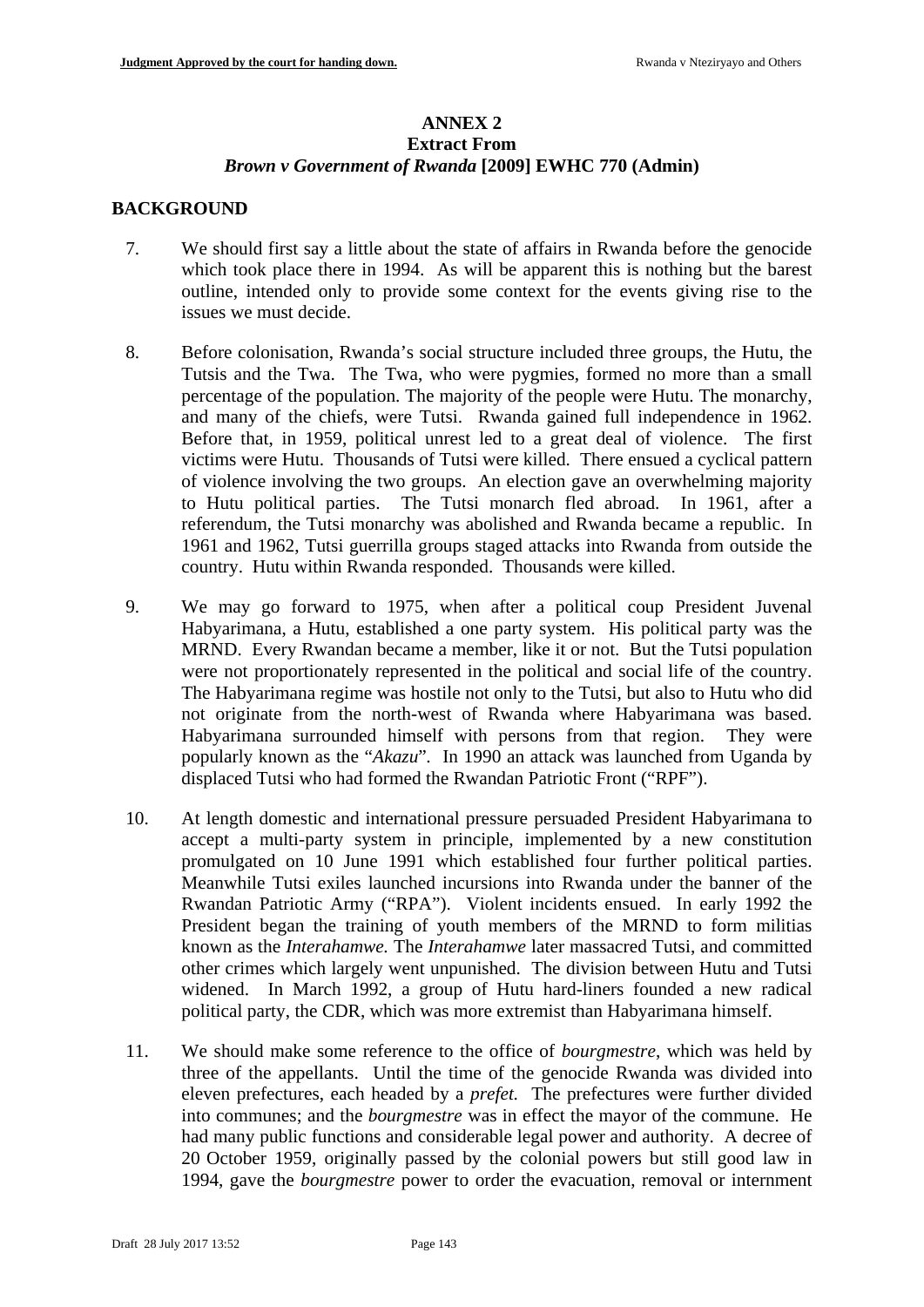### **ANNEX 2 Extract From** *Brown v Government of Rwanda* **[2009] EWHC 770 (Admin)**

### **BACKGROUND**

- 7. We should first say a little about the state of affairs in Rwanda before the genocide which took place there in 1994. As will be apparent this is nothing but the barest outline, intended only to provide some context for the events giving rise to the issues we must decide.
- 8. Before colonisation, Rwanda's social structure included three groups, the Hutu, the Tutsis and the Twa. The Twa, who were pygmies, formed no more than a small percentage of the population. The majority of the people were Hutu. The monarchy, and many of the chiefs, were Tutsi. Rwanda gained full independence in 1962. Before that, in 1959, political unrest led to a great deal of violence. The first victims were Hutu. Thousands of Tutsi were killed. There ensued a cyclical pattern of violence involving the two groups. An election gave an overwhelming majority to Hutu political parties. The Tutsi monarch fled abroad. In 1961, after a referendum, the Tutsi monarchy was abolished and Rwanda became a republic. In 1961 and 1962, Tutsi guerrilla groups staged attacks into Rwanda from outside the country. Hutu within Rwanda responded. Thousands were killed.
- 9. We may go forward to 1975, when after a political coup President Juvenal Habyarimana, a Hutu, established a one party system. His political party was the MRND. Every Rwandan became a member, like it or not. But the Tutsi population were not proportionately represented in the political and social life of the country. The Habyarimana regime was hostile not only to the Tutsi, but also to Hutu who did not originate from the north-west of Rwanda where Habyarimana was based. Habyarimana surrounded himself with persons from that region. They were popularly known as the "*Akazu*"*.* In 1990 an attack was launched from Uganda by displaced Tutsi who had formed the Rwandan Patriotic Front ("RPF").
- 10. At length domestic and international pressure persuaded President Habyarimana to accept a multi-party system in principle, implemented by a new constitution promulgated on 10 June 1991 which established four further political parties. Meanwhile Tutsi exiles launched incursions into Rwanda under the banner of the Rwandan Patriotic Army ("RPA"). Violent incidents ensued. In early 1992 the President began the training of youth members of the MRND to form militias known as the *Interahamwe.* The *Interahamwe* later massacred Tutsi, and committed other crimes which largely went unpunished. The division between Hutu and Tutsi widened. In March 1992, a group of Hutu hard-liners founded a new radical political party, the CDR, which was more extremist than Habyarimana himself.
- 11. We should make some reference to the office of *bourgmestre*, which was held by three of the appellants. Until the time of the genocide Rwanda was divided into eleven prefectures, each headed by a *prefet.* The prefectures were further divided into communes; and the *bourgmestre* was in effect the mayor of the commune. He had many public functions and considerable legal power and authority. A decree of 20 October 1959, originally passed by the colonial powers but still good law in 1994, gave the *bourgmestre* power to order the evacuation, removal or internment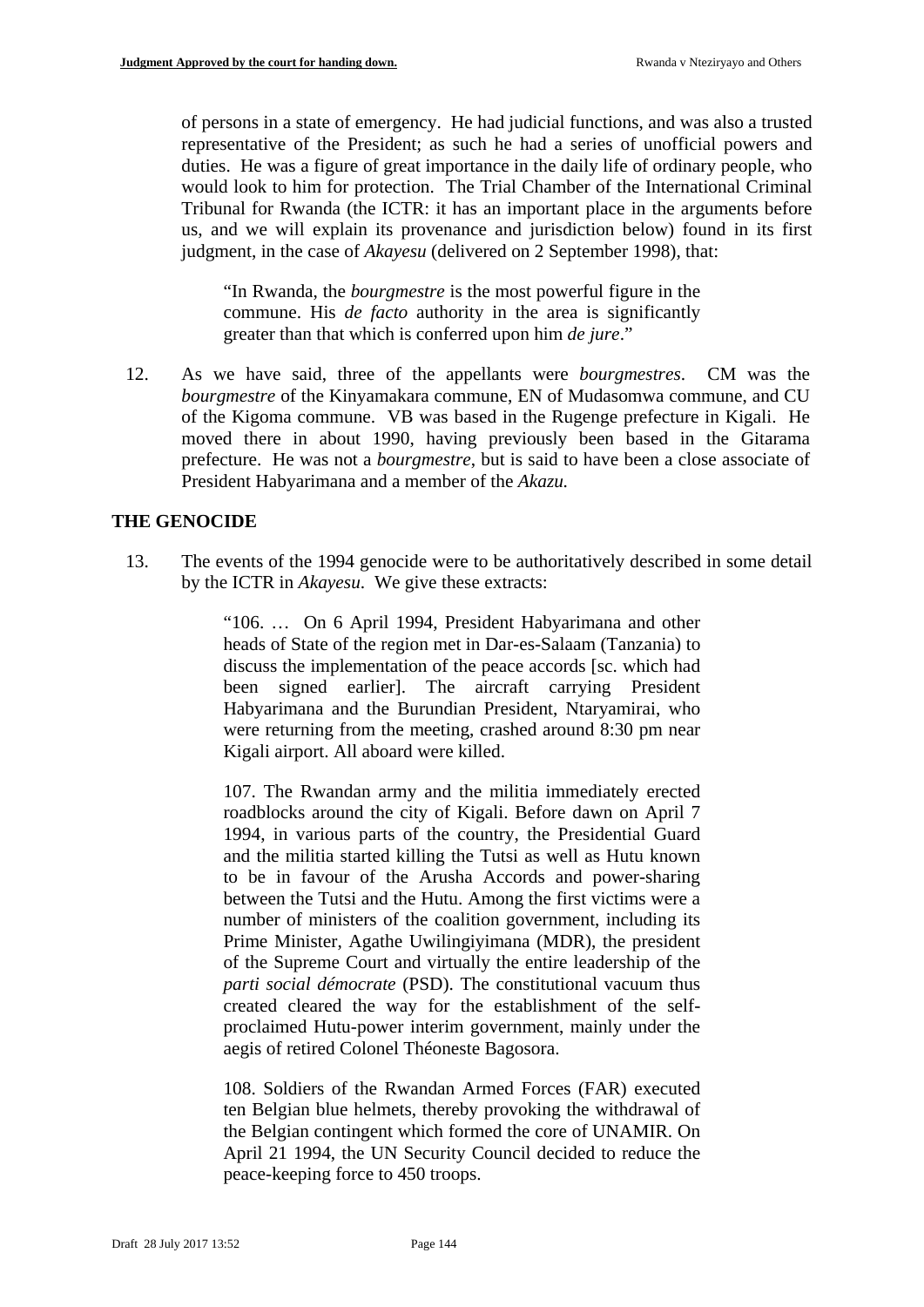of persons in a state of emergency. He had judicial functions, and was also a trusted representative of the President; as such he had a series of unofficial powers and duties. He was a figure of great importance in the daily life of ordinary people, who would look to him for protection. The Trial Chamber of the International Criminal Tribunal for Rwanda (the ICTR: it has an important place in the arguments before us, and we will explain its provenance and jurisdiction below) found in its first judgment, in the case of *Akayesu* (delivered on 2 September 1998), that:

"In Rwanda, the *bourgmestre* is the most powerful figure in the commune. His *de facto* authority in the area is significantly greater than that which is conferred upon him *de jure*."

 President Habyarimana and a member of the *Akazu.* 12. As we have said, three of the appellants were *bourgmestres*. CM was the *bourgmestre* of the Kinyamakara commune, EN of Mudasomwa commune, and CU of the Kigoma commune. VB was based in the Rugenge prefecture in Kigali. He moved there in about 1990, having previously been based in the Gitarama prefecture. He was not a *bourgmestre*, but is said to have been a close associate of

# **THE GENOCIDE**

13. The events of the 1994 genocide were to be authoritatively described in some detail by the ICTR in *Akayesu*. We give these extracts:

> "106. … On 6 April 1994, President Habyarimana and other heads of State of the region met in Dar-es-Salaam (Tanzania) to discuss the implementation of the peace accords [sc. which had been signed earlier]. The aircraft carrying President Habyarimana and the Burundian President, Ntaryamirai, who were returning from the meeting, crashed around 8:30 pm near Kigali airport. All aboard were killed.

> 107. The Rwandan army and the militia immediately erected roadblocks around the city of Kigali. Before dawn on April 7 1994, in various parts of the country, the Presidential Guard and the militia started killing the Tutsi as well as Hutu known to be in favour of the Arusha Accords and power-sharing between the Tutsi and the Hutu. Among the first victims were a number of ministers of the coalition government, including its Prime Minister, Agathe Uwilingiyimana (MDR), the president of the Supreme Court and virtually the entire leadership of the *parti social démocrate* (PSD). The constitutional vacuum thus created cleared the way for the establishment of the selfproclaimed Hutu-power interim government, mainly under the aegis of retired Colonel Théoneste Bagosora.

> 108. Soldiers of the Rwandan Armed Forces (FAR) executed ten Belgian blue helmets, thereby provoking the withdrawal of the Belgian contingent which formed the core of UNAMIR. On April 21 1994, the UN Security Council decided to reduce the peace-keeping force to 450 troops.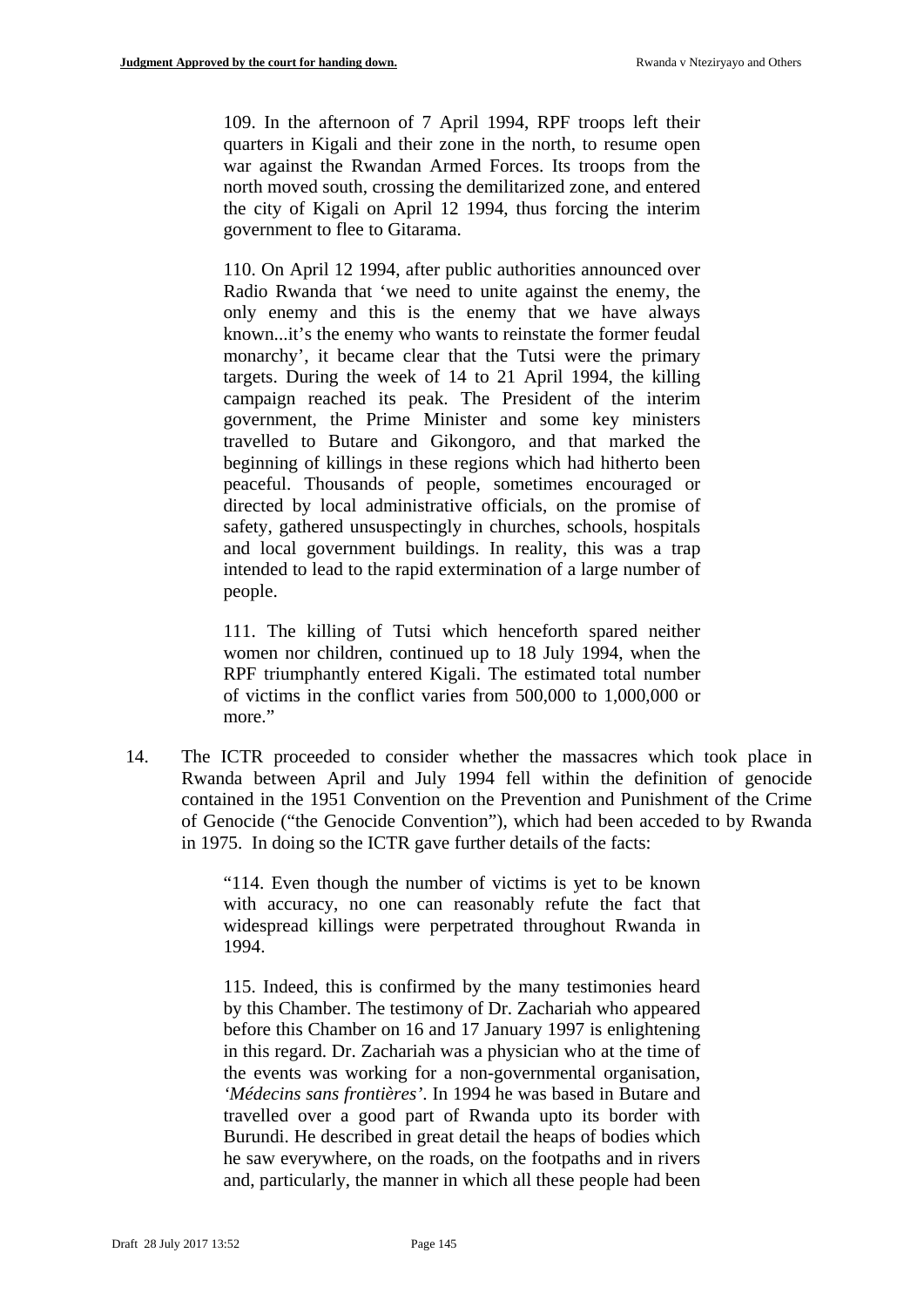109. In the afternoon of 7 April 1994, RPF troops left their quarters in Kigali and their zone in the north, to resume open war against the Rwandan Armed Forces. Its troops from the north moved south, crossing the demilitarized zone, and entered the city of Kigali on April 12 1994, thus forcing the interim government to flee to Gitarama.

110. On April 12 1994, after public authorities announced over Radio Rwanda that 'we need to unite against the enemy, the only enemy and this is the enemy that we have always known...it's the enemy who wants to reinstate the former feudal monarchy', it became clear that the Tutsi were the primary targets. During the week of 14 to 21 April 1994, the killing campaign reached its peak. The President of the interim government, the Prime Minister and some key ministers travelled to Butare and Gikongoro, and that marked the beginning of killings in these regions which had hitherto been peaceful. Thousands of people, sometimes encouraged or directed by local administrative officials, on the promise of safety, gathered unsuspectingly in churches, schools, hospitals and local government buildings. In reality, this was a trap intended to lead to the rapid extermination of a large number of people.

111. The killing of Tutsi which henceforth spared neither women nor children, continued up to 18 July 1994, when the RPF triumphantly entered Kigali. The estimated total number of victims in the conflict varies from 500,000 to 1,000,000 or more."

14. The ICTR proceeded to consider whether the massacres which took place in Rwanda between April and July 1994 fell within the definition of genocide contained in the 1951 Convention on the Prevention and Punishment of the Crime of Genocide ("the Genocide Convention"), which had been acceded to by Rwanda in 1975. In doing so the ICTR gave further details of the facts:

> "114. Even though the number of victims is yet to be known with accuracy, no one can reasonably refute the fact that widespread killings were perpetrated throughout Rwanda in 1994.

> 115. Indeed, this is confirmed by the many testimonies heard by this Chamber. The testimony of Dr. Zachariah who appeared before this Chamber on 16 and 17 January 1997 is enlightening in this regard. Dr. Zachariah was a physician who at the time of the events was working for a non-governmental organisation, *'Médecins sans frontières'*. In 1994 he was based in Butare and travelled over a good part of Rwanda upto its border with Burundi. He described in great detail the heaps of bodies which he saw everywhere, on the roads, on the footpaths and in rivers and, particularly, the manner in which all these people had been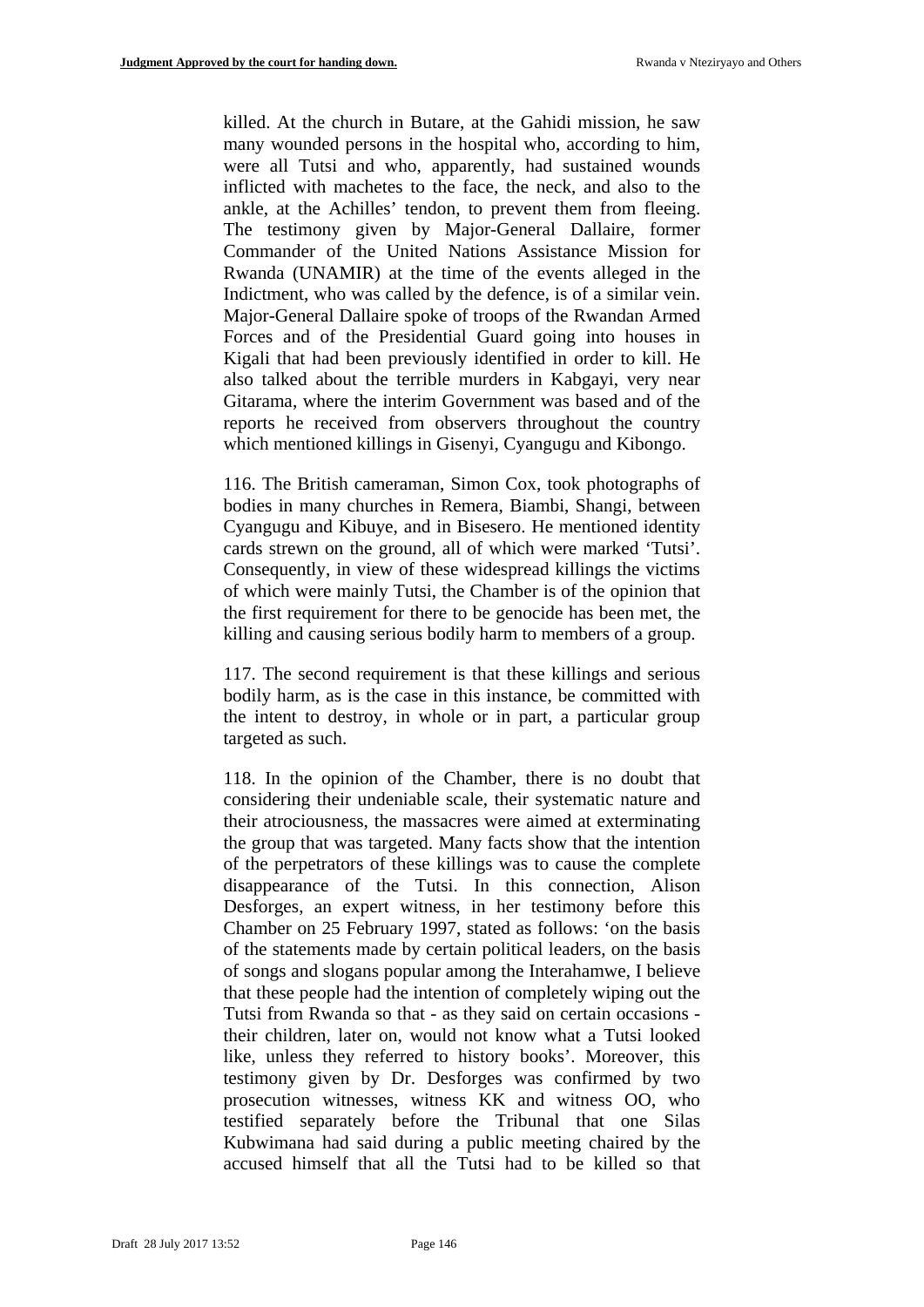killed. At the church in Butare, at the Gahidi mission, he saw many wounded persons in the hospital who, according to him, were all Tutsi and who, apparently, had sustained wounds inflicted with machetes to the face, the neck, and also to the ankle, at the Achilles' tendon, to prevent them from fleeing. The testimony given by Major-General Dallaire, former Commander of the United Nations Assistance Mission for Rwanda (UNAMIR) at the time of the events alleged in the Indictment, who was called by the defence, is of a similar vein. Major-General Dallaire spoke of troops of the Rwandan Armed Forces and of the Presidential Guard going into houses in Kigali that had been previously identified in order to kill. He also talked about the terrible murders in Kabgayi, very near Gitarama, where the interim Government was based and of the reports he received from observers throughout the country which mentioned killings in Gisenyi, Cyangugu and Kibongo.

116. The British cameraman, Simon Cox, took photographs of bodies in many churches in Remera, Biambi, Shangi, between Cyangugu and Kibuye, and in Bisesero. He mentioned identity cards strewn on the ground, all of which were marked 'Tutsi'. Consequently, in view of these widespread killings the victims of which were mainly Tutsi, the Chamber is of the opinion that the first requirement for there to be genocide has been met, the killing and causing serious bodily harm to members of a group.

117. The second requirement is that these killings and serious bodily harm, as is the case in this instance, be committed with the intent to destroy, in whole or in part, a particular group targeted as such.

118. In the opinion of the Chamber, there is no doubt that considering their undeniable scale, their systematic nature and their atrociousness, the massacres were aimed at exterminating the group that was targeted. Many facts show that the intention of the perpetrators of these killings was to cause the complete disappearance of the Tutsi. In this connection, Alison Desforges, an expert witness, in her testimony before this Chamber on 25 February 1997, stated as follows: 'on the basis of the statements made by certain political leaders, on the basis of songs and slogans popular among the Interahamwe, I believe that these people had the intention of completely wiping out the Tutsi from Rwanda so that - as they said on certain occasions their children, later on, would not know what a Tutsi looked like, unless they referred to history books'. Moreover, this testimony given by Dr. Desforges was confirmed by two prosecution witnesses, witness KK and witness OO, who testified separately before the Tribunal that one Silas Kubwimana had said during a public meeting chaired by the accused himself that all the Tutsi had to be killed so that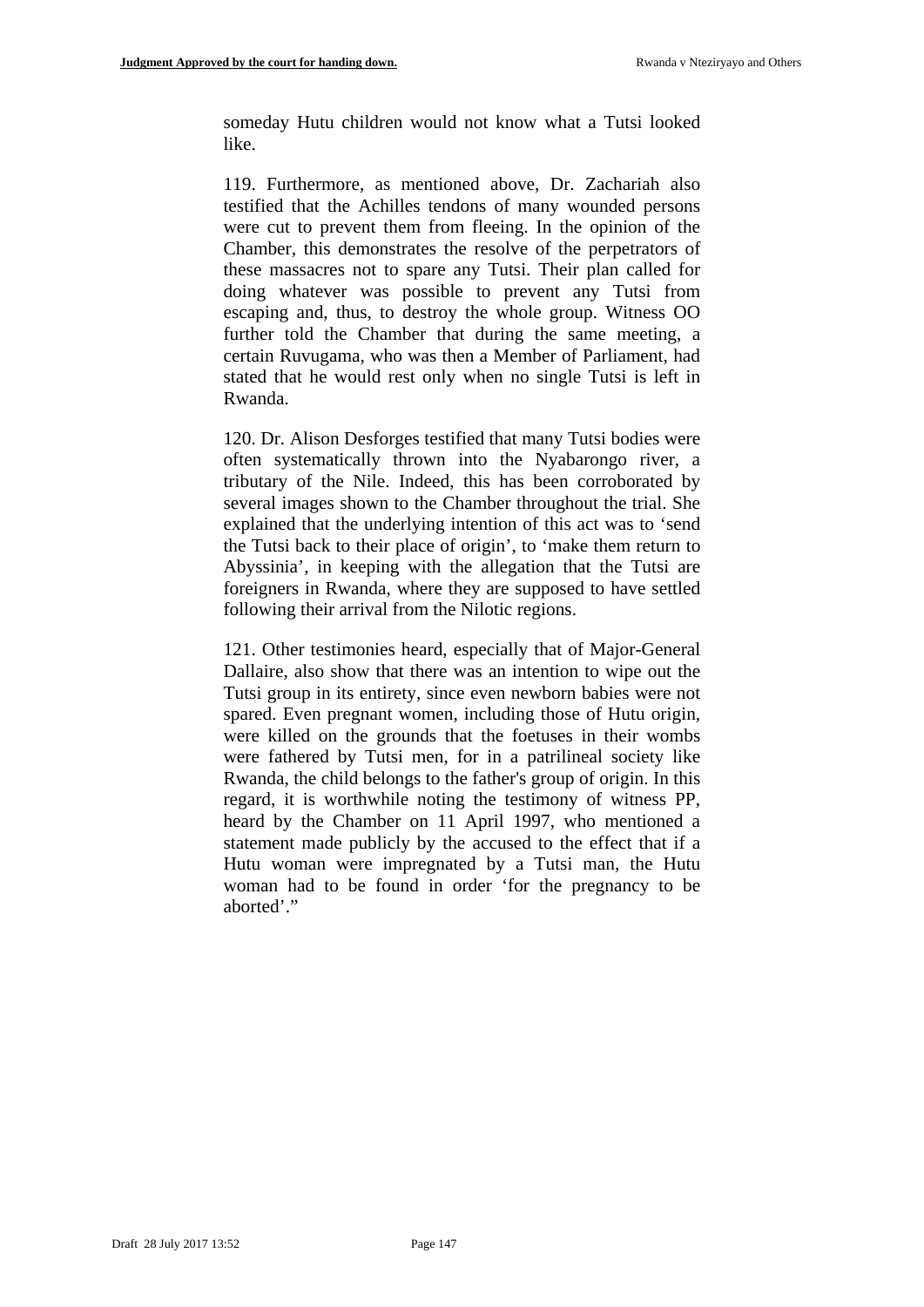someday Hutu children would not know what a Tutsi looked like.

119. Furthermore, as mentioned above, Dr. Zachariah also testified that the Achilles tendons of many wounded persons were cut to prevent them from fleeing. In the opinion of the Chamber, this demonstrates the resolve of the perpetrators of these massacres not to spare any Tutsi. Their plan called for doing whatever was possible to prevent any Tutsi from escaping and, thus, to destroy the whole group. Witness OO further told the Chamber that during the same meeting, a certain Ruvugama, who was then a Member of Parliament, had stated that he would rest only when no single Tutsi is left in Rwanda.

120. Dr. Alison Desforges testified that many Tutsi bodies were often systematically thrown into the Nyabarongo river, a tributary of the Nile. Indeed, this has been corroborated by several images shown to the Chamber throughout the trial. She explained that the underlying intention of this act was to 'send the Tutsi back to their place of origin', to 'make them return to Abyssinia', in keeping with the allegation that the Tutsi are foreigners in Rwanda, where they are supposed to have settled following their arrival from the Nilotic regions.

121. Other testimonies heard, especially that of Major-General Dallaire, also show that there was an intention to wipe out the Tutsi group in its entirety, since even newborn babies were not spared. Even pregnant women, including those of Hutu origin, were killed on the grounds that the foetuses in their wombs were fathered by Tutsi men, for in a patrilineal society like Rwanda, the child belongs to the father's group of origin. In this regard, it is worthwhile noting the testimony of witness PP, heard by the Chamber on 11 April 1997, who mentioned a statement made publicly by the accused to the effect that if a Hutu woman were impregnated by a Tutsi man, the Hutu woman had to be found in order 'for the pregnancy to be aborted'."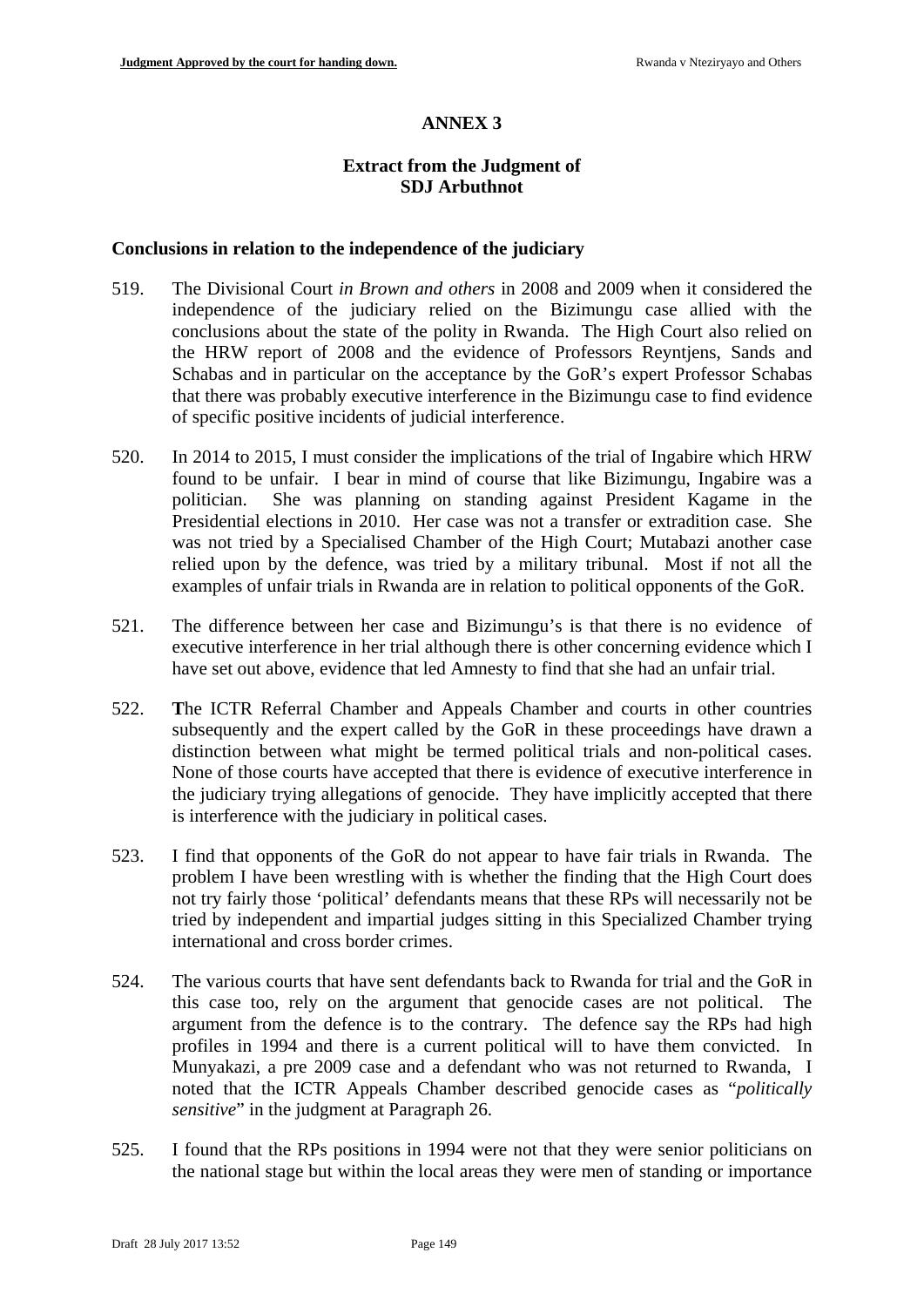## **ANNEX 3**

## **Extract from the Judgment of SDJ Arbuthnot**

## **Conclusions in relation to the independence of the judiciary**

- 519. The Divisional Court *in Brown and others* in 2008 and 2009 when it considered the independence of the judiciary relied on the Bizimungu case allied with the conclusions about the state of the polity in Rwanda. The High Court also relied on the HRW report of 2008 and the evidence of Professors Reyntjens, Sands and Schabas and in particular on the acceptance by the GoR's expert Professor Schabas that there was probably executive interference in the Bizimungu case to find evidence of specific positive incidents of judicial interference.
- 520. In 2014 to 2015, I must consider the implications of the trial of Ingabire which HRW found to be unfair. I bear in mind of course that like Bizimungu, Ingabire was a politician. She was planning on standing against President Kagame in the Presidential elections in 2010. Her case was not a transfer or extradition case. She was not tried by a Specialised Chamber of the High Court; Mutabazi another case relied upon by the defence, was tried by a military tribunal. Most if not all the examples of unfair trials in Rwanda are in relation to political opponents of the GoR.
- 521. The difference between her case and Bizimungu's is that there is no evidence of executive interference in her trial although there is other concerning evidence which I have set out above, evidence that led Amnesty to find that she had an unfair trial.
- 522. **T**he ICTR Referral Chamber and Appeals Chamber and courts in other countries subsequently and the expert called by the GoR in these proceedings have drawn a distinction between what might be termed political trials and non-political cases. None of those courts have accepted that there is evidence of executive interference in the judiciary trying allegations of genocide. They have implicitly accepted that there is interference with the judiciary in political cases.
- 523. I find that opponents of the GoR do not appear to have fair trials in Rwanda. The problem I have been wrestling with is whether the finding that the High Court does not try fairly those 'political' defendants means that these RPs will necessarily not be tried by independent and impartial judges sitting in this Specialized Chamber trying international and cross border crimes.
- 524. The various courts that have sent defendants back to Rwanda for trial and the GoR in this case too, rely on the argument that genocide cases are not political. The argument from the defence is to the contrary. The defence say the RPs had high profiles in 1994 and there is a current political will to have them convicted. In Munyakazi, a pre 2009 case and a defendant who was not returned to Rwanda, I noted that the ICTR Appeals Chamber described genocide cases as "*politically sensitive*" in the judgment at Paragraph 26.
- 525. I found that the RPs positions in 1994 were not that they were senior politicians on the national stage but within the local areas they were men of standing or importance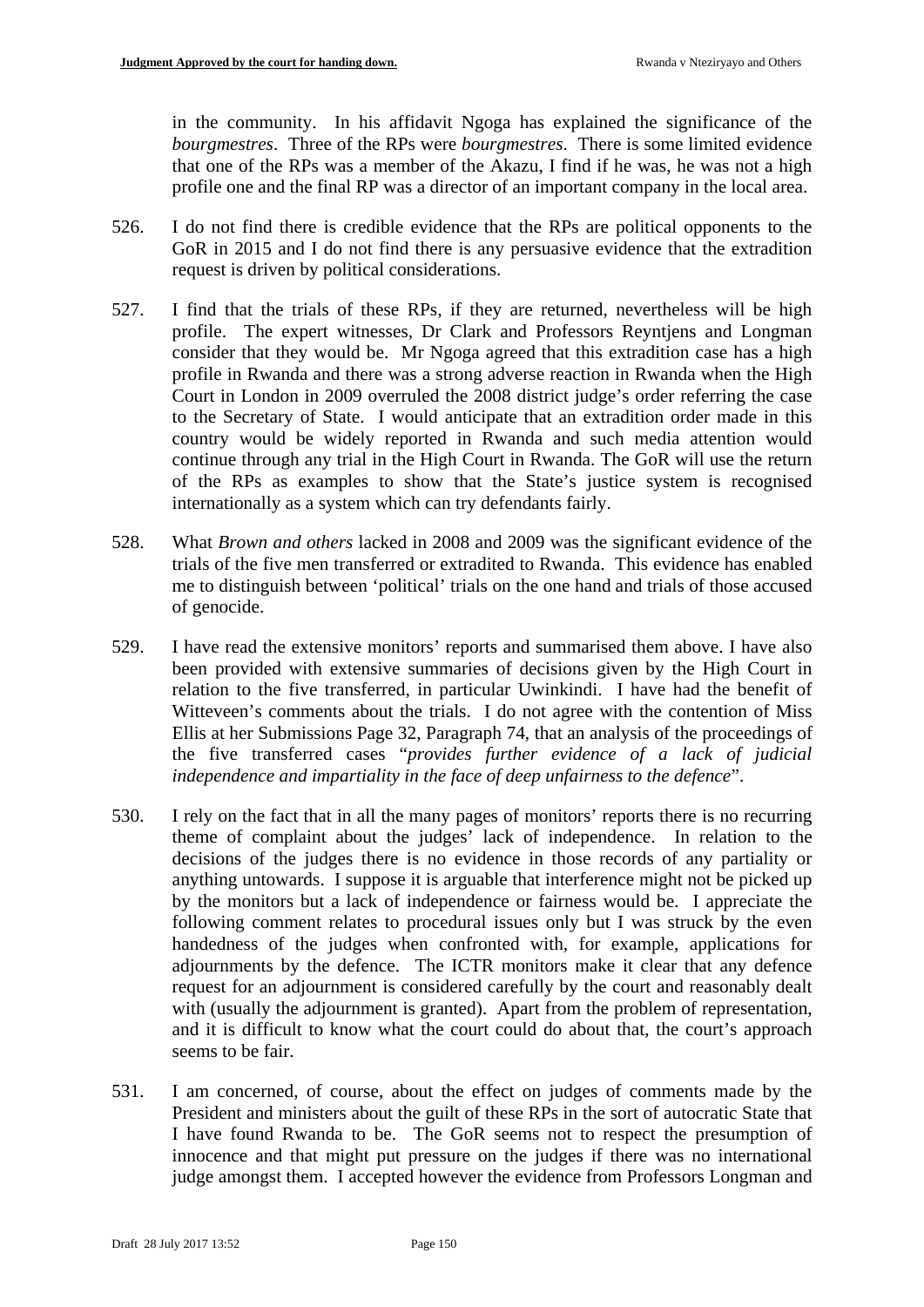in the community. In his affidavit Ngoga has explained the significance of the *bourgmestres*. Three of the RPs were *bourgmestres*. There is some limited evidence that one of the RPs was a member of the Akazu, I find if he was, he was not a high profile one and the final RP was a director of an important company in the local area.

- 526. I do not find there is credible evidence that the RPs are political opponents to the GoR in 2015 and I do not find there is any persuasive evidence that the extradition request is driven by political considerations.
- 527. I find that the trials of these RPs, if they are returned, nevertheless will be high profile. The expert witnesses, Dr Clark and Professors Reyntjens and Longman consider that they would be. Mr Ngoga agreed that this extradition case has a high profile in Rwanda and there was a strong adverse reaction in Rwanda when the High Court in London in 2009 overruled the 2008 district judge's order referring the case to the Secretary of State. I would anticipate that an extradition order made in this country would be widely reported in Rwanda and such media attention would continue through any trial in the High Court in Rwanda. The GoR will use the return of the RPs as examples to show that the State's justice system is recognised internationally as a system which can try defendants fairly.
- 528. What *Brown and others* lacked in 2008 and 2009 was the significant evidence of the trials of the five men transferred or extradited to Rwanda. This evidence has enabled me to distinguish between 'political' trials on the one hand and trials of those accused of genocide.
- 529. I have read the extensive monitors' reports and summarised them above. I have also been provided with extensive summaries of decisions given by the High Court in relation to the five transferred, in particular Uwinkindi. I have had the benefit of Witteveen's comments about the trials. I do not agree with the contention of Miss Ellis at her Submissions Page 32, Paragraph 74, that an analysis of the proceedings of the five transferred cases "*provides further evidence of a lack of judicial independence and impartiality in the face of deep unfairness to the defence*".
- 530. I rely on the fact that in all the many pages of monitors' reports there is no recurring theme of complaint about the judges' lack of independence. In relation to the decisions of the judges there is no evidence in those records of any partiality or anything untowards. I suppose it is arguable that interference might not be picked up by the monitors but a lack of independence or fairness would be. I appreciate the following comment relates to procedural issues only but I was struck by the even handedness of the judges when confronted with, for example, applications for adjournments by the defence. The ICTR monitors make it clear that any defence request for an adjournment is considered carefully by the court and reasonably dealt with (usually the adjournment is granted). Apart from the problem of representation, and it is difficult to know what the court could do about that, the court's approach seems to be fair.
- 531. I am concerned, of course, about the effect on judges of comments made by the President and ministers about the guilt of these RPs in the sort of autocratic State that I have found Rwanda to be. The GoR seems not to respect the presumption of innocence and that might put pressure on the judges if there was no international judge amongst them. I accepted however the evidence from Professors Longman and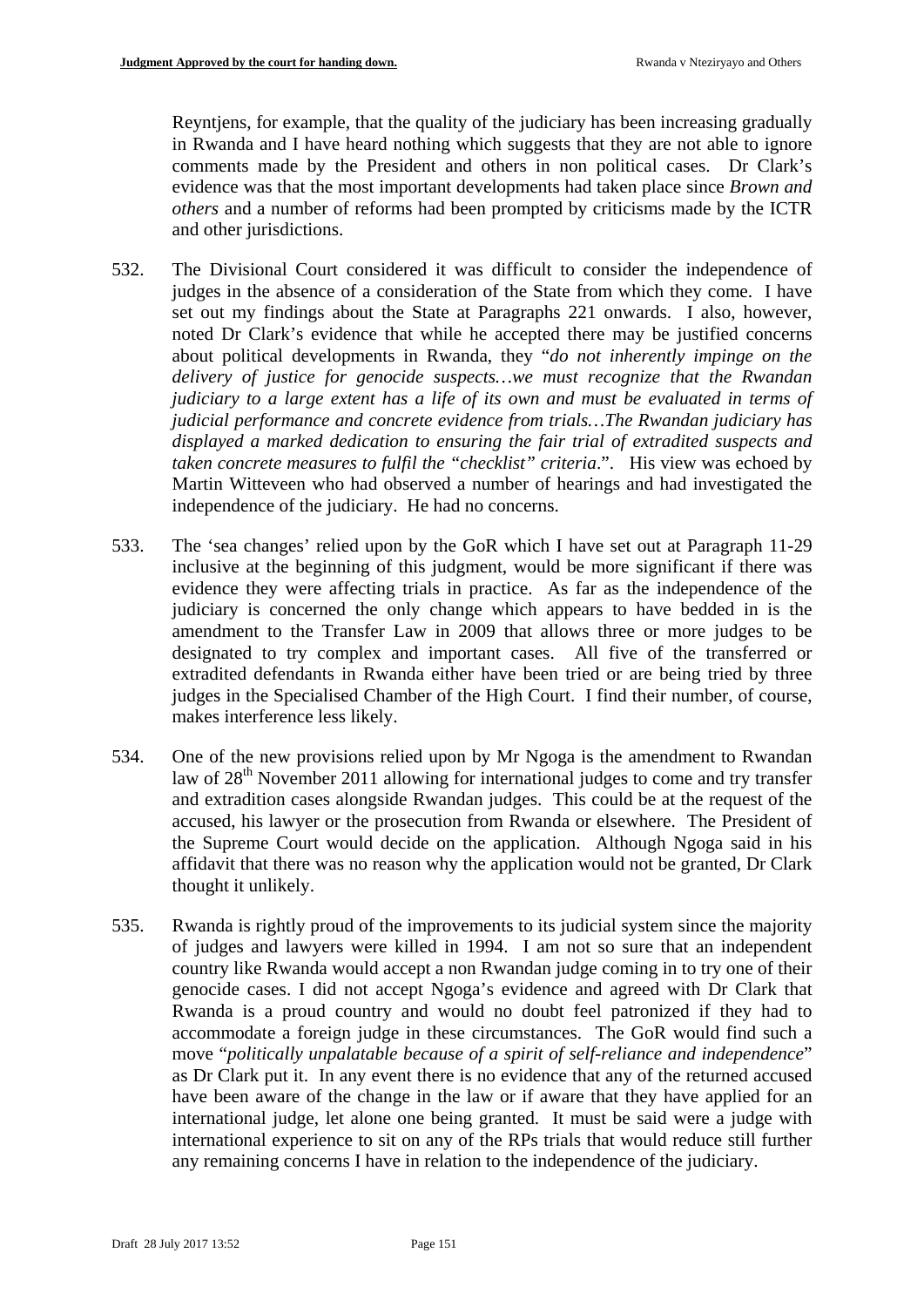Reyntjens, for example, that the quality of the judiciary has been increasing gradually in Rwanda and I have heard nothing which suggests that they are not able to ignore comments made by the President and others in non political cases. Dr Clark's evidence was that the most important developments had taken place since *Brown and others* and a number of reforms had been prompted by criticisms made by the ICTR and other jurisdictions.

- 532. The Divisional Court considered it was difficult to consider the independence of judges in the absence of a consideration of the State from which they come. I have set out my findings about the State at Paragraphs 221 onwards. I also, however, noted Dr Clark's evidence that while he accepted there may be justified concerns about political developments in Rwanda, they "*do not inherently impinge on the delivery of justice for genocide suspects…we must recognize that the Rwandan judiciary to a large extent has a life of its own and must be evaluated in terms of judicial performance and concrete evidence from trials…The Rwandan judiciary has displayed a marked dedication to ensuring the fair trial of extradited suspects and taken concrete measures to fulfil the "checklist" criteria*.". His view was echoed by Martin Witteveen who had observed a number of hearings and had investigated the independence of the judiciary. He had no concerns.
- 533. The 'sea changes' relied upon by the GoR which I have set out at Paragraph 11-29 inclusive at the beginning of this judgment, would be more significant if there was evidence they were affecting trials in practice. As far as the independence of the judiciary is concerned the only change which appears to have bedded in is the amendment to the Transfer Law in 2009 that allows three or more judges to be designated to try complex and important cases. All five of the transferred or extradited defendants in Rwanda either have been tried or are being tried by three judges in the Specialised Chamber of the High Court. I find their number, of course, makes interference less likely.
- 534. One of the new provisions relied upon by Mr Ngoga is the amendment to Rwandan law of 28<sup>th</sup> November 2011 allowing for international judges to come and try transfer and extradition cases alongside Rwandan judges. This could be at the request of the accused, his lawyer or the prosecution from Rwanda or elsewhere. The President of the Supreme Court would decide on the application. Although Ngoga said in his affidavit that there was no reason why the application would not be granted, Dr Clark thought it unlikely.
- 535. Rwanda is rightly proud of the improvements to its judicial system since the majority of judges and lawyers were killed in 1994. I am not so sure that an independent country like Rwanda would accept a non Rwandan judge coming in to try one of their genocide cases. I did not accept Ngoga's evidence and agreed with Dr Clark that Rwanda is a proud country and would no doubt feel patronized if they had to accommodate a foreign judge in these circumstances. The GoR would find such a move "*politically unpalatable because of a spirit of self-reliance and independence*" as Dr Clark put it. In any event there is no evidence that any of the returned accused have been aware of the change in the law or if aware that they have applied for an international judge, let alone one being granted. It must be said were a judge with international experience to sit on any of the RPs trials that would reduce still further any remaining concerns I have in relation to the independence of the judiciary.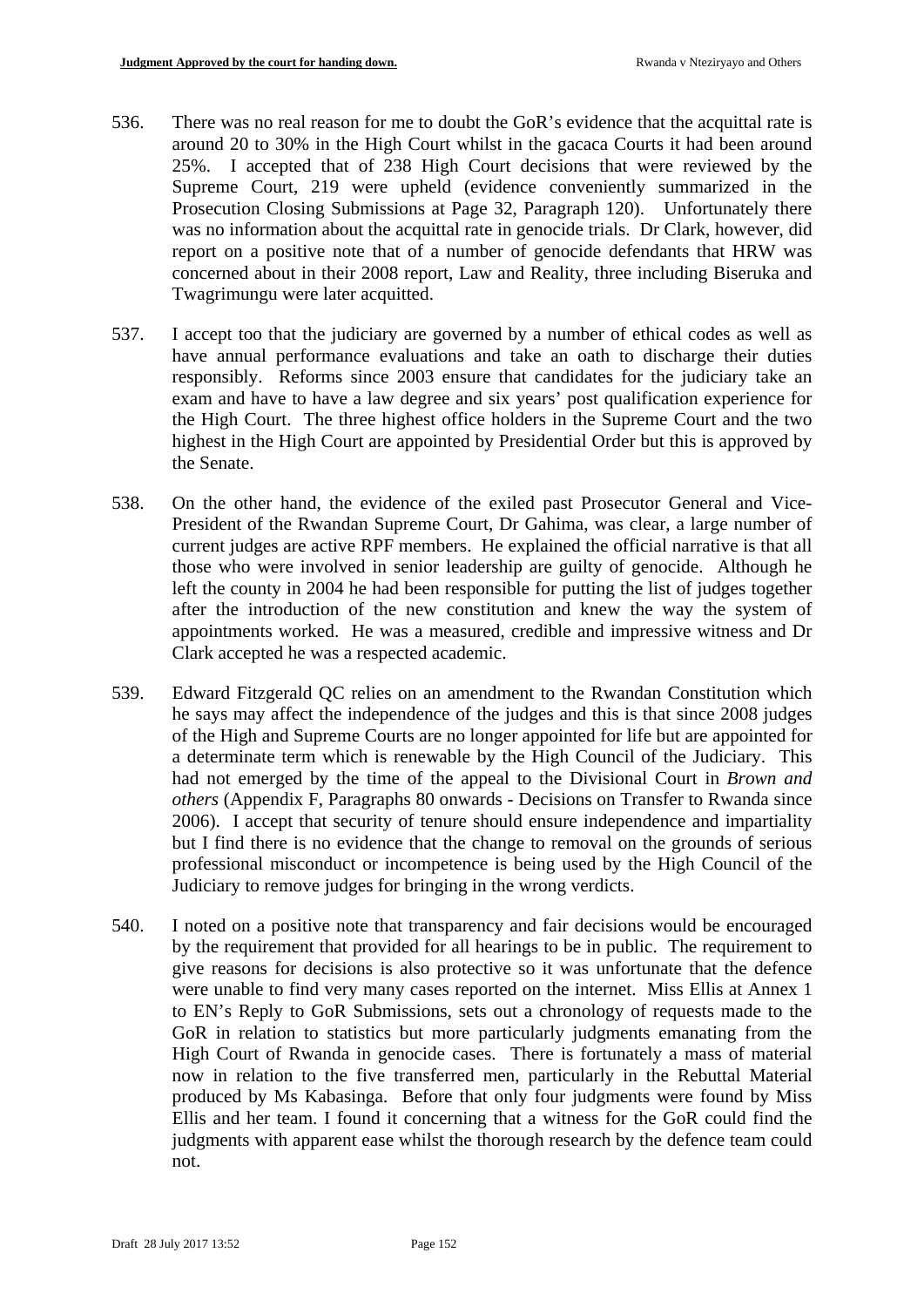- 536. There was no real reason for me to doubt the GoR's evidence that the acquittal rate is around 20 to 30% in the High Court whilst in the gacaca Courts it had been around 25%. I accepted that of 238 High Court decisions that were reviewed by the Supreme Court, 219 were upheld (evidence conveniently summarized in the Prosecution Closing Submissions at Page 32, Paragraph 120). Unfortunately there was no information about the acquittal rate in genocide trials. Dr Clark, however, did report on a positive note that of a number of genocide defendants that HRW was concerned about in their 2008 report, Law and Reality, three including Biseruka and Twagrimungu were later acquitted.
- 537. I accept too that the judiciary are governed by a number of ethical codes as well as have annual performance evaluations and take an oath to discharge their duties responsibly. Reforms since 2003 ensure that candidates for the judiciary take an exam and have to have a law degree and six years' post qualification experience for the High Court. The three highest office holders in the Supreme Court and the two highest in the High Court are appointed by Presidential Order but this is approved by the Senate.
- 538. On the other hand, the evidence of the exiled past Prosecutor General and Vice-President of the Rwandan Supreme Court, Dr Gahima, was clear, a large number of current judges are active RPF members. He explained the official narrative is that all those who were involved in senior leadership are guilty of genocide. Although he left the county in 2004 he had been responsible for putting the list of judges together after the introduction of the new constitution and knew the way the system of appointments worked. He was a measured, credible and impressive witness and Dr Clark accepted he was a respected academic.
- 539. Edward Fitzgerald QC relies on an amendment to the Rwandan Constitution which he says may affect the independence of the judges and this is that since 2008 judges of the High and Supreme Courts are no longer appointed for life but are appointed for a determinate term which is renewable by the High Council of the Judiciary. This had not emerged by the time of the appeal to the Divisional Court in *Brown and others* (Appendix F, Paragraphs 80 onwards - Decisions on Transfer to Rwanda since 2006). I accept that security of tenure should ensure independence and impartiality but I find there is no evidence that the change to removal on the grounds of serious professional misconduct or incompetence is being used by the High Council of the Judiciary to remove judges for bringing in the wrong verdicts.
- 540. I noted on a positive note that transparency and fair decisions would be encouraged by the requirement that provided for all hearings to be in public. The requirement to give reasons for decisions is also protective so it was unfortunate that the defence were unable to find very many cases reported on the internet. Miss Ellis at Annex 1 to EN's Reply to GoR Submissions, sets out a chronology of requests made to the GoR in relation to statistics but more particularly judgments emanating from the High Court of Rwanda in genocide cases. There is fortunately a mass of material now in relation to the five transferred men, particularly in the Rebuttal Material produced by Ms Kabasinga. Before that only four judgments were found by Miss Ellis and her team. I found it concerning that a witness for the GoR could find the judgments with apparent ease whilst the thorough research by the defence team could not.